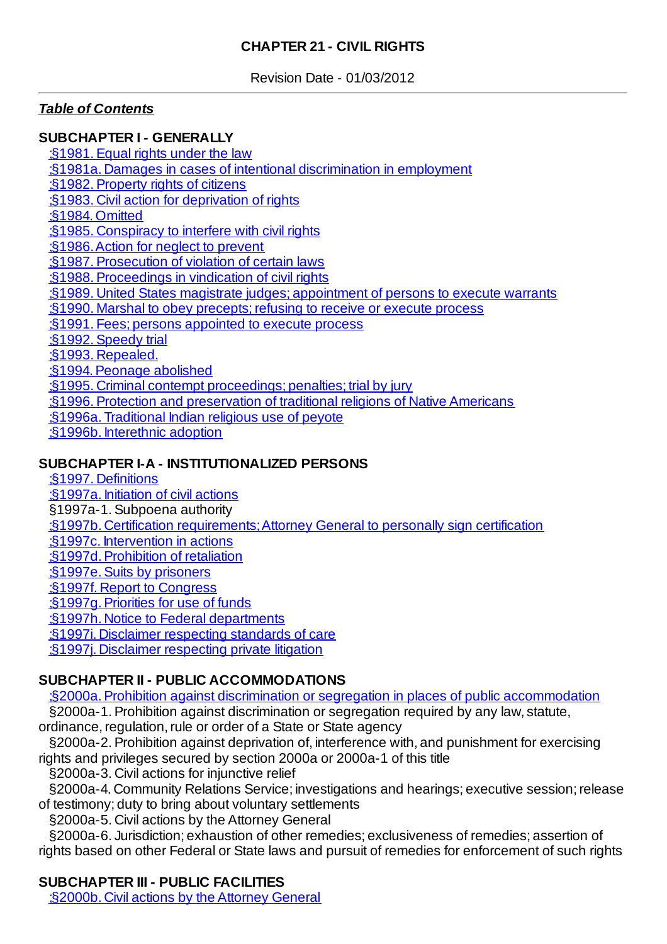# **CHAPTER 21 - CIVIL RIGHTS**

Revision Date - 01/03/2012

## <span id="page-0-0"></span>*Table of Contents*

# **SUBCHAPTER I - GENERALLY**

[;§1981.Equal](#page-2-0) rights under the law

;§1981a. Damages in cases of intentional [discrimination](#page-4-0) in employment

[;§1982.Property](#page-7-0) rights of citizens

;§1983. Civil action for [deprivation](#page-10-0) of rights

;§1984. [Omitted](#page-11-0)

;§1985. [Conspiracy](#page-11-1) to interfere with civil rights

[;§1986.Action](#page-12-0) for neglect to prevent

[;§1987.Prosecution](#page-13-0) of violation of certain laws

- [;§1988.Proceedings](#page-13-1) in vindication of civil rights
- ;§1989. United States magistrate judges; [appointment](#page-16-0) of persons to execute warrants
- ;§1990. Marshal to obey [precepts;refusing](#page-17-0) to receive or execute process
- ;§1991. Fees; persons [appointed](#page-17-1) to execute process

[;§1992.Speedy](#page-18-0) trial

;§1993. [Repealed.](#page-18-1)

[;§1994.Peonage](#page-19-0) abolished

;§1995. Criminal contempt [proceedings;](#page-19-1) penalties; trial by jury

[;§1996.Protection](#page-20-0) and preservation of traditional religions of Native Americans

;§1996a. [Traditional](#page-22-0) Indian religious use of peyote

;§1996b. [Interethnic](#page-24-0) adoption

#### **SUBCHAPTER I-A - INSTITUTIONALIZED PERSONS**

;§1997. [Definitions](#page-25-0)

[;§1997a.](#page-26-0) Initiation of civil actions

§1997a-1.Subpoena authority

;§1997b. Certification [requirements;Attorney](#page-28-0) General to personally sign certification

;§1997c. [Intervention](#page-29-0) in actions

[;§1997d.Prohibition](#page-31-0) of retaliation

[;§1997e.Suits](#page-31-1) by prisoners

;§1997f. Report to [Congress](#page-33-0)

[;§1997g.Priorities](#page-34-0) for use of funds

;§1997h. Notice to Federal [departments](#page-34-1)

;§1997i. Disclaimer [respecting](#page-35-0) standards of care

;§1997j. Disclaimer [respecting](#page-35-1) private litigation

# **SUBCHAPTER II - PUBLIC ACCOMMODATIONS**

[;§2000a.Prohibition](#page-35-2) against discrimination or segregation in places of public accommodation

§2000a-1.Prohibition against discrimination or segregation required by any law, statute, ordinance, regulation, rule or order of a State or State agency

§2000a-2. Prohibition against deprivation of, interference with, and punishment for exercising rights and privileges secured by section 2000a or 2000a-1 of this title

§2000a-3. Civil actions for injunctive relief

§2000a-4. Community Relations Service; investigations and hearings; executive session;release of testimony; duty to bring about voluntary settlements

§2000a-5. Civil actions by the Attorney General

§2000a-6. Jurisdiction; exhaustion of other remedies; exclusiveness of remedies; assertion of rights based on other Federal or State laws and pursuit of remedies for enforcement of such rights

### **SUBCHAPTER III - PUBLIC FACILITIES**

[;§2000b.](#page-40-0) Civil actions by the Attorney General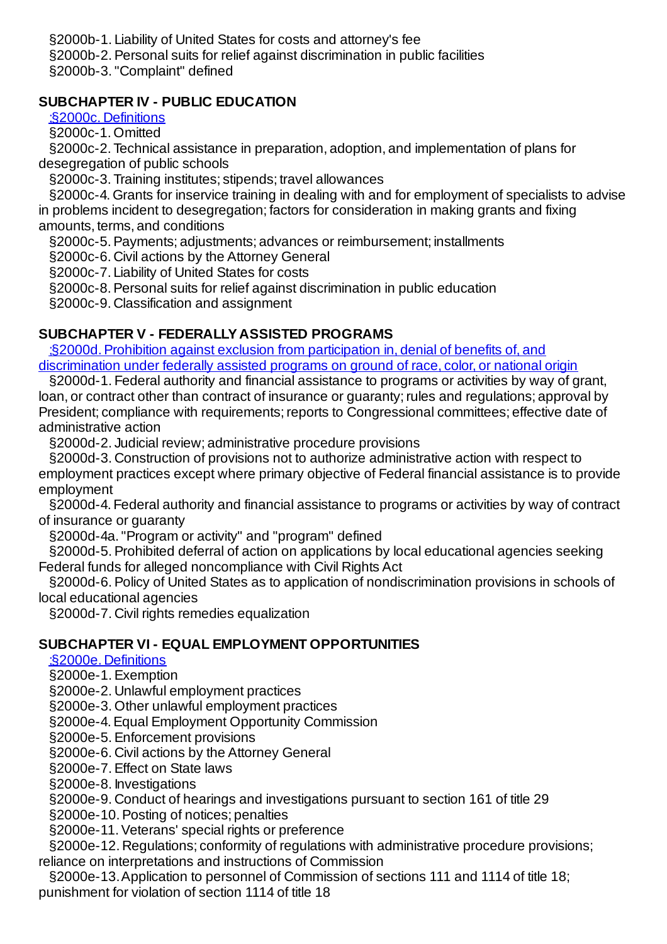§2000b-1. Liability of United States for costs and attorney's fee §2000b-2.Personal suits for relief against discrimination in public facilities §2000b-3."Complaint" defined

# **SUBCHAPTER IV - PUBLIC EDUCATION**

;§2000c. [Definitions](#page-41-0)

§2000c-1. Omitted

§2000c-2. Technical assistance in preparation, adoption, and implementation of plans for desegregation of public schools

§2000c-3. Training institutes; stipends; travel allowances

§2000c-4. Grants for inservice training in dealing with and for employment of specialists to advise in problems incident to desegregation; factors for consideration in making grants and fixing amounts, terms, and conditions

§2000c-5.Payments; adjustments; advances or reimbursement; installments

§2000c-6. Civil actions by the Attorney General

§2000c-7. Liability of United States for costs

§2000c-8.Personal suits for relief against discrimination in public education

§2000c-9. Classification and assignment

# **SUBCHAPTER V - FEDERALLY ASSISTED PROGRAMS**

[;§2000d.Prohibition](#page-46-0) against exclusion from participation in, denial of benefits of, and discrimination under federally assisted programs on ground of race, color, or national origin

§2000d-1. Federal authority and financial assistance to programs or activities by way of grant, loan, or contract other than contract of insurance or guaranty; rules and regulations; approval by President; compliance with requirements; reports to Congressional committees; effective date of administrative action

§2000d-2. Judicial review; administrative procedure provisions

§2000d-3. Construction of provisions not to authorize administrative action with respect to employment practices except where primary objective of Federal financial assistance is to provide employment

§2000d-4. Federal authority and financial assistance to programs or activities by way of contract of insurance or guaranty

§2000d-4a."Program or activity" and "program" defined

§2000d-5. Prohibited deferral of action on applications by local educational agencies seeking Federal funds for alleged noncompliance with Civil Rights Act

§2000d-6.Policy of United States as to application of nondiscrimination provisions in schools of local educational agencies

§2000d-7. Civil rights remedies equalization

# **SUBCHAPTER VI - EQUAL EMPLOYMENT OPPORTUNITIES**

;§2000e. [Definitions](#page-60-0)

§2000e-1.Exemption

§2000e-2. Unlawful employment practices

§2000e-3. Other unlawful employment practices

§2000e-4.Equal Employment Opportunity Commission

§2000e-5.Enforcement provisions

§2000e-6. Civil actions by the Attorney General

§2000e-7.Effect on State laws

§2000e-8. Investigations

§2000e-9. Conduct of hearings and investigations pursuant to section 161 of title 29

§2000e-10. Posting of notices; penalties

§2000e-11.Veterans' special rights or preference

§2000e-12. Regulations; conformity of regulations with administrative procedure provisions; reliance on interpretations and instructions of Commission

§2000e-13.Application to personnel of Commission of sections 111 and 1114 of title 18; punishment for violation of section 1114 of title 18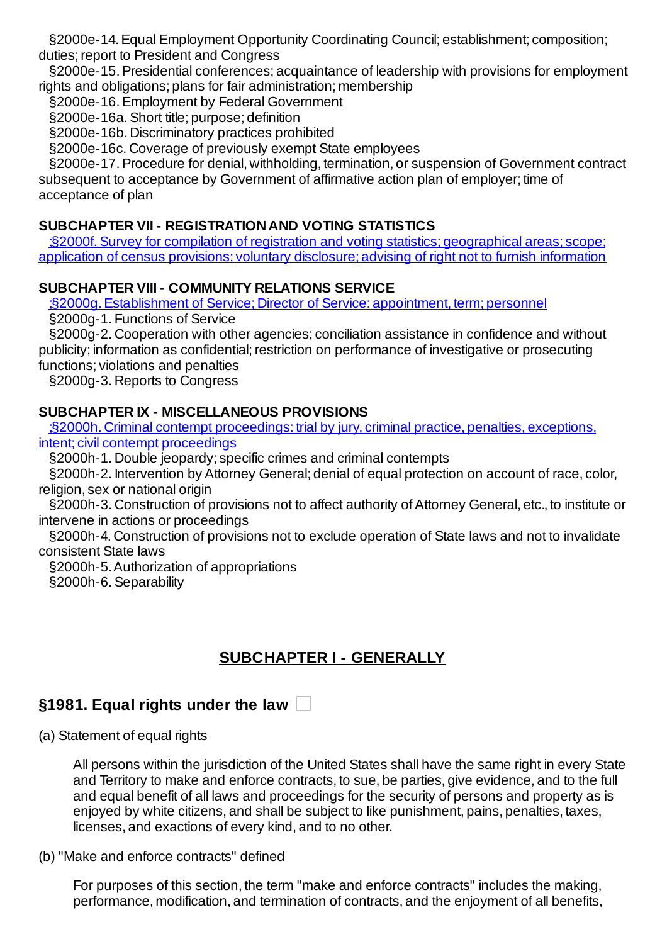§2000e-14.Equal Employment Opportunity Coordinating Council; establishment; composition; duties; report to President and Congress

§2000e-15.Presidential conferences; acquaintance of leadership with provisions for employment rights and obligations; plans for fair administration; membership

§2000e-16.Employment by Federal Government

§2000e-16a.Short title; purpose; definition

§2000e-16b. Discriminatory practices prohibited

§2000e-16c. Coverage of previously exempt State employees

§2000e-17. Procedure for denial, withholding, termination, or suspension of Government contract subsequent to acceptance by Government of affirmative action plan of employer; time of acceptance of plan

# **SUBCHAPTER VII - REGISTRATION AND VOTING STATISTICS**

[;§2000f.Survey](#page-136-0) for compilation of registration and voting statistics; geographical areas; scope; application of census provisions; voluntary disclosure; advising of right not to furnish information

# **SUBCHAPTER VIII - COMMUNITY RELATIONS SERVICE**

[;§2000g.Establishment](#page-136-1) of Service; Director of Service: appointment, term; personnel

§2000g-1. Functions of Service

§2000g-2. Cooperation with other agencies; conciliation assistance in confidence and without publicity; information as confidential; restriction on performance of investigative or prosecuting functions; violations and penalties

§2000g-3. Reports to Congress

# **SUBCHAPTER IX - MISCELLANEOUS PROVISIONS**

;§2000h. Criminal contempt [proceedings:](#page-140-0) trial by jury, criminal practice, penalties, exceptions, intent; civil contempt proceedings

§2000h-1. Double jeopardy; specific crimes and criminal contempts

§2000h-2. Intervention by Attorney General; denial of equal protection on account of race, color, religion, sex or national origin

§2000h-3. Construction of provisions not to affect authority of Attorney General, etc., to institute or intervene in actions or proceedings

§2000h-4. Construction of provisions not to exclude operation of State laws and not to invalidate consistent State laws

§2000h-5.Authorization of appropriations

§2000h-6. Separability

# **SUBCHAPTER I - GENERALLY**

# <span id="page-2-0"></span>**§1981. Equal rights under the law**

(a) Statement of equal rights

All persons within the jurisdiction of the United States shall have the same right in every State and Territory to make and enforce contracts, to sue, be parties, give evidence, and to the full and equal benefit of all laws and proceedings for the security of persons and property as is enjoyed by white citizens, and shall be subject to like punishment, pains, penalties, taxes, licenses, and exactions of every kind, and to no other.

(b) "Make and enforce contracts" defined

For purposes of this section, the term "make and enforce contracts" includes the making, performance, modification, and termination of contracts, and the enjoyment of all benefits,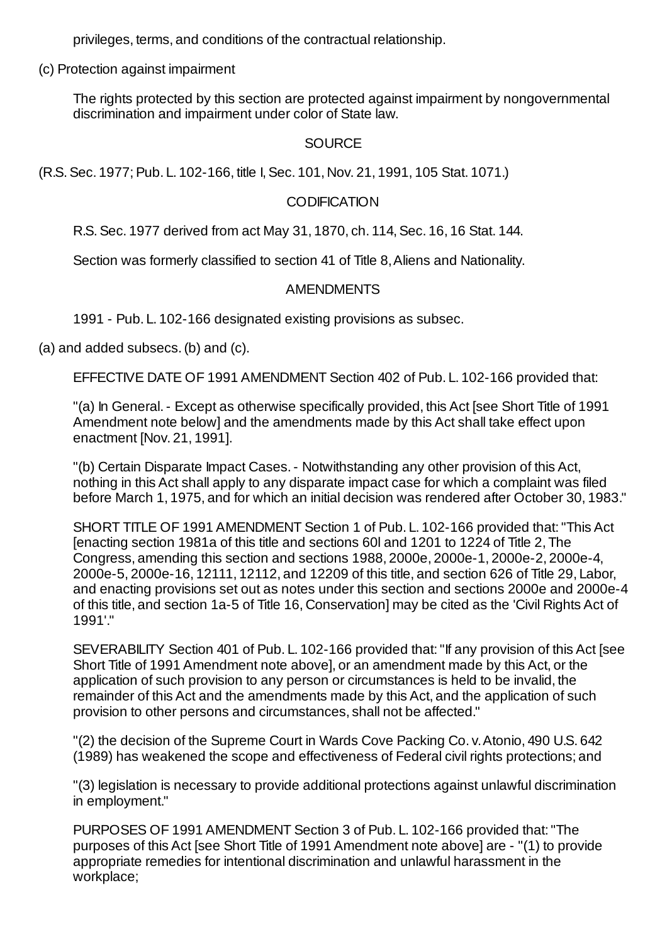privileges, terms, and conditions of the contractual relationship.

(c) Protection against impairment

The rights protected by this section are protected against impairment by nongovernmental discrimination and impairment under color of State law.

# **SOURCE**

(R.S.Sec. 1977;Pub. L. 102-166, title I,Sec. 101, Nov. 21, 1991, 105 Stat. 1071.)

# **CODIFICATION**

R.S. Sec. 1977 derived from act May 31, 1870, ch. 114, Sec. 16, 16 Stat. 144.

Section was formerly classified to section 41 of Title 8, Aliens and Nationality.

### **AMENDMENTS**

1991 - Pub. L. 102-166 designated existing provisions as subsec.

(a) and added subsecs.(b) and (c).

EFFECTIVE DATE OF 1991 AMENDMENT Section 402 of Pub. L. 102-166 provided that:

"(a) In General.- Except as otherwise specifically provided, this Act [see Short Title of 1991 Amendment note below] and the amendments made by this Act shall take effect upon enactment [Nov. 21, 1991].

"(b) Certain Disparate Impact Cases.- Notwithstanding any other provision of this Act, nothing in this Act shall apply to any disparate impact case for which a complaint was filed before March 1, 1975, and for which an initial decision was rendered after October 30, 1983."

SHORT TITLE OF 1991 AMENDMENT Section 1 of Pub. L. 102-166 provided that:"This Act [enacting section 1981a of this title and sections 60l and 1201 to 1224 of Title 2, The Congress, amending this section and sections 1988, 2000e, 2000e-1, 2000e-2, 2000e-4, 2000e-5, 2000e-16, 12111, 12112, and 12209 of this title, and section 626 of Title 29, Labor, and enacting provisions set out as notes under this section and sections 2000e and 2000e-4 of this title, and section 1a-5 of Title 16, Conservation] may be cited as the 'Civil Rights Act of 1991'."

SEVERABILITY Section 401 of Pub. L. 102-166 provided that: "If any provision of this Act [see Short Title of 1991 Amendment note above], or an amendment made by this Act, or the application of such provision to any person or circumstances is held to be invalid, the remainder of this Act and the amendments made by this Act, and the application of such provision to other persons and circumstances, shall not be affected."

"(2) the decision of the Supreme Court in Wards Cove Packing Co. v.Atonio, 490 U.S. 642 (1989) has weakened the scope and effectiveness of Federal civil rights protections; and

"(3) legislation is necessary to provide additional protections against unlawful discrimination in employment."

PURPOSES OF 1991 AMENDMENT Section 3 of Pub. L. 102-166 provided that:"The purposes of this Act [see Short Title of 1991 Amendment note above] are - "(1) to provide appropriate remedies for intentional discrimination and unlawful harassment in the workplace;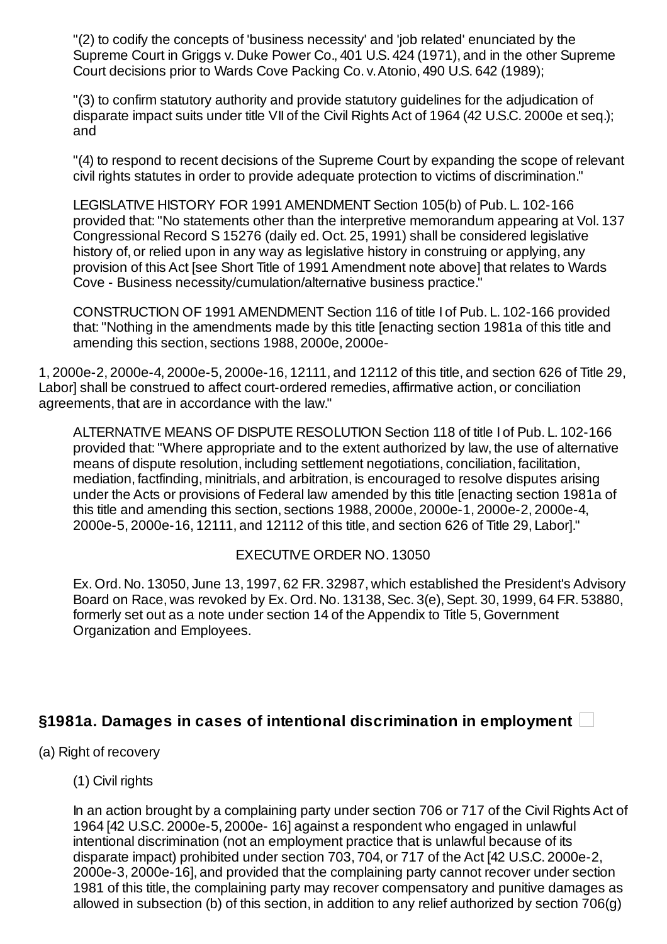"(2) to codify the concepts of 'business necessity' and 'job related' enunciated by the Supreme Court in Griggs v. Duke Power Co., 401 U.S. 424 (1971), and in the other Supreme Court decisions prior to Wards Cove Packing Co. v.Atonio, 490 U.S. 642 (1989);

"(3) to confirm statutory authority and provide statutory guidelines for the adjudication of disparate impact suits under title VII of the Civil Rights Act of 1964 (42 U.S.C. 2000e et seq.); and

"(4) to respond to recent decisions of the Supreme Court by expanding the scope of relevant civil rights statutes in order to provide adequate protection to victims of discrimination."

LEGISLATIVE HISTORY FOR 1991 AMENDMENT Section 105(b) of Pub. L. 102-166 provided that:"No statements other than the interpretive memorandum appearing at Vol. 137 Congressional Record S 15276 (daily ed. Oct. 25, 1991) shall be considered legislative history of, or relied upon in any way as legislative history in construing or applying, any provision of this Act [see Short Title of 1991 Amendment note above] that relates to Wards Cove - Business necessity/cumulation/alternative business practice."

CONSTRUCTION OF 1991 AMENDMENT Section 116 of title I of Pub. L. 102-166 provided that:"Nothing in the amendments made by this title [enacting section 1981a of this title and amending this section, sections 1988, 2000e, 2000e-

1, 2000e-2, 2000e-4, 2000e-5, 2000e-16, 12111, and 12112 of this title, and section 626 of Title 29, Labor] shall be construed to affect court-ordered remedies, affirmative action, or conciliation agreements, that are in accordance with the law."

ALTERNATIVE MEANS OF DISPUTE RESOLUTION Section 118 of title I of Pub. L. 102-166 provided that:"Where appropriate and to the extent authorized by law, the use of alternative means of dispute resolution, including settlement negotiations, conciliation, facilitation, mediation, factfinding, minitrials, and arbitration, is encouraged to resolve disputes arising under the Acts or provisions of Federal law amended by this title [enacting section 1981a of this title and amending this section, sections 1988, 2000e, 2000e-1, 2000e-2, 2000e-4, 2000e-5, 2000e-16, 12111, and 12112 of this title, and section 626 of Title 29, Labor]."

# EXECUTIVE ORDER NO. 13050

Ex. Ord. No. 13050, June 13, 1997, 62 F.R. 32987, which established the President's Advisory Board on Race, was revoked by Ex. Ord. No. 13138, Sec. 3(e), Sept. 30, 1999, 64 F.R. 53880, formerly set out as a note under section 14 of the Appendix to Title 5, Government Organization and Employees.

# <span id="page-4-0"></span>**§1981a. Damages in cases of intentional discrimination in employment**

(a) Right of recovery

# (1) Civil rights

In an action brought by a complaining party under section 706 or 717 of the Civil Rights Act of 1964 [42 U.S.C. 2000e-5, 2000e- 16] against a respondent who engaged in unlawful intentional discrimination (not an employment practice that is unlawful because of its disparate impact) prohibited under section 703, 704, or 717 of the Act [42 U.S.C. 2000e-2, 2000e-3, 2000e-16], and provided that the complaining party cannot recover under section 1981 of this title, the complaining party may recover compensatory and punitive damages as allowed in subsection (b) of this section, in addition to any relief authorized by section 706(g)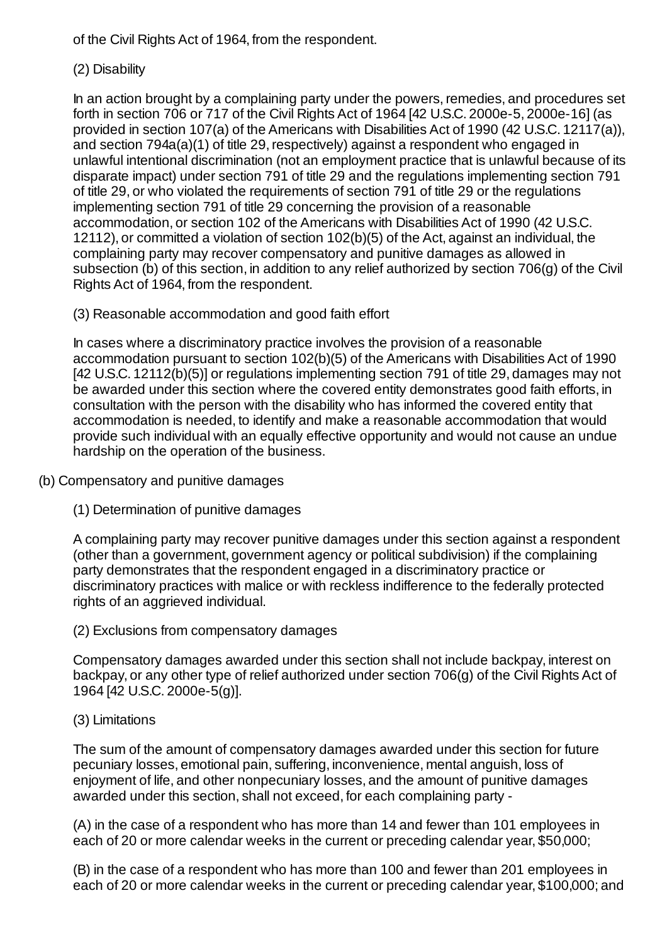of the Civil Rights Act of 1964, from the respondent.

# (2) Disability

In an action brought by a complaining party under the powers, remedies, and procedures set forth in section 706 or 717 of the Civil Rights Act of 1964 [42 U.S.C. 2000e-5, 2000e-16] (as provided in section 107(a) of the Americans with Disabilities Act of 1990 (42 U.S.C. 12117(a)), and section 794a(a)(1) of title 29, respectively) against a respondent who engaged in unlawful intentional discrimination (not an employment practice that is unlawful because of its disparate impact) under section 791 of title 29 and the regulations implementing section 791 of title 29, or who violated the requirements of section 791 of title 29 or the regulations implementing section 791 of title 29 concerning the provision of a reasonable accommodation, or section 102 of the Americans with Disabilities Act of 1990 (42 U.S.C. 12112), or committed a violation of section 102(b)(5) of the Act, against an individual, the complaining party may recover compensatory and punitive damages as allowed in subsection (b) of this section, in addition to any relief authorized by section 706(g) of the Civil Rights Act of 1964, from the respondent.

(3) Reasonable accommodation and good faith effort

In cases where a discriminatory practice involves the provision of a reasonable accommodation pursuant to section 102(b)(5) of the Americans with Disabilities Act of 1990 [42 U.S.C. 12112(b)(5)] or regulations implementing section 791 of title 29, damages may not be awarded under this section where the covered entity demonstrates good faith efforts, in consultation with the person with the disability who has informed the covered entity that accommodation is needed, to identify and make a reasonable accommodation that would provide such individual with an equally effective opportunity and would not cause an undue hardship on the operation of the business.

(b) Compensatory and punitive damages

(1) Determination of punitive damages

A complaining party may recover punitive damages under this section against a respondent (other than a government, government agency or political subdivision) if the complaining party demonstrates that the respondent engaged in a discriminatory practice or discriminatory practices with malice or with reckless indifference to the federally protected rights of an aggrieved individual.

(2) Exclusions from compensatory damages

Compensatory damages awarded under this section shall not include backpay, interest on backpay, or any other type of relief authorized under section 706(g) of the Civil Rights Act of 1964 [42 U.S.C. 2000e-5(g)].

(3) Limitations

The sum of the amount of compensatory damages awarded under this section for future pecuniary losses, emotional pain, suffering, inconvenience, mental anguish, loss of enjoyment of life, and other nonpecuniary losses, and the amount of punitive damages awarded under this section, shall not exceed, for each complaining party -

(A) in the case of a respondent who has more than 14 and fewer than 101 employees in each of 20 or more calendar weeks in the current or preceding calendar year, \$50,000;

(B) in the case of a respondent who has more than 100 and fewer than 201 employees in each of 20 or more calendar weeks in the current or preceding calendar year, \$100,000; and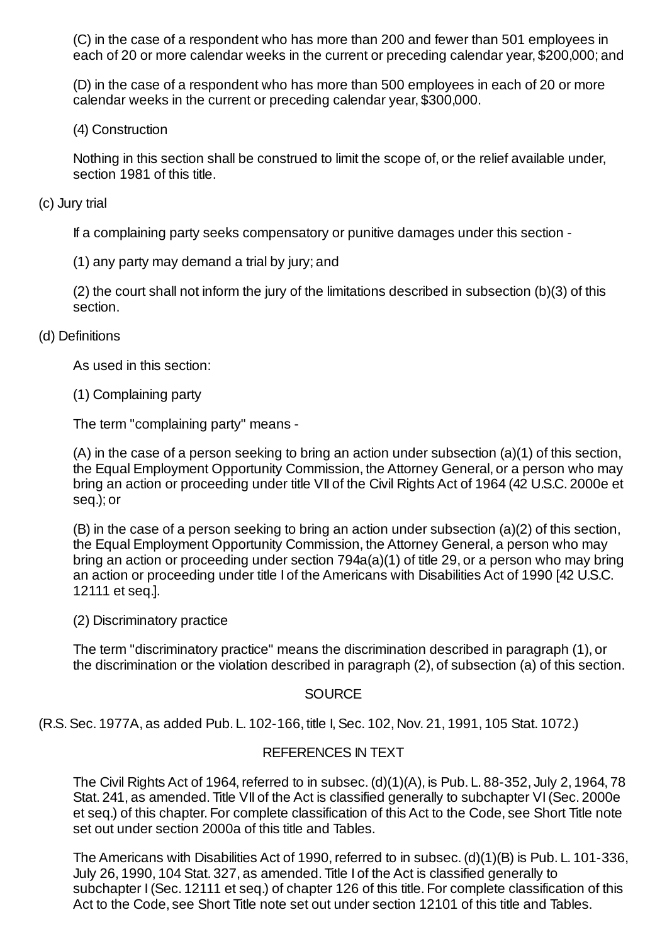(C) in the case of a respondent who has more than 200 and fewer than 501 employees in each of 20 or more calendar weeks in the current or preceding calendar year, \$200,000; and

(D) in the case of a respondent who has more than 500 employees in each of 20 or more calendar weeks in the current or preceding calendar year, \$300,000.

# (4) Construction

Nothing in this section shall be construed to limit the scope of, or the relief available under, section 1981 of this title.

# (c) Jury trial

If a complaining party seeks compensatory or punitive damages under this section -

(1) any party may demand a trial by jury; and

(2) the court shall not inform the jury of the limitations described in subsection (b)(3) of this section.

# (d) Definitions

As used in this section:

(1) Complaining party

The term "complaining party" means -

(A) in the case of a person seeking to bring an action under subsection (a)(1) of this section, the Equal Employment Opportunity Commission, the Attorney General, or a person who may bring an action or proceeding under title VII of the Civil Rights Act of 1964 (42 U.S.C. 2000e et seq.); or

(B) in the case of a person seeking to bring an action under subsection (a)(2) of this section, the Equal Employment Opportunity Commission, the Attorney General, a person who may bring an action or proceeding under section 794a(a)(1) of title 29, or a person who may bring an action or proceeding under title I of the Americans with Disabilities Act of 1990 [42 U.S.C. 12111 et seq.].

(2) Discriminatory practice

The term "discriminatory practice" means the discrimination described in paragraph (1), or the discrimination or the violation described in paragraph (2), of subsection (a) of this section.

# **SOURCE**

(R.S.Sec. 1977A, as added Pub. L. 102-166, title I,Sec. 102, Nov. 21, 1991, 105 Stat. 1072.)

# REFERENCES IN TEXT

The Civil Rights Act of 1964, referred to in subsec. (d)(1)(A), is Pub. L. 88-352, July 2, 1964, 78 Stat. 241, as amended. Title VII of the Act is classified generally to subchapter VI(Sec. 2000e et seq.) of this chapter. For complete classification of this Act to the Code, see Short Title note set out under section 2000a of this title and Tables.

The Americans with Disabilities Act of 1990, referred to in subsec.  $(d)(1)(B)$  is Pub. L. 101-336, July 26, 1990, 104 Stat. 327, as amended. Title I of the Act is classified generally to subchapter I(Sec. 12111 et seq.) of chapter 126 of this title. For complete classification of this Act to the Code, see Short Title note set out under section 12101 of this title and Tables.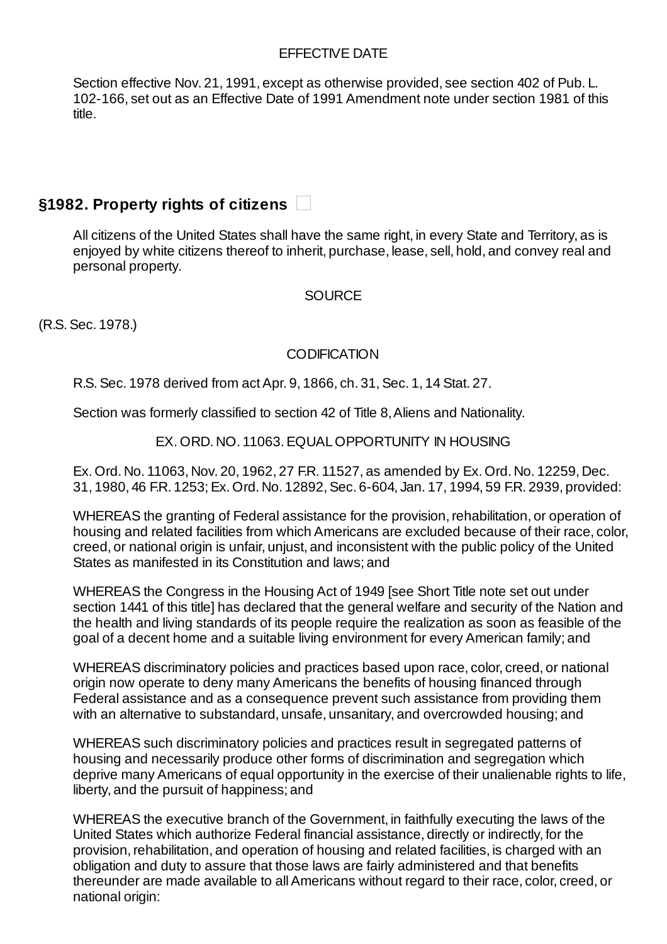#### EFFECTIVE DATE

Section effective Nov. 21, 1991, except as otherwise provided, see section 402 of Pub. L. 102-166, set out as an Effective Date of 1991 Amendment note under section 1981 of this title.

# <span id="page-7-0"></span>**§1982. Property rights of citizens**

All citizens of the United States shall have the same right, in every State and Territory, as is enjoyed by white citizens thereof to inherit, purchase, lease, sell, hold, and convey real and personal property.

#### **SOURCF**

(R.S.Sec. 1978.)

### **CODIFICATION**

R.S. Sec. 1978 derived from act Apr. 9, 1866, ch. 31, Sec. 1, 14 Stat. 27.

Section was formerly classified to section 42 of Title 8,Aliens and Nationality.

EX. ORD. NO. 11063.EQUALOPPORTUNITY IN HOUSING

Ex. Ord. No. 11063, Nov. 20, 1962, 27 F.R. 11527, as amended by Ex. Ord. No. 12259, Dec. 31, 1980, 46 F.R. 1253; Ex. Ord. No. 12892, Sec. 6-604, Jan. 17, 1994, 59 F.R. 2939, provided:

WHEREAS the granting of Federal assistance for the provision, rehabilitation, or operation of housing and related facilities from which Americans are excluded because of their race, color, creed, or national origin is unfair, unjust, and inconsistent with the public policy of the United States as manifested in its Constitution and laws; and

WHEREAS the Congress in the Housing Act of 1949 [see Short Title note set out under section 1441 of this title] has declared that the general welfare and security of the Nation and the health and living standards of its people require the realization as soon as feasible of the goal of a decent home and a suitable living environment for every American family; and

WHEREAS discriminatory policies and practices based upon race, color, creed, or national origin now operate to deny many Americans the benefits of housing financed through Federal assistance and as a consequence prevent such assistance from providing them with an alternative to substandard, unsafe, unsanitary, and overcrowded housing; and

WHEREAS such discriminatory policies and practices result in segregated patterns of housing and necessarily produce other forms of discrimination and segregation which deprive many Americans of equal opportunity in the exercise of their unalienable rights to life, liberty, and the pursuit of happiness; and

WHEREAS the executive branch of the Government, in faithfully executing the laws of the United States which authorize Federal financial assistance, directly or indirectly, for the provision, rehabilitation, and operation of housing and related facilities, is charged with an obligation and duty to assure that those laws are fairly administered and that benefits thereunder are made available to allAmericans without regard to their race, color, creed, or national origin: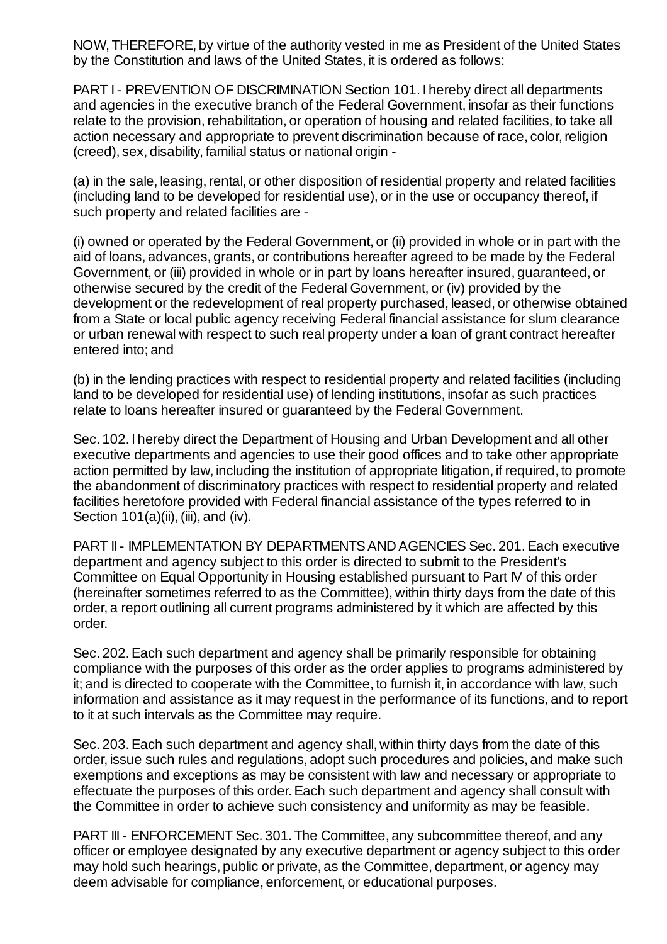NOW, THEREFORE, by virtue of the authority vested in me as President of the United States by the Constitution and laws of the United States, it is ordered as follows:

PART I- PREVENTION OF DISCRIMINATION Section 101. I hereby direct all departments and agencies in the executive branch of the Federal Government, insofar as their functions relate to the provision, rehabilitation, or operation of housing and related facilities, to take all action necessary and appropriate to prevent discrimination because of race, color,religion (creed), sex, disability, familial status or national origin -

(a) in the sale, leasing, rental, or other disposition of residential property and related facilities (including land to be developed for residential use), or in the use or occupancy thereof, if such property and related facilities are -

(i) owned or operated by the Federal Government, or (ii) provided in whole or in part with the aid of loans, advances, grants, or contributions hereafter agreed to be made by the Federal Government, or (iii) provided in whole or in part by loans hereafter insured, guaranteed, or otherwise secured by the credit of the Federal Government, or (iv) provided by the development or the redevelopment of real property purchased, leased, or otherwise obtained from a State or local public agency receiving Federal financial assistance for slum clearance or urban renewal with respect to such real property under a loan of grant contract hereafter entered into; and

(b) in the lending practices with respect to residential property and related facilities (including land to be developed for residential use) of lending institutions, insofar as such practices relate to loans hereafter insured or guaranteed by the Federal Government.

Sec. 102. I hereby direct the Department of Housing and Urban Development and all other executive departments and agencies to use their good offices and to take other appropriate action permitted by law, including the institution of appropriate litigation, if required, to promote the abandonment of discriminatory practices with respect to residential property and related facilities heretofore provided with Federal financial assistance of the types referred to in Section  $101(a)(ii)$ , (iii), and (iv).

PART II - IMPLEMENTATION BY DEPARTMENTS AND AGENCIES Sec. 201. Each executive department and agency subject to this order is directed to submit to the President's Committee on Equal Opportunity in Housing established pursuant to Part IV of this order (hereinafter sometimes referred to as the Committee), within thirty days from the date of this order, a report outlining all current programs administered by it which are affected by this order.

Sec. 202. Each such department and agency shall be primarily responsible for obtaining compliance with the purposes of this order as the order applies to programs administered by it; and is directed to cooperate with the Committee, to furnish it, in accordance with law, such information and assistance as it may request in the performance of its functions, and to report to it at such intervals as the Committee may require.

Sec. 203. Each such department and agency shall, within thirty days from the date of this order, issue such rules and regulations, adopt such procedures and policies, and make such exemptions and exceptions as may be consistent with law and necessary or appropriate to effectuate the purposes of this order. Each such department and agency shall consult with the Committee in order to achieve such consistency and uniformity as may be feasible.

PART III - ENFORCEMENT Sec. 301. The Committee, any subcommittee thereof, and any officer or employee designated by any executive department or agency subject to this order may hold such hearings, public or private, as the Committee, department, or agency may deem advisable for compliance, enforcement, or educational purposes.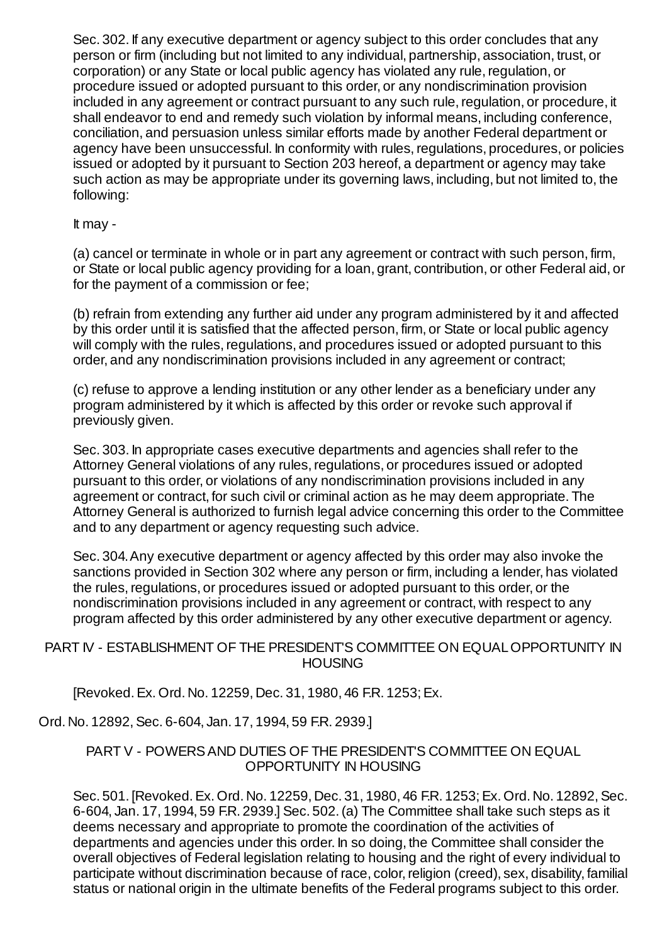Sec. 302. If any executive department or agency subject to this order concludes that any person or firm (including but not limited to any individual, partnership, association, trust, or corporation) or any State or local public agency has violated any rule,regulation, or procedure issued or adopted pursuant to this order, or any nondiscrimination provision included in any agreement or contract pursuant to any such rule, regulation, or procedure, it shall endeavor to end and remedy such violation by informal means, including conference, conciliation, and persuasion unless similar efforts made by another Federal department or agency have been unsuccessful. In conformity with rules, regulations, procedures, or policies issued or adopted by it pursuant to Section 203 hereof, a department or agency may take such action as may be appropriate under its governing laws, including, but not limited to, the following:

It may -

(a) cancel or terminate in whole or in part any agreement or contract with such person, firm, or State or local public agency providing for a loan, grant, contribution, or other Federal aid, or for the payment of a commission or fee;

(b) refrain from extending any further aid under any program administered by it and affected by this order until it is satisfied that the affected person, firm, or State or local public agency will comply with the rules, regulations, and procedures issued or adopted pursuant to this order, and any nondiscrimination provisions included in any agreement or contract;

(c) refuse to approve a lending institution or any other lender as a beneficiary under any program administered by it which is affected by this order or revoke such approval if previously given.

Sec. 303. In appropriate cases executive departments and agencies shall refer to the Attorney General violations of any rules, regulations, or procedures issued or adopted pursuant to this order, or violations of any nondiscrimination provisions included in any agreement or contract, for such civil or criminal action as he may deem appropriate. The Attorney General is authorized to furnish legal advice concerning this order to the Committee and to any department or agency requesting such advice.

Sec. 304.Any executive department or agency affected by this order may also invoke the sanctions provided in Section 302 where any person or firm, including a lender, has violated the rules, regulations, or procedures issued or adopted pursuant to this order, or the nondiscrimination provisions included in any agreement or contract, with respect to any program affected by this order administered by any other executive department or agency.

# PART IV - ESTABLISHMENT OF THE PRESIDENT'S COMMITTEE ON EOUAL OPPORTUNITY IN **HOUSING**

[Revoked. Ex. Ord. No. 12259, Dec. 31, 1980, 46 F.R. 1253; Ex.

Ord. No. 12892, Sec. 6-604, Jan. 17, 1994, 59 F.R. 2939.]

# PART V - POWERS AND DUTIES OF THE PRESIDENT'S COMMITTEE ON EQUAL OPPORTUNITY IN HOUSING

Sec. 501. [Revoked. Ex. Ord. No. 12259. Dec. 31, 1980. 46 F.R. 1253; Ex. Ord. No. 12892. Sec. 6-604, Jan. 17, 1994, 59 F.R. 2939.] Sec. 502.(a) The Committee shall take such steps as it deems necessary and appropriate to promote the coordination of the activities of departments and agencies under this order. In so doing, the Committee shall consider the overall objectives of Federal legislation relating to housing and the right of every individual to participate without discrimination because of race, color, religion (creed), sex, disability, familial status or national origin in the ultimate benefits of the Federal programs subject to this order.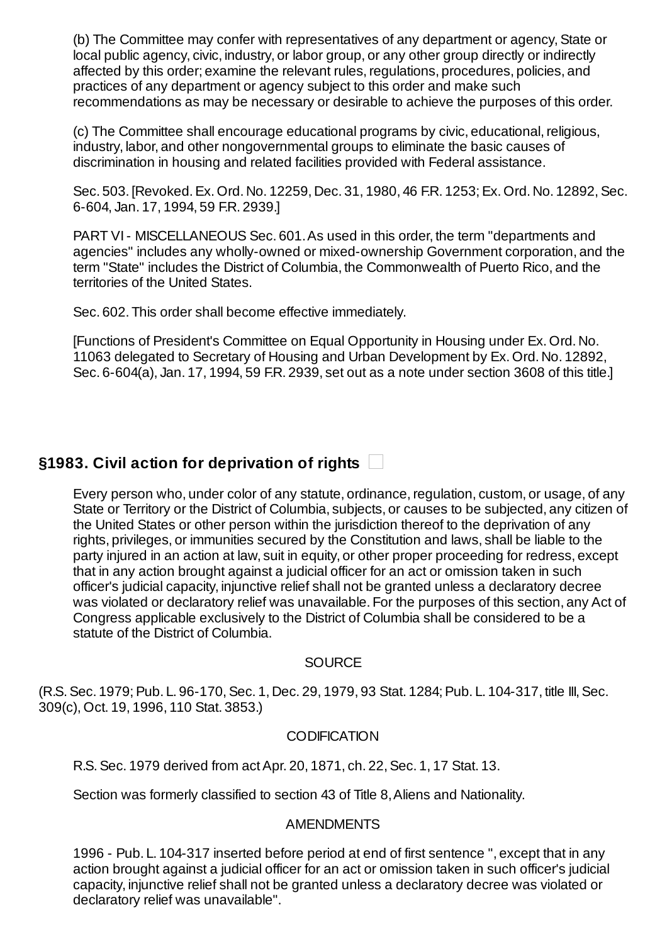(b) The Committee may confer with representatives of any department or agency, State or local public agency, civic, industry, or labor group, or any other group directly or indirectly affected by this order; examine the relevant rules,regulations, procedures, policies, and practices of any department or agency subject to this order and make such recommendations as may be necessary or desirable to achieve the purposes of this order.

(c) The Committee shall encourage educational programs by civic, educational,religious, industry, labor, and other nongovernmental groups to eliminate the basic causes of discrimination in housing and related facilities provided with Federal assistance.

Sec. 503. [Revoked. Ex. Ord. No. 12259. Dec. 31, 1980. 46 F.R. 1253: Ex. Ord. No. 12892. Sec. 6-604, Jan. 17, 1994, 59 F.R. 2939.]

PART VI - MISCELLANEOUS Sec. 601. As used in this order, the term "departments and agencies" includes any wholly-owned or mixed-ownership Government corporation, and the term "State" includes the District of Columbia, the Commonwealth of Puerto Rico, and the territories of the United States.

Sec. 602. This order shall become effective immediately.

[Functions of President's Committee on Equal Opportunity in Housing under Ex. Ord. No. 11063 delegated to Secretary of Housing and Urban Development by Ex. Ord. No. 12892, Sec. 6-604(a), Jan. 17, 1994, 59 F.R. 2939, set out as a note under section 3608 of this title.]

# <span id="page-10-0"></span>**§1983. Civil action for deprivation of rights**

Every person who, under color of any statute, ordinance,regulation, custom, or usage, of any State or Territory or the District of Columbia, subjects, or causes to be subjected, any citizen of the United States or other person within the jurisdiction thereof to the deprivation of any rights, privileges, or immunities secured by the Constitution and laws, shall be liable to the party injured in an action at law, suit in equity, or other proper proceeding for redress, except that in any action brought against a judicial officer for an act or omission taken in such officer's judicial capacity, injunctive relief shall not be granted unless a declaratory decree was violated or declaratory relief was unavailable. For the purposes of this section, any Act of Congress applicable exclusively to the District of Columbia shall be considered to be a statute of the District of Columbia.

### **SOURCE**

(R.S. Sec. 1979; Pub. L. 96-170, Sec. 1, Dec. 29, 1979, 93 Stat. 1284; Pub. L. 104-317, title III, Sec. 309(c), Oct. 19, 1996, 110 Stat. 3853.)

#### **CODIFICATION**

R.S. Sec. 1979 derived from act Apr. 20, 1871, ch. 22, Sec. 1, 17 Stat. 13.

Section was formerly classified to section 43 of Title 8,Aliens and Nationality.

#### AMENDMENTS

1996 - Pub. L. 104-317 inserted before period at end of first sentence ", except that in any action brought against a judicial officer for an act or omission taken in such officer's judicial capacity, injunctive relief shall not be granted unless a declaratory decree was violated or declaratory relief was unavailable".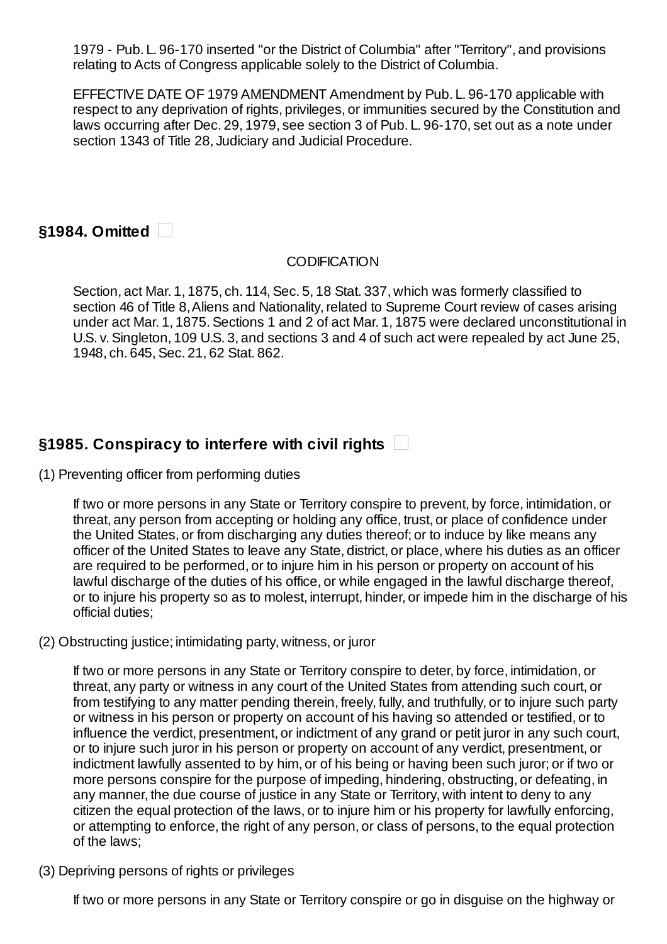1979 - Pub. L. 96-170 inserted "or the District of Columbia" after "Territory", and provisions relating to Acts of Congress applicable solely to the District of Columbia.

EFFECTIVE DATE OF 1979 AMENDMENT Amendment by Pub. L. 96-170 applicable with respect to any deprivation of rights, privileges, or immunities secured by the Constitution and laws occurring after Dec. 29, 1979, see section 3 of Pub. L. 96-170, set out as a note under section 1343 of Title 28, Judiciary and Judicial Procedure.

<span id="page-11-0"></span>**§1984. Omitted**

# **CODIFICATION**

Section, act Mar. 1, 1875, ch. 114, Sec. 5, 18 Stat. 337, which was formerly classified to section 46 of Title 8, Aliens and Nationality, related to Supreme Court review of cases arising under act Mar. 1, 1875. Sections 1 and 2 of act Mar. 1, 1875 were declared unconstitutional in U.S. v.Singleton, 109 U.S. 3, and sections 3 and 4 of such act were repealed by act June 25, 1948, ch. 645, Sec. 21, 62 Stat. 862.

# <span id="page-11-1"></span>**§1985. Conspiracy to interfere with civil rights**

(1) Preventing officer from performing duties

If two or more persons in any State or Territory conspire to prevent, by force, intimidation, or threat, any person from accepting or holding any office, trust, or place of confidence under the United States, or from discharging any duties thereof; or to induce by like means any officer of the United States to leave any State, district, or place, where his duties as an officer are required to be performed, or to injure him in his person or property on account of his lawful discharge of the duties of his office, or while engaged in the lawful discharge thereof, or to injure his property so as to molest, interrupt, hinder, or impede him in the discharge of his official duties;

(2) Obstructing justice; intimidating party, witness, or juror

If two or more persons in any State or Territory conspire to deter, by force, intimidation, or threat, any party or witness in any court of the United States from attending such court, or from testifying to any matter pending therein, freely, fully, and truthfully, or to injure such party or witness in his person or property on account of his having so attended or testified, or to influence the verdict, presentment, or indictment of any grand or petit juror in any such court, or to injure such juror in his person or property on account of any verdict, presentment, or indictment lawfully assented to by him, or of his being or having been such juror; or if two or more persons conspire for the purpose of impeding, hindering, obstructing, or defeating, in any manner, the due course of justice in any State or Territory, with intent to deny to any citizen the equal protection of the laws, or to injure him or his property for lawfully enforcing, or attempting to enforce, the right of any person, or class of persons, to the equal protection of the laws;

(3) Depriving persons of rights or privileges

If two or more persons in any State or Territory conspire or go in disguise on the highway or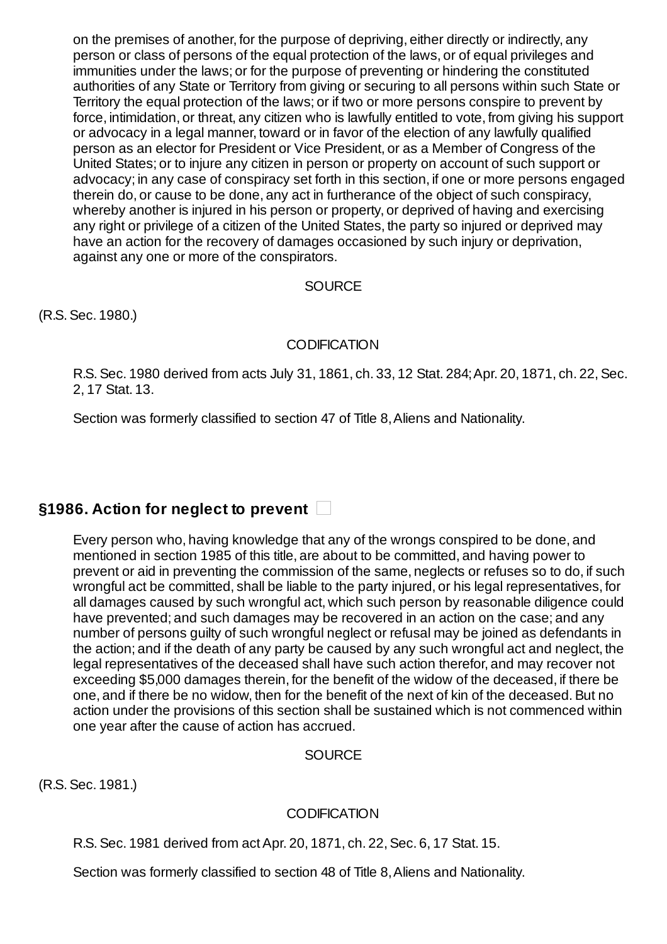on the premises of another, for the purpose of depriving, either directly or indirectly, any person or class of persons of the equal protection of the laws, or of equal privileges and immunities under the laws; or for the purpose of preventing or hindering the constituted authorities of any State or Territory from giving or securing to all persons within such State or Territory the equal protection of the laws; or if two or more persons conspire to prevent by force, intimidation, or threat, any citizen who is lawfully entitled to vote, from giving his support or advocacy in a legal manner, toward or in favor of the election of any lawfully qualified person as an elector for President or Vice President, or as a Member of Congress of the United States; or to injure any citizen in person or property on account of such support or advocacy; in any case of conspiracy set forth in this section, if one or more persons engaged therein do, or cause to be done, any act in furtherance of the object of such conspiracy, whereby another is injured in his person or property, or deprived of having and exercising any right or privilege of a citizen of the United States, the party so injured or deprived may have an action for the recovery of damages occasioned by such injury or deprivation, against any one or more of the conspirators.

# **SOURCE**

(R.S.Sec. 1980.)

### **CODIFICATION**

R.S. Sec. 1980 derived from acts July 31, 1861, ch. 33, 12 Stat. 284; Apr. 20, 1871, ch. 22, Sec. 2, 17 Stat. 13.

Section was formerly classified to section 47 of Title 8,Aliens and Nationality.

# <span id="page-12-0"></span>**§1986. Action for neglect to prevent**

Every person who, having knowledge that any of the wrongs conspired to be done, and mentioned in section 1985 of this title, are about to be committed, and having power to prevent or aid in preventing the commission of the same, neglects or refuses so to do, if such wrongful act be committed, shall be liable to the party injured, or his legal representatives, for all damages caused by such wrongful act, which such person by reasonable diligence could have prevented; and such damages may be recovered in an action on the case; and any number of persons guilty of such wrongful neglect or refusal may be joined as defendants in the action; and if the death of any party be caused by any such wrongful act and neglect, the legal representatives of the deceased shall have such action therefor, and may recover not exceeding \$5,000 damages therein, for the benefit of the widow of the deceased, if there be one, and if there be no widow, then for the benefit of the next of kin of the deceased.But no action under the provisions of this section shall be sustained which is not commenced within one year after the cause of action has accrued.

### **SOURCE**

(R.S.Sec. 1981.)

# **CODIFICATION**

R.S. Sec. 1981 derived from act Apr. 20, 1871, ch. 22, Sec. 6, 17 Stat. 15.

Section was formerly classified to section 48 of Title 8,Aliens and Nationality.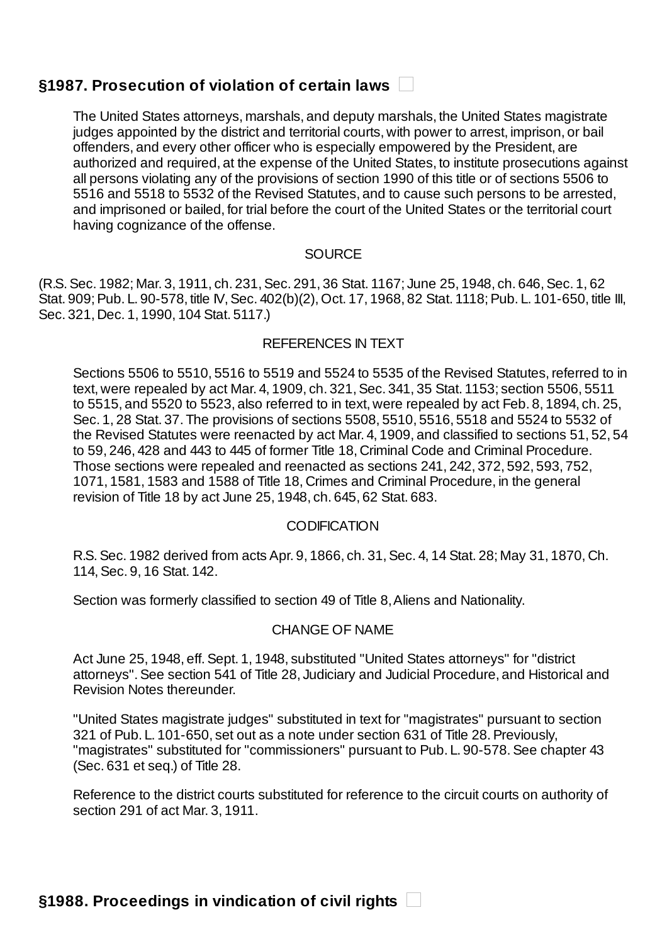# <span id="page-13-0"></span>**§1987. Prosecution of violation of certain laws**

The United States attorneys, marshals, and deputy marshals, the United States magistrate judges appointed by the district and territorial courts, with power to arrest, imprison, or bail offenders, and every other officer who is especially empowered by the President, are authorized and required, at the expense of the United States, to institute prosecutions against all persons violating any of the provisions of section 1990 of this title or of sections 5506 to 5516 and 5518 to 5532 of the Revised Statutes, and to cause such persons to be arrested, and imprisoned or bailed, for trial before the court of the United States or the territorial court having cognizance of the offense.

### **SOURCE**

(R.S. Sec. 1982; Mar. 3, 1911, ch. 231, Sec. 291, 36 Stat. 1167; June 25, 1948, ch. 646, Sec. 1, 62 Stat. 909; Pub. L. 90-578, title IV, Sec. 402(b)(2), Oct. 17, 1968, 82 Stat. 1118; Pub. L. 101-650, title III, Sec. 321, Dec. 1, 1990, 104 Stat. 5117.)

### REFERENCES IN TEXT

Sections 5506 to 5510, 5516 to 5519 and 5524 to 5535 of the Revised Statutes, referred to in text, were repealed by act Mar. 4, 1909, ch. 321, Sec. 341, 35 Stat. 1153; section 5506, 5511 to 5515, and 5520 to 5523, also referred to in text, were repealed by act Feb. 8, 1894, ch. 25, Sec. 1, 28 Stat. 37. The provisions of sections 5508, 5510, 5516, 5518 and 5524 to 5532 of the Revised Statutes were reenacted by act Mar. 4, 1909, and classified to sections 51, 52, 54 to 59, 246, 428 and 443 to 445 of former Title 18, Criminal Code and Criminal Procedure. Those sections were repealed and reenacted as sections 241, 242, 372, 592, 593, 752, 1071, 1581, 1583 and 1588 of Title 18, Crimes and Criminal Procedure, in the general revision of Title 18 by act June 25, 1948, ch. 645, 62 Stat. 683.

### **CODIFICATION**

R.S. Sec. 1982 derived from acts Apr. 9, 1866, ch. 31, Sec. 4, 14 Stat. 28; May 31, 1870, Ch. 114, Sec. 9, 16 Stat. 142.

Section was formerly classified to section 49 of Title 8,Aliens and Nationality.

#### CHANGE OF NAME

Act June 25, 1948, eff. Sept. 1, 1948, substituted "United States attorneys" for "district attorneys".See section 541 of Title 28, Judiciary and Judicial Procedure, and Historical and Revision Notes thereunder.

"United States magistrate judges" substituted in text for "magistrates" pursuant to section 321 of Pub. L. 101-650, set out as a note under section 631 of Title 28. Previously, "magistrates" substituted for "commissioners" pursuant to Pub. L. 90-578.See chapter 43 (Sec. 631 et seq.) of Title 28.

<span id="page-13-1"></span>Reference to the district courts substituted for reference to the circuit courts on authority of section 291 of act Mar. 3, 1911.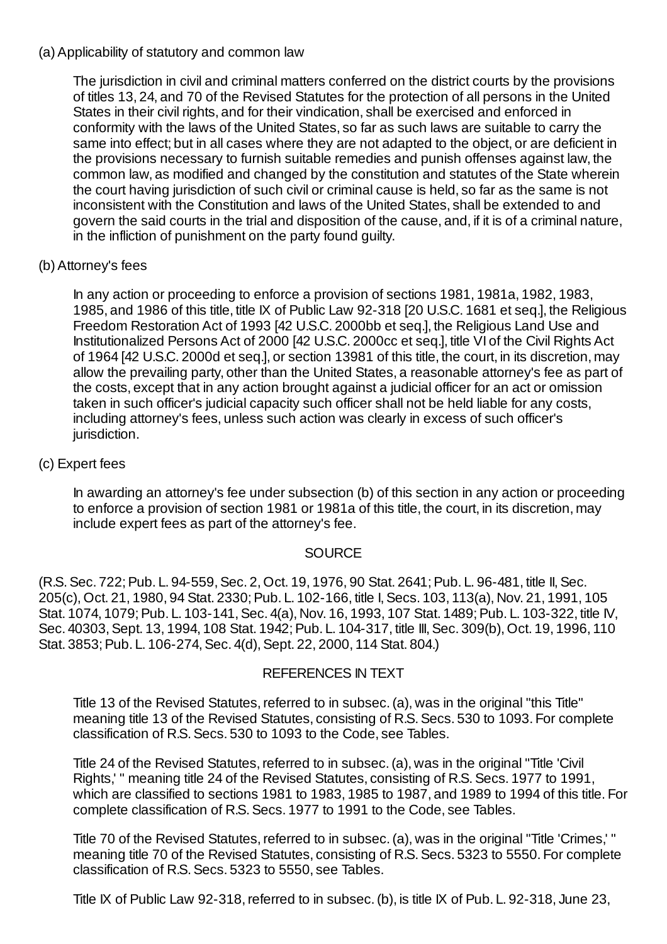# (a) Applicability of statutory and common law

The jurisdiction in civil and criminal matters conferred on the district courts by the provisions of titles 13, 24, and 70 of the Revised Statutes for the protection of all persons in the United States in their civil rights, and for their vindication, shall be exercised and enforced in conformity with the laws of the United States, so far as such laws are suitable to carry the same into effect; but in all cases where they are not adapted to the object, or are deficient in the provisions necessary to furnish suitable remedies and punish offenses against law, the common law, as modified and changed by the constitution and statutes of the State wherein the court having jurisdiction of such civil or criminal cause is held, so far as the same is not inconsistent with the Constitution and laws of the United States, shall be extended to and govern the said courts in the trial and disposition of the cause, and, if it is of a criminal nature, in the infliction of punishment on the party found guilty.

# (b) Attorney's fees

In any action or proceeding to enforce a provision of sections 1981, 1981a, 1982, 1983, 1985, and 1986 of this title, title IX of Public Law 92-318 [20 U.S.C. 1681 et seq.], the Religious Freedom Restoration Act of 1993 [42 U.S.C. 2000bb et seq.], the Religious Land Use and Institutionalized Persons Act of 2000 [42 U.S.C. 2000cc et seq.], title VI of the Civil Rights Act of 1964 [42 U.S.C. 2000d et seq.], or section 13981 of this title, the court, in its discretion, may allow the prevailing party, other than the United States, a reasonable attorney's fee as part of the costs, except that in any action brought against a judicial officer for an act or omission taken in such officer's judicial capacity such officer shall not be held liable for any costs, including attorney's fees, unless such action was clearly in excess of such officer's jurisdiction.

# (c) Expert fees

In awarding an attorney's fee under subsection (b) of this section in any action or proceeding to enforce a provision of section 1981 or 1981a of this title, the court, in its discretion, may include expert fees as part of the attorney's fee.

### **SOURCE**

(R.S. Sec. 722; Pub. L. 94-559, Sec. 2, Oct. 19, 1976, 90 Stat. 2641; Pub. L. 96-481, title II, Sec. 205(c), Oct. 21, 1980, 94 Stat. 2330; Pub. L. 102-166, title I, Secs. 103, 113(a), Nov. 21, 1991, 105 Stat. 1074, 1079; Pub. L. 103-141, Sec. 4(a), Nov. 16, 1993, 107 Stat. 1489; Pub. L. 103-322, title IV. Sec. 40303, Sept. 13, 1994, 108 Stat. 1942; Pub. L. 104-317, title III, Sec. 309(b), Oct. 19, 1996, 110 Stat. 3853; Pub. L. 106-274, Sec. 4(d), Sept. 22, 2000, 114 Stat. 804.)

### REFERENCES IN TEXT

Title 13 of the Revised Statutes, referred to in subsec. (a), was in the original "this Title" meaning title 13 of the Revised Statutes, consisting of R.S. Secs. 530 to 1093. For complete classification of R.S. Secs. 530 to 1093 to the Code, see Tables.

Title 24 of the Revised Statutes, referred to in subsec. (a), was in the original "Title 'Civil" Rights,' " meaning title 24 of the Revised Statutes, consisting of R.S.Secs. 1977 to 1991, which are classified to sections 1981 to 1983, 1985 to 1987, and 1989 to 1994 of this title. For complete classification of R.S.Secs. 1977 to 1991 to the Code, see Tables.

Title 70 of the Revised Statutes, referred to in subsec. (a), was in the original "Title 'Crimes,' " meaning title 70 of the Revised Statutes, consisting of R.S. Secs. 5323 to 5550. For complete classification of R.S. Secs. 5323 to 5550, see Tables.

Title IX of Public Law 92-318, referred to in subsec. (b), is title IX of Pub. L, 92-318, June 23,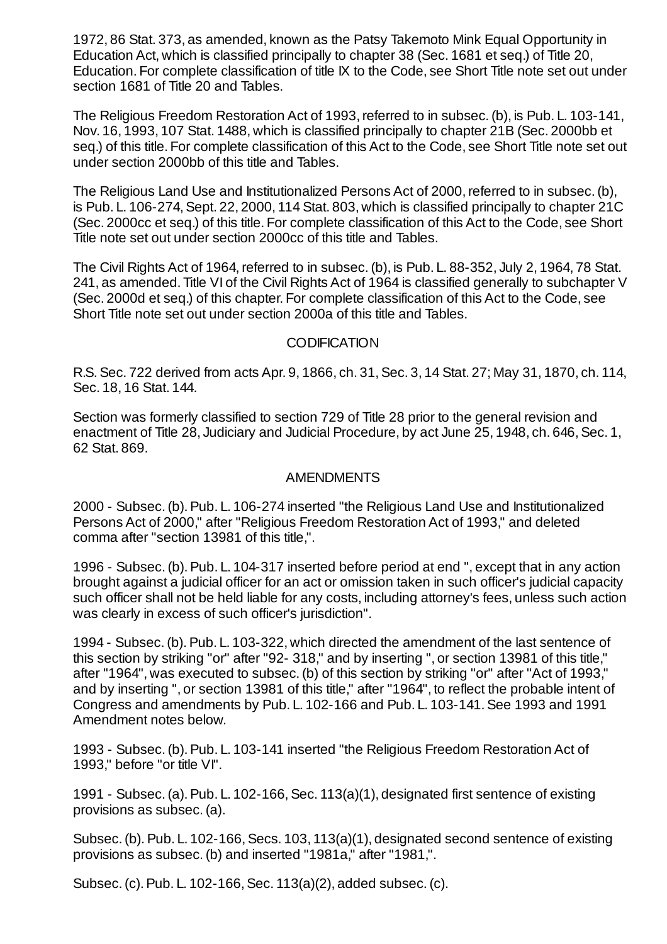1972, 86 Stat. 373, as amended, known as the Patsy Takemoto Mink Equal Opportunity in Education Act, which is classified principally to chapter 38 (Sec. 1681 et seq.) of Title 20, Education. For complete classification of title IX to the Code, see Short Title note set out under section 1681 of Title 20 and Tables.

The Religious Freedom Restoration Act of 1993, referred to in subsec. (b), is Pub. L. 103-141, Nov. 16, 1993, 107 Stat. 1488, which is classified principally to chapter 21B (Sec. 2000bb et seq.) of this title. For complete classification of this Act to the Code, see Short Title note set out under section 2000bb of this title and Tables.

The Religious Land Use and Institutionalized Persons Act of 2000, referred to in subsec. (b). is Pub. L. 106-274, Sept. 22, 2000, 114 Stat. 803, which is classified principally to chapter 21C (Sec. 2000cc et seq.) of this title. For complete classification of this Act to the Code, see Short Title note set out under section 2000cc of this title and Tables.

The Civil Rights Act of 1964, referred to in subsec. (b), is Pub. L. 88-352, July 2, 1964, 78 Stat. 241, as amended. Title VI of the Civil Rights Act of 1964 is classified generally to subchapter V (Sec. 2000d et seq.) of this chapter. For complete classification of this Act to the Code, see Short Title note set out under section 2000a of this title and Tables.

#### **CODIFICATION**

R.S. Sec. 722 derived from acts Apr. 9, 1866, ch. 31, Sec. 3, 14 Stat. 27; May 31, 1870, ch. 114, Sec. 18, 16 Stat. 144.

Section was formerly classified to section 729 of Title 28 prior to the general revision and enactment of Title 28, Judiciary and Judicial Procedure, by act June 25, 1948, ch. 646, Sec. 1, 62 Stat. 869.

#### **AMENDMENTS**

2000 - Subsec.(b).Pub. L. 106-274 inserted "the Religious Land Use and Institutionalized Persons Act of 2000," after "Religious Freedom Restoration Act of 1993," and deleted comma after "section 13981 of this title,".

1996 - Subsec.(b).Pub. L. 104-317 inserted before period at end ", except that in any action brought against a judicial officer for an act or omission taken in such officer's judicial capacity such officer shall not be held liable for any costs, including attorney's fees, unless such action was clearly in excess of such officer's jurisdiction".

1994 - Subsec.(b).Pub. L. 103-322, which directed the amendment of the last sentence of this section by striking "or" after "92- 318," and by inserting ", or section 13981 of this title," after "1964", was executed to subsec.(b) of this section by striking "or" after "Act of 1993," and by inserting ", or section 13981 of this title," after "1964", to reflect the probable intent of Congress and amendments by Pub. L. 102-166 and Pub. L. 103-141.See 1993 and 1991 Amendment notes below.

1993 - Subsec.(b).Pub. L. 103-141 inserted "the Religious Freedom Restoration Act of 1993," before "or title VI".

1991 - Subsec. (a). Pub. L. 102-166, Sec. 113(a)(1), designated first sentence of existing provisions as subsec.(a).

Subsec. (b). Pub. L. 102-166, Secs. 103, 113(a)(1), designated second sentence of existing provisions as subsec.(b) and inserted "1981a," after "1981,".

Subsec. (c). Pub. L. 102-166, Sec. 113(a)(2), added subsec. (c).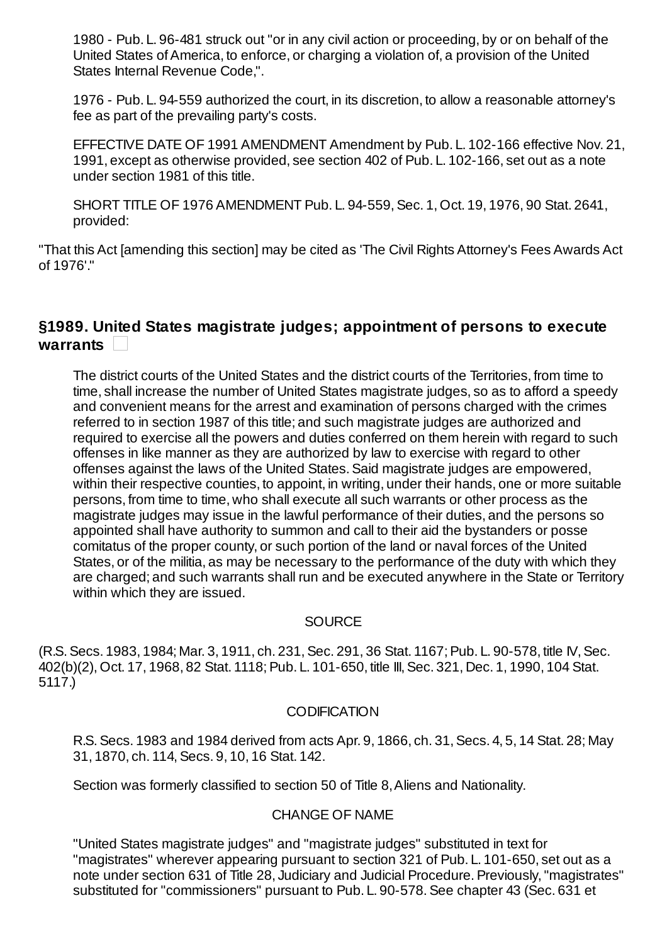1980 - Pub. L. 96-481 struck out "or in any civil action or proceeding, by or on behalf of the United States ofAmerica, to enforce, or charging a violation of, a provision of the United States Internal Revenue Code,".

1976 - Pub. L. 94-559 authorized the court, in its discretion, to allow a reasonable attorney's fee as part of the prevailing party's costs.

EFFECTIVE DATE OF 1991 AMENDMENT Amendment by Pub. L. 102-166 effective Nov. 21, 1991, except as otherwise provided, see section 402 of Pub. L. 102-166, set out as a note under section 1981 of this title.

SHORT TITLE OF 1976 AMENDMENT Pub. L. 94-559, Sec. 1, Oct. 19, 1976, 90 Stat. 2641, provided:

"That this Act [amending this section] may be cited as 'The Civil Rights Attorney's Fees Awards Act of 1976'."

# <span id="page-16-0"></span>**§1989. United States magistrate judges; appointment of persons to execute warrants**

The district courts of the United States and the district courts of the Territories, from time to time, shall increase the number of United States magistrate judges, so as to afford a speedy and convenient means for the arrest and examination of persons charged with the crimes referred to in section 1987 of this title; and such magistrate judges are authorized and required to exercise all the powers and duties conferred on them herein with regard to such offenses in like manner as they are authorized by law to exercise with regard to other offenses against the laws of the United States.Said magistrate judges are empowered, within their respective counties, to appoint, in writing, under their hands, one or more suitable persons, from time to time, who shall execute all such warrants or other process as the magistrate judges may issue in the lawful performance of their duties, and the persons so appointed shall have authority to summon and call to their aid the bystanders or posse comitatus of the proper county, or such portion of the land or naval forces of the United States, or of the militia, as may be necessary to the performance of the duty with which they are charged; and such warrants shall run and be executed anywhere in the State or Territory within which they are issued.

### **SOURCE**

(R.S. Secs. 1983, 1984; Mar. 3, 1911, ch. 231, Sec. 291, 36 Stat. 1167; Pub. L. 90-578, title IV, Sec. 402(b)(2), Oct. 17, 1968, 82 Stat. 1118; Pub. L. 101-650, title III, Sec. 321, Dec. 1, 1990, 104 Stat. 5117.)

### **CODIFICATION**

R.S. Secs. 1983 and 1984 derived from acts Apr. 9, 1866, ch. 31, Secs. 4, 5, 14 Stat. 28; May 31, 1870, ch. 114, Secs. 9, 10, 16 Stat. 142.

Section was formerly classified to section 50 of Title 8,Aliens and Nationality.

## CHANGE OF NAME

"United States magistrate judges" and "magistrate judges" substituted in text for "magistrates" wherever appearing pursuant to section 321 of Pub. L. 101-650, set out as a note under section 631 of Title 28, Judiciary and Judicial Procedure. Previously, "magistrates" substituted for "commissioners" pursuant to Pub. L. 90-578.See chapter 43 (Sec. 631 et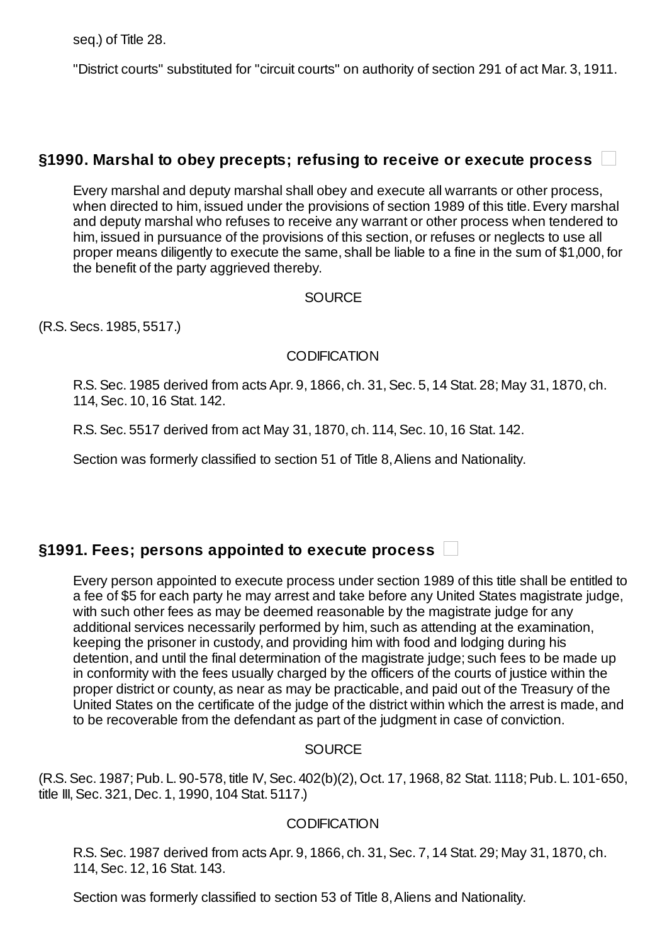seq.) of Title 28.

"District courts" substituted for "circuit courts" on authority of section 291 of act Mar. 3, 1911.

# <span id="page-17-0"></span>**§1990. Marshal to obey precepts; refusing to receive or execute process**

Every marshal and deputy marshal shall obey and execute all warrants or other process, when directed to him, issued under the provisions of section 1989 of this title. Every marshal and deputy marshal who refuses to receive any warrant or other process when tendered to him, issued in pursuance of the provisions of this section, or refuses or neglects to use all proper means diligently to execute the same, shall be liable to a fine in the sum of \$1,000, for the benefit of the party aggrieved thereby.

### **SOURCE**

(R.S.Secs. 1985, 5517.)

### **CODIFICATION**

R.S. Sec. 1985 derived from acts Apr. 9, 1866, ch. 31, Sec. 5, 14 Stat. 28; May 31, 1870, ch. 114, Sec. 10, 16 Stat. 142.

R.S. Sec. 5517 derived from act May 31, 1870, ch. 114, Sec. 10, 16 Stat. 142.

Section was formerly classified to section 51 of Title 8,Aliens and Nationality.

# <span id="page-17-1"></span>**§1991. Fees; persons appointed to execute process**

Every person appointed to execute process under section 1989 of this title shall be entitled to a fee of \$5 for each party he may arrest and take before any United States magistrate judge, with such other fees as may be deemed reasonable by the magistrate judge for any additional services necessarily performed by him, such as attending at the examination, keeping the prisoner in custody, and providing him with food and lodging during his detention, and until the final determination of the magistrate judge; such fees to be made up in conformity with the fees usually charged by the officers of the courts of justice within the proper district or county, as near as may be practicable, and paid out of the Treasury of the United States on the certificate of the judge of the district within which the arrest is made, and to be recoverable from the defendant as part of the judgment in case of conviction.

### **SOURCE**

(R.S.Sec. 1987;Pub. L. 90-578, title IV,Sec. 402(b)(2), Oct. 17, 1968, 82 Stat. 1118;Pub. L. 101-650, title III, Sec. 321, Dec. 1, 1990, 104 Stat. 5117.)

### **CODIFICATION**

R.S. Sec. 1987 derived from acts Apr. 9, 1866, ch. 31, Sec. 7, 14 Stat. 29; May 31, 1870, ch. 114, Sec. 12, 16 Stat. 143.

Section was formerly classified to section 53 of Title 8,Aliens and Nationality.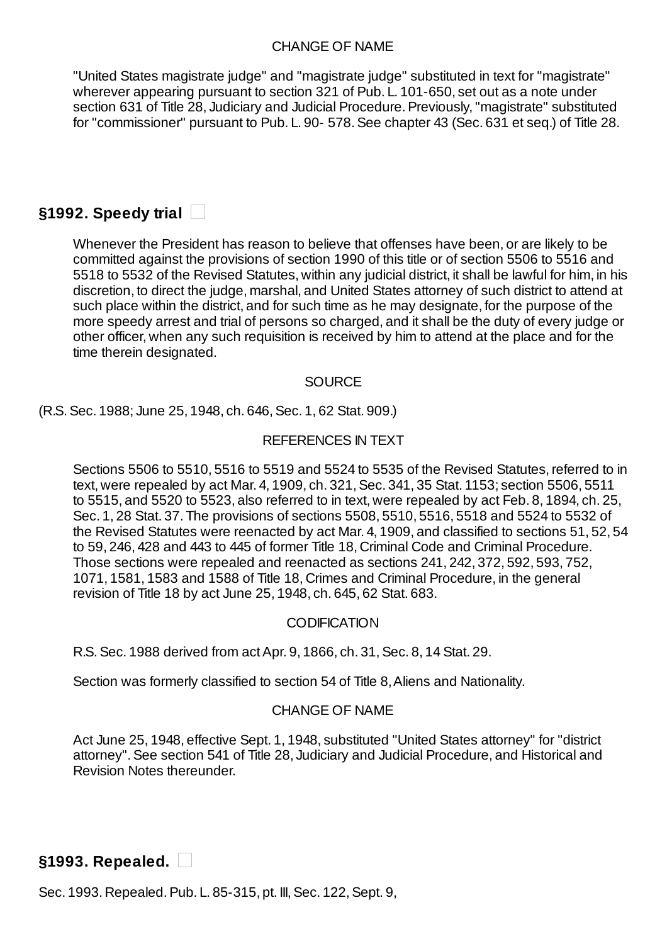#### CHANGE OF NAME

"United States magistrate judge" and "magistrate judge" substituted in text for "magistrate" wherever appearing pursuant to section 321 of Pub. L. 101-650, set out as a note under section 631 of Title 28, Judiciary and Judicial Procedure. Previously, "magistrate" substituted for "commissioner" pursuant to Pub. L. 90- 578.See chapter 43 (Sec. 631 et seq.) of Title 28.

# <span id="page-18-0"></span>**§1992. Speedy trial**

Whenever the President has reason to believe that offenses have been, or are likely to be committed against the provisions of section 1990 of this title or of section 5506 to 5516 and 5518 to 5532 of the Revised Statutes, within any judicial district, it shall be lawful for him, in his discretion, to direct the judge, marshal, and United States attorney of such district to attend at such place within the district, and for such time as he may designate, for the purpose of the more speedy arrest and trial of persons so charged, and it shall be the duty of every judge or other officer, when any such requisition is received by him to attend at the place and for the time therein designated.

### **SOURCE**

(R.S. Sec. 1988; June 25, 1948, ch. 646, Sec. 1, 62 Stat. 909.)

# REFERENCES IN TEXT

Sections 5506 to 5510, 5516 to 5519 and 5524 to 5535 of the Revised Statutes, referred to in text, were repealed by act Mar. 4, 1909, ch. 321, Sec. 341, 35 Stat. 1153; section 5506, 5511 to 5515, and 5520 to 5523, also referred to in text, were repealed by act Feb. 8, 1894, ch. 25, Sec. 1, 28 Stat. 37. The provisions of sections 5508, 5510, 5516, 5518 and 5524 to 5532 of the Revised Statutes were reenacted by act Mar. 4, 1909, and classified to sections 51, 52, 54 to 59, 246, 428 and 443 to 445 of former Title 18, Criminal Code and Criminal Procedure. Those sections were repealed and reenacted as sections 241, 242, 372, 592, 593, 752, 1071, 1581, 1583 and 1588 of Title 18, Crimes and Criminal Procedure, in the general revision of Title 18 by act June 25, 1948, ch. 645, 62 Stat. 683.

### **CODIFICATION**

R.S. Sec. 1988 derived from act Apr. 9, 1866, ch. 31, Sec. 8, 14 Stat. 29.

Section was formerly classified to section 54 of Title 8,Aliens and Nationality.

### CHANGE OF NAME

Act June 25, 1948, effective Sept. 1, 1948, substituted "United States attorney" for "district attorney".See section 541 of Title 28, Judiciary and Judicial Procedure, and Historical and Revision Notes thereunder.

# <span id="page-18-1"></span>**§1993. Repealed.**

Sec. 1993. Repealed. Pub. L. 85-315, pt. III, Sec. 122, Sept. 9,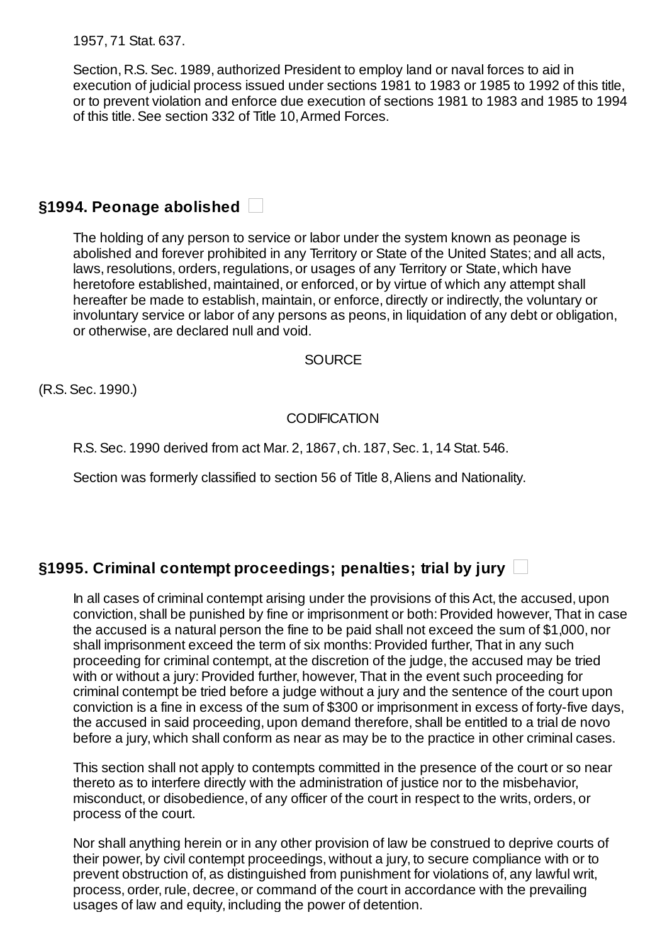1957, 71 Stat. 637.

Section, R.S. Sec. 1989, authorized President to employ land or naval forces to aid in execution of judicial process issued under sections 1981 to 1983 or 1985 to 1992 of this title, or to prevent violation and enforce due execution of sections 1981 to 1983 and 1985 to 1994 of this title.See section 332 of Title 10,Armed Forces.

# <span id="page-19-0"></span>**§1994. Peonage abolished**

The holding of any person to service or labor under the system known as peonage is abolished and forever prohibited in any Territory or State of the United States; and all acts, laws, resolutions, orders, regulations, or usages of any Territory or State, which have heretofore established, maintained, or enforced, or by virtue of which any attempt shall hereafter be made to establish, maintain, or enforce, directly or indirectly, the voluntary or involuntary service or labor of any persons as peons, in liquidation of any debt or obligation, or otherwise, are declared null and void.

# **SOURCE**

(R.S.Sec. 1990.)

# **CODIFICATION**

R.S.Sec. 1990 derived from act Mar. 2, 1867, ch. 187,Sec. 1, 14 Stat. 546.

Section was formerly classified to section 56 of Title 8,Aliens and Nationality.

# <span id="page-19-1"></span>**§1995. Criminal contempt proceedings; penalties; trial by jury**

In all cases of criminal contempt arising under the provisions of this Act, the accused, upon conviction, shall be punished by fine or imprisonment or both: Provided however, That in case the accused is a natural person the fine to be paid shall not exceed the sum of \$1,000, nor shall imprisonment exceed the term of six months: Provided further, That in any such proceeding for criminal contempt, at the discretion of the judge, the accused may be tried with or without a jury: Provided further, however, That in the event such proceeding for criminal contempt be tried before a judge without a jury and the sentence of the court upon conviction is a fine in excess of the sum of \$300 or imprisonment in excess of forty-five days, the accused in said proceeding, upon demand therefore, shall be entitled to a trial de novo before a jury, which shall conform as near as may be to the practice in other criminal cases.

This section shall not apply to contempts committed in the presence of the court or so near thereto as to interfere directly with the administration of justice nor to the misbehavior, misconduct, or disobedience, of any officer of the court in respect to the writs, orders, or process of the court.

Nor shall anything herein or in any other provision of law be construed to deprive courts of their power, by civil contempt proceedings, without a jury, to secure compliance with or to prevent obstruction of, as distinguished from punishment for violations of, any lawful writ, process, order, rule, decree, or command of the court in accordance with the prevailing usages of law and equity, including the power of detention.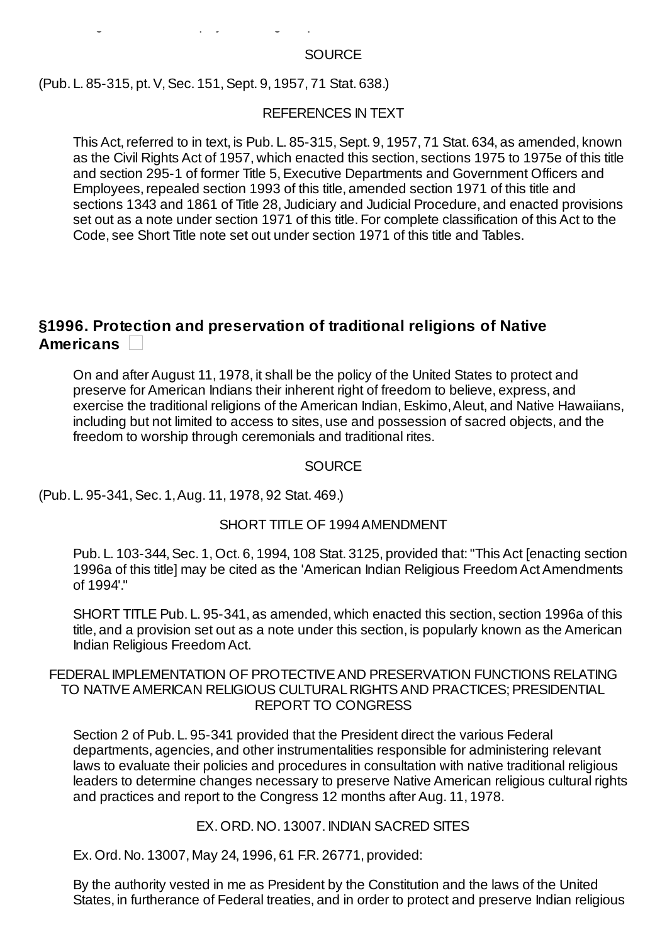#### **SOURCE**

(Pub. L. 85-315, pt. V. Sec. 151, Sept. 9, 1957, 71 Stat. 638.)

usages of law and equity, including the power of detention.

#### REFERENCES IN TEXT

This Act, referred to in text, is Pub. L. 85-315, Sept. 9, 1957, 71 Stat. 634, as amended, known as the Civil Rights Act of 1957, which enacted this section, sections 1975 to 1975e of this title and section 295-1 of former Title 5, Executive Departments and Government Officers and Employees, repealed section 1993 of this title, amended section 1971 of this title and sections 1343 and 1861 of Title 28, Judiciary and Judicial Procedure, and enacted provisions set out as a note under section 1971 of this title. For complete classification of this Act to the Code, see Short Title note set out under section 1971 of this title and Tables.

# <span id="page-20-0"></span>**§1996. Prot[ec](#page-0-0)tion and preservation of traditional religions of Native Americans**

On and after August 11, 1978, it shall be the policy of the United States to protect and preserve for American Indians their inherent right of freedom to believe, express, and exercise the traditional religions of the American Indian, Eskimo, Aleut, and Native Hawaiians, including but not limited to access to sites, use and possession of sacred objects, and the freedom to worship through ceremonials and traditional rites.

#### **SOURCE**

(Pub. L. 95-341, Sec. 1, Aug. 11, 1978, 92 Stat. 469.)

### SHORT TITLE OF 1994AMENDMENT

Pub. L. 103-344, Sec. 1, Oct. 6, 1994, 108 Stat. 3125, provided that: "This Act [enacting section 1996a of this title] may be cited as the 'American Indian Religious Freedom ActAmendments of 1994'."

SHORT TITLE Pub. L. 95-341, as amended, which enacted this section, section 1996a of this title, and a provision set out as a note under this section, is popularly known as the American Indian Religious Freedom Act.

#### FEDERAL IMPLEMENTATION OF PROTECTIVE AND PRESERVATION FUNCTIONS RELATING TO NATIVE AMERICAN RELIGIOUS CULTURAL RIGHTS AND PRACTICES; PRESIDENTIAL REPORT TO CONGRESS

Section 2 of Pub. L. 95-341 provided that the President direct the various Federal departments, agencies, and other instrumentalities responsible for administering relevant laws to evaluate their policies and procedures in consultation with native traditional religious leaders to determine changes necessary to preserve Native American religious cultural rights and practices and report to the Congress 12 months after Aug. 11, 1978.

#### EX. ORD. NO. 13007. INDIAN SACRED SITES

Ex. Ord. No. 13007, May 24, 1996, 61 F.R. 26771, provided:

By the authority vested in me as President by the Constitution and the laws of the United States, in furtherance of Federal treaties, and in order to protect and preserve Indian religious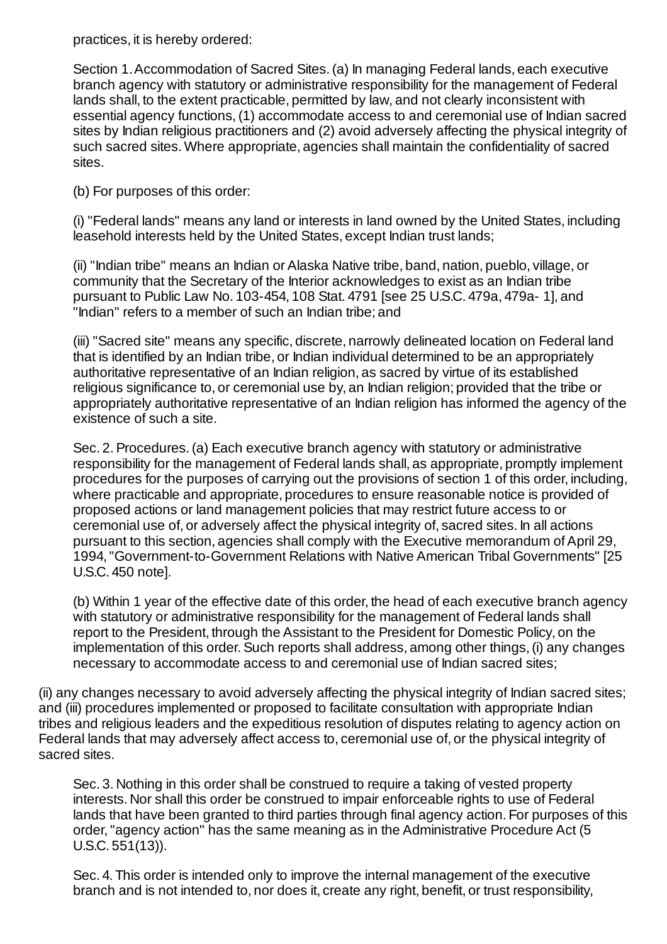practices, it is hereby ordered:

Section 1.Accommodation of Sacred Sites.(a) In managing Federal lands, each executive branch agency with statutory or administrative responsibility for the management of Federal lands shall, to the extent practicable, permitted by law, and not clearly inconsistent with essential agency functions,(1) accommodate access to and ceremonial use of Indian sacred sites by Indian religious practitioners and (2) avoid adversely affecting the physical integrity of such sacred sites. Where appropriate, agencies shall maintain the confidentiality of sacred sites.

(b) For purposes of this order:

(i) "Federal lands" means any land or interests in land owned by the United States, including leasehold interests held by the United States, except Indian trust lands;

(ii) "Indian tribe" means an Indian or Alaska Native tribe, band, nation, pueblo, village, or community that the Secretary of the Interior acknowledges to exist as an Indian tribe pursuant to Public Law No. 103-454, 108 Stat. 4791 [see 25 U.S.C. 479a, 479a- 1], and "Indian" refers to a member of such an Indian tribe; and

(iii) "Sacred site" means any specific, discrete, narrowly delineated location on Federal land that is identified by an Indian tribe, or Indian individual determined to be an appropriately authoritative representative of an Indian religion, as sacred by virtue of its established religious significance to, or ceremonial use by, an Indian religion; provided that the tribe or appropriately authoritative representative of an Indian religion has informed the agency of the existence of such a site.

Sec. 2. Procedures. (a) Each executive branch agency with statutory or administrative responsibility for the management of Federal lands shall, as appropriate, promptly implement procedures for the purposes of carrying out the provisions of section 1 of this order, including, where practicable and appropriate, procedures to ensure reasonable notice is provided of proposed actions or land management policies that may restrict future access to or ceremonial use of, or adversely affect the physical integrity of, sacred sites. In all actions pursuant to this section, agencies shall comply with the Executive memorandum of April 29, 1994,"Government-to-Government Relations with Native American Tribal Governments" [25 U.S.C. 450 note].

(b) Within 1 year of the effective date of this order, the head of each executive branch agency with statutory or administrative responsibility for the management of Federal lands shall report to the President, through the Assistant to the President for Domestic Policy, on the implementation of this order. Such reports shall address, among other things, (i) any changes necessary to accommodate access to and ceremonial use of Indian sacred sites;

(ii) any changes necessary to avoid adversely affecting the physical integrity of Indian sacred sites; and (iii) procedures implemented or proposed to facilitate consultation with appropriate Indian tribes and religious leaders and the expeditious resolution of disputes relating to agency action on Federal lands that may adversely affect access to, ceremonial use of, or the physical integrity of sacred sites.

Sec. 3. Nothing in this order shall be construed to require a taking of vested property interests. Nor shall this order be construed to impair enforceable rights to use of Federal lands that have been granted to third parties through final agency action. For purposes of this order,"agency action" has the same meaning as in the Administrative Procedure Act (5 U.S.C. 551(13)).

Sec. 4. This order is intended only to improve the internal management of the executive branch and is not intended to, nor does it, create any right, benefit, or trust responsibility,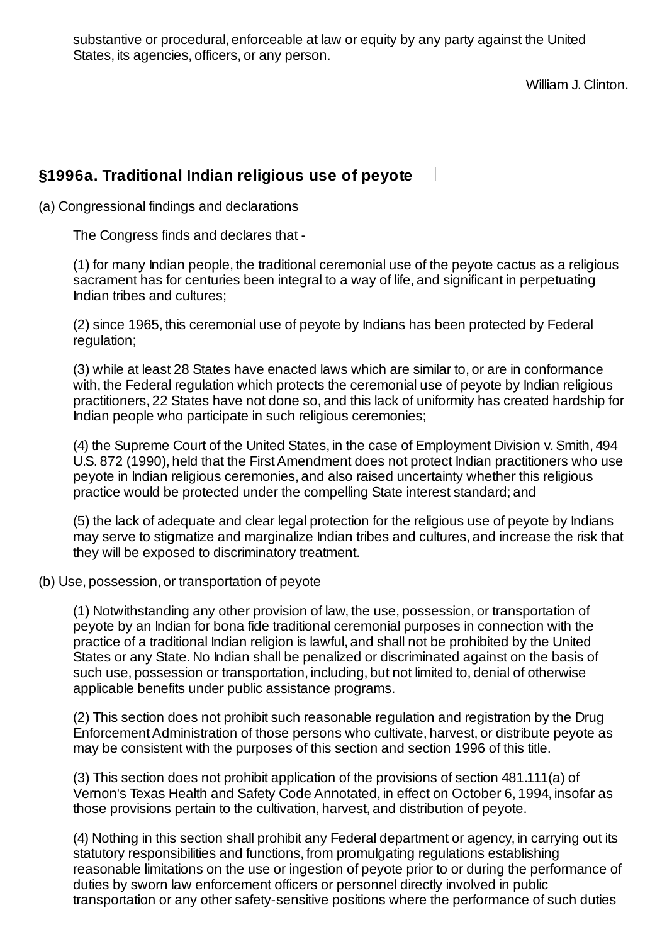substantive or procedural, enforceable at law or equity by any party against the United States, its agencies, officers, or any person.

William J. Clinton.

# <span id="page-22-0"></span>**§1996a. Traditional Indian religious use of peyote**

(a) Congressional findings and declarations

The Congress finds and declares that -

(1) for many Indian people, the traditional ceremonial use of the peyote cactus as a religious sacrament has for centuries been integral to a way of life, and significant in perpetuating Indian tribes and cultures;

(2) since 1965, this ceremonial use of peyote by Indians has been protected by Federal regulation;

(3) while at least 28 States have enacted laws which are similar to, or are in conformance with, the Federal regulation which protects the ceremonial use of peyote by Indian religious practitioners, 22 States have not done so, and this lack of uniformity has created hardship for Indian people who participate in such religious ceremonies;

(4) the Supreme Court of the United States, in the case of Employment Division v.Smith, 494 U.S. 872 (1990), held that the First Amendment does not protect Indian practitioners who use peyote in Indian religious ceremonies, and also raised uncertainty whether this religious practice would be protected under the compelling State interest standard; and

(5) the lack of adequate and clear legal protection for the religious use of peyote by Indians may serve to stigmatize and marginalize Indian tribes and cultures, and increase the risk that they will be exposed to discriminatory treatment.

### (b) Use, possession, or transportation of peyote

(1) Notwithstanding any other provision of law, the use, possession, or transportation of peyote by an Indian for bona fide traditional ceremonial purposes in connection with the practice of a traditional Indian religion is lawful, and shall not be prohibited by the United States or any State. No Indian shall be penalized or discriminated against on the basis of such use, possession or transportation, including, but not limited to, denial of otherwise applicable benefits under public assistance programs.

(2) This section does not prohibit such reasonable regulation and registration by the Drug Enforcement Administration of those persons who cultivate, harvest, or distribute peyote as may be consistent with the purposes of this section and section 1996 of this title.

(3) This section does not prohibit application of the provisions of section 481.111(a) of Vernon's Texas Health and Safety Code Annotated, in effect on October 6, 1994, insofar as those provisions pertain to the cultivation, harvest, and distribution of peyote.

(4) Nothing in this section shall prohibit any Federal department or agency, in carrying out its statutory responsibilities and functions, from promulgating regulations establishing reasonable limitations on the use or ingestion of peyote prior to or during the performance of duties by sworn law enforcement officers or personnel directly involved in public transportation or any other safety-sensitive positions where the performance of such duties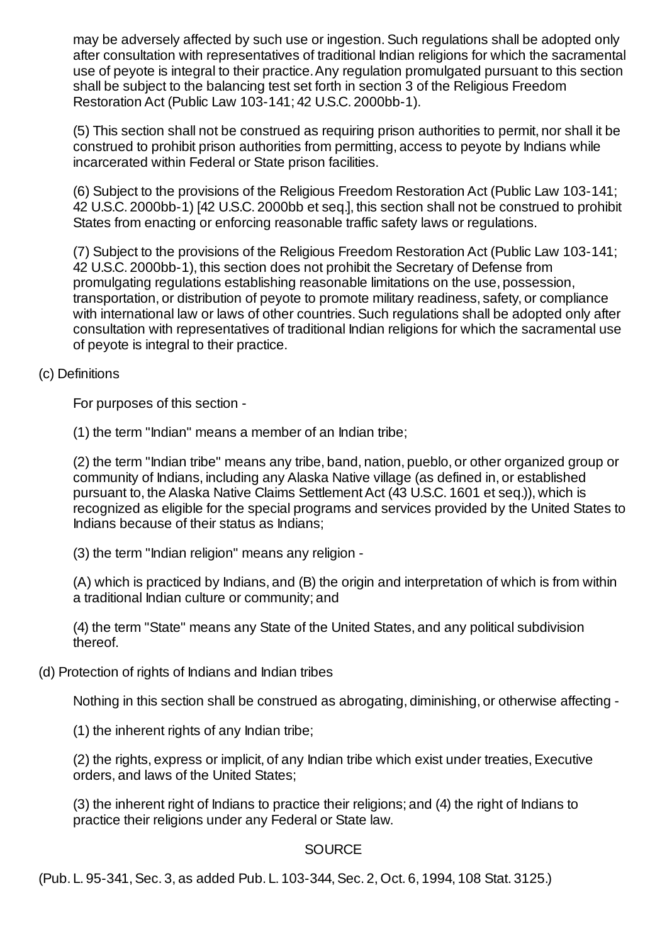may be adversely affected by such use or ingestion. Such regulations shall be adopted only after consultation with representatives of traditional Indian religions for which the sacramental use of peyote is integral to their practice.Any regulation promulgated pursuant to this section shall be subject to the balancing test set forth in section 3 of the Religious Freedom Restoration Act (Public Law 103-141; 42 U.S.C. 2000bb-1).

(5) This section shall not be construed as requiring prison authorities to permit, nor shall it be construed to prohibit prison authorities from permitting, access to peyote by Indians while incarcerated within Federal or State prison facilities.

(6) Subject to the provisions of the Religious Freedom Restoration Act (Public Law 103-141; 42 U.S.C. 2000bb-1) [42 U.S.C. 2000bb et seq.], this section shall not be construed to prohibit States from enacting or enforcing reasonable traffic safety laws or regulations.

(7) Subject to the provisions of the Religious Freedom Restoration Act (Public Law 103-141; 42 U.S.C. 2000bb-1), this section does not prohibit the Secretary of Defense from promulgating regulations establishing reasonable limitations on the use, possession, transportation, or distribution of peyote to promote military readiness, safety, or compliance with international law or laws of other countries. Such regulations shall be adopted only after consultation with representatives of traditional Indian religions for which the sacramental use of peyote is integral to their practice.

# (c) Definitions

For purposes of this section -

(1) the term "Indian" means a member of an Indian tribe;

(2) the term "Indian tribe" means any tribe, band, nation, pueblo, or other organized group or community of Indians, including any Alaska Native village (as defined in, or established pursuant to, the Alaska Native Claims SettlementAct (43 U.S.C. 1601 et seq.)), which is recognized as eligible for the special programs and services provided by the United States to Indians because of their status as Indians;

(3) the term "Indian religion" means any religion -

(A) which is practiced by Indians, and (B) the origin and interpretation of which is from within a traditional Indian culture or community; and

(4) the term "State" means any State of the United States, and any political subdivision thereof.

# (d) Protection of rights of Indians and Indian tribes

Nothing in this section shall be construed as abrogating, diminishing, or otherwise affecting -

(1) the inherent rights of any Indian tribe;

(2) the rights, express or implicit, of any Indian tribe which exist under treaties, Executive orders, and laws of the United States;

(3) the inherent right of Indians to practice their religions; and (4) the right of Indians to practice their religions under any Federal or State law.

### **SOURCE**

(Pub. L. 95-341, Sec. 3, as added Pub. L. 103-344, Sec. 2, Oct. 6, 1994, 108 Stat. 3125.)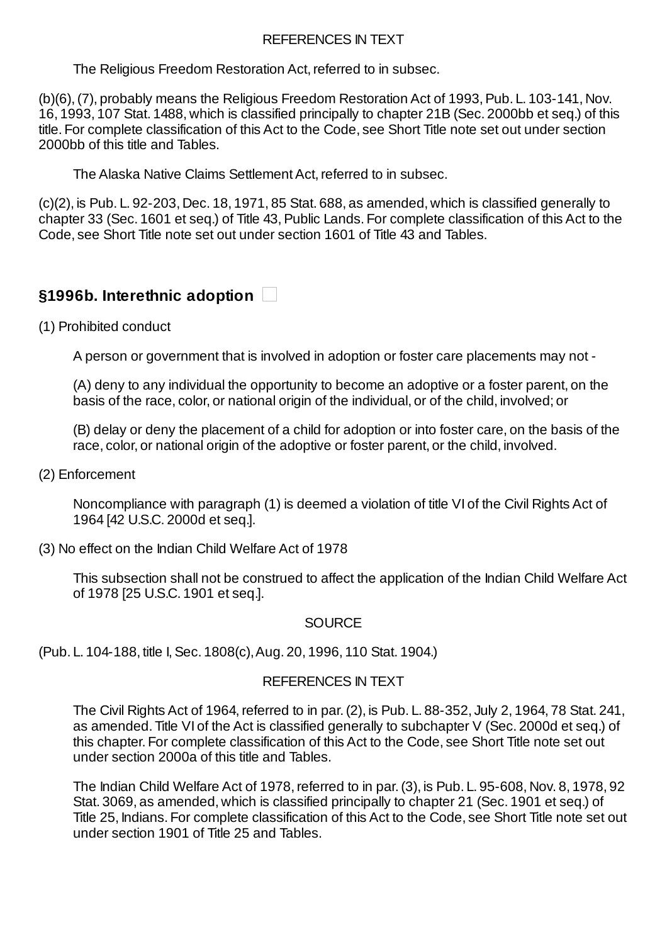#### REFERENCES IN TEXT

The Religious Freedom Restoration Act, referred to in subsec.

 $(b)(6)$ ,  $(7)$ , probably means the Religious Freedom Restoration Act of 1993, Pub. L. 103-141, Nov. 16, 1993, 107 Stat. 1488, which is classified principally to chapter 21B (Sec. 2000bb et seq.) of this title. For complete classification of this Act to the Code, see Short Title note set out under section 2000bb of this title and Tables.

The Alaska Native Claims Settlement Act, referred to in subsec.

(c)(2), is Pub. L. 92-203, Dec. 18, 1971, 85 Stat. 688, as amended, which is classified generally to chapter 33 (Sec. 1601 et seq.) of Title 43, Public Lands. For complete classification of this Act to the Code, see Short Title note set out under section 1601 of Title 43 and Tables.

# <span id="page-24-0"></span>**§1996b. Interethnic adoption**

(1) Prohibited conduct

A person or government that is involved in adoption or foster care placements may not -

(A) deny to any individual the opportunity to become an adoptive or a foster parent, on the basis of the race, color, or national origin of the individual, or of the child, involved; or

(B) delay or deny the placement of a child for adoption or into foster care, on the basis of the race, color, or national origin of the adoptive or foster parent, or the child, involved.

(2) Enforcement

Noncompliance with paragraph (1) is deemed a violation of title VI of the Civil Rights Act of 1964 [42 U.S.C. 2000d et seq.].

### (3) No effect on the Indian Child Welfare Act of 1978

This subsection shall not be construed to affect the application of the Indian Child Welfare Act of 1978 [25 U.S.C. 1901 et seq.].

# **SOURCE**

(Pub. L. 104-188, title I,Sec. 1808(c),Aug. 20, 1996, 110 Stat. 1904.)

# REFERENCES IN TEXT

The Civil Rights Act of 1964, referred to in par. (2), is Pub. L. 88-352, July 2, 1964, 78 Stat. 241, as amended. Title VI of the Act is classified generally to subchapter V (Sec. 2000d et seq.) of this chapter. For complete classification of this Act to the Code, see Short Title note set out under section 2000a of this title and Tables.

The Indian Child Welfare Act of 1978, referred to in par. (3), is Pub. L. 95-608, Nov. 8, 1978, 92 Stat. 3069, as amended, which is classified principally to chapter 21 (Sec. 1901 et seq.) of Title 25, Indians. For complete classification of this Act to the Code, see Short Title note set out under section 1901 of Title 25 and Tables.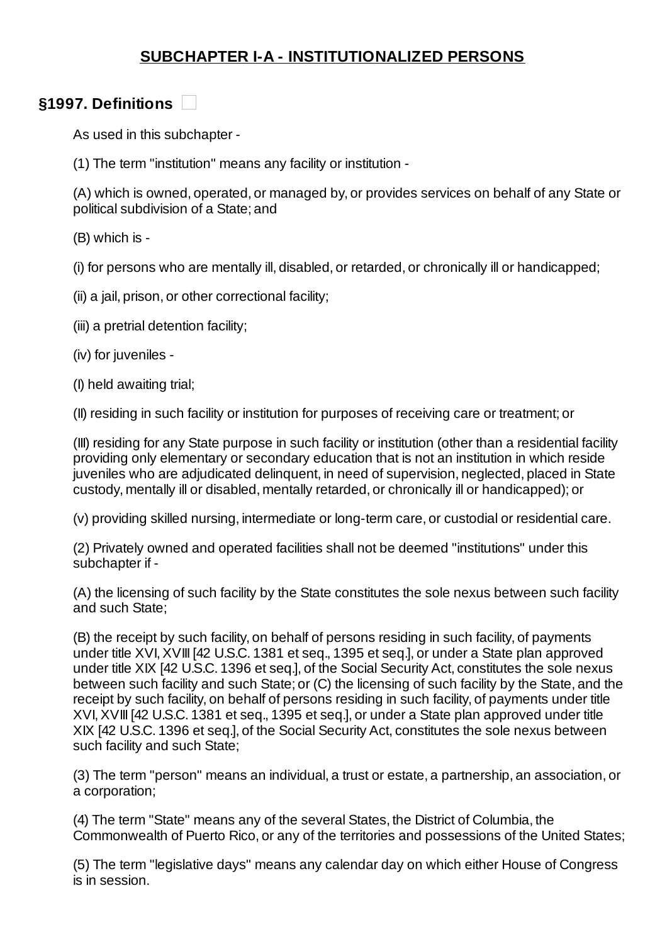# **SUBCHAPTER I-A - INSTITUTIONALIZED PERSONS**

# <span id="page-25-0"></span>**§1997. Definitions**

As used in this subchapter -

(1) The term "institution" means any facility or institution -

(A) which is owned, operated, or managed by, or provides services on behalf of any State or political subdivision of a State; and

(B) which is -

(i) for persons who are mentally ill, disabled, or retarded, or chronically ill or handicapped;

(ii) a jail, prison, or other correctional facility;

(iii) a pretrial detention facility;

(iv) for juveniles -

(I) held awaiting trial;

(II) residing in such facility or institution for purposes of receiving care or treatment; or

(III) residing for any State purpose in such facility or institution (other than a residential facility providing only elementary or secondary education that is not an institution in which reside juveniles who are adjudicated delinquent, in need of supervision, neglected, placed in State custody, mentally ill or disabled, mentally retarded, or chronically ill or handicapped); or

(v) providing skilled nursing, intermediate or long-term care, or custodial or residential care.

(2) Privately owned and operated facilities shall not be deemed "institutions" under this subchapter if -

(A) the licensing of such facility by the State constitutes the sole nexus between such facility and such State;

(B) the receipt by such facility, on behalf of persons residing in such facility, of payments under title XVI,XVIII [42 U.S.C. 1381 et seq., 1395 et seq.], or under a State plan approved under title XIX [42 U.S.C. 1396 et seq.], of the Social Security Act, constitutes the sole nexus between such facility and such State; or (C) the licensing of such facility by the State, and the receipt by such facility, on behalf of persons residing in such facility, of payments under title XVI,XVIII [42 U.S.C. 1381 et seq., 1395 et seq.], or under a State plan approved under title XIX [42 U.S.C. 1396 et seq.], of the Social Security Act, constitutes the sole nexus between such facility and such State;

(3) The term "person" means an individual, a trust or estate, a partnership, an association, or a corporation;

(4) The term "State" means any of the several States, the District of Columbia, the Commonwealth of Puerto Rico, or any of the territories and possessions of the United States;

(5) The term "legislative days" means any calendar day on which either House of Congress is in session.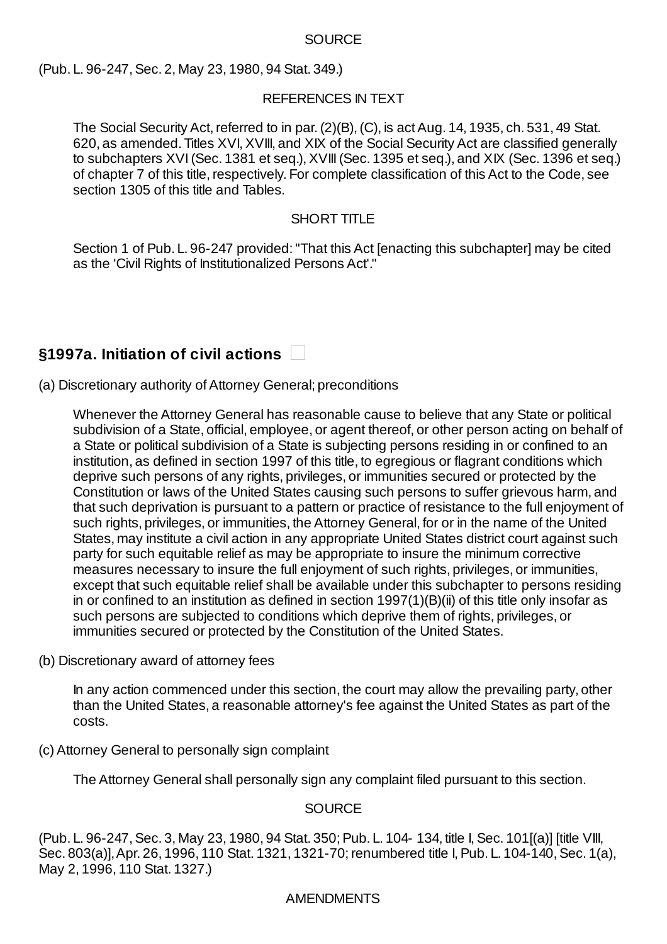#### **SOURCE**

(Pub. L. 96-247, Sec. 2, May 23, 1980, 94 Stat. 349.)

#### REFERENCES IN TEXT

The Social Security Act, referred to in par.  $(2)(B)$ ,  $(C)$ , is act Aug. 14, 1935, ch. 531, 49 Stat. 620, as amended. Titles XVI,XVIII, and XIX of the Social Security Act are classified generally to subchapters XVI (Sec. 1381 et seq.), XVIII (Sec. 1395 et seq.), and XIX (Sec. 1396 et seq.) of chapter 7 of this title, respectively. For complete classification of this Act to the Code, see section 1305 of this title and Tables.

## SHORT TITLE

Section 1 of Pub. L. 96-247 provided:"That this Act [enacting this subchapter] may be cited as the 'Civil Rights of Institutionalized Persons Act'."

# <span id="page-26-0"></span>**§1997a. Initiation of civil actions**

### (a) Discretionary authority ofAttorney General; preconditions

Whenever the Attorney General has reasonable cause to believe that any State or political subdivision of a State, official, employee, or agent thereof, or other person acting on behalf of a State or political subdivision of a State is subjecting persons residing in or confined to an institution, as defined in section 1997 of this title, to egregious or flagrant conditions which deprive such persons of any rights, privileges, or immunities secured or protected by the Constitution or laws of the United States causing such persons to suffer grievous harm, and that such deprivation is pursuant to a pattern or practice of resistance to the full enjoyment of such rights, privileges, or immunities, the Attorney General, for or in the name of the United States, may institute a civil action in any appropriate United States district court against such party for such equitable relief as may be appropriate to insure the minimum corrective measures necessary to insure the full enjoyment of such rights, privileges, or immunities, except that such equitable relief shall be available under this subchapter to persons residing in or confined to an institution as defined in section 1997(1)(B)(ii) of this title only insofar as such persons are subjected to conditions which deprive them of rights, privileges, or immunities secured or protected by the Constitution of the United States.

(b) Discretionary award of attorney fees

In any action commenced under this section, the court may allow the prevailing party, other than the United States, a reasonable attorney's fee against the United States as part of the costs.

(c) Attorney General to personally sign complaint

The Attorney General shall personally sign any complaint filed pursuant to this section.

#### **SOURCE**

(Pub. L. 96-247, Sec. 3, May 23, 1980, 94 Stat. 350; Pub. L. 104- 134, title I, Sec. 101[(a)] [title VIII, Sec. 803(a)], Apr. 26, 1996, 110 Stat. 1321, 1321-70; renumbered title I, Pub. L. 104-140, Sec. 1(a), May 2, 1996, 110 Stat. 1327.)

### **AMENDMENTS**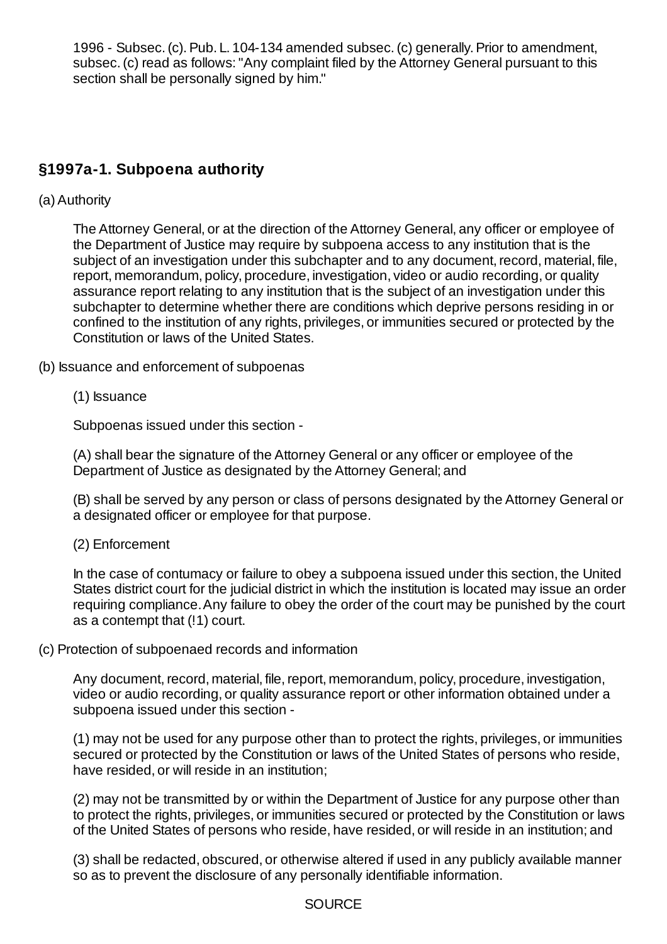1996 - Subsec.(c).Pub. L. 104-134 amended subsec.(c) generally.Prior to amendment, subsec.(c) read as follows:"Any complaint filed by the Attorney General pursuant to this section shall be personally signed by him."

# **§1997a-1. Subpoena authority**

# (a) Authority

The Attorney General, or at the direction of the Attorney General, any officer or employee of the Department of Justice may require by subpoena access to any institution that is the subiect of an investigation under this subchapter and to any document, record, material, file, report, memorandum, policy, procedure, investigation, video or audio recording, or quality assurance report relating to any institution that is the subject of an investigation under this subchapter to determine whether there are conditions which deprive persons residing in or confined to the institution of any rights, privileges, or immunities secured or protected by the Constitution or laws of the United States.

(b) Issuance and enforcement of subpoenas

# (1) Issuance

Subpoenas issued under this section -

(A) shall bear the signature of the Attorney General or any officer or employee of the Department of Justice as designated by the Attorney General; and

(B) shall be served by any person or class of persons designated by the Attorney General or a designated officer or employee for that purpose.

# (2) Enforcement

In the case of contumacy or failure to obey a subpoena issued under this section, the United States district court for the judicial district in which the institution is located may issue an order requiring compliance.Any failure to obey the order of the court may be punished by the court as a contempt that (!1) court.

### (c) Protection of subpoenaed records and information

Any document, record, material, file, report, memorandum, policy, procedure, investigation, video or audio recording, or quality assurance report or other information obtained under a subpoena issued under this section -

(1) may not be used for any purpose other than to protect the rights, privileges, or immunities secured or protected by the Constitution or laws of the United States of persons who reside, have resided, or will reside in an institution;

(2) may not be transmitted by or within the Department of Justice for any purpose other than to protect the rights, privileges, or immunities secured or protected by the Constitution or laws of the United States of persons who reside, have resided, or will reside in an institution; and

(3) shall be redacted, obscured, or otherwise altered if used in any publicly available manner so as to prevent the disclosure of any personally identifiable information.

## **SOURCE**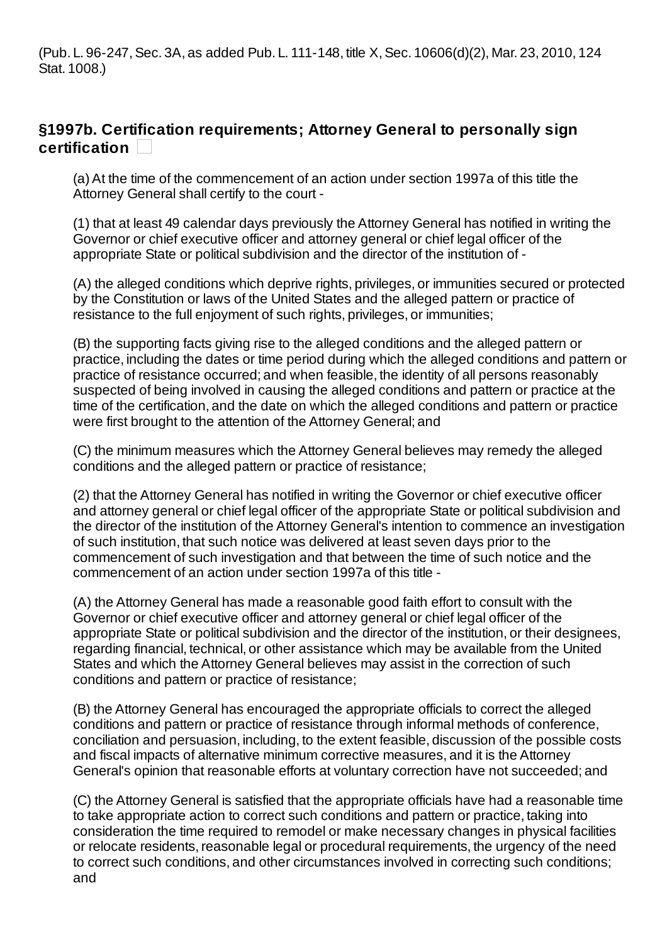(Pub. L. 96-247, Sec. 3A, as added Pub. L. 111-148, title X, Sec. 10606(d)(2), Mar. 23, 2010, 124 Stat. 1008.)

# <span id="page-28-0"></span>**§1997b. Cert[ific](#page-0-0)ation requirements; Attorney General to personally sign certification**

(a) At the time of the commencement of an action under section 1997a of this title the Attorney General shall certify to the court -

(1) that at least 49 calendar days previously the Attorney General has notified in writing the Governor or chief executive officer and attorney general or chief legal officer of the appropriate State or political subdivision and the director of the institution of -

(A) the alleged conditions which deprive rights, privileges, or immunities secured or protected by the Constitution or laws of the United States and the alleged pattern or practice of resistance to the full enjoyment of such rights, privileges, or immunities;

(B) the supporting facts giving rise to the alleged conditions and the alleged pattern or practice, including the dates or time period during which the alleged conditions and pattern or practice of resistance occurred; and when feasible, the identity of all persons reasonably suspected of being involved in causing the alleged conditions and pattern or practice at the time of the certification, and the date on which the alleged conditions and pattern or practice were first brought to the attention of the Attorney General; and

(C) the minimum measures which the Attorney General believes may remedy the alleged conditions and the alleged pattern or practice of resistance;

(2) that the Attorney General has notified in writing the Governor or chief executive officer and attorney general or chief legal officer of the appropriate State or political subdivision and the director of the institution of the Attorney General's intention to commence an investigation of such institution, that such notice was delivered at least seven days prior to the commencement of such investigation and that between the time of such notice and the commencement of an action under section 1997a of this title -

(A) the Attorney General has made a reasonable good faith effort to consult with the Governor or chief executive officer and attorney general or chief legal officer of the appropriate State or political subdivision and the director of the institution, or their designees, regarding financial, technical, or other assistance which may be available from the United States and which the Attorney General believes may assist in the correction of such conditions and pattern or practice of resistance;

(B) the Attorney General has encouraged the appropriate officials to correct the alleged conditions and pattern or practice of resistance through informal methods of conference, conciliation and persuasion, including, to the extent feasible, discussion of the possible costs and fiscal impacts of alternative minimum corrective measures, and it is the Attorney General's opinion that reasonable efforts at voluntary correction have not succeeded; and

(C) the Attorney General is satisfied that the appropriate officials have had a reasonable time to take appropriate action to correct such conditions and pattern or practice, taking into consideration the time required to remodel or make necessary changes in physical facilities or relocate residents, reasonable legal or procedural requirements, the urgency of the need to correct such conditions, and other circumstances involved in correcting such conditions; and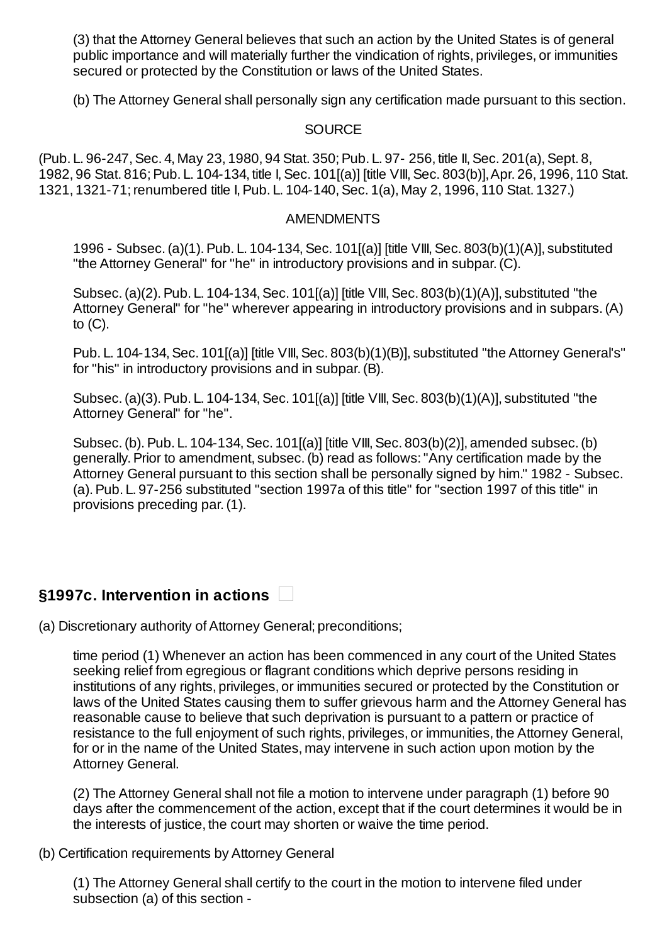(3) that the Attorney General believes that such an action by the United States is of general public importance and will materially further the vindication of rights, privileges, or immunities secured or protected by the Constitution or laws of the United States.

(b) The Attorney General shall personally sign any certification made pursuant to this section.

### **SOURCE**

(Pub. L. 96-247, Sec. 4, May 23, 1980, 94 Stat. 350; Pub. L. 97- 256, title II, Sec. 201(a), Sept. 8, 1982, 96 Stat. 816; Pub. L. 104-134, title I, Sec. 101[(a)] [title VIII, Sec. 803(b)], Apr. 26, 1996, 110 Stat. 1321, 1321-71; renumbered title I, Pub. L. 104-140, Sec. 1(a), May 2, 1996, 110 Stat. 1327.)

#### **AMENDMENTS**

1996 - Subsec. (a)(1). Pub. L. 104-134, Sec. 101[(a)] [title VIII, Sec. 803(b)(1)(A)], substituted "the Attorney General" for "he" in introductory provisions and in subpar.(C).

Subsec. (a)(2). Pub. L. 104-134, Sec. 101[(a)] [title VIII, Sec. 803(b)(1)(A)], substituted "the Attorney General" for "he" wherever appearing in introductory provisions and in subpars.(A) to (C).

Pub. L. 104-134, Sec. 101[(a)] [title VIII, Sec. 803(b)(1)(B)], substituted "the Attorney General's" for "his" in introductory provisions and in subpar.(B).

Subsec. (a)(3). Pub. L. 104-134, Sec. 101[(a)] [title VIII, Sec. 803(b)(1)(A)], substituted "the Attorney General" for "he".

Subsec. (b). Pub. L. 104-134, Sec. 101[(a)] [title VIII, Sec. 803(b)(2)], amended subsec. (b) generally.Prior to amendment, subsec.(b) read as follows:"Any certification made by the Attorney General pursuant to this section shall be personally signed by him." 1982 - Subsec. (a).Pub. L. 97-256 substituted "section 1997a of this title" for "section 1997 of this title" in provisions preceding par.(1).

# <span id="page-29-0"></span>**§1997c. Intervention in actions**

(a) Discretionary authority of Attorney General; preconditions;

time period (1) Whenever an action has been commenced in any court of the United States seeking relief from egregious or flagrant conditions which deprive persons residing in institutions of any rights, privileges, or immunities secured or protected by the Constitution or laws of the United States causing them to suffer grievous harm and the Attorney General has reasonable cause to believe that such deprivation is pursuant to a pattern or practice of resistance to the full enjoyment of such rights, privileges, or immunities, the Attorney General, for or in the name of the United States, may intervene in such action upon motion by the Attorney General.

(2) The Attorney General shall not file a motion to intervene under paragraph (1) before 90 days after the commencement of the action, except that if the court determines it would be in the interests of justice, the court may shorten or waive the time period.

(b) Certification requirements by Attorney General

(1) The Attorney General shall certify to the court in the motion to intervene filed under subsection (a) of this section -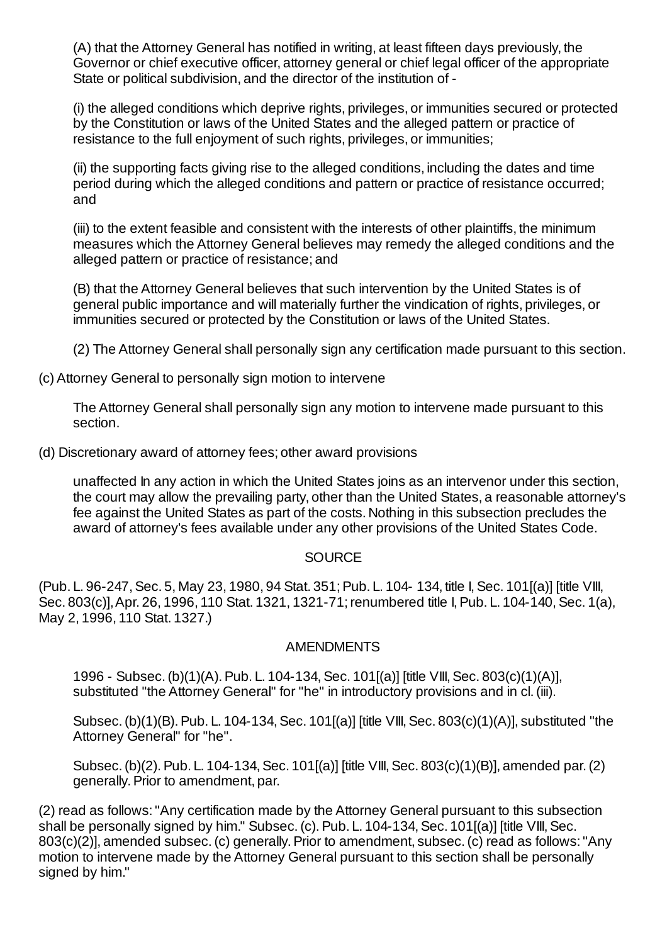(A) that the Attorney General has notified in writing, at least fifteen days previously, the Governor or chief executive officer, attorney general or chief legal officer of the appropriate State or political subdivision, and the director of the institution of -

(i) the alleged conditions which deprive rights, privileges, or immunities secured or protected by the Constitution or laws of the United States and the alleged pattern or practice of resistance to the full enjoyment of such rights, privileges, or immunities;

(ii) the supporting facts giving rise to the alleged conditions, including the dates and time period during which the alleged conditions and pattern or practice of resistance occurred; and

(iii) to the extent feasible and consistent with the interests of other plaintiffs, the minimum measures which the Attorney General believes may remedy the alleged conditions and the alleged pattern or practice of resistance; and

(B) that the Attorney General believes that such intervention by the United States is of general public importance and will materially further the vindication of rights, privileges, or immunities secured or protected by the Constitution or laws of the United States.

(2) The Attorney General shall personally sign any certification made pursuant to this section.

(c) Attorney General to personally sign motion to intervene

The Attorney General shall personally sign any motion to intervene made pursuant to this section.

(d) Discretionary award of attorney fees; other award provisions

unaffected In any action in which the United States joins as an intervenor under this section, the court may allow the prevailing party, other than the United States, a reasonable attorney's fee against the United States as part of the costs. Nothing in this subsection precludes the award of attorney's fees available under any other provisions of the United States Code.

### **SOURCE**

(Pub. L. 96-247, Sec. 5, May 23, 1980, 94 Stat. 351; Pub. L. 104- 134, title I, Sec. 101[(a)] [title VIII, Sec. 803(c)], Apr. 26, 1996, 110 Stat. 1321, 1321-71; renumbered title I, Pub. L. 104-140, Sec. 1(a), May 2, 1996, 110 Stat. 1327.)

### **AMENDMENTS**

1996 - Subsec. (b)(1)(A). Pub. L. 104-134, Sec. 101[(a)] [title VIII, Sec. 803(c)(1)(A)], substituted "the Attorney General" for "he" in introductory provisions and in cl.(iii).

Subsec. (b)(1)(B). Pub. L. 104-134, Sec. 101[(a)] [title VIII, Sec. 803(c)(1)(A)], substituted "the Attorney General" for "he".

Subsec. (b)(2). Pub. L. 104-134, Sec. 101[(a)] [title VIII, Sec. 803(c)(1)(B)], amended par. (2) generally.Prior to amendment, par.

(2) read as follows:"Any certification made by the Attorney General pursuant to this subsection shall be personally signed by him." Subsec. (c). Pub. L. 104-134, Sec. 101[(a)] [title VIII, Sec. 803(c)(2)], amended subsec.(c) generally.Prior to amendment, subsec.(c) read as follows:"Any motion to intervene made by the Attorney General pursuant to this section shall be personally signed by him."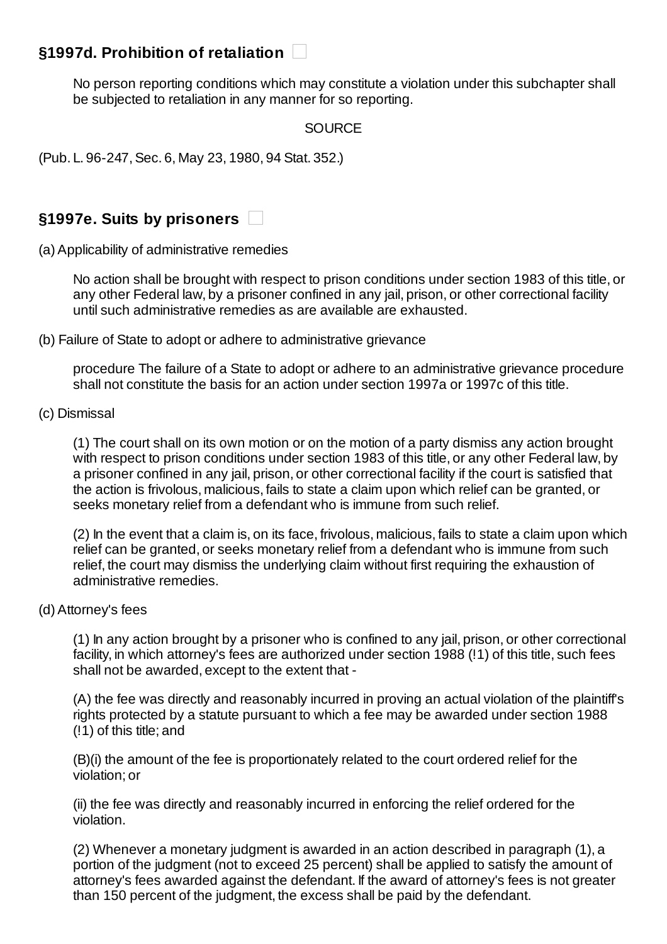# <span id="page-31-0"></span>**§1997d. Prohibition of retaliation**

No person reporting conditions which may constitute a violation under this subchapter shall be subjected to retaliation in any manner for so reporting.

### **SOURCE**

(Pub. L. 96-247, Sec. 6, May 23, 1980, 94 Stat. 352.)

# <span id="page-31-1"></span>**§1997e. Suits by prisoners**

(a) Applicability of administrative remedies

No action shall be brought with respect to prison conditions under section 1983 of this title, or any other Federal law, by a prisoner confined in any jail, prison, or other correctional facility until such administrative remedies as are available are exhausted.

(b) Failure of State to adopt or adhere to administrative grievance

procedure The failure of a State to adopt or adhere to an administrative grievance procedure shall not constitute the basis for an action under section 1997a or 1997c of this title.

#### (c) Dismissal

(1) The court shall on its own motion or on the motion of a party dismiss any action brought with respect to prison conditions under section 1983 of this title, or any other Federal law, by a prisoner confined in any jail, prison, or other correctional facility if the court is satisfied that the action is frivolous, malicious, fails to state a claim upon which relief can be granted, or seeks monetary relief from a defendant who is immune from such relief.

(2) In the event that a claim is, on its face, frivolous, malicious, fails to state a claim upon which relief can be granted, or seeks monetary relief from a defendant who is immune from such relief, the court may dismiss the underlying claim without first requiring the exhaustion of administrative remedies.

#### (d) Attorney's fees

(1) In any action brought by a prisoner who is confined to any jail, prison, or other correctional facility, in which attorney's fees are authorized under section 1988 (!1) of this title, such fees shall not be awarded, except to the extent that -

(A) the fee was directly and reasonably incurred in proving an actual violation of the plaintiff's rights protected by a statute pursuant to which a fee may be awarded under section 1988 (!1) of this title; and

(B)(i) the amount of the fee is proportionately related to the court ordered relief for the violation; or

(ii) the fee was directly and reasonably incurred in enforcing the relief ordered for the violation.

(2) Whenever a monetary judgment is awarded in an action described in paragraph (1), a portion of the judgment (not to exceed 25 percent) shall be applied to satisfy the amount of attorney's fees awarded against the defendant. If the award of attorney's fees is not greater than 150 percent of the judgment, the excess shall be paid by the defendant.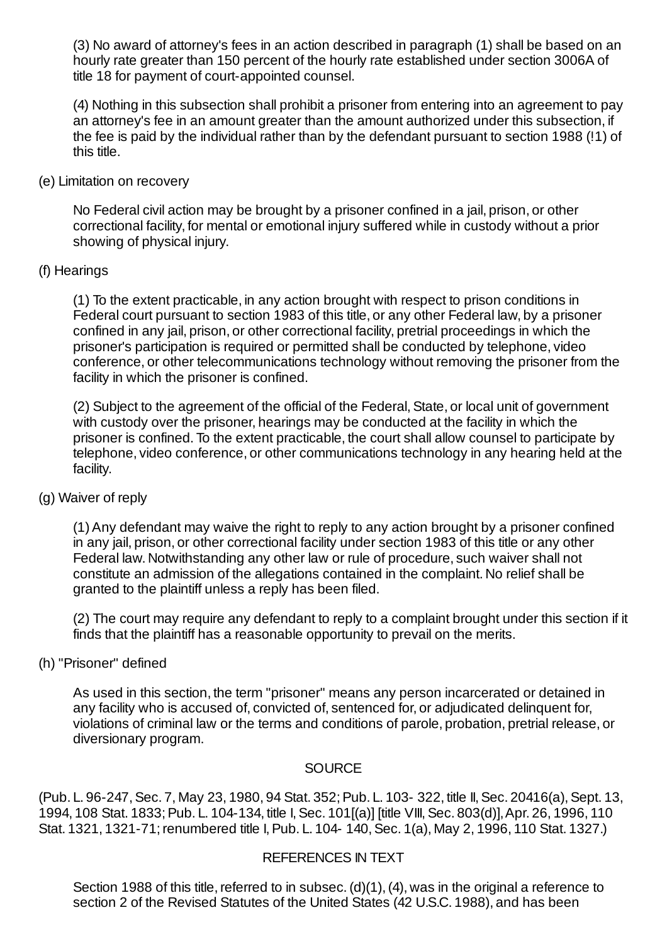(3) No award of attorney's fees in an action described in paragraph (1) shall be based on an hourly rate greater than 150 percent of the hourly rate established under section 3006A of title 18 for payment of court-appointed counsel.

(4) Nothing in this subsection shall prohibit a prisoner from entering into an agreement to pay an attorney's fee in an amount greater than the amount authorized under this subsection, if the fee is paid by the individual rather than by the defendant pursuant to section 1988 (!1) of this title.

### (e) Limitation on recovery

No Federal civil action may be brought by a prisoner confined in a jail, prison, or other correctional facility, for mental or emotional injury suffered while in custody without a prior showing of physical injury.

### (f) Hearings

(1) To the extent practicable, in any action brought with respect to prison conditions in Federal court pursuant to section 1983 of this title, or any other Federal law, by a prisoner confined in any jail, prison, or other correctional facility, pretrial proceedings in which the prisoner's participation is required or permitted shall be conducted by telephone, video conference, or other telecommunications technology without removing the prisoner from the facility in which the prisoner is confined.

(2) Subiect to the agreement of the official of the Federal, State, or local unit of government with custody over the prisoner, hearings may be conducted at the facility in which the prisoner is confined. To the extent practicable, the court shall allow counsel to participate by telephone, video conference, or other communications technology in any hearing held at the facility.

### (g) Waiver of reply

(1) Any defendant may waive the right to reply to any action brought by a prisoner confined in any jail, prison, or other correctional facility under section 1983 of this title or any other Federal law. Notwithstanding any other law or rule of procedure, such waiver shall not constitute an admission of the allegations contained in the complaint. No relief shall be granted to the plaintiff unless a reply has been filed.

(2) The court may require any defendant to reply to a complaint brought under this section if it finds that the plaintiff has a reasonable opportunity to prevail on the merits.

### (h) "Prisoner" defined

As used in this section, the term "prisoner" means any person incarcerated or detained in any facility who is accused of, convicted of, sentenced for, or adjudicated delinquent for, violations of criminal law or the terms and conditions of parole, probation, pretrial release, or diversionary program.

#### **SOURCE**

(Pub. L. 96-247, Sec. 7, May 23, 1980, 94 Stat. 352; Pub. L. 103- 322, title II, Sec. 20416(a), Sept. 13, 1994, 108 Stat. 1833; Pub. L. 104-134, title I, Sec. 101[(a)] [title VIII, Sec. 803(d)], Apr. 26, 1996, 110 Stat. 1321, 1321-71; renumbered title I, Pub. L. 104- 140, Sec. 1(a), May 2, 1996, 110 Stat. 1327.)

### REFERENCES IN TEXT

Section 1988 of this title, referred to in subsec.  $(d)(1)$ ,  $(4)$ , was in the original a reference to section 2 of the Revised Statutes of the United States (42 U.S.C. 1988), and has been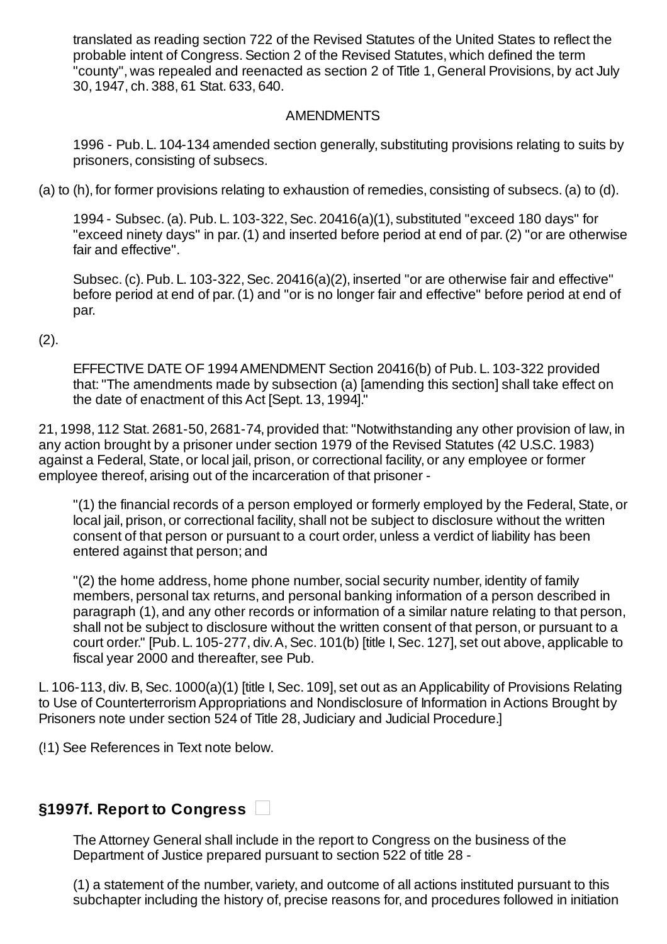translated as reading section 722 of the Revised Statutes of the United States to reflect the probable intent of Congress.Section 2 of the Revised Statutes, which defined the term "county", was repealed and reenacted as section 2 of Title 1, General Provisions, by act July 30, 1947, ch. 388, 61 Stat. 633, 640.

# AMENDMENTS

1996 - Pub. L. 104-134 amended section generally, substituting provisions relating to suits by prisoners, consisting of subsecs.

(a) to (h), for former provisions relating to exhaustion of remedies, consisting of subsecs.(a) to (d).

1994 - Subsec. (a). Pub. L. 103-322, Sec. 20416(a)(1), substituted "exceed 180 days" for "exceed ninety days" in par.(1) and inserted before period at end of par.(2) "or are otherwise fair and effective".

Subsec. (c). Pub. L. 103-322, Sec. 20416(a)(2), inserted "or are otherwise fair and effective" before period at end of par.(1) and "or is no longer fair and effective" before period at end of par.

# (2).

EFFECTIVE DATE OF 1994AMENDMENT Section 20416(b) of Pub. L. 103-322 provided that:"The amendments made by subsection (a) [amending this section] shall take effect on the date of enactment of this Act [Sept. 13, 1994]."

21, 1998, 112 Stat. 2681-50, 2681-74, provided that:"Notwithstanding any other provision of law, in any action brought by a prisoner under section 1979 of the Revised Statutes (42 U.S.C. 1983) against a Federal,State, or local jail, prison, or correctional facility, or any employee or former employee thereof, arising out of the incarceration of that prisoner -

"(1) the financial records of a person employed or formerly employed by the Federal, State, or local jail, prison, or correctional facility, shall not be subject to disclosure without the written consent of that person or pursuant to a court order, unless a verdict of liability has been entered against that person; and

"(2) the home address, home phone number, social security number, identity of family members, personal tax returns, and personal banking information of a person described in paragraph (1), and any other records or information of a similar nature relating to that person, shall not be subject to disclosure without the written consent of that person, or pursuant to a court order." [Pub. L. 105-277, div. A, Sec. 101(b) [title I, Sec. 127], set out above, applicable to fiscal year 2000 and thereafter, see Pub.

L. 106-113, div. B, Sec. 1000(a)(1) [title I, Sec. 109], set out as an Applicability of Provisions Relating to Use of Counterterrorism Appropriations and Nondisclosure of Information in Actions Brought by Prisoners note under section 524 of Title 28, Judiciary and Judicial Procedure.]

(!1) See References in Text note below.

# <span id="page-33-0"></span>**§1997f. Report to Congress**

The Attorney General shall include in the report to Congress on the business of the Department of Justice prepared pursuant to section 522 of title 28 -

(1) a statement of the number, variety, and outcome of all actions instituted pursuant to this subchapter including the history of, precise reasons for, and procedures followed in initiation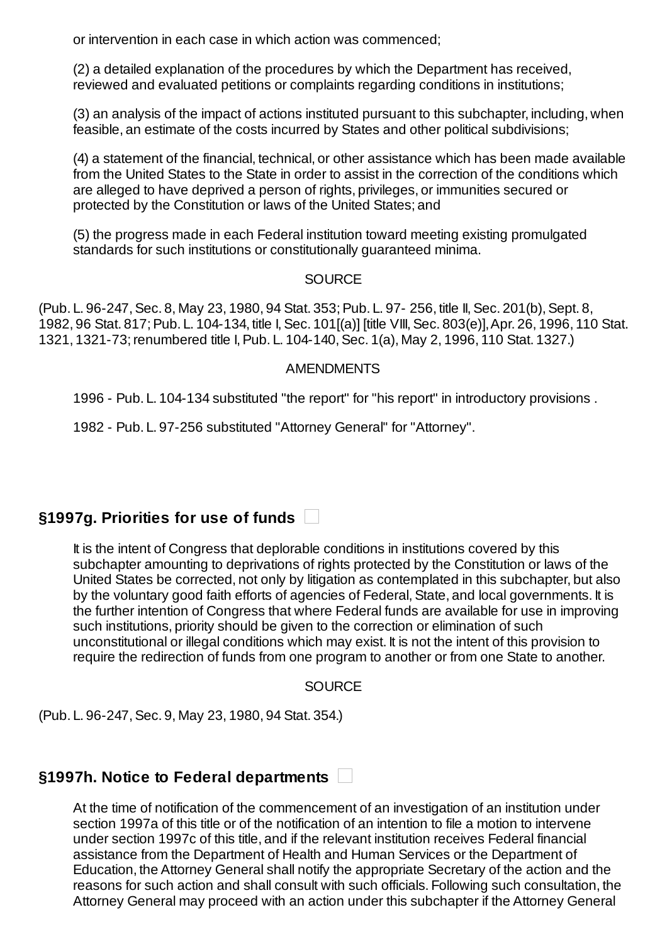or intervention in each case in which action was commenced;

(2) a detailed explanation of the procedures by which the Department has received, reviewed and evaluated petitions or complaints regarding conditions in institutions;

(3) an analysis of the impact of actions instituted pursuant to this subchapter, including, when feasible, an estimate of the costs incurred by States and other political subdivisions;

(4) a statement of the financial, technical, or other assistance which has been made available from the United States to the State in order to assist in the correction of the conditions which are alleged to have deprived a person of rights, privileges, or immunities secured or protected by the Constitution or laws of the United States; and

(5) the progress made in each Federal institution toward meeting existing promulgated standards for such institutions or constitutionally guaranteed minima.

### **SOURCE**

(Pub. L. 96-247, Sec. 8, May 23, 1980, 94 Stat. 353; Pub. L. 97- 256, title II, Sec. 201(b), Sept. 8, 1982, 96 Stat. 817; Pub. L. 104-134, title I, Sec. 101[(a)] [title VIII, Sec. 803(e)], Apr. 26, 1996, 110 Stat. 1321, 1321-73; renumbered title I, Pub. L. 104-140, Sec. 1(a), May 2, 1996, 110 Stat. 1327.)

### **AMENDMENTS**

1996 - Pub. L. 104-134 substituted "the report" for "his report" in introductory provisions .

1982 - Pub. L. 97-256 substituted "Attorney General" for "Attorney".

# <span id="page-34-0"></span>**§1997g. Priorities for use of funds**

It is the intent of Congress that deplorable conditions in institutions covered by this subchapter amounting to deprivations of rights protected by the Constitution or laws of the United States be corrected, not only by litigation as contemplated in this subchapter, but also by the voluntary good faith efforts of agencies of Federal, State, and local governments. It is the further intention of Congress that where Federal funds are available for use in improving such institutions, priority should be given to the correction or elimination of such unconstitutional or illegal conditions which may exist. It is not the intent of this provision to require the redirection of funds from one program to another or from one State to another.

#### SOURCE

(Pub. L. 96-247, Sec. 9, May 23, 1980, 94 Stat. 354.)

# <span id="page-34-1"></span>**§1997h. Notice to Federal departments**

At the time of notification of the commencement of an investigation of an institution under section 1997a of this title or of the notification of an intention to file a motion to intervene under section 1997c of this title, and if the relevant institution receives Federal financial assistance from the Department of Health and Human Services or the Department of Education, the Attorney General shall notify the appropriate Secretary of the action and the reasons for such action and shall consult with such officials. Following such consultation, the Attorney General may proceed with an action under this subchapter if the Attorney General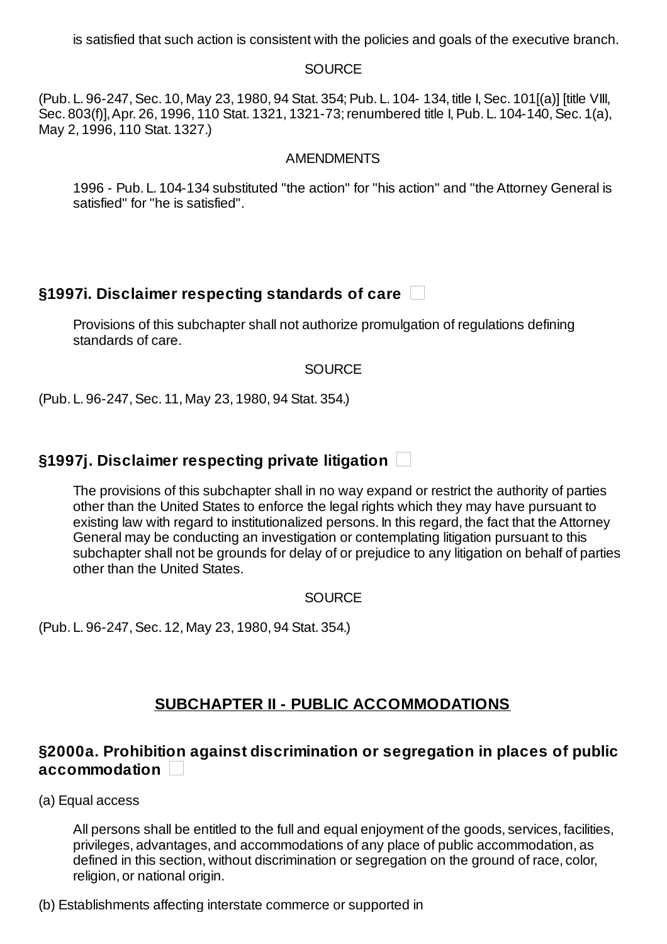is satisfied that such action is consistent with the policies and goals of the executive branch.

#### **SOURCE**

(Pub. L. 96-247, Sec. 10, May 23, 1980, 94 Stat. 354; Pub. L. 104- 134, title I, Sec. 101[(a)] [title VIII, Sec. 803(f)], Apr. 26, 1996, 110 Stat. 1321, 1321-73; renumbered title I, Pub. L. 104-140, Sec. 1(a), May 2, 1996, 110 Stat. 1327.)

#### **AMENDMENTS**

1996 - Pub. L. 104-134 substituted "the action" for "his action" and "the Attorney General is satisfied" for "he is satisfied".

# <span id="page-35-0"></span>**§1997i. Disclaimer respecting standards of care**

Provisions of this subchapter shall not authorize promulgation of regulations defining standards of care.

#### SOURCE

(Pub. L. 96-247, Sec. 11, May 23, 1980, 94 Stat. 354.)

# <span id="page-35-1"></span>**§1997j. Disclaimer respecting private litigation**

The provisions of this subchapter shall in no way expand or restrict the authority of parties other than the United States to enforce the legal rights which they may have pursuant to existing law with regard to institutionalized persons. In this regard, the fact that the Attorney General may be conducting an investigation or contemplating litigation pursuant to this subchapter shall not be grounds for delay of or prejudice to any litigation on behalf of parties other than the United States.

#### **SOURCE**

(Pub. L. 96-247, Sec. 12, May 23, 1980, 94 Stat. 354.)

# **SUBCHAPTER II - PUBLIC ACCOMMODATIONS**

# <span id="page-35-2"></span>**§2000a. Prohibiti[on](#page-0-0) against discrimination or segregation in places of public accommodation**

(a) Equal access

All persons shall be entitled to the full and equal enjoyment of the goods, services, facilities, privileges, advantages, and accommodations of any place of public accommodation, as defined in this section, without discrimination or segregation on the ground of race, color, religion, or national origin.

(b) Establishments affecting interstate commerce or supported in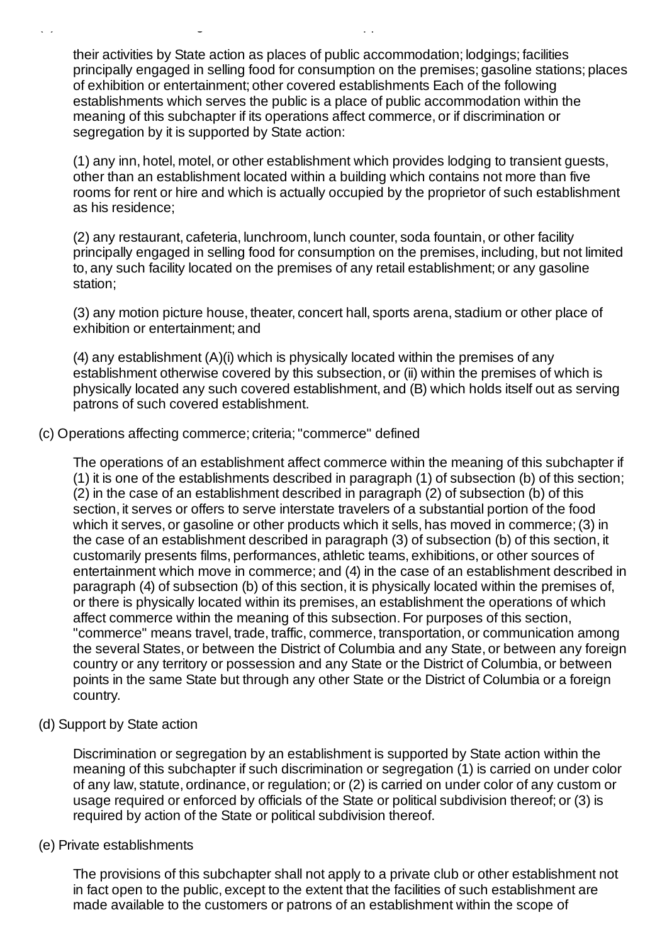their activities by State action as places of public accommodation; lodgings; facilities principally engaged in selling food for consumption on the premises; gasoline stations; places of exhibition or entertainment; other covered establishments Each of the following establishments which serves the public is a place of public accommodation within the meaning of this subchapter if its operations affect commerce, or if discrimination or segregation by it is supported by State action:

(1) any inn, hotel, motel, or other establishment which provides lodging to transient guests, other than an establishment located within a building which contains not more than five rooms for rent or hire and which is actually occupied by the proprietor of such establishment as his residence;

(2) any restaurant, cafeteria, lunchroom, lunch counter, soda fountain, or other facility principally engaged in selling food for consumption on the premises, including, but not limited to, any such facility located on the premises of any retail establishment; or any gasoline station;

(3) any motion picture house, theater, concert hall, sports arena, stadium or other place of exhibition or entertainment; and

(4) any establishment (A)(i) which is physically located within the premises of any establishment otherwise covered by this subsection, or (ii) within the premises of which is physically located any such covered establishment, and (B) which holds itself out as serving patrons of such covered establishment.

#### (c) Operations affecting commerce; criteria;"commerce" defined

(b)  $\mathcal{L}$  Establishments affecting interstate commerce or supported interstate commerce or supported in

The operations of an establishment affect commerce within the meaning of this subchapter if (1) it is one of the establishments described in paragraph (1) of subsection (b) of this section; (2) in the case of an establishment described in paragraph (2) of subsection (b) of this section, it serves or offers to serve interstate travelers of a substantial portion of the food which it serves, or gasoline or other products which it sells, has moved in commerce;(3) in the case of an establishment described in paragraph (3) of subsection (b) of this section, it customarily presents films, performances, athletic teams, exhibitions, or other sources of entertainment which move in commerce; and (4) in the case of an establishment described in paragraph (4) of subsection (b) of this section, it is physically located within the premises of, or there is physically located within its premises, an establishment the operations of which affect commerce within the meaning of this subsection. For purposes of this section, "commerce" means travel, trade, traffic, commerce, transportation, or communication among the several States, or between the District of Columbia and any State, or between any foreign country or any territory or possession and any State or the District of Columbia, or between points in the same State but through any other State or the District of Columbia or a foreign country.

## (d) Support by State action

Discrimination or segregation by an establishment is supported by State action within the meaning of this subchapter if such discrimination or segregation (1) is carried on under color of any law, statute, ordinance, or regulation; or (2) is carried on under color of any custom or usage required or enforced by officials of the State or political subdivision thereof; or (3) is required by action of the State or political subdivision thereof.

#### (e) Private establishments

The provisions of this subchapter shall not apply to a private club or other establishment not in fact open to the public, except to the extent that the facilities of such establishment are made available to the customers or patrons of an establishment within the scope of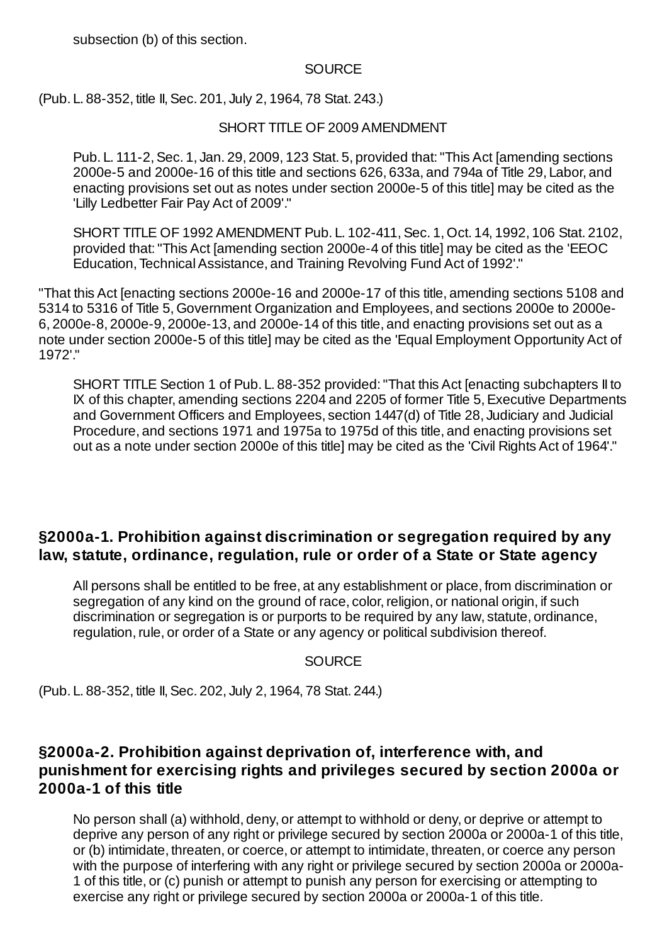subsection (b) of this section.

#### **SOURCE**

(Pub. L. 88-352, title II, Sec. 201, July 2, 1964, 78 Stat. 243.)

## SHORT TITLE OF 2009 AMENDMENT

Pub. L. 111-2, Sec. 1, Jan. 29, 2009, 123 Stat. 5, provided that: "This Act [amending sections 2000e-5 and 2000e-16 of this title and sections 626, 633a, and 794a of Title 29, Labor, and enacting provisions set out as notes under section 2000e-5 of this title] may be cited as the 'Lilly Ledbetter Fair Pay Act of 2009'."

SHORT TITLE OF 1992 AMENDMENT Pub. L. 102-411, Sec. 1, Oct. 14, 1992, 106 Stat. 2102, provided that:"This Act [amending section 2000e-4 of this title] may be cited as the 'EEOC Education, Technical Assistance, and Training Revolving Fund Act of 1992'."

"That this Act [enacting sections 2000e-16 and 2000e-17 of this title, amending sections 5108 and 5314 to 5316 of Title 5, Government Organization and Employees, and sections 2000e to 2000e-6, 2000e-8, 2000e-9, 2000e-13, and 2000e-14 of this title, and enacting provisions set out as a note under section 2000e-5 of this title] may be cited as the 'Equal Employment Opportunity Act of 1972'."

SHORT TITLE Section 1 of Pub. L. 88-352 provided: "That this Act [enacting subchapters II to IX of this chapter, amending sections 2204 and 2205 of former Title 5,Executive Departments and Government Officers and Employees, section 1447(d) of Title 28, Judiciary and Judicial Procedure, and sections 1971 and 1975a to 1975d of this title, and enacting provisions set out as a note under section 2000e of this title] may be cited as the 'Civil Rights Act of 1964'."

# **§2000a-1. Prohibition against discrimination or segregation required by any law, statute, ordinance, regulation, rule or order of a State or State agency**

All persons shall be entitled to be free, at any establishment or place, from discrimination or segregation of any kind on the ground of race, color, religion, or national origin, if such discrimination or segregation is or purports to be required by any law, statute, ordinance, regulation, rule, or order of a State or any agency or political subdivision thereof.

## **SOURCE**

(Pub. L. 88-352, title II, Sec. 202, July 2, 1964, 78 Stat. 244.)

# **§2000a-2. Prohibition against deprivation of, interference with, and punishment for exercising rights and privileges secured by section 2000a or 2000a-1 of this title**

No person shall (a) withhold, deny, or attempt to withhold or deny, or deprive or attempt to deprive any person of any right or privilege secured by section 2000a or 2000a-1 of this title, or (b) intimidate, threaten, or coerce, or attempt to intimidate, threaten, or coerce any person with the purpose of interfering with any right or privilege secured by section 2000a or 2000a-1 of this title, or (c) punish or attempt to punish any person for exercising or attempting to exercise any right or privilege secured by section 2000a or 2000a-1 of this title.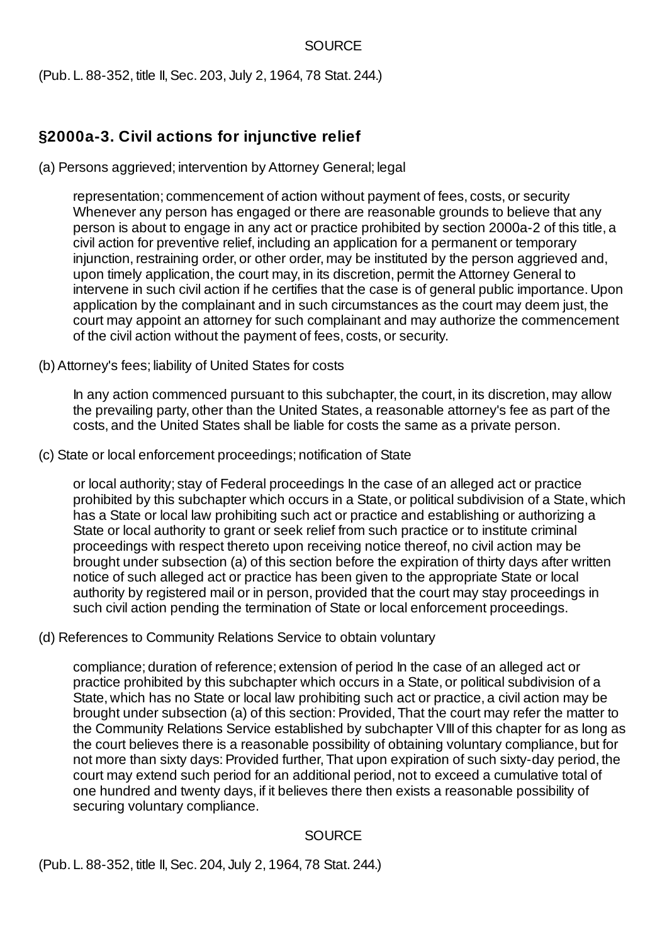## SOURCE

(Pub. L. 88-352, title II,Sec. 203, July 2, 1964, 78 Stat. 244.)

# **§2000a-3. Civil actions for injunctive relief**

(a) Persons aggrieved; intervention by Attorney General; legal

representation; commencement of action without payment of fees, costs, or security Whenever any person has engaged or there are reasonable grounds to believe that any person is about to engage in any act or practice prohibited by section 2000a-2 of this title, a civil action for preventive relief, including an application for a permanent or temporary injunction, restraining order, or other order, may be instituted by the person aggrieved and, upon timely application, the court may, in its discretion, permit the Attorney General to intervene in such civil action if he certifies that the case is of general public importance. Upon application by the complainant and in such circumstances as the court may deem just, the court may appoint an attorney for such complainant and may authorize the commencement of the civil action without the payment of fees, costs, or security.

(b) Attorney's fees; liability of United States for costs

In any action commenced pursuant to this subchapter, the court, in its discretion, may allow the prevailing party, other than the United States, a reasonable attorney's fee as part of the costs, and the United States shall be liable for costs the same as a private person.

#### (c) State or local enforcement proceedings; notification of State

or local authority; stay of Federal proceedings In the case of an alleged act or practice prohibited by this subchapter which occurs in a State, or political subdivision of a State, which has a State or local law prohibiting such act or practice and establishing or authorizing a State or local authority to grant or seek relief from such practice or to institute criminal proceedings with respect thereto upon receiving notice thereof, no civil action may be brought under subsection (a) of this section before the expiration of thirty days after written notice of such alleged act or practice has been given to the appropriate State or local authority by registered mail or in person, provided that the court may stay proceedings in such civil action pending the termination of State or local enforcement proceedings.

(d) References to Community Relations Service to obtain voluntary

compliance; duration of reference; extension of period In the case of an alleged act or practice prohibited by this subchapter which occurs in a State, or political subdivision of a State, which has no State or local law prohibiting such act or practice, a civil action may be brought under subsection (a) of this section: Provided, That the court may refer the matter to the Community Relations Service established by subchapter VIII of this chapter for as long as the court believes there is a reasonable possibility of obtaining voluntary compliance, but for not more than sixty days: Provided further, That upon expiration of such sixty-day period, the court may extend such period for an additional period, not to exceed a cumulative total of one hundred and twenty days, if it believes there then exists a reasonable possibility of securing voluntary compliance.

## **SOURCE**

(Pub. L. 88-352, title II, Sec. 204, July 2, 1964, 78 Stat. 244.)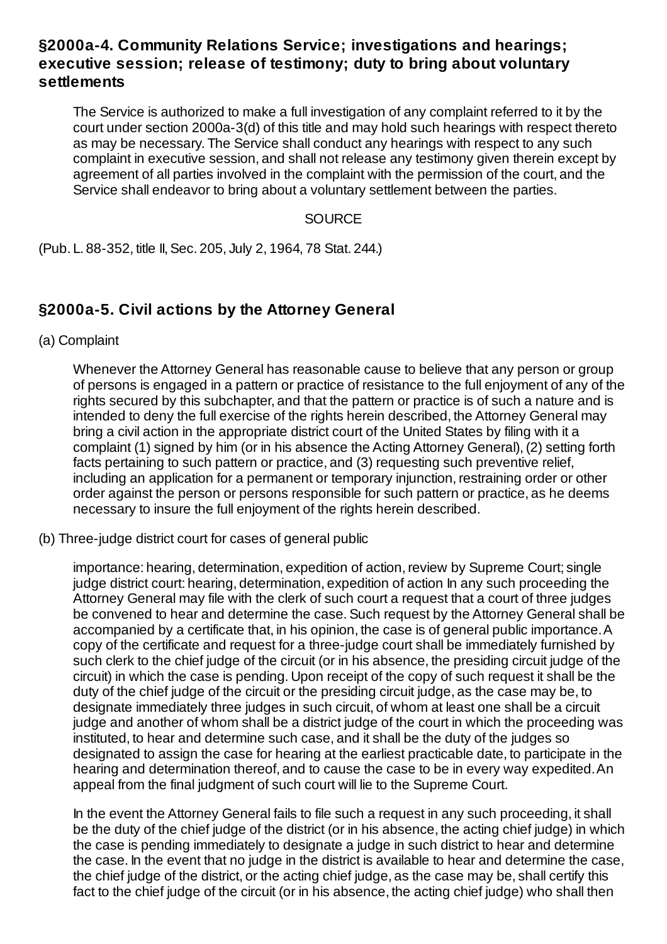# **§2000a-4. Community Relations Service; investigations and hearings; executive session; release of testimony; duty to bring about voluntary settlements**

The Service is authorized to make a full investigation of any complaint referred to it by the court under section 2000a-3(d) of this title and may hold such hearings with respect thereto as may be necessary. The Service shall conduct any hearings with respect to any such complaint in executive session, and shall not release any testimony given therein except by agreement of all parties involved in the complaint with the permission of the court, and the Service shall endeavor to bring about a voluntary settlement between the parties.

## **SOURCE**

(Pub. L. 88-352, title II,Sec. 205, July 2, 1964, 78 Stat. 244.)

# **§2000a-5. Civil actions by the Attorney General**

(a) Complaint

Whenever the Attorney General has reasonable cause to believe that any person or group of persons is engaged in a pattern or practice of resistance to the full enjoyment of any of the rights secured by this subchapter, and that the pattern or practice is of such a nature and is intended to deny the full exercise of the rights herein described, the Attorney General may bring a civil action in the appropriate district court of the United States by filing with it a complaint (1) signed by him (or in his absence the Acting Attorney General),(2) setting forth facts pertaining to such pattern or practice, and (3) requesting such preventive relief, including an application for a permanent or temporary injunction, restraining order or other order against the person or persons responsible for such pattern or practice, as he deems necessary to insure the full enjoyment of the rights herein described.

(b) Three-judge district court for cases of general public

importance: hearing, determination, expedition of action, review by Supreme Court; single judge district court: hearing, determination, expedition of action In any such proceeding the Attorney General may file with the clerk of such court a request that a court of three judges be convened to hear and determine the case. Such request by the Attorney General shall be accompanied by a certificate that, in his opinion, the case is of general public importance.A copy of the certificate and request for a three-judge court shall be immediately furnished by such clerk to the chief judge of the circuit (or in his absence, the presiding circuit judge of the circuit) in which the case is pending. Upon receipt of the copy of such request it shall be the duty of the chief judge of the circuit or the presiding circuit judge, as the case may be, to designate immediately three judges in such circuit, of whom at least one shall be a circuit judge and another of whom shall be a district judge of the court in which the proceeding was instituted, to hear and determine such case, and it shall be the duty of the judges so designated to assign the case for hearing at the earliest practicable date, to participate in the hearing and determination thereof, and to cause the case to be in every way expedited.An appeal from the final judgment of such court will lie to the Supreme Court.

In the event the Attorney General fails to file such a request in any such proceeding, it shall be the duty of the chief judge of the district (or in his absence, the acting chief judge) in which the case is pending immediately to designate a judge in such district to hear and determine the case. In the event that no judge in the district is available to hear and determine the case, the chief judge of the district, or the acting chief judge, as the case may be, shall certify this fact to the chief judge of the circuit (or in his absence, the acting chief judge) who shall then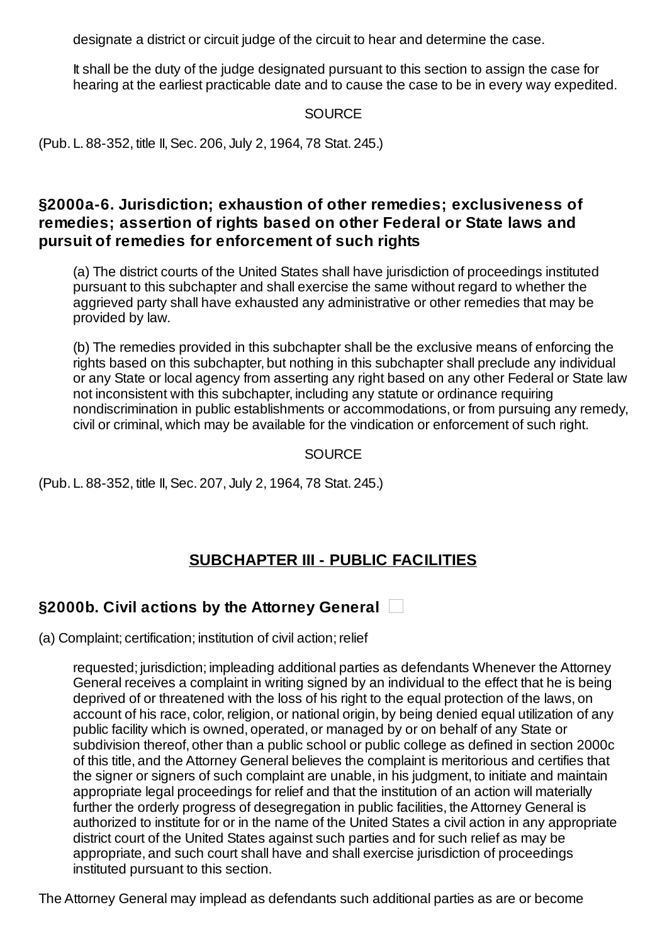designate a district or circuit judge of the circuit to hear and determine the case.

It shall be the duty of the judge designated pursuant to this section to assign the case for hearing at the earliest practicable date and to cause the case to be in every way expedited.

## **SOURCE**

(Pub. L. 88-352, title II,Sec. 206, July 2, 1964, 78 Stat. 245.)

# **§2000a-6. Jurisdiction; exhaustion of other remedies; exclusiveness of remedies; assertion of rights based on other Federal or State laws and pursuit of remedies for enforcement of such rights**

(a) The district courts of the United States shall have jurisdiction of proceedings instituted pursuant to this subchapter and shall exercise the same without regard to whether the aggrieved party shall have exhausted any administrative or other remedies that may be provided by law.

(b) The remedies provided in this subchapter shall be the exclusive means of enforcing the rights based on this subchapter, but nothing in this subchapter shall preclude any individual or any State or local agency from asserting any right based on any other Federal or State law not inconsistent with this subchapter, including any statute or ordinance requiring nondiscrimination in public establishments or accommodations, or from pursuing any remedy, civil or criminal, which may be available for the vindication or enforcement of such right.

## **SOURCE**

(Pub. L. 88-352, title II, Sec. 207, July 2, 1964, 78 Stat. 245.)

# **SUBCHAPTER III - PUBLIC FACILITIES**

# **§2000b. Civil actions by the Attorney General**

(a) Complaint; certification; institution of civil action; relief

requested; jurisdiction; impleading additional parties as defendants Whenever the Attorney General receives a complaint in writing signed by an individual to the effect that he is being deprived of or threatened with the loss of his right to the equal protection of the laws, on account of his race, color, religion, or national origin, by being denied equal utilization of any public facility which is owned, operated, or managed by or on behalf of any State or subdivision thereof, other than a public school or public college as defined in section 2000c of this title, and the Attorney General believes the complaint is meritorious and certifies that the signer or signers of such complaint are unable, in his judgment, to initiate and maintain appropriate legal proceedings for relief and that the institution of an action will materially further the orderly progress of desegregation in public facilities, the Attorney General is authorized to institute for or in the name of the United States a civil action in any appropriate district court of the United States against such parties and for such relief as may be appropriate, and such court shall have and shall exercise jurisdiction of proceedings instituted pursuant to this section.

The Attorney General may implead as defendants such additional parties as are or become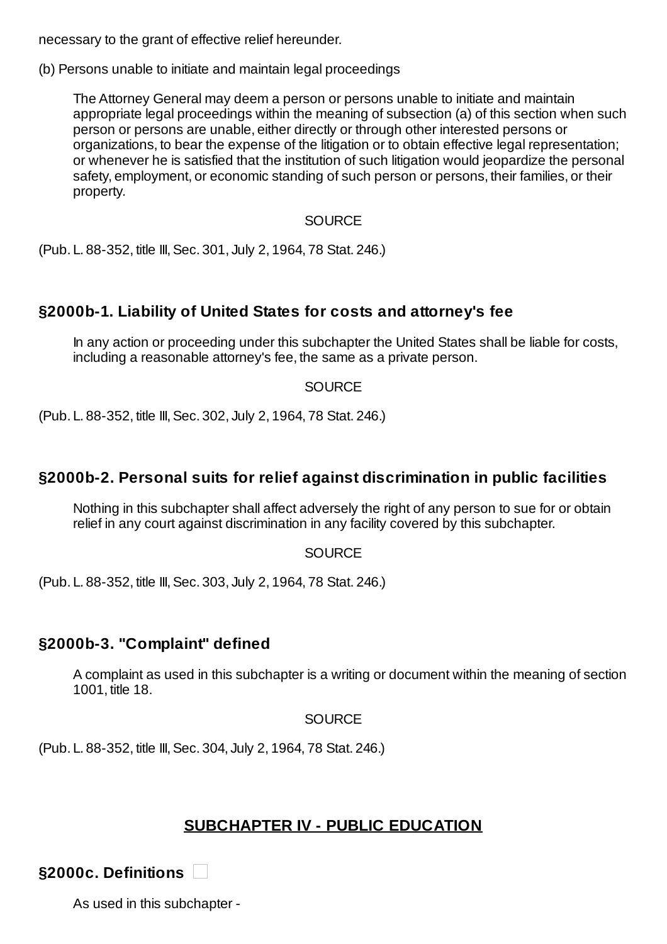necessary to the grant of effective relief hereunder.

(b) Persons unable to initiate and maintain legal proceedings

The Attorney General may deem a person or persons unable to initiate and maintain appropriate legal proceedings within the meaning of subsection (a) of this section when such person or persons are unable, either directly or through other interested persons or organizations, to bear the expense of the litigation or to obtain effective legal representation; or whenever he is satisfied that the institution of such litigation would jeopardize the personal safety, employment, or economic standing of such person or persons, their families, or their property.

## **SOURCE**

(Pub. L. 88-352, title III,Sec. 301, July 2, 1964, 78 Stat. 246.)

# **§2000b-1. Liability of United States for costs and attorney's fee**

In any action or proceeding under this subchapter the United States shall be liable for costs, including a reasonable attorney's fee, the same as a private person.

## **SOURCE**

(Pub. L. 88-352, title III, Sec. 302, July 2, 1964, 78 Stat. 246.)

# **§2000b-2. Personal suits for relief against discrimination in public facilities**

Nothing in this subchapter shall affect adversely the right of any person to sue for or obtain relief in any court against discrimination in any facility covered by this subchapter.

## **SOURCE**

(Pub. L. 88-352, title III, Sec. 303, July 2, 1964, 78 Stat. 246.)

# **§2000b-3. "Complaint" defined**

A complaint as used in this subchapter is a writing or document within the meaning of section 1001, title 18.

#### SOURCE

(Pub. L. 88-352, title III, Sec. 304, July 2, 1964, 78 Stat. 246.)

# **SUBCHAPTER IV - PUBLIC EDUCATION**

# **§2000c. Definitions**

As used in this subchapter -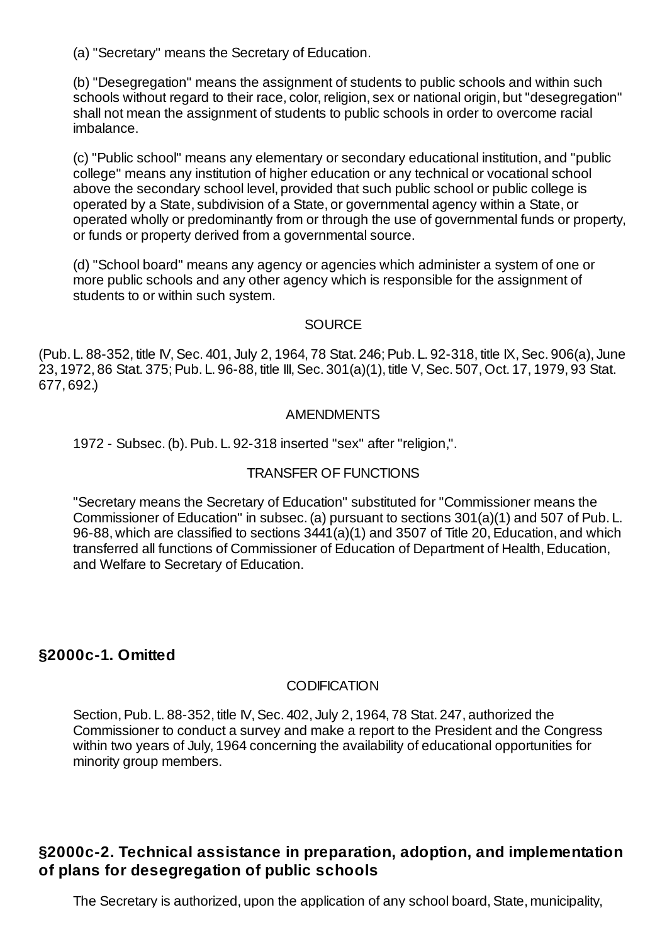(a) "Secretary" means the Secretary of Education.

(b) "Desegregation" means the assignment of students to public schools and within such schools without regard to their race, color, religion, sex or national origin, but "desegregation" shall not mean the assignment of students to public schools in order to overcome racial imbalance.

(c) "Public school" means any elementary or secondary educational institution, and "public college" means any institution of higher education or any technical or vocational school above the secondary school level, provided that such public school or public college is operated by a State, subdivision of a State, or governmental agency within a State, or operated wholly or predominantly from or through the use of governmental funds or property, or funds or property derived from a governmental source.

(d) "School board" means any agency or agencies which administer a system of one or more public schools and any other agency which is responsible for the assignment of students to or within such system.

#### **SOURCE**

(Pub. L. 88-352, title IV, Sec. 401, July 2, 1964, 78 Stat. 246; Pub. L. 92-318, title IX, Sec. 906(a), June 23, 1972, 86 Stat. 375; Pub. L. 96-88, title III, Sec. 301(a)(1), title V, Sec. 507, Oct. 17, 1979, 93 Stat. 677, 692.)

#### AMENDMENTS

1972 - Subsec. (b). Pub. L. 92-318 inserted "sex" after "religion,".

## TRANSFER OF FUNCTIONS

"Secretary means the Secretary of Education" substituted for "Commissioner means the Commissioner of Education" in subsec.(a) pursuant to sections 301(a)(1) and 507 of Pub. L. 96-88, which are classified to sections 3441(a)(1) and 3507 of Title 20, Education, and which transferred all functions of Commissioner of Education of Department of Health, Education, and Welfare to Secretary of Education.

# **§2000c-1. Omitted**

## **CODIFICATION**

Section, Pub. L. 88-352, title IV, Sec. 402, July 2, 1964, 78 Stat. 247, authorized the Commissioner to conduct a survey and make a report to the President and the Congress within two years of July, 1964 concerning the availability of educational opportunities for minority group members.

# **§2000c-2. Technical assistance in preparation, adoption, and implementation of plans for desegregation of public schools**

The Secretary is authorized, upon the application of any school board, State, municipality,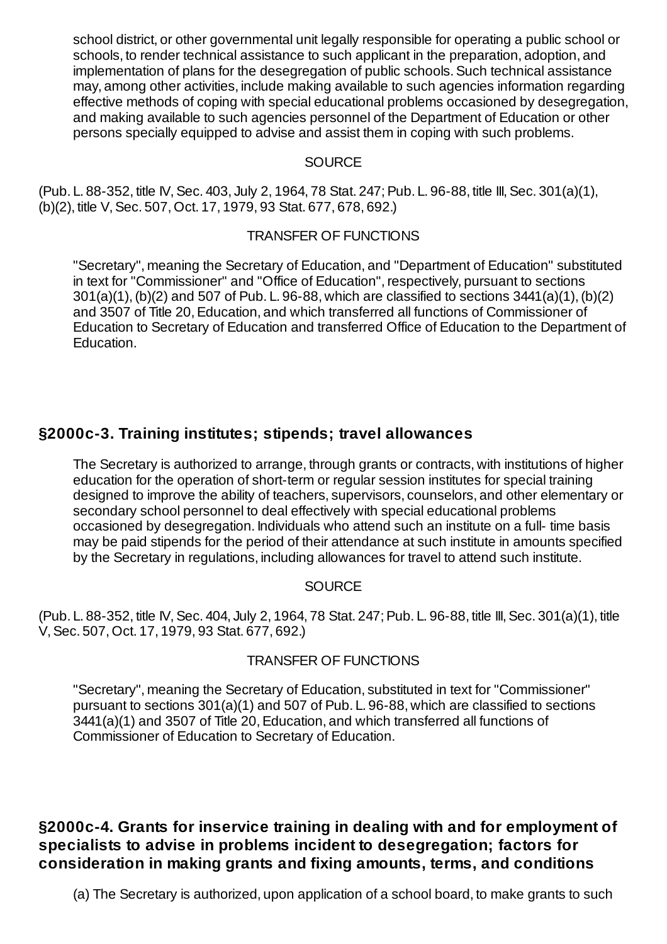school district, or other governmental unit legally responsible for operating a public school or schools, to render technical assistance to such applicant in the preparation, adoption, and implementation of plans for the desegregation of public schools. Such technical assistance may, among other activities, include making available to such agencies information regarding effective methods of coping with special educational problems occasioned by desegregation, and making available to such agencies personnel of the Department of Education or other persons specially equipped to advise and assist them in coping with such problems.

## **SOURCE**

(Pub. L. 88-352, title IV, Sec. 403, July 2, 1964, 78 Stat. 247; Pub. L. 96-88, title III, Sec. 301(a)(1), (b)(2), title V, Sec. 507, Oct. 17, 1979, 93 Stat. 677, 678, 692.)

## TRANSFER OF FUNCTIONS

"Secretary", meaning the Secretary of Education, and "Department of Education" substituted in text for "Commissioner" and "Office of Education", respectively, pursuant to sections 301(a)(1),(b)(2) and 507 of Pub. L. 96-88, which are classified to sections 3441(a)(1),(b)(2) and 3507 of Title 20, Education, and which transferred all functions of Commissioner of Education to Secretary of Education and transferred Office of Education to the Department of Education.

# **§2000c-3. Training institutes; stipends; travel allowances**

The Secretary is authorized to arrange, through grants or contracts, with institutions of higher education for the operation of short-term or regular session institutes for special training designed to improve the ability of teachers, supervisors, counselors, and other elementary or secondary school personnel to deal effectively with special educational problems occasioned by desegregation. Individuals who attend such an institute on a full- time basis may be paid stipends for the period of their attendance at such institute in amounts specified by the Secretary in regulations, including allowances for travel to attend such institute.

# **SOURCE**

(Pub. L. 88-352, title IV, Sec. 404, July 2, 1964, 78 Stat. 247; Pub. L. 96-88, title III, Sec. 301(a)(1), title V,Sec. 507, Oct. 17, 1979, 93 Stat. 677, 692.)

# TRANSFER OF FUNCTIONS

"Secretary", meaning the Secretary of Education, substituted in text for "Commissioner" pursuant to sections 301(a)(1) and 507 of Pub. L. 96-88, which are classified to sections 3441(a)(1) and 3507 of Title 20, Education, and which transferred all functions of Commissioner of Education to Secretary of Education.

**§2000c-4. Grants for inservice training in dealing with and for employment of specialists to advise in problems incident to desegregation; factors for consideration in making grants and fixing amounts, terms, and conditions**

(a) The Secretary is authorized, upon application of a school board, to make grants to such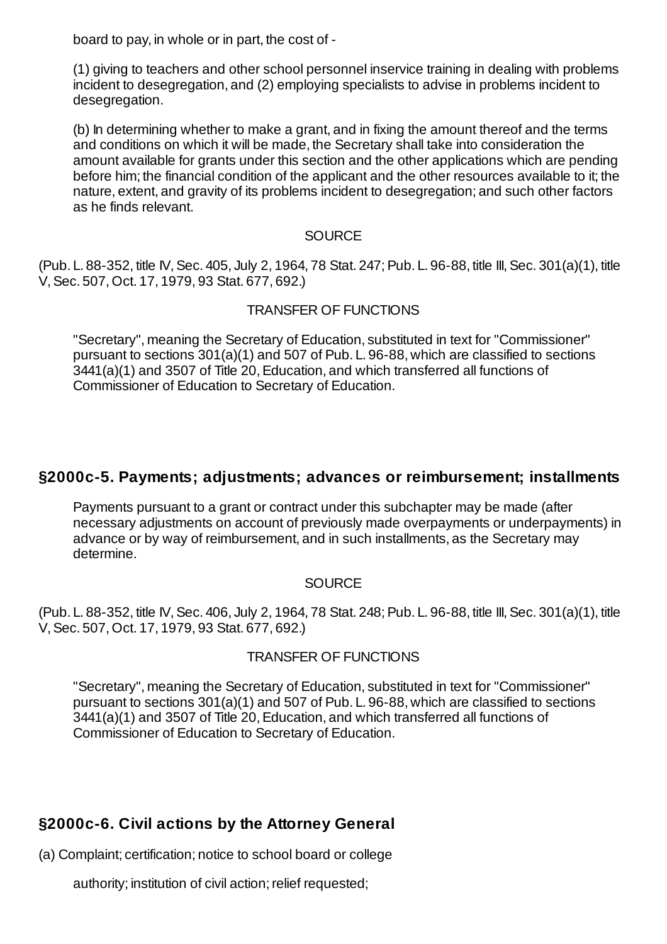board to pay, in whole or in part, the cost of -

(1) giving to teachers and other school personnel inservice training in dealing with problems incident to desegregation, and (2) employing specialists to advise in problems incident to desegregation.

(b) In determining whether to make a grant, and in fixing the amount thereof and the terms and conditions on which it will be made, the Secretary shall take into consideration the amount available for grants under this section and the other applications which are pending before him; the financial condition of the applicant and the other resources available to it; the nature, extent, and gravity of its problems incident to desegregation; and such other factors as he finds relevant.

#### **SOURCE**

(Pub. L. 88-352, title IV, Sec. 405, July 2, 1964, 78 Stat. 247; Pub. L. 96-88, title III, Sec. 301(a)(1), title V,Sec. 507, Oct. 17, 1979, 93 Stat. 677, 692.)

## TRANSFER OF FUNCTIONS

"Secretary", meaning the Secretary of Education, substituted in text for "Commissioner" pursuant to sections 301(a)(1) and 507 of Pub. L. 96-88, which are classified to sections 3441(a)(1) and 3507 of Title 20, Education, and which transferred all functions of Commissioner of Education to Secretary of Education.

# **§2000c-5. Payments; adjustments; advances or reimbursement; installments**

Payments pursuant to a grant or contract under this subchapter may be made (after necessary adjustments on account of previously made overpayments or underpayments) in advance or by way of reimbursement, and in such installments, as the Secretary may determine.

## SOURCE

(Pub. L. 88-352, title IV, Sec. 406, July 2, 1964, 78 Stat. 248; Pub. L. 96-88, title III, Sec. 301(a)(1), title V,Sec. 507, Oct. 17, 1979, 93 Stat. 677, 692.)

## TRANSFER OF FUNCTIONS

"Secretary", meaning the Secretary of Education, substituted in text for "Commissioner" pursuant to sections 301(a)(1) and 507 of Pub. L. 96-88, which are classified to sections  $3441(a)(1)$  and 3507 of Title 20, Education, and which transferred all functions of Commissioner of Education to Secretary of Education.

# **§2000c-6. Civil actions by the Attorney General**

(a) Complaint; certification; notice to school board or college

authority; institution of civil action; relief requested;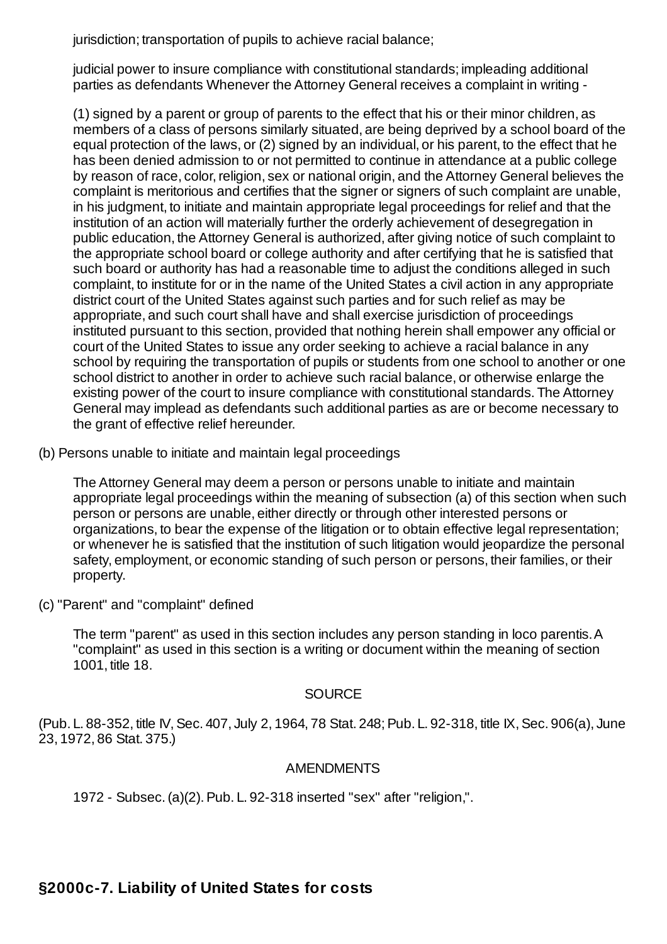jurisdiction; transportation of pupils to achieve racial balance;

judicial power to insure compliance with constitutional standards; impleading additional parties as defendants Whenever the Attorney General receives a complaint in writing -

(1) signed by a parent or group of parents to the effect that his or their minor children, as members of a class of persons similarly situated, are being deprived by a school board of the equal protection of the laws, or (2) signed by an individual, or his parent, to the effect that he has been denied admission to or not permitted to continue in attendance at a public college by reason of race, color, religion, sex or national origin, and the Attorney General believes the complaint is meritorious and certifies that the signer or signers of such complaint are unable, in his judgment, to initiate and maintain appropriate legal proceedings for relief and that the institution of an action will materially further the orderly achievement of desegregation in public education, the Attorney General is authorized, after giving notice of such complaint to the appropriate school board or college authority and after certifying that he is satisfied that such board or authority has had a reasonable time to adjust the conditions alleged in such complaint, to institute for or in the name of the United States a civil action in any appropriate district court of the United States against such parties and for such relief as may be appropriate, and such court shall have and shall exercise jurisdiction of proceedings instituted pursuant to this section, provided that nothing herein shall empower any official or court of the United States to issue any order seeking to achieve a racial balance in any school by requiring the transportation of pupils or students from one school to another or one school district to another in order to achieve such racial balance, or otherwise enlarge the existing power of the court to insure compliance with constitutional standards. The Attorney General may implead as defendants such additional parties as are or become necessary to the grant of effective relief hereunder.

(b) Persons unable to initiate and maintain legal proceedings

The Attorney General may deem a person or persons unable to initiate and maintain appropriate legal proceedings within the meaning of subsection (a) of this section when such person or persons are unable, either directly or through other interested persons or organizations, to bear the expense of the litigation or to obtain effective legal representation; or whenever he is satisfied that the institution of such litigation would jeopardize the personal safety, employment, or economic standing of such person or persons, their families, or their property.

(c) "Parent" and "complaint" defined

The term "parent" as used in this section includes any person standing in loco parentis.A "complaint" as used in this section is a writing or document within the meaning of section 1001, title 18.

# **SOURCE**

(Pub. L. 88-352, title IV, Sec. 407, July 2, 1964, 78 Stat. 248; Pub. L. 92-318, title IX, Sec. 906(a), June 23, 1972, 86 Stat. 375.)

## **AMENDMENTS**

1972 - Subsec.(a)(2).Pub. L. 92-318 inserted "sex" after "religion,".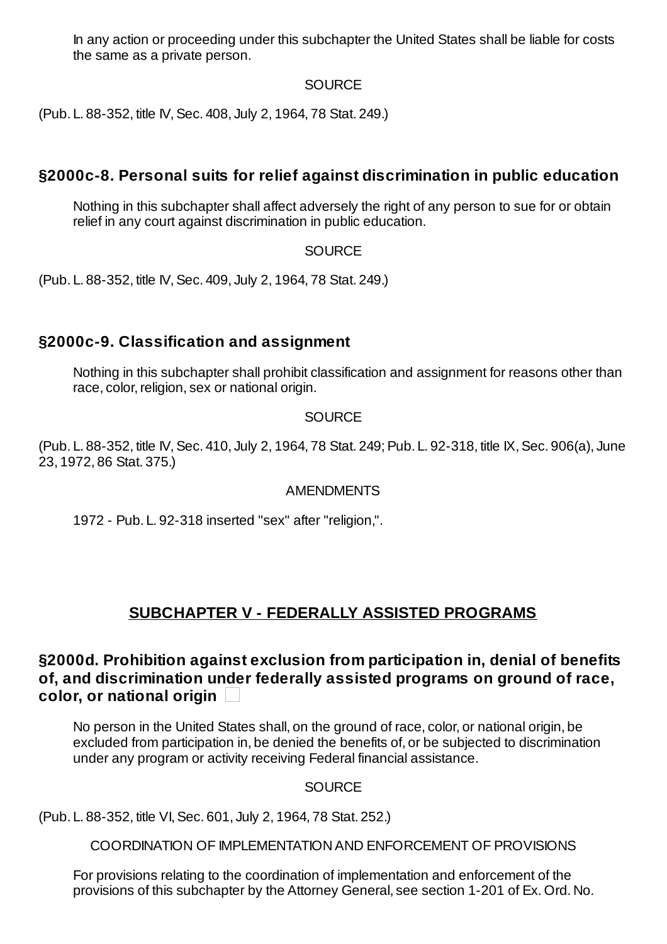In any action or proceeding under this subchapter the United States shall be liable for costs the same as a private person.

## **SOURCE**

(Pub. L. 88-352, title IV, Sec. 408, July 2, 1964, 78 Stat. 249.)

# **§2000c-8. Personal suits for relief against discrimination in public education**

Nothing in this subchapter shall affect adversely the right of any person to sue for or obtain relief in any court against discrimination in public education.

## **SOURCE**

(Pub. L. 88-352, title IV, Sec. 409, July 2, 1964, 78 Stat. 249.)

# **§2000c-9. Classification and assignment**

Nothing in this subchapter shall prohibit classification and assignment for reasons other than race, color, religion, sex or national origin.

## **SOURCE**

(Pub. L. 88-352, title IV, Sec. 410, July 2, 1964, 78 Stat. 249; Pub. L. 92-318, title IX, Sec. 906(a), June 23, 1972, 86 Stat. 375.)

## **AMENDMENTS**

1972 - Pub. L. 92-318 inserted "sex" after "religion,".

# **SUBCHAPTER V - FEDERALLY ASSISTED PROGRAMS**

# **§2000d. Prohibition against exclusion from participation in, denial of benefits of, and discrimination u[nde](#page-0-0)r federally assisted programs on ground of race, color, or national origin**

No person in the United States shall, on the ground of race, color, or national origin, be excluded from participation in, be denied the benefits of, or be subjected to discrimination under any program or activity receiving Federal financial assistance.

## **SOURCE**

(Pub. L. 88-352, title VI, Sec. 601, July 2, 1964, 78 Stat. 252.)

COORDINATION OF IMPLEMENTATION AND ENFORCEMENT OF PROVISIONS

For provisions relating to the coordination of implementation and enforcement of the provisions of this subchapter by the Attorney General, see section 1-201 of Ex. Ord. No.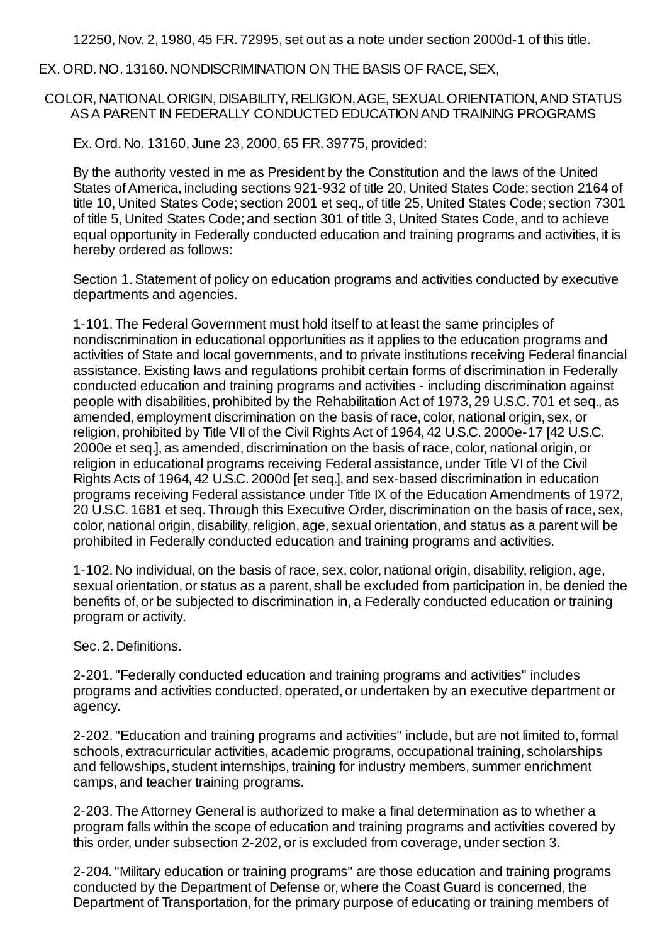12250, Nov. 2, 1980, 45 F.R. 72995, set out as a note under section 2000d-1 of this title.

EX. ORD. NO. 13160. NONDISCRIMINATION ON THE BASIS OF RACE, SEX.

#### COLOR, NATIONAL ORIGIN, DISABILITY, RELIGION, AGE, SEXUAL ORIENTATION, AND STATUS ASA PARENT IN FEDERALLY CONDUCTED EDUCATION AND TRAINING PROGRAMS

Ex. Ord. No. 13160, June 23, 2000, 65 F.R. 39775, provided:

By the authority vested in me as President by the Constitution and the laws of the United States of America, including sections 921-932 of title 20, United States Code; section 2164 of title 10, United States Code; section 2001 et seq., of title 25, United States Code; section 7301 of title 5, United States Code; and section 301 of title 3, United States Code, and to achieve equal opportunity in Federally conducted education and training programs and activities, it is hereby ordered as follows:

Section 1. Statement of policy on education programs and activities conducted by executive departments and agencies.

1-101. The Federal Government must hold itself to at least the same principles of nondiscrimination in educational opportunities as it applies to the education programs and activities of State and local governments, and to private institutions receiving Federal financial assistance.Existing laws and regulations prohibit certain forms of discrimination in Federally conducted education and training programs and activities - including discrimination against people with disabilities, prohibited by the Rehabilitation Act of 1973, 29 U.S.C. 701 et seq., as amended, employment discrimination on the basis of race, color, national origin, sex, or religion, prohibited by Title VII of the Civil Rights Act of 1964, 42 U.S.C. 2000e-17 [42 U.S.C. 2000e et seq.], as amended, discrimination on the basis of race, color, national origin, or religion in educational programs receiving Federal assistance, under Title VI of the Civil Rights Acts of 1964, 42 U.S.C. 2000d [et seq.], and sex-based discrimination in education programs receiving Federal assistance under Title IX of the Education Amendments of 1972, 20 U.S.C. 1681 et seq. Through this Executive Order, discrimination on the basis of race, sex, color, national origin, disability, religion, age, sexual orientation, and status as a parent will be prohibited in Federally conducted education and training programs and activities.

1-102. No individual, on the basis of race, sex, color, national origin, disability,religion, age, sexual orientation, or status as a parent, shall be excluded from participation in, be denied the benefits of, or be subjected to discrimination in, a Federally conducted education or training program or activity.

Sec. 2. Definitions.

2-201."Federally conducted education and training programs and activities" includes programs and activities conducted, operated, or undertaken by an executive department or agency.

2-202."Education and training programs and activities" include, but are not limited to, formal schools, extracurricular activities, academic programs, occupational training, scholarships and fellowships, student internships, training for industry members, summer enrichment camps, and teacher training programs.

2-203. The Attorney General is authorized to make a final determination as to whether a program falls within the scope of education and training programs and activities covered by this order, under subsection 2-202, or is excluded from coverage, under section 3.

2-204."Military education or training programs" are those education and training programs conducted by the Department of Defense or, where the Coast Guard is concerned, the Department of Transportation, for the primary purpose of educating or training members of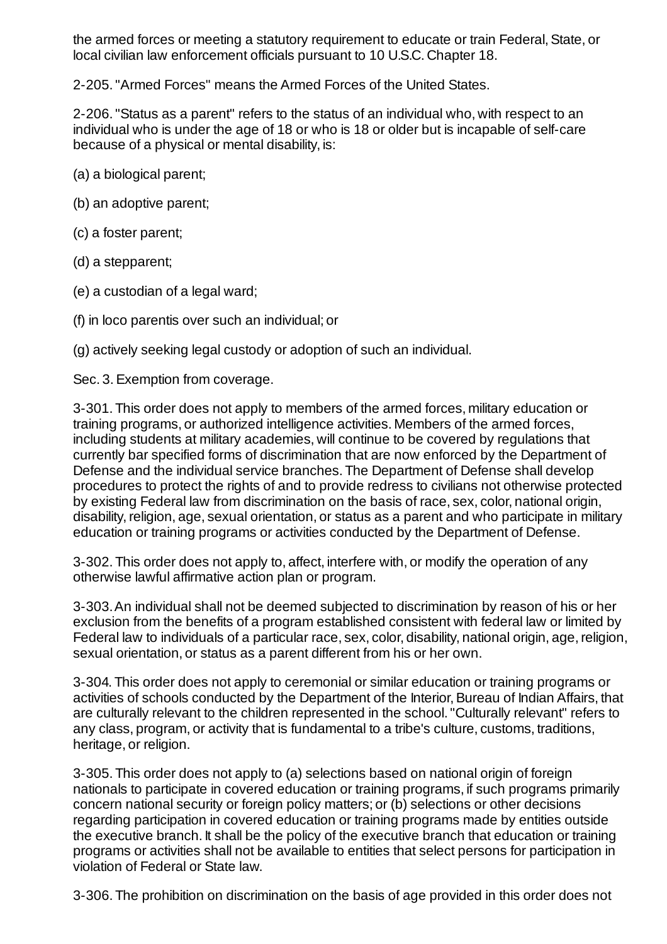the armed forces or meeting a statutory requirement to educate or train Federal, State, or local civilian law enforcement officials pursuant to 10 U.S.C. Chapter 18.

2-205."Armed Forces" means the Armed Forces of the United States.

2-206."Status as a parent" refers to the status of an individual who, with respect to an individual who is under the age of 18 or who is 18 or older but is incapable of self-care because of a physical or mental disability, is:

(a) a biological parent;

(b) an adoptive parent;

(c) a foster parent;

(d) a stepparent;

(e) a custodian of a legal ward;

(f) in loco parentis over such an individual; or

(g) actively seeking legal custody or adoption of such an individual.

Sec. 3. Exemption from coverage.

3-301. This order does not apply to members of the armed forces, military education or training programs, or authorized intelligence activities. Members of the armed forces, including students at military academies, will continue to be covered by regulations that currently bar specified forms of discrimination that are now enforced by the Department of Defense and the individual service branches. The Department of Defense shall develop procedures to protect the rights of and to provide redress to civilians not otherwise protected by existing Federal law from discrimination on the basis of race, sex, color, national origin, disability, religion, age, sexual orientation, or status as a parent and who participate in military education or training programs or activities conducted by the Department of Defense.

3-302. This order does not apply to, affect, interfere with, or modify the operation of any otherwise lawful affirmative action plan or program.

3-303.An individual shall not be deemed subjected to discrimination by reason of his or her exclusion from the benefits of a program established consistent with federal law or limited by Federal law to individuals of a particular race, sex, color, disability, national origin, age,religion, sexual orientation, or status as a parent different from his or her own.

3-304. This order does not apply to ceremonial or similar education or training programs or activities of schools conducted by the Department of the Interior, Bureau of Indian Affairs, that are culturally relevant to the children represented in the school."Culturally relevant" refers to any class, program, or activity that is fundamental to a tribe's culture, customs, traditions, heritage, or religion.

3-305. This order does not apply to (a) selections based on national origin of foreign nationals to participate in covered education or training programs, if such programs primarily concern national security or foreign policy matters; or (b) selections or other decisions regarding participation in covered education or training programs made by entities outside the executive branch. It shall be the policy of the executive branch that education or training programs or activities shall not be available to entities that select persons for participation in violation of Federal or State law.

3-306. The prohibition on discrimination on the basis of age provided in this order does not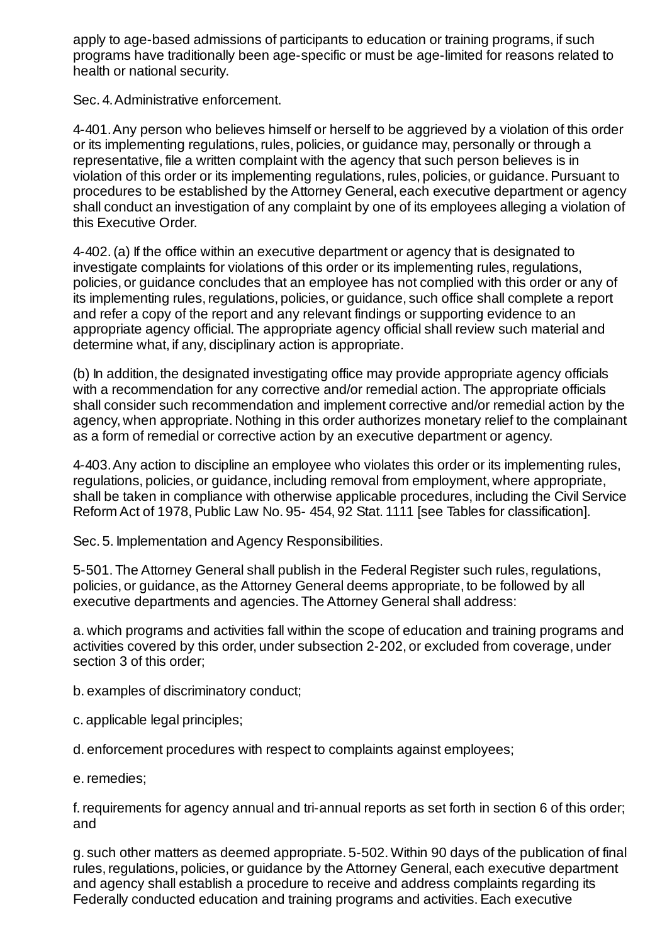apply to age-based admissions of participants to education or training programs, if such programs have traditionally been age-specific or must be age-limited for reasons related to health or national security.

Sec. 4.Administrative enforcement.

4-401.Any person who believes himself or herself to be aggrieved by a violation of this order or its implementing regulations, rules, policies, or guidance may, personally or through a representative, file a written complaint with the agency that such person believes is in violation of this order or its implementing regulations,rules, policies, or guidance.Pursuant to procedures to be established by the Attorney General, each executive department or agency shall conduct an investigation of any complaint by one of its employees alleging a violation of this Executive Order.

4-402.(a) If the office within an executive department or agency that is designated to investigate complaints for violations of this order or its implementing rules, regulations, policies, or guidance concludes that an employee has not complied with this order or any of its implementing rules, regulations, policies, or guidance, such office shall complete a report and refer a copy of the report and any relevant findings or supporting evidence to an appropriate agency official. The appropriate agency official shall review such material and determine what, if any, disciplinary action is appropriate.

(b) In addition, the designated investigating office may provide appropriate agency officials with a recommendation for any corrective and/or remedial action. The appropriate officials shall consider such recommendation and implement corrective and/or remedial action by the agency, when appropriate. Nothing in this order authorizes monetary relief to the complainant as a form of remedial or corrective action by an executive department or agency.

4-403.Any action to discipline an employee who violates this order or its implementing rules, regulations, policies, or guidance, including removal from employment, where appropriate, shall be taken in compliance with otherwise applicable procedures, including the Civil Service Reform Act of 1978, Public Law No. 95- 454, 92 Stat. 1111 [see Tables for classification].

Sec. 5. Implementation and Agency Responsibilities.

5-501. The Attorney General shall publish in the Federal Register such rules,regulations, policies, or guidance, as the Attorney General deems appropriate, to be followed by all executive departments and agencies. The Attorney General shall address:

a. which programs and activities fall within the scope of education and training programs and activities covered by this order, under subsection 2-202, or excluded from coverage, under section 3 of this order;

b. examples of discriminatory conduct;

c. applicable legal principles;

d. enforcement procedures with respect to complaints against employees;

e. remedies;

f.requirements for agency annual and tri-annual reports as set forth in section 6 of this order; and

g. such other matters as deemed appropriate. 5-502. Within 90 days of the publication of final rules, regulations, policies, or guidance by the Attorney General, each executive department and agency shall establish a procedure to receive and address complaints regarding its Federally conducted education and training programs and activities. Each executive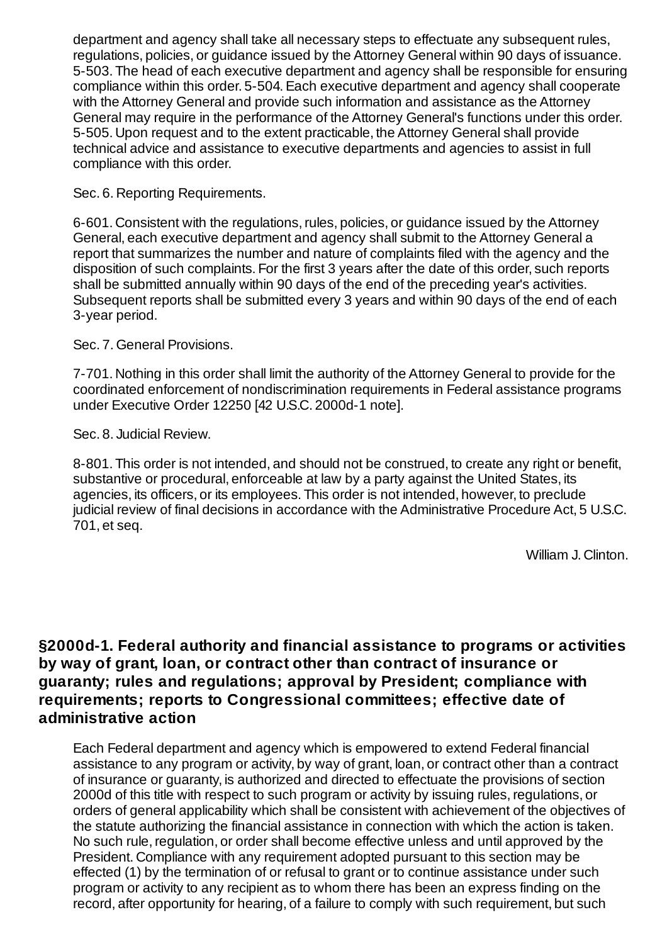department and agency shall take all necessary steps to effectuate any subsequent rules, regulations, policies, or guidance issued by the Attorney General within 90 days of issuance. 5-503. The head of each executive department and agency shall be responsible for ensuring compliance within this order. 5-504. Each executive department and agency shall cooperate with the Attorney General and provide such information and assistance as the Attorney General may require in the performance of the Attorney General's functions under this order. 5-505. Upon request and to the extent practicable, the Attorney General shall provide technical advice and assistance to executive departments and agencies to assist in full compliance with this order.

Sec. 6. Reporting Requirements.

6-601. Consistent with the regulations, rules, policies, or guidance issued by the Attorney General, each executive department and agency shall submit to the Attorney General a report that summarizes the number and nature of complaints filed with the agency and the disposition of such complaints. For the first 3 years after the date of this order, such reports shall be submitted annually within 90 days of the end of the preceding year's activities. Subsequent reports shall be submitted every 3 years and within 90 days of the end of each 3-year period.

Sec. 7. General Provisions.

7-701. Nothing in this order shall limit the authority of the Attorney General to provide for the coordinated enforcement of nondiscrimination requirements in Federal assistance programs under Executive Order 12250 [42 U.S.C. 2000d-1 note].

Sec. 8. Judicial Review.

8-801. This order is not intended, and should not be construed, to create any right or benefit, substantive or procedural, enforceable at law by a party against the United States, its agencies, its officers, or its employees. This order is not intended, however, to preclude judicial review of final decisions in accordance with the Administrative Procedure Act, 5 U.S.C. 701, et seq.

William J. Clinton.

# **§2000d-1. Federal authority and financial assistance to programs or activities by way of grant, loan, or contract other than contract of insurance or guaranty; rules and regulations; approval by President; compliance with requirements; reports to Congressional committees; effective date of administrative action**

Each Federal department and agency which is empowered to extend Federal financial assistance to any program or activity, by way of grant, loan, or contract other than a contract of insurance or guaranty, is authorized and directed to effectuate the provisions of section 2000d of this title with respect to such program or activity by issuing rules, regulations, or orders of general applicability which shall be consistent with achievement of the objectives of the statute authorizing the financial assistance in connection with which the action is taken. No such rule, regulation, or order shall become effective unless and until approved by the President. Compliance with any requirement adopted pursuant to this section may be effected (1) by the termination of or refusal to grant or to continue assistance under such program or activity to any recipient as to whom there has been an express finding on the record, after opportunity for hearing, of a failure to comply with such requirement, but such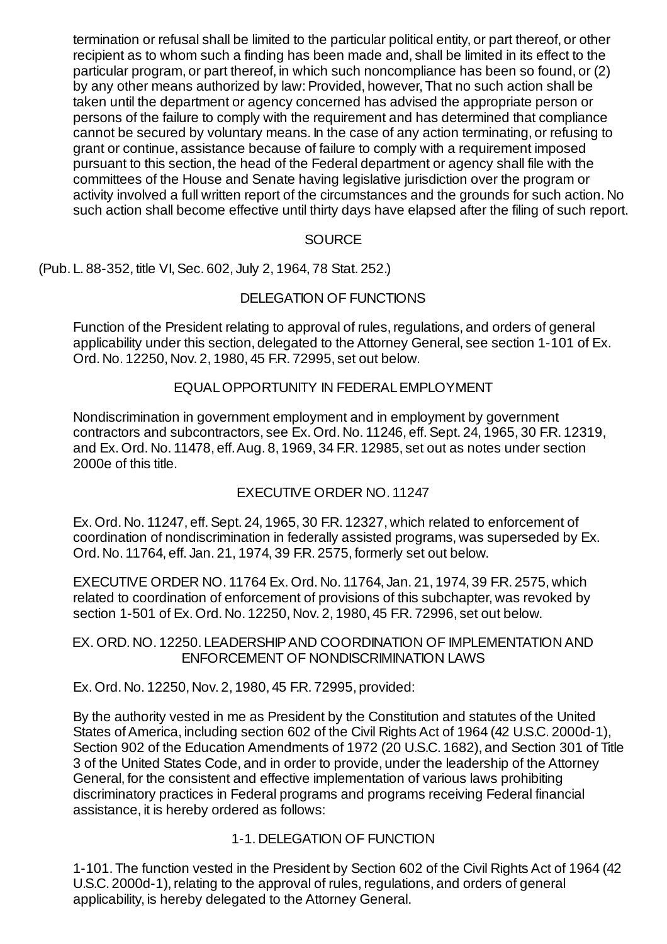termination or refusal shall be limited to the particular political entity, or part thereof, or other recipient as to whom such a finding has been made and, shall be limited in its effect to the particular program, or part thereof, in which such noncompliance has been so found, or (2) by any other means authorized by law: Provided, however, That no such action shall be taken until the department or agency concerned has advised the appropriate person or persons of the failure to comply with the requirement and has determined that compliance cannot be secured by voluntary means. In the case of any action terminating, or refusing to grant or continue, assistance because of failure to comply with a requirement imposed pursuant to this section, the head of the Federal department or agency shall file with the committees of the House and Senate having legislative jurisdiction over the program or activity involved a full written report of the circumstances and the grounds for such action. No such action shall become effective until thirty days have elapsed after the filing of such report.

# **SOURCE**

(Pub. L. 88-352, title VI, Sec. 602, July 2, 1964, 78 Stat. 252.)

# DELEGATION OF FUNCTIONS

Function of the President relating to approval of rules, regulations, and orders of general applicability under this section, delegated to the Attorney General, see section 1-101 of Ex. Ord. No. 12250, Nov. 2, 1980, 45 F.R. 72995, set out below.

## EQUALOPPORTUNITY IN FEDERALEMPLOYMENT

Nondiscrimination in government employment and in employment by government contractors and subcontractors, see Ex. Ord. No. 11246, eff. Sept. 24, 1965, 30 F.R. 12319, and Ex. Ord. No. 11478, eff.Aug. 8, 1969, 34 F.R. 12985, set out as notes under section 2000e of this title.

# EXECUTIVE ORDER NO. 11247

Ex. Ord. No. 11247, eff.Sept. 24, 1965, 30 F.R. 12327, which related to enforcement of coordination of nondiscrimination in federally assisted programs, was superseded by Ex. Ord. No. 11764, eff. Jan. 21, 1974, 39 F.R. 2575, formerly set out below.

EXECUTIVE ORDER NO. 11764 Ex. Ord. No. 11764, Jan. 21, 1974, 39 F.R. 2575, which related to coordination of enforcement of provisions of this subchapter, was revoked by section 1-501 of Ex. Ord. No. 12250, Nov. 2, 1980, 45 F.R. 72996, set out below.

## EX. ORD. NO. 12250. LEADERSHIPAND COORDINATION OF IMPLEMENTATION AND ENFORCEMENT OF NONDISCRIMINATION LAWS

Ex. Ord. No. 12250, Nov. 2, 1980, 45 F.R. 72995, provided:

By the authority vested in me as President by the Constitution and statutes of the United States of America, including section 602 of the Civil Rights Act of 1964 (42 U.S.C. 2000d-1). Section 902 of the Education Amendments of 1972 (20 U.S.C. 1682), and Section 301 of Title 3 of the United States Code, and in order to provide, under the leadership of the Attorney General, for the consistent and effective implementation of various laws prohibiting discriminatory practices in Federal programs and programs receiving Federal financial assistance, it is hereby ordered as follows:

## 1-1. DELEGATION OF FUNCTION

1-101. The function vested in the President by Section 602 of the Civil Rights Act of 1964 (42 U.S.C. 2000d-1), relating to the approval of rules, regulations, and orders of general applicability, is hereby delegated to the Attorney General.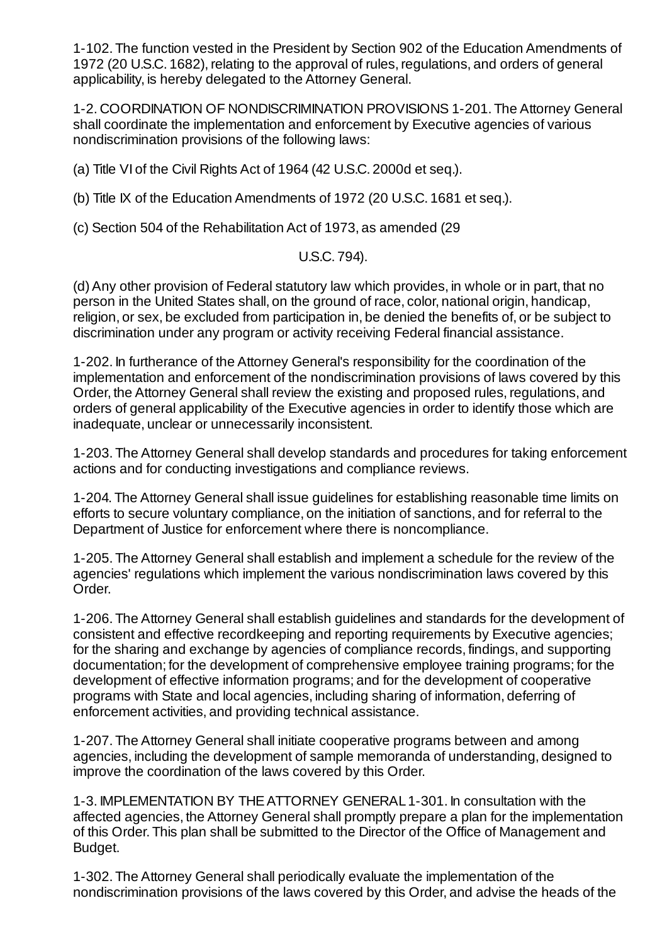1-102. The function vested in the President by Section 902 of the Education Amendments of 1972 (20 U.S.C. 1682), relating to the approval of rules, regulations, and orders of general applicability, is hereby delegated to the Attorney General.

1-2. COORDINATION OF NONDISCRIMINATION PROVISIONS 1-201. The Attorney General shall coordinate the implementation and enforcement by Executive agencies of various nondiscrimination provisions of the following laws:

(a) Title VI of the Civil Rights Act of 1964 (42 U.S.C. 2000d et seq.).

(b) Title IX of the Education Amendments of 1972 (20 U.S.C. 1681 et seq.).

(c) Section 504 of the Rehabilitation Act of 1973, as amended (29

# U.S.C. 794).

(d) Any other provision of Federal statutory law which provides, in whole or in part, that no person in the United States shall, on the ground of race, color, national origin, handicap, religion, or sex, be excluded from participation in, be denied the benefits of, or be subject to discrimination under any program or activity receiving Federal financial assistance.

1-202. In furtherance of the Attorney General's responsibility for the coordination of the implementation and enforcement of the nondiscrimination provisions of laws covered by this Order, the Attorney General shall review the existing and proposed rules,regulations, and orders of general applicability of the Executive agencies in order to identify those which are inadequate, unclear or unnecessarily inconsistent.

1-203. The Attorney General shall develop standards and procedures for taking enforcement actions and for conducting investigations and compliance reviews.

1-204. The Attorney General shall issue guidelines for establishing reasonable time limits on efforts to secure voluntary compliance, on the initiation of sanctions, and for referral to the Department of Justice for enforcement where there is noncompliance.

1-205. The Attorney General shall establish and implement a schedule for the review of the agencies' regulations which implement the various nondiscrimination laws covered by this Order.

1-206. The Attorney General shall establish guidelines and standards for the development of consistent and effective recordkeeping and reporting requirements by Executive agencies; for the sharing and exchange by agencies of compliance records, findings, and supporting documentation; for the development of comprehensive employee training programs; for the development of effective information programs; and for the development of cooperative programs with State and local agencies, including sharing of information, deferring of enforcement activities, and providing technical assistance.

1-207. The Attorney General shall initiate cooperative programs between and among agencies, including the development of sample memoranda of understanding, designed to improve the coordination of the laws covered by this Order.

1-3. IMPLEMENTATION BY THEATTORNEY GENERAL1-301. In consultation with the affected agencies, the Attorney General shall promptly prepare a plan for the implementation of this Order. This plan shall be submitted to the Director of the Office of Management and Budget.

1-302. The Attorney General shall periodically evaluate the implementation of the nondiscrimination provisions of the laws covered by this Order, and advise the heads of the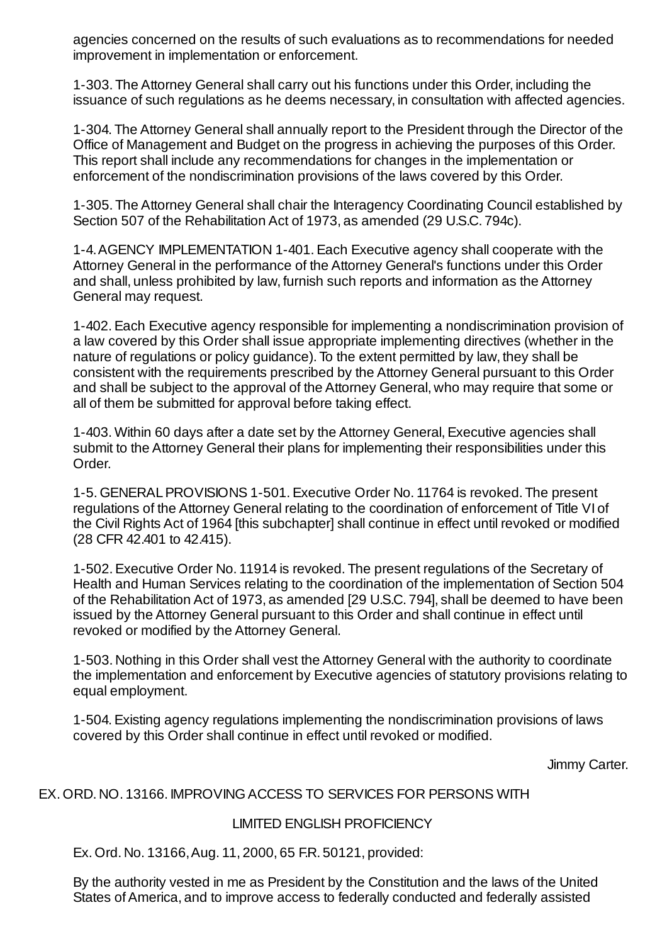agencies concerned on the results of such evaluations as to recommendations for needed improvement in implementation or enforcement.

1-303. The Attorney General shall carry out his functions under this Order, including the issuance of such regulations as he deems necessary, in consultation with affected agencies.

1-304. The Attorney General shall annually report to the President through the Director of the Office of Management and Budget on the progress in achieving the purposes of this Order. This report shall include any recommendations for changes in the implementation or enforcement of the nondiscrimination provisions of the laws covered by this Order.

1-305. The Attorney General shall chair the Interagency Coordinating Council established by Section 507 of the Rehabilitation Act of 1973, as amended (29 U.S.C. 794c).

1-4.AGENCY IMPLEMENTATION 1-401.Each Executive agency shall cooperate with the Attorney General in the performance of the Attorney General's functions under this Order and shall, unless prohibited by law, furnish such reports and information as the Attorney General may request.

1-402.Each Executive agency responsible for implementing a nondiscrimination provision of a law covered by this Order shall issue appropriate implementing directives (whether in the nature of regulations or policy guidance). To the extent permitted by law, they shall be consistent with the requirements prescribed by the Attorney General pursuant to this Order and shall be subject to the approval of the Attorney General, who may require that some or all of them be submitted for approval before taking effect.

1-403. Within 60 days after a date set by the Attorney General, Executive agencies shall submit to the Attorney General their plans for implementing their responsibilities under this Order.

1-5. GENERALPROVISIONS 1-501.Executive Order No. 11764 is revoked. The present regulations of the Attorney General relating to the coordination of enforcement of Title VI of the Civil Rights Act of 1964 [this subchapter] shall continue in effect until revoked or modified (28 CFR 42.401 to 42.415).

1-502.Executive Order No. 11914 is revoked. The present regulations of the Secretary of Health and Human Services relating to the coordination of the implementation of Section 504 of the Rehabilitation Act of 1973, as amended [29 U.S.C. 794], shall be deemed to have been issued by the Attorney General pursuant to this Order and shall continue in effect until revoked or modified by the Attorney General.

1-503. Nothing in this Order shall vest the Attorney General with the authority to coordinate the implementation and enforcement by Executive agencies of statutory provisions relating to equal employment.

1-504.Existing agency regulations implementing the nondiscrimination provisions of laws covered by this Order shall continue in effect until revoked or modified.

Jimmy Carter.

# EX. ORD. NO. 13166. IMPROVING ACCESS TO SERVICES FOR PERSONS WITH

## LIMITED ENGLISH PROFICIENCY

Ex. Ord. No. 13166,Aug. 11, 2000, 65 F.R. 50121, provided:

By the authority vested in me as President by the Constitution and the laws of the United States of America, and to improve access to federally conducted and federally assisted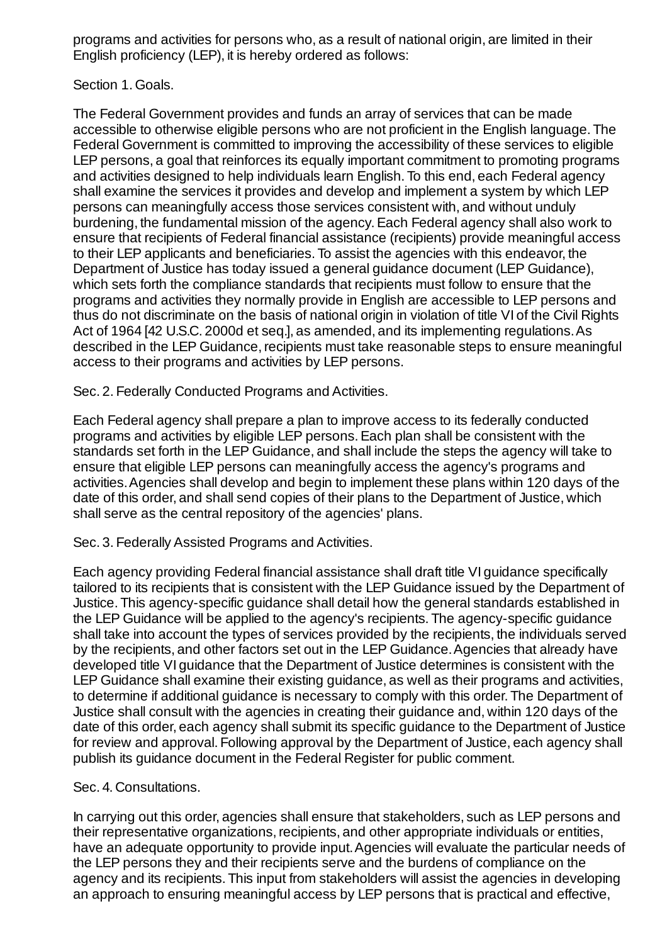programs and activities for persons who, as a result of national origin, are limited in their English proficiency (LEP), it is hereby ordered as follows:

## Section 1. Goals.

The Federal Government provides and funds an array of services that can be made accessible to otherwise eligible persons who are not proficient in the English language. The Federal Government is committed to improving the accessibility of these services to eligible LEP persons, a goal that reinforces its equally important commitment to promoting programs and activities designed to help individuals learn English. To this end, each Federal agency shall examine the services it provides and develop and implement a system by which LEP persons can meaningfully access those services consistent with, and without unduly burdening, the fundamental mission of the agency.Each Federal agency shall also work to ensure that recipients of Federal financial assistance (recipients) provide meaningful access to their LEP applicants and beneficiaries. To assist the agencies with this endeavor, the Department of Justice has today issued a general guidance document (LEP Guidance), which sets forth the compliance standards that recipients must follow to ensure that the programs and activities they normally provide in English are accessible to LEP persons and thus do not discriminate on the basis of national origin in violation of title VI of the Civil Rights Act of 1964 [42 U.S.C. 2000d et seq.], as amended, and its implementing regulations.As described in the LEP Guidance, recipients must take reasonable steps to ensure meaningful access to their programs and activities by LEP persons.

Sec. 2. Federally Conducted Programs and Activities.

Each Federal agency shall prepare a plan to improve access to its federally conducted programs and activities by eligible LEP persons.Each plan shall be consistent with the standards set forth in the LEP Guidance, and shall include the steps the agency will take to ensure that eligible LEP persons can meaningfully access the agency's programs and activities.Agencies shall develop and begin to implement these plans within 120 days of the date of this order, and shall send copies of their plans to the Department of Justice, which shall serve as the central repository of the agencies' plans.

Sec. 3. Federally Assisted Programs and Activities.

Each agency providing Federal financial assistance shall draft title VI guidance specifically tailored to its recipients that is consistent with the LEP Guidance issued by the Department of Justice. This agency-specific guidance shall detail how the general standards established in the LEP Guidance will be applied to the agency's recipients. The agency-specific guidance shall take into account the types of services provided by the recipients, the individuals served by the recipients, and other factors set out in the LEP Guidance.Agencies that already have developed title VI guidance that the Department of Justice determines is consistent with the LEP Guidance shall examine their existing guidance, as well as their programs and activities, to determine if additional guidance is necessary to comply with this order. The Department of Justice shall consult with the agencies in creating their guidance and, within 120 days of the date of this order, each agency shall submit its specific guidance to the Department of Justice for review and approval. Following approval by the Department of Justice, each agency shall publish its guidance document in the Federal Register for public comment.

# Sec. 4. Consultations.

In carrying out this order, agencies shall ensure that stakeholders, such as LEP persons and their representative organizations, recipients, and other appropriate individuals or entities, have an adequate opportunity to provide input.Agencies will evaluate the particular needs of the LEP persons they and their recipients serve and the burdens of compliance on the agency and its recipients. This input from stakeholders will assist the agencies in developing an approach to ensuring meaningful access by LEP persons that is practical and effective,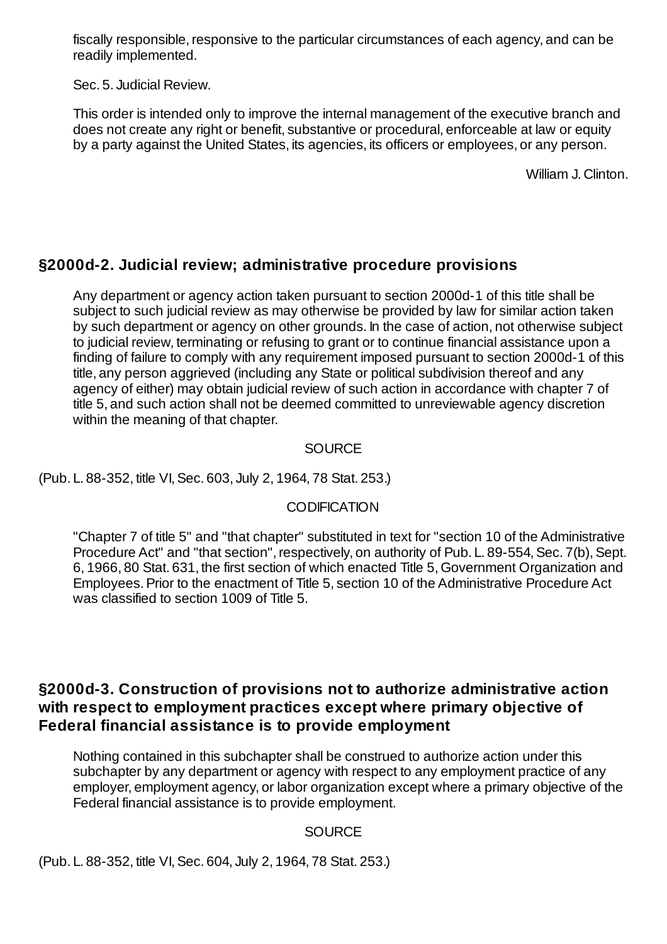fiscally responsible, responsive to the particular circumstances of each agency, and can be readily implemented.

Sec. 5. Judicial Review.

This order is intended only to improve the internal management of the executive branch and does not create any right or benefit, substantive or procedural, enforceable at law or equity by a party against the United States, its agencies, its officers or employees, or any person.

William J. Clinton.

# **§2000d-2. Judicial review; administrative procedure provisions**

Any department or agency action taken pursuant to section 2000d-1 of this title shall be subject to such judicial review as may otherwise be provided by law for similar action taken by such department or agency on other grounds. In the case of action, not otherwise subject to judicial review, terminating or refusing to grant or to continue financial assistance upon a finding of failure to comply with any requirement imposed pursuant to section 2000d-1 of this title, any person aggrieved (including any State or political subdivision thereof and any agency of either) may obtain judicial review of such action in accordance with chapter 7 of title 5, and such action shall not be deemed committed to unreviewable agency discretion within the meaning of that chapter.

# **SOURCE**

(Pub. L. 88-352, title VI, Sec. 603, July 2, 1964, 78 Stat. 253.)

# **CODIFICATION**

"Chapter 7 of title 5" and "that chapter" substituted in text for "section 10 of the Administrative Procedure Act" and "that section", respectively, on authority of Pub. L. 89-554, Sec. 7(b), Sept. 6, 1966, 80 Stat. 631, the first section of which enacted Title 5, Government Organization and Employees. Prior to the enactment of Title 5, section 10 of the Administrative Procedure Act was classified to section 1009 of Title 5.

# **§2000d-3. Construction of provisions not to authorize administrative action with respect to employment practices except where primary objective of Federal financial assistance is to provide employment**

Nothing contained in this subchapter shall be construed to authorize action under this subchapter by any department or agency with respect to any employment practice of any employer, employment agency, or labor organization except where a primary objective of the Federal financial assistance is to provide employment.

# SOURCE

(Pub. L. 88-352, title VI, Sec. 604, July 2, 1964, 78 Stat. 253.)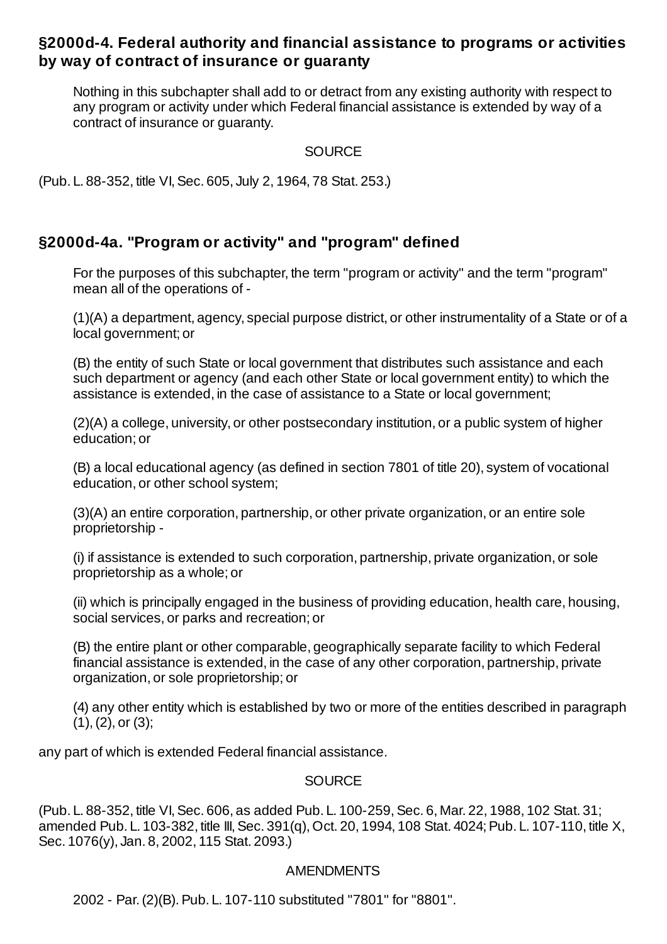# **§2000d-4. Federal authority and financial assistance to programs or activities by way of contract of insurance or guaranty**

Nothing in this subchapter shall add to or detract from any existing authority with respect to any program or activity under which Federal financial assistance is extended by way of a contract of insurance or guaranty.

#### SOURCE

(Pub. L. 88-352, title VI, Sec. 605, July 2, 1964, 78 Stat. 253.)

# **§2000d-4a. "Program or activity" and "program" defined**

For the purposes of this subchapter, the term "program or activity" and the term "program" mean all of the operations of -

(1)(A) a department, agency, special purpose district, or other instrumentality of a State or of a local government; or

(B) the entity of such State or local government that distributes such assistance and each such department or agency (and each other State or local government entity) to which the assistance is extended, in the case of assistance to a State or local government;

(2)(A) a college, university, or other postsecondary institution, or a public system of higher education; or

(B) a local educational agency (as defined in section 7801 of title 20), system of vocational education, or other school system;

(3)(A) an entire corporation, partnership, or other private organization, or an entire sole proprietorship -

(i) if assistance is extended to such corporation, partnership, private organization, or sole proprietorship as a whole; or

(ii) which is principally engaged in the business of providing education, health care, housing, social services, or parks and recreation; or

(B) the entire plant or other comparable, geographically separate facility to which Federal financial assistance is extended, in the case of any other corporation, partnership, private organization, or sole proprietorship; or

(4) any other entity which is established by two or more of the entities described in paragraph (1),(2), or (3);

any part of which is extended Federal financial assistance.

## **SOURCE**

(Pub. L. 88-352, title VI, Sec. 606, as added Pub. L. 100-259, Sec. 6, Mar. 22, 1988, 102 Stat. 31; amended Pub. L. 103-382, title III, Sec. 391(q), Oct. 20, 1994, 108 Stat. 4024; Pub. L. 107-110, title X, Sec. 1076(y), Jan. 8, 2002, 115 Stat. 2093.)

## **AMENDMENTS**

2002 - Par.(2)(B).Pub. L. 107-110 substituted "7801" for "8801".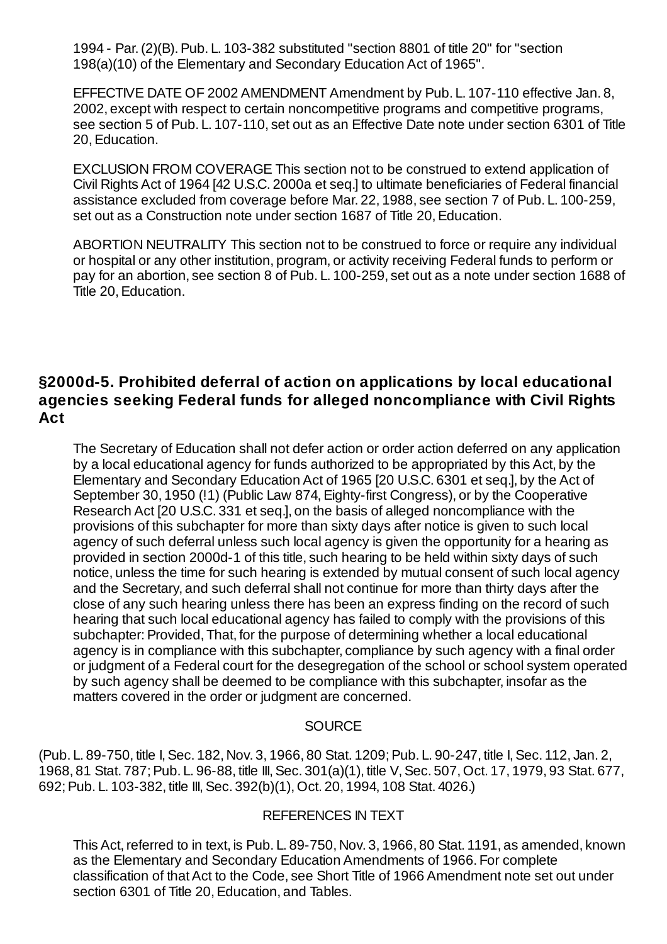1994 - Par.(2)(B).Pub. L. 103-382 substituted "section 8801 of title 20" for "section 198(a)(10) of the Elementary and Secondary Education Act of 1965".

EFFECTIVE DATE OF 2002 AMENDMENT Amendment by Pub. L. 107-110 effective Jan. 8, 2002, except with respect to certain noncompetitive programs and competitive programs, see section 5 of Pub. L. 107-110, set out as an Effective Date note under section 6301 of Title 20,Education.

EXCLUSION FROM COVERAGE This section not to be construed to extend application of Civil Rights Act of 1964 [42 U.S.C. 2000a et seq.] to ultimate beneficiaries of Federal financial assistance excluded from coverage before Mar. 22, 1988, see section 7 of Pub. L. 100-259, set out as a Construction note under section 1687 of Title 20, Education.

ABORTION NEUTRALITY This section not to be construed to force or require any individual or hospital or any other institution, program, or activity receiving Federal funds to perform or pay for an abortion, see section 8 of Pub. L. 100-259, set out as a note under section 1688 of Title 20, Education.

# **§2000d-5. Prohibited deferral of action on applications by local educational agencies seeking Federal funds for alleged noncompliance with Civil Rights Act**

The Secretary of Education shall not defer action or order action deferred on any application by a local educational agency for funds authorized to be appropriated by this Act, by the Elementary and Secondary Education Act of 1965 [20 U.S.C. 6301 et seq.], by the Act of September 30, 1950 (!1) (Public Law 874, Eighty-first Congress), or by the Cooperative Research Act [20 U.S.C. 331 et seq.], on the basis of alleged noncompliance with the provisions of this subchapter for more than sixty days after notice is given to such local agency of such deferral unless such local agency is given the opportunity for a hearing as provided in section 2000d-1 of this title, such hearing to be held within sixty days of such notice, unless the time for such hearing is extended by mutual consent of such local agency and the Secretary, and such deferral shall not continue for more than thirty days after the close of any such hearing unless there has been an express finding on the record of such hearing that such local educational agency has failed to comply with the provisions of this subchapter: Provided, That, for the purpose of determining whether a local educational agency is in compliance with this subchapter, compliance by such agency with a final order or judgment of a Federal court for the desegregation of the school or school system operated by such agency shall be deemed to be compliance with this subchapter, insofar as the matters covered in the order or judgment are concerned.

## **SOURCE**

(Pub. L. 89-750, title I, Sec. 182, Nov. 3, 1966, 80 Stat. 1209; Pub. L. 90-247, title I, Sec. 112, Jan. 2, 1968, 81 Stat. 787; Pub. L. 96-88, title III, Sec. 301(a)(1), title V, Sec. 507, Oct. 17, 1979, 93 Stat. 677, 692;Pub. L. 103-382, title III,Sec. 392(b)(1), Oct. 20, 1994, 108 Stat. 4026.)

## REFERENCES IN TEXT

This Act, referred to in text, is Pub. L. 89-750, Nov. 3, 1966, 80 Stat. 1191, as amended, known as the Elementary and Secondary Education Amendments of 1966. For complete classification of thatAct to the Code, see Short Title of 1966 Amendment note set out under section 6301 of Title 20, Education, and Tables.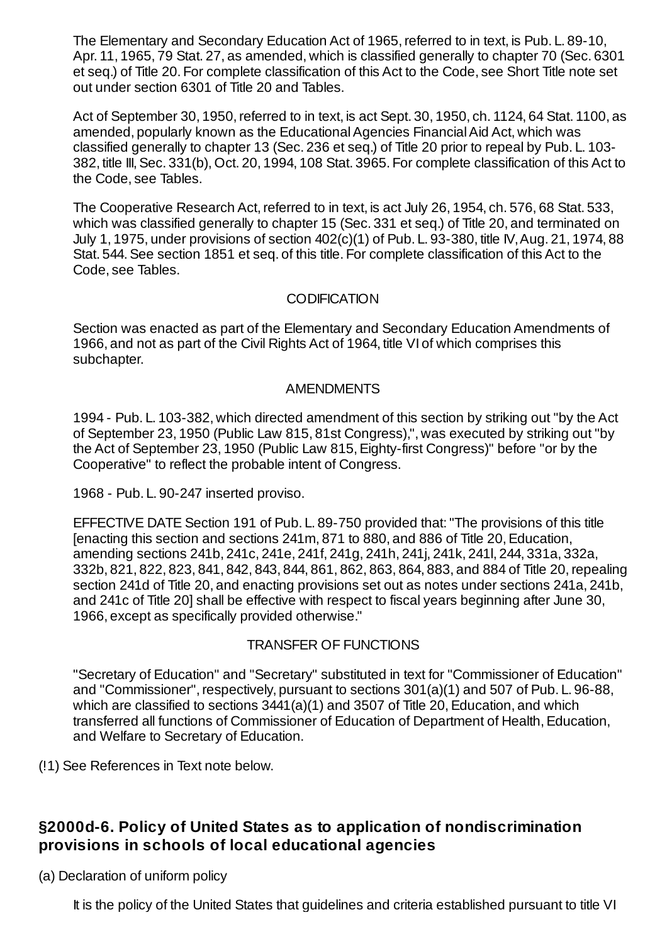The Elementary and Secondary Education Act of 1965, referred to in text, is Pub. L. 89-10, Apr. 11, 1965, 79 Stat. 27, as amended, which is classified generally to chapter 70 (Sec. 6301 et seq.) of Title 20. For complete classification of this Act to the Code, see Short Title note set out under section 6301 of Title 20 and Tables.

Act of September 30, 1950, referred to in text, is act Sept. 30, 1950, ch. 1124, 64 Stat. 1100, as amended, popularly known as the EducationalAgencies FinancialAid Act, which was classified generally to chapter 13 (Sec. 236 et seq.) of Title 20 prior to repeal by Pub. L. 103- 382, title III, Sec. 331(b), Oct. 20, 1994, 108 Stat. 3965. For complete classification of this Act to the Code, see Tables.

The Cooperative Research Act, referred to in text, is act July 26, 1954, ch. 576, 68 Stat. 533, which was classified generally to chapter 15 (Sec. 331 et seq.) of Title 20, and terminated on July 1, 1975, under provisions of section 402(c)(1) of Pub. L. 93-380, title IV,Aug. 21, 1974, 88 Stat. 544.See section 1851 et seq. of this title. For complete classification of this Act to the Code, see Tables.

## **CODIFICATION**

Section was enacted as part of the Elementary and Secondary Education Amendments of 1966, and not as part of the Civil Rights Act of 1964, title VI of which comprises this subchapter.

## AMENDMENTS

1994 - Pub. L. 103-382, which directed amendment of this section by striking out "by the Act of September 23, 1950 (Public Law 815, 81st Congress),", was executed by striking out "by the Act of September 23, 1950 (Public Law 815,Eighty-first Congress)" before "or by the Cooperative" to reflect the probable intent of Congress.

1968 - Pub. L. 90-247 inserted proviso.

EFFECTIVE DATE Section 191 of Pub. L. 89-750 provided that:"The provisions of this title [enacting this section and sections 241m, 871 to 880, and 886 of Title 20, Education, amending sections 241b, 241c, 241e, 241f, 241g, 241h, 241j, 241k, 241l, 244, 331a, 332a, 332b, 821, 822, 823, 841, 842, 843, 844, 861, 862, 863, 864, 883, and 884 of Title 20,repealing section 241d of Title 20, and enacting provisions set out as notes under sections 241a, 241b, and 241c of Title 20] shall be effective with respect to fiscal years beginning after June 30, 1966, except as specifically provided otherwise."

# TRANSFER OF FUNCTIONS

"Secretary of Education" and "Secretary" substituted in text for "Commissioner of Education" and "Commissioner", respectively, pursuant to sections  $301(a)(1)$  and 507 of Pub. L. 96-88, which are classified to sections 3441(a)(1) and 3507 of Title 20, Education, and which transferred all functions of Commissioner of Education of Department of Health, Education, and Welfare to Secretary of Education.

(!1) See References in Text note below.

# **§2000d-6. Policy of United States as to application of nondiscrimination provisions in schools of local educational agencies**

(a) Declaration of uniform policy

It is the policy of the United States that guidelines and criteria established pursuant to title VI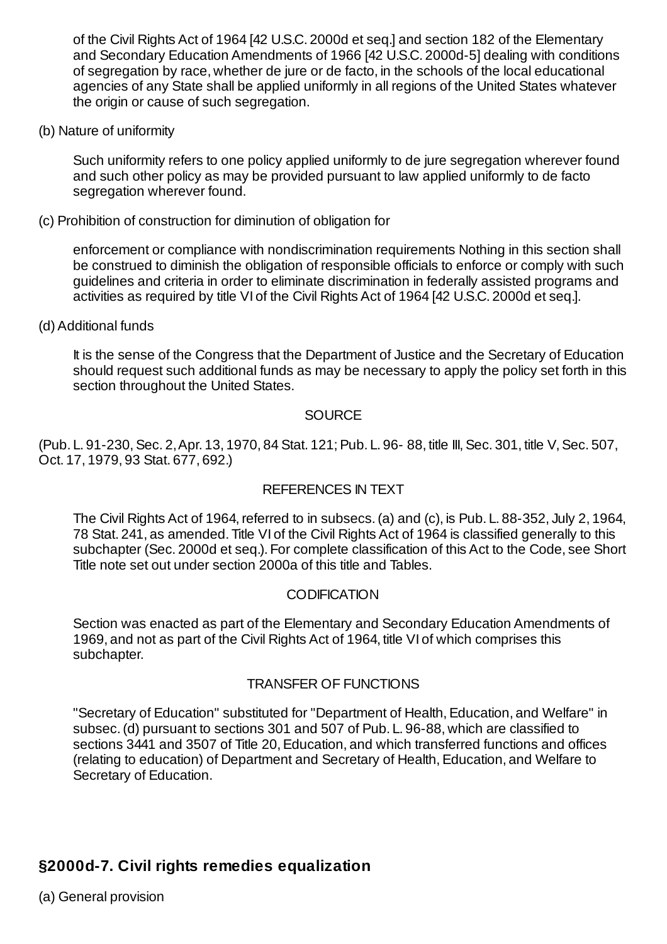of the Civil Rights Act of 1964 [42 U.S.C. 2000d et seq.] and section 182 of the Elementary and Secondary Education Amendments of 1966 [42 U.S.C. 2000d-5] dealing with conditions of segregation by race, whether de jure or de facto, in the schools of the local educational agencies of any State shall be applied uniformly in all regions of the United States whatever the origin or cause of such segregation.

(b) Nature of uniformity

Such uniformity refers to one policy applied uniformly to de jure segregation wherever found and such other policy as may be provided pursuant to law applied uniformly to de facto segregation wherever found.

(c) Prohibition of construction for diminution of obligation for

enforcement or compliance with nondiscrimination requirements Nothing in this section shall be construed to diminish the obligation of responsible officials to enforce or comply with such guidelines and criteria in order to eliminate discrimination in federally assisted programs and activities as required by title VI of the Civil Rights Act of 1964 [42 U.S.C. 2000d et seq.].

## (d) Additional funds

It is the sense of the Congress that the Department of Justice and the Secretary of Education should request such additional funds as may be necessary to apply the policy set forth in this section throughout the United States.

## **SOURCE**

(Pub. L. 91-230, Sec. 2, Apr. 13, 1970, 84 Stat. 121; Pub. L. 96- 88, title III, Sec. 301, title V, Sec. 507, Oct. 17, 1979, 93 Stat. 677, 692.)

# REFERENCES IN TEXT

The Civil Rights Act of 1964, referred to in subsecs. (a) and (c), is Pub. L. 88-352, July 2, 1964, 78 Stat. 241, as amended. Title VI of the Civil Rights Act of 1964 is classified generally to this subchapter (Sec. 2000d et seq.). For complete classification of this Act to the Code, see Short Title note set out under section 2000a of this title and Tables.

## **CODIFICATION**

Section was enacted as part of the Elementary and Secondary Education Amendments of 1969, and not as part of the Civil Rights Act of 1964, title VI of which comprises this subchapter.

## TRANSFER OF FUNCTIONS

"Secretary of Education" substituted for "Department of Health, Education, and Welfare" in subsec.(d) pursuant to sections 301 and 507 of Pub. L. 96-88, which are classified to sections 3441 and 3507 of Title 20, Education, and which transferred functions and offices (relating to education) of Department and Secretary of Health, Education, and Welfare to Secretary of Education.

# **§2000d-7. Civil rights remedies equalization**

(a) General provision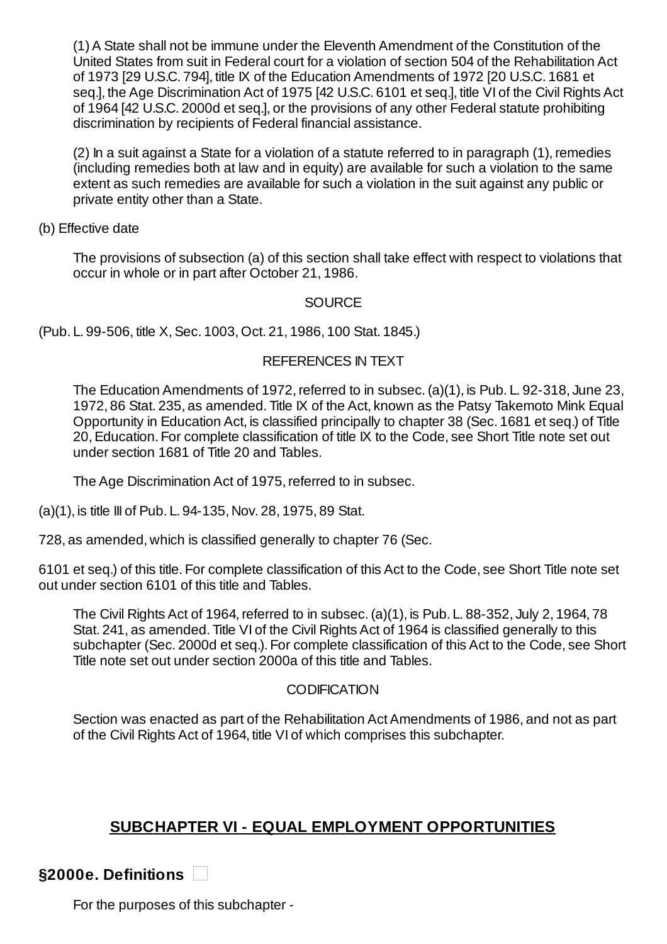(1) A State shall not be immune under the Eleventh Amendment of the Constitution of the United States from suit in Federal court for a violation of section 504 of the Rehabilitation Act of 1973 [29 U.S.C. 794], title IX of the Education Amendments of 1972 [20 U.S.C. 1681 et seq.], the Age Discrimination Act of 1975 [42 U.S.C. 6101 et seq.], title VI of the Civil Rights Act of 1964 [42 U.S.C. 2000d et seq.], or the provisions of any other Federal statute prohibiting discrimination by recipients of Federal financial assistance.

 $(2)$  In a suit against a State for a violation of a statute referred to in paragraph  $(1)$ , remedies (including remedies both at law and in equity) are available for such a violation to the same extent as such remedies are available for such a violation in the suit against any public or private entity other than a State.

(b) Effective date

The provisions of subsection (a) of this section shall take effect with respect to violations that occur in whole or in part after October 21, 1986.

## **SOURCE**

(Pub. L. 99-506, title X, Sec. 1003, Oct. 21, 1986, 100 Stat. 1845.)

## REFERENCES IN TEXT

The Education Amendments of 1972, referred to in subsec. (a)(1), is Pub. L. 92-318, June 23, 1972, 86 Stat. 235, as amended. Title IX of the Act, known as the Patsy Takemoto Mink Equal Opportunity in Education Act, is classified principally to chapter 38 (Sec. 1681 et seq.) of Title 20,Education. For complete classification of title IX to the Code, see Short Title note set out under section 1681 of Title 20 and Tables.

The Age Discrimination Act of 1975, referred to in subsec.

(a)(1), is title III of Pub. L. 94-135, Nov. 28, 1975, 89 Stat.

728, as amended, which is classified generally to chapter 76 (Sec.

6101 et seq.) of this title. For complete classification of this Act to the Code, see Short Title note set out under section 6101 of this title and Tables.

The Civil Rights Act of 1964, referred to in subsec. (a)(1), is Pub. L. 88-352, July 2, 1964, 78 Stat. 241, as amended. Title VI of the Civil Rights Act of 1964 is classified generally to this subchapter (Sec. 2000d et seq.). For complete classification of this Act to the Code, see Short Title note set out under section 2000a of this title and Tables.

# **CODIFICATION**

Section was enacted as part of the Rehabilitation ActAmendments of 1986, and not as part of the Civil Rights Act of 1964, title VI of which comprises this subchapter.

# **SUBCHAPTER VI - EQUAL EMPLOYMENT OPPORTUNITIES**

**§2000e. Definitions**

For the purposes of this subchapter -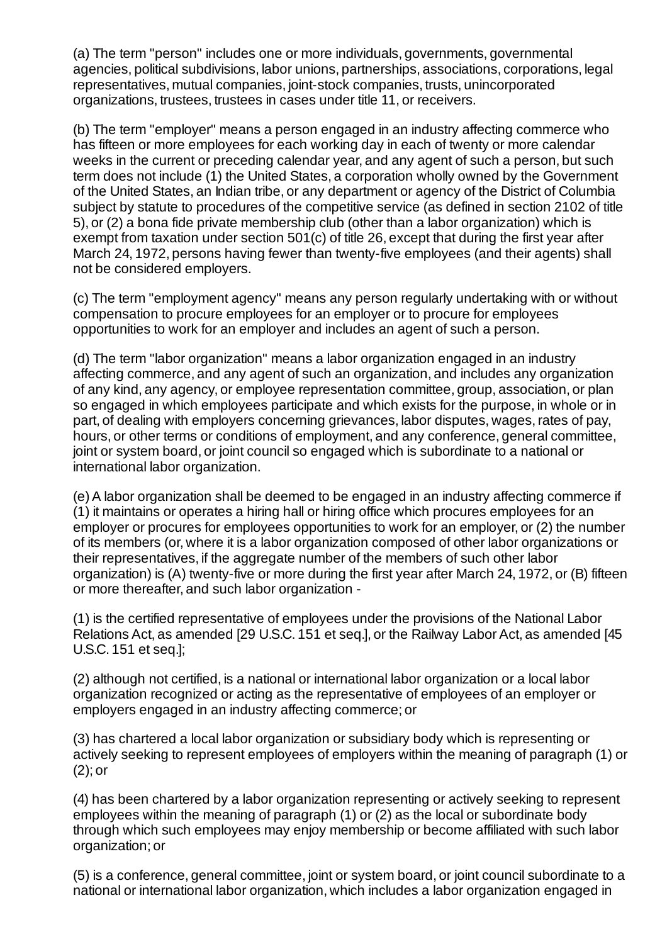(a) The term "person" includes one or more individuals, governments, governmental agencies, political subdivisions, labor unions, partnerships, associations, corporations, legal representatives, mutual companies, joint-stock companies, trusts, unincorporated organizations, trustees, trustees in cases under title 11, or receivers.

(b) The term "employer" means a person engaged in an industry affecting commerce who has fifteen or more employees for each working day in each of twenty or more calendar weeks in the current or preceding calendar year, and any agent of such a person, but such term does not include (1) the United States, a corporation wholly owned by the Government of the United States, an Indian tribe, or any department or agency of the District of Columbia subject by statute to procedures of the competitive service (as defined in section 2102 of title 5), or (2) a bona fide private membership club (other than a labor organization) which is exempt from taxation under section 501(c) of title 26, except that during the first year after March 24, 1972, persons having fewer than twenty-five employees (and their agents) shall not be considered employers.

(c) The term "employment agency" means any person regularly undertaking with or without compensation to procure employees for an employer or to procure for employees opportunities to work for an employer and includes an agent of such a person.

(d) The term "labor organization" means a labor organization engaged in an industry affecting commerce, and any agent of such an organization, and includes any organization of any kind, any agency, or employee representation committee, group, association, or plan so engaged in which employees participate and which exists for the purpose, in whole or in part, of dealing with employers concerning grievances, labor disputes, wages,rates of pay, hours, or other terms or conditions of employment, and any conference, general committee, joint or system board, or joint council so engaged which is subordinate to a national or international labor organization.

(e) A labor organization shall be deemed to be engaged in an industry affecting commerce if (1) it maintains or operates a hiring hall or hiring office which procures employees for an employer or procures for employees opportunities to work for an employer, or (2) the number of its members (or, where it is a labor organization composed of other labor organizations or their representatives, if the aggregate number of the members of such other labor organization) is (A) twenty-five or more during the first year after March 24, 1972, or (B) fifteen or more thereafter, and such labor organization -

(1) is the certified representative of employees under the provisions of the National Labor Relations Act, as amended [29 U.S.C. 151 et seq.], or the Railway Labor Act, as amended [45 U.S.C. 151 et seq.];

(2) although not certified, is a national or international labor organization or a local labor organization recognized or acting as the representative of employees of an employer or employers engaged in an industry affecting commerce; or

(3) has chartered a local labor organization or subsidiary body which is representing or actively seeking to represent employees of employers within the meaning of paragraph (1) or (2); or

(4) has been chartered by a labor organization representing or actively seeking to represent employees within the meaning of paragraph (1) or (2) as the local or subordinate body through which such employees may enjoy membership or become affiliated with such labor organization; or

(5) is a conference, general committee, joint or system board, or joint council subordinate to a national or international labor organization, which includes a labor organization engaged in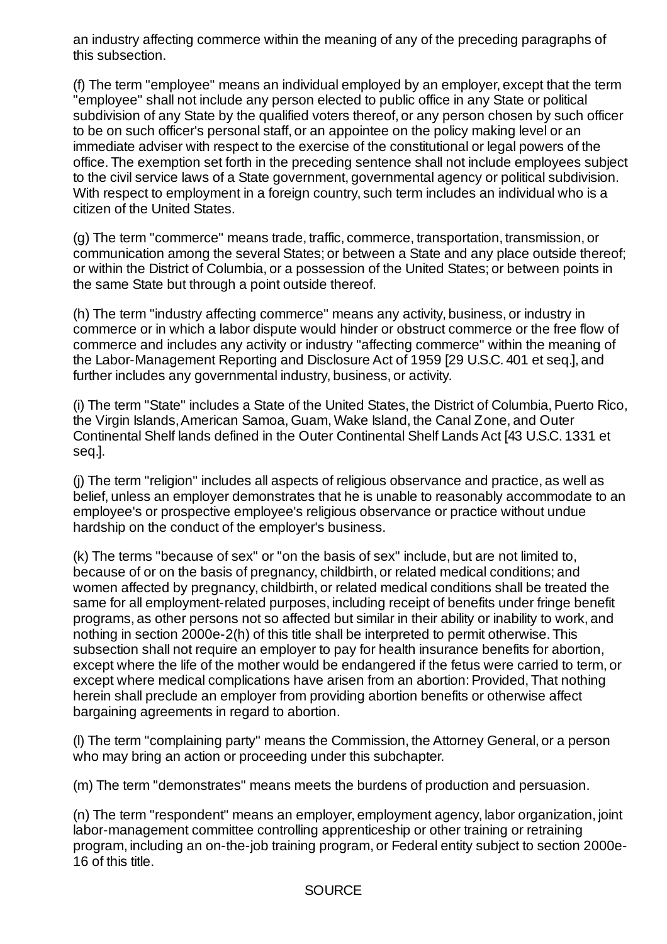an industry affecting commerce within the meaning of any of the preceding paragraphs of this subsection.

(f) The term "employee" means an individual employed by an employer, except that the term "employee" shall not include any person elected to public office in any State or political subdivision of any State by the qualified voters thereof, or any person chosen by such officer to be on such officer's personal staff, or an appointee on the policy making level or an immediate adviser with respect to the exercise of the constitutional or legal powers of the office. The exemption set forth in the preceding sentence shall not include employees subject to the civil service laws of a State government, governmental agency or political subdivision. With respect to employment in a foreign country, such term includes an individual who is a citizen of the United States.

(g) The term "commerce" means trade, traffic, commerce, transportation, transmission, or communication among the several States; or between a State and any place outside thereof; or within the District of Columbia, or a possession of the United States; or between points in the same State but through a point outside thereof.

(h) The term "industry affecting commerce" means any activity, business, or industry in commerce or in which a labor dispute would hinder or obstruct commerce or the free flow of commerce and includes any activity or industry "affecting commerce" within the meaning of the Labor-Management Reporting and Disclosure Act of 1959 [29 U.S.C. 401 et seq.], and further includes any governmental industry, business, or activity.

(i) The term "State" includes a State of the United States, the District of Columbia, Puerto Rico, the Virgin Islands,American Samoa, Guam, Wake Island, the Canal Zone, and Outer Continental Shelf lands defined in the Outer Continental Shelf Lands Act [43 U.S.C. 1331 et seq.].

(j) The term "religion" includes all aspects of religious observance and practice, as well as belief, unless an employer demonstrates that he is unable to reasonably accommodate to an employee's or prospective employee's religious observance or practice without undue hardship on the conduct of the employer's business.

(k) The terms "because of sex" or "on the basis of sex" include, but are not limited to, because of or on the basis of pregnancy, childbirth, or related medical conditions; and women affected by pregnancy, childbirth, or related medical conditions shall be treated the same for all employment-related purposes, including receipt of benefits under fringe benefit programs, as other persons not so affected but similar in their ability or inability to work, and nothing in section 2000e-2(h) of this title shall be interpreted to permit otherwise. This subsection shall not require an employer to pay for health insurance benefits for abortion, except where the life of the mother would be endangered if the fetus were carried to term, or except where medical complications have arisen from an abortion: Provided, That nothing herein shall preclude an employer from providing abortion benefits or otherwise affect bargaining agreements in regard to abortion.

(l) The term "complaining party" means the Commission, the Attorney General, or a person who may bring an action or proceeding under this subchapter.

(m) The term "demonstrates" means meets the burdens of production and persuasion.

(n) The term "respondent" means an employer, employment agency, labor organization, joint labor-management committee controlling apprenticeship or other training or retraining program, including an on-the-job training program, or Federal entity subject to section 2000e-16 of this title.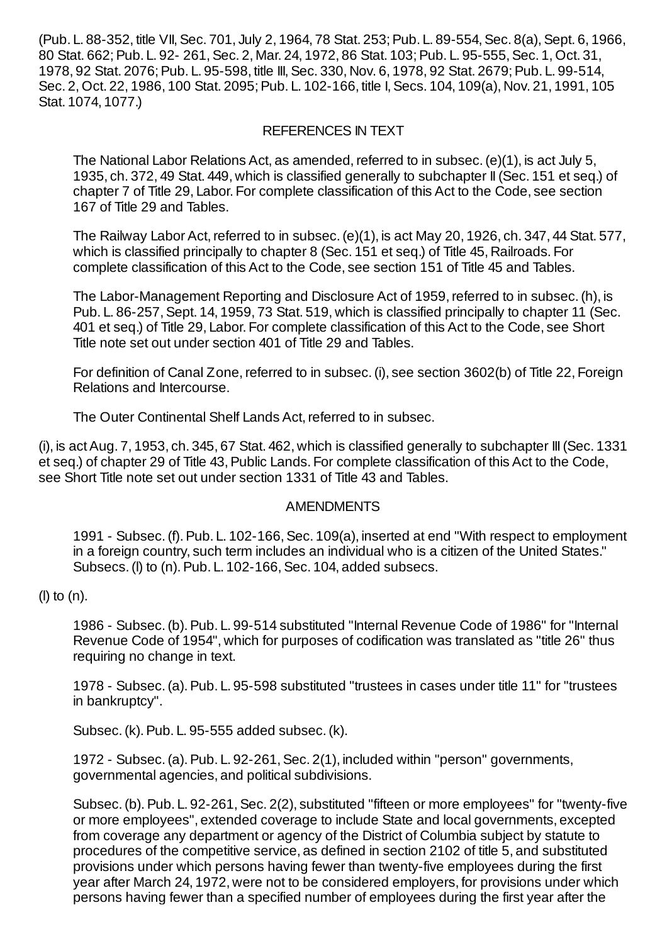(Pub. L. 88-352, title VII, Sec. 701, July 2, 1964, 78 Stat. 253; Pub. L. 89-554, Sec. 8(a), Sept. 6, 1966, 80 Stat. 662; Pub. L. 92- 261, Sec. 2, Mar. 24, 1972, 86 Stat. 103; Pub. L. 95-555, Sec. 1, Oct. 31, 1978, 92 Stat. 2076; Pub. L. 95-598, title III, Sec. 330, Nov. 6, 1978, 92 Stat. 2679; Pub. L. 99-514, Sec. 2, Oct. 22, 1986, 100 Stat. 2095; Pub. L. 102-166, title I, Secs. 104, 109(a), Nov. 21, 1991, 105 Stat. 1074, 1077.)

#### REFERENCES IN TEXT

The National Labor Relations Act, as amended, referred to in subsec. (e)(1), is act July 5, 1935, ch. 372, 49 Stat. 449, which is classified generally to subchapter II(Sec. 151 et seq.) of chapter 7 of Title 29, Labor. For complete classification of this Act to the Code, see section 167 of Title 29 and Tables.

The Railway Labor Act, referred to in subsec. (e)(1), is act May 20, 1926, ch. 347, 44 Stat. 577, which is classified principally to chapter 8 (Sec. 151 et seq.) of Title 45, Railroads. For complete classification of this Act to the Code, see section 151 of Title 45 and Tables.

The Labor-Management Reporting and Disclosure Act of 1959, referred to in subsec. (h). is Pub. L. 86-257, Sept. 14, 1959, 73 Stat. 519, which is classified principally to chapter 11 (Sec. 401 et seq.) of Title 29, Labor. For complete classification of this Act to the Code, see Short Title note set out under section 401 of Title 29 and Tables.

For definition of Canal Zone, referred to in subsec. (i), see section 3602(b) of Title 22, Foreign Relations and Intercourse.

The Outer Continental Shelf Lands Act, referred to in subsec.

(i), is actAug. 7, 1953, ch. 345, 67 Stat. 462, which is classified generally to subchapter III(Sec. 1331 et seq.) of chapter 29 of Title 43, Public Lands. For complete classification of this Act to the Code, see Short Title note set out under section 1331 of Title 43 and Tables.

## **AMENDMENTS**

1991 - Subsec. (f). Pub. L. 102-166, Sec. 109(a), inserted at end "With respect to employment in a foreign country, such term includes an individual who is a citizen of the United States." Subsecs. (I) to (n). Pub. L. 102-166, Sec. 104, added subsecs.

## (l) to (n).

1986 - Subsec.(b).Pub. L. 99-514 substituted "Internal Revenue Code of 1986" for "Internal Revenue Code of 1954", which for purposes of codification was translated as "title 26" thus requiring no change in text.

1978 - Subsec.(a).Pub. L. 95-598 substituted "trustees in cases under title 11" for "trustees in bankruptcy".

Subsec. (k). Pub. L. 95-555 added subsec. (k).

1972 - Subsec. (a). Pub. L. 92-261, Sec. 2(1), included within "person" governments, governmental agencies, and political subdivisions.

Subsec. (b). Pub. L. 92-261, Sec. 2(2), substituted "fifteen or more employees" for "twenty-five or more employees", extended coverage to include State and local governments, excepted from coverage any department or agency of the District of Columbia subject by statute to procedures of the competitive service, as defined in section 2102 of title 5, and substituted provisions under which persons having fewer than twenty-five employees during the first year after March 24, 1972, were not to be considered employers, for provisions under which persons having fewer than a specified number of employees during the first year after the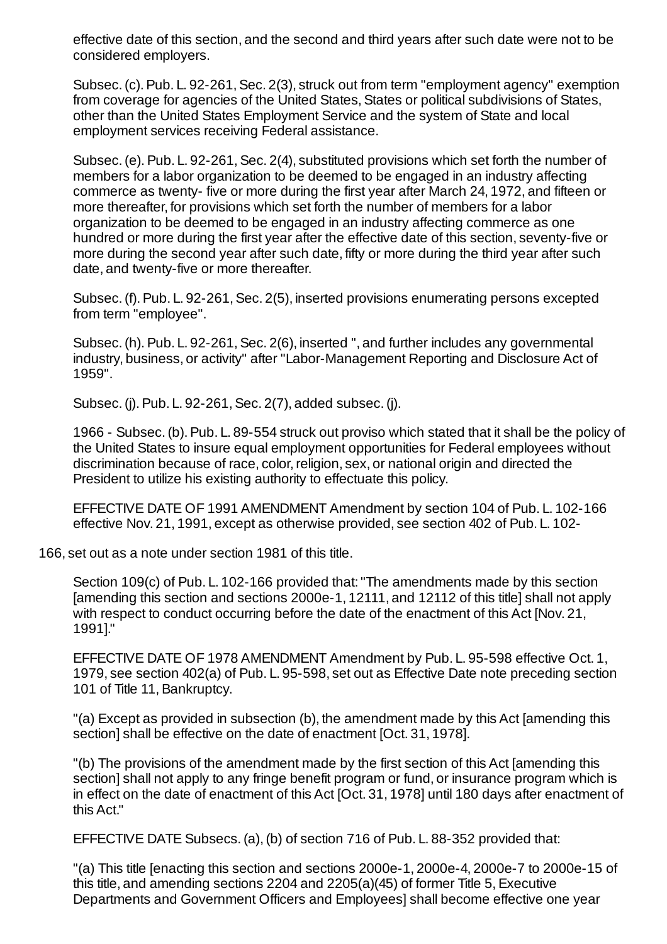effective date of this section, and the second and third years after such date were not to be considered employers.

Subsec. (c). Pub. L. 92-261, Sec. 2(3), struck out from term "employment agency" exemption from coverage for agencies of the United States, States or political subdivisions of States, other than the United States Employment Service and the system of State and local employment services receiving Federal assistance.

Subsec. (e). Pub. L. 92-261, Sec. 2(4), substituted provisions which set forth the number of members for a labor organization to be deemed to be engaged in an industry affecting commerce as twenty- five or more during the first year after March 24, 1972, and fifteen or more thereafter, for provisions which set forth the number of members for a labor organization to be deemed to be engaged in an industry affecting commerce as one hundred or more during the first year after the effective date of this section, seventy-five or more during the second year after such date, fifty or more during the third year after such date, and twenty-five or more thereafter.

Subsec. (f). Pub. L. 92-261, Sec. 2(5), inserted provisions enumerating persons excepted from term "employee".

Subsec. (h). Pub. L. 92-261, Sec. 2(6), inserted ", and further includes any governmental industry, business, or activity" after "Labor-Management Reporting and Disclosure Act of 1959".

Subsec. (j). Pub. L. 92-261, Sec. 2(7), added subsec. (j).

1966 - Subsec.(b).Pub. L. 89-554 struck out proviso which stated that it shall be the policy of the United States to insure equal employment opportunities for Federal employees without discrimination because of race, color, religion, sex, or national origin and directed the President to utilize his existing authority to effectuate this policy.

EFFECTIVE DATE OF 1991 AMENDMENT Amendment by section 104 of Pub. L. 102-166 effective Nov. 21, 1991, except as otherwise provided, see section 402 of Pub. L. 102-

166, set out as a note under section 1981 of this title.

Section 109(c) of Pub. L. 102-166 provided that:"The amendments made by this section [amending this section and sections 2000e-1, 12111, and 12112 of this title] shall not apply with respect to conduct occurring before the date of the enactment of this Act [Nov. 21, 1991]."

EFFECTIVE DATE OF 1978 AMENDMENT Amendment by Pub. L. 95-598 effective Oct. 1, 1979, see section 402(a) of Pub. L. 95-598, set out as Effective Date note preceding section 101 of Title 11, Bankruptcy.

"(a) Except as provided in subsection (b), the amendment made by this Act [amending this section] shall be effective on the date of enactment [Oct. 31, 1978].

"(b) The provisions of the amendment made by the first section of this Act [amending this section] shall not apply to any fringe benefit program or fund, or insurance program which is in effect on the date of enactment of this Act [Oct. 31, 1978] until 180 days after enactment of this Act."

EFFECTIVE DATE Subsecs.(a),(b) of section 716 of Pub. L. 88-352 provided that:

"(a) This title [enacting this section and sections 2000e-1, 2000e-4, 2000e-7 to 2000e-15 of this title, and amending sections 2204 and 2205(a)(45) of former Title 5, Executive Departments and Government Officers and Employees] shall become effective one year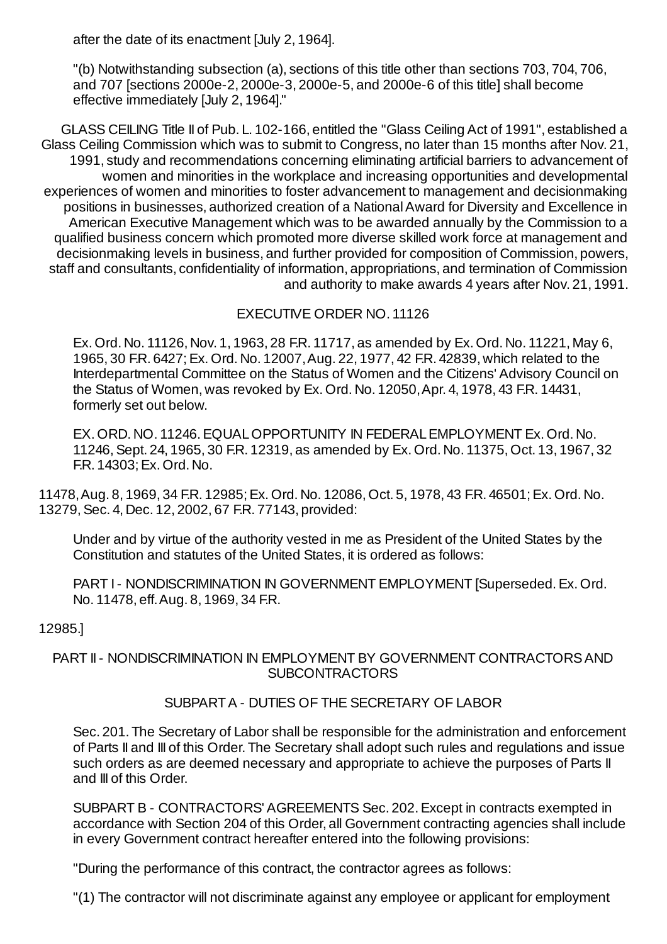after the date of its enactment [July 2, 1964].

"(b) Notwithstanding subsection (a), sections of this title other than sections 703, 704, 706, and 707 [sections 2000e-2, 2000e-3, 2000e-5, and 2000e-6 of this title] shall become effective immediately [July 2, 1964]."

GLASS CEILING Title II of Pub. L. 102-166, entitled the "Glass Ceiling Act of 1991", established a Glass Ceiling Commission which was to submit to Congress, no later than 15 months after Nov. 21, 1991, study and recommendations concerning eliminating artificial barriers to advancement of women and minorities in the workplace and increasing opportunities and developmental experiences of women and minorities to foster advancement to management and decisionmaking positions in businesses, authorized creation of a NationalAward for Diversity and Excellence in American Executive Management which was to be awarded annually by the Commission to a qualified business concern which promoted more diverse skilled work force at management and decisionmaking levels in business, and further provided for composition of Commission, powers, staff and consultants, confidentiality of information, appropriations, and termination of Commission and authority to make awards 4 years after Nov. 21, 1991.

## EXECUTIVE ORDER NO. 11126

Ex. Ord. No. 11126, Nov. 1, 1963, 28 F.R. 11717, as amended by Ex. Ord. No. 11221, May 6, 1965, 30 F.R. 6427;Ex. Ord. No. 12007,Aug. 22, 1977, 42 F.R. 42839, which related to the Interdepartmental Committee on the Status of Women and the Citizens' Advisory Council on the Status of Women, was revoked by Ex. Ord. No. 12050,Apr. 4, 1978, 43 F.R. 14431, formerly set out below.

EX. ORD. NO. 11246.EQUALOPPORTUNITY IN FEDERALEMPLOYMENT Ex. Ord. No. 11246, Sept. 24, 1965, 30 F.R. 12319, as amended by Ex. Ord. No. 11375, Oct. 13, 1967, 32 F.R. 14303;Ex. Ord. No.

11478,Aug. 8, 1969, 34 F.R. 12985;Ex. Ord. No. 12086, Oct. 5, 1978, 43 F.R. 46501;Ex. Ord. No. 13279,Sec. 4, Dec. 12, 2002, 67 F.R. 77143, provided:

Under and by virtue of the authority vested in me as President of the United States by the Constitution and statutes of the United States, it is ordered as follows:

PART I- NONDISCRIMINATION IN GOVERNMENT EMPLOYMENT [Superseded. Ex. Ord. No. 11478, eff.Aug. 8, 1969, 34 F.R.

# 12985.]

## PART II- NONDISCRIMINATION IN EMPLOYMENT BY GOVERNMENT CONTRACTORSAND SUBCONTRACTORS

# SUBPARTA - DUTIES OF THE SECRETARY OF LABOR

Sec. 201. The Secretary of Labor shall be responsible for the administration and enforcement of Parts II and III of this Order. The Secretary shall adopt such rules and regulations and issue such orders as are deemed necessary and appropriate to achieve the purposes of Parts II and III of this Order.

SUBPART B - CONTRACTORS' AGREEMENTS Sec. 202.Except in contracts exempted in accordance with Section 204 of this Order, all Government contracting agencies shall include in every Government contract hereafter entered into the following provisions:

"During the performance of this contract, the contractor agrees as follows:

"(1) The contractor will not discriminate against any employee or applicant for employment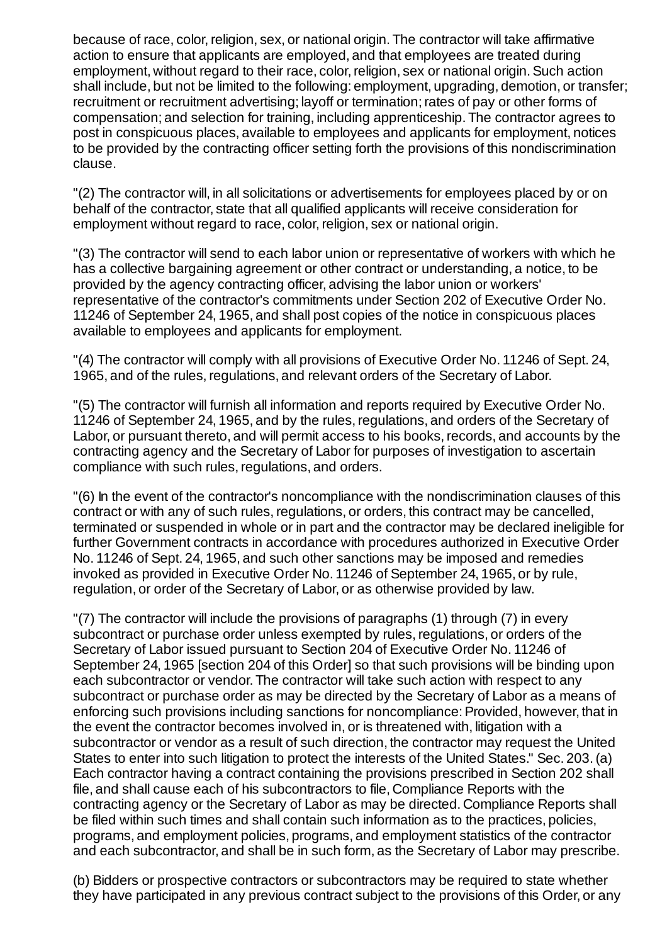because of race, color, religion, sex, or national origin. The contractor will take affirmative action to ensure that applicants are employed, and that employees are treated during employment, without regard to their race, color, religion, sex or national origin. Such action shall include, but not be limited to the following: employment, upgrading, demotion, or transfer; recruitment or recruitment advertising; layoff or termination;rates of pay or other forms of compensation; and selection for training, including apprenticeship. The contractor agrees to post in conspicuous places, available to employees and applicants for employment, notices to be provided by the contracting officer setting forth the provisions of this nondiscrimination clause.

"(2) The contractor will, in all solicitations or advertisements for employees placed by or on behalf of the contractor, state that all qualified applicants will receive consideration for employment without regard to race, color, religion, sex or national origin.

"(3) The contractor will send to each labor union or representative of workers with which he has a collective bargaining agreement or other contract or understanding, a notice, to be provided by the agency contracting officer, advising the labor union or workers' representative of the contractor's commitments under Section 202 of Executive Order No. 11246 of September 24, 1965, and shall post copies of the notice in conspicuous places available to employees and applicants for employment.

"(4) The contractor will comply with all provisions of Executive Order No. 11246 of Sept. 24, 1965, and of the rules, regulations, and relevant orders of the Secretary of Labor.

"(5) The contractor will furnish all information and reports required by Executive Order No. 11246 of September 24, 1965, and by the rules, regulations, and orders of the Secretary of Labor, or pursuant thereto, and will permit access to his books, records, and accounts by the contracting agency and the Secretary of Labor for purposes of investigation to ascertain compliance with such rules, regulations, and orders.

"(6) In the event of the contractor's noncompliance with the nondiscrimination clauses of this contract or with any of such rules, regulations, or orders, this contract may be cancelled. terminated or suspended in whole or in part and the contractor may be declared ineligible for further Government contracts in accordance with procedures authorized in Executive Order No. 11246 of Sept. 24, 1965, and such other sanctions may be imposed and remedies invoked as provided in Executive Order No. 11246 of September 24, 1965, or by rule, regulation, or order of the Secretary of Labor, or as otherwise provided by law.

"(7) The contractor will include the provisions of paragraphs (1) through (7) in every subcontract or purchase order unless exempted by rules, regulations, or orders of the Secretary of Labor issued pursuant to Section 204 of Executive Order No. 11246 of September 24, 1965 [section 204 of this Order] so that such provisions will be binding upon each subcontractor or vendor. The contractor will take such action with respect to any subcontract or purchase order as may be directed by the Secretary of Labor as a means of enforcing such provisions including sanctions for noncompliance: Provided, however, that in the event the contractor becomes involved in, or is threatened with, litigation with a subcontractor or vendor as a result of such direction, the contractor may request the United States to enter into such litigation to protect the interests of the United States." Sec. 203.(a) Each contractor having a contract containing the provisions prescribed in Section 202 shall file, and shall cause each of his subcontractors to file, Compliance Reports with the contracting agency or the Secretary of Labor as may be directed. Compliance Reports shall be filed within such times and shall contain such information as to the practices, policies, programs, and employment policies, programs, and employment statistics of the contractor and each subcontractor, and shall be in such form, as the Secretary of Labor may prescribe.

(b) Bidders or prospective contractors or subcontractors may be required to state whether they have participated in any previous contract subject to the provisions of this Order, or any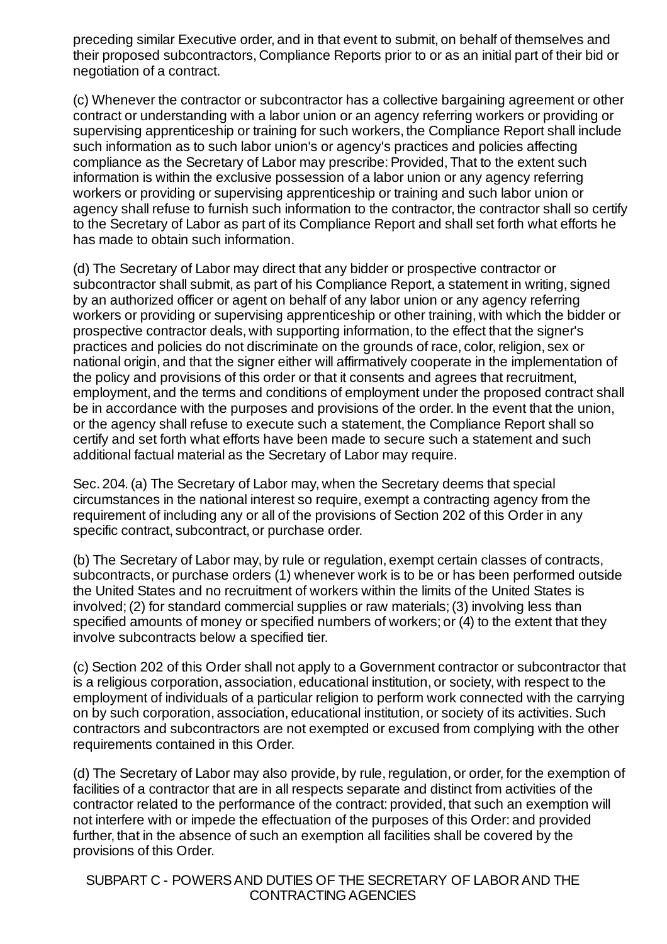preceding similar Executive order, and in that event to submit, on behalf of themselves and their proposed subcontractors, Compliance Reports prior to or as an initial part of their bid or negotiation of a contract.

(c) Whenever the contractor or subcontractor has a collective bargaining agreement or other contract or understanding with a labor union or an agency referring workers or providing or supervising apprenticeship or training for such workers, the Compliance Report shall include such information as to such labor union's or agency's practices and policies affecting compliance as the Secretary of Labor may prescribe: Provided, That to the extent such information is within the exclusive possession of a labor union or any agency referring workers or providing or supervising apprenticeship or training and such labor union or agency shall refuse to furnish such information to the contractor, the contractor shall so certify to the Secretary of Labor as part of its Compliance Report and shall set forth what efforts he has made to obtain such information.

(d) The Secretary of Labor may direct that any bidder or prospective contractor or subcontractor shall submit, as part of his Compliance Report, a statement in writing, signed by an authorized officer or agent on behalf of any labor union or any agency referring workers or providing or supervising apprenticeship or other training, with which the bidder or prospective contractor deals, with supporting information, to the effect that the signer's practices and policies do not discriminate on the grounds of race, color, religion, sex or national origin, and that the signer either will affirmatively cooperate in the implementation of the policy and provisions of this order or that it consents and agrees that recruitment, employment, and the terms and conditions of employment under the proposed contract shall be in accordance with the purposes and provisions of the order. In the event that the union, or the agency shall refuse to execute such a statement, the Compliance Report shall so certify and set forth what efforts have been made to secure such a statement and such additional factual material as the Secretary of Labor may require.

Sec. 204.(a) The Secretary of Labor may, when the Secretary deems that special circumstances in the national interest so require, exempt a contracting agency from the requirement of including any or all of the provisions of Section 202 of this Order in any specific contract, subcontract, or purchase order.

(b) The Secretary of Labor may, by rule or regulation, exempt certain classes of contracts, subcontracts, or purchase orders (1) whenever work is to be or has been performed outside the United States and no recruitment of workers within the limits of the United States is involved;(2) for standard commercial supplies or raw materials;(3) involving less than specified amounts of money or specified numbers of workers; or (4) to the extent that they involve subcontracts below a specified tier.

(c) Section 202 of this Order shall not apply to a Government contractor or subcontractor that is a religious corporation, association, educational institution, or society, with respect to the employment of individuals of a particular religion to perform work connected with the carrying on by such corporation, association, educational institution, or society of its activities. Such contractors and subcontractors are not exempted or excused from complying with the other requirements contained in this Order.

(d) The Secretary of Labor may also provide, by rule, regulation, or order, for the exemption of facilities of a contractor that are in all respects separate and distinct from activities of the contractor related to the performance of the contract: provided, that such an exemption will not interfere with or impede the effectuation of the purposes of this Order: and provided further, that in the absence of such an exemption all facilities shall be covered by the provisions of this Order.

SUBPART C - POWERSAND DUTIES OF THE SECRETARY OF LABOR AND THE CONTRACTING AGENCIES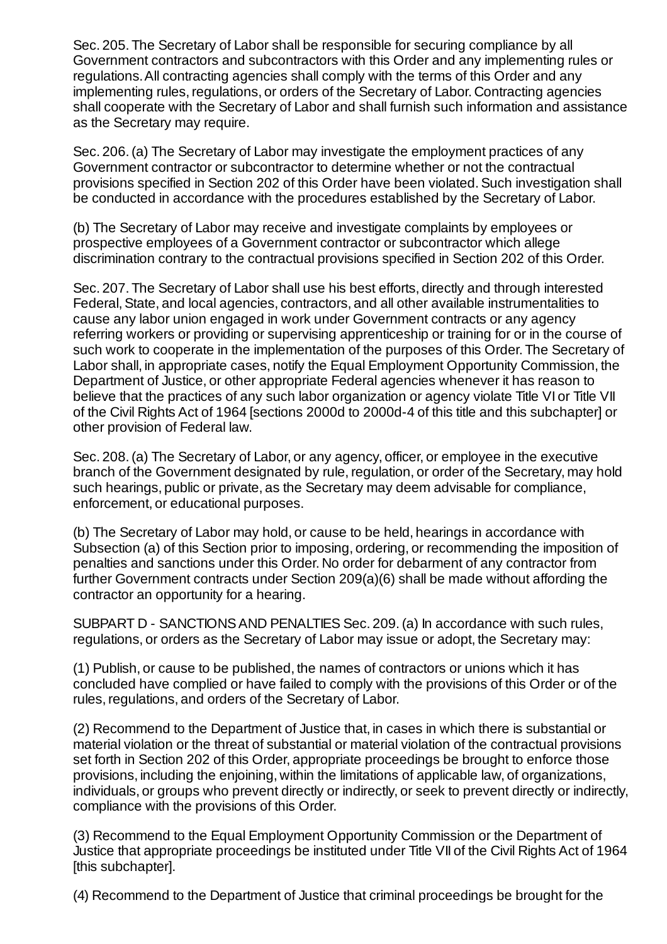Sec. 205. The Secretary of Labor shall be responsible for securing compliance by all Government contractors and subcontractors with this Order and any implementing rules or regulations.All contracting agencies shall comply with the terms of this Order and any implementing rules, regulations, or orders of the Secretary of Labor. Contracting agencies shall cooperate with the Secretary of Labor and shall furnish such information and assistance as the Secretary may require.

Sec. 206.(a) The Secretary of Labor may investigate the employment practices of any Government contractor or subcontractor to determine whether or not the contractual provisions specified in Section 202 of this Order have been violated. Such investigation shall be conducted in accordance with the procedures established by the Secretary of Labor.

(b) The Secretary of Labor may receive and investigate complaints by employees or prospective employees of a Government contractor or subcontractor which allege discrimination contrary to the contractual provisions specified in Section 202 of this Order.

Sec. 207. The Secretary of Labor shall use his best efforts, directly and through interested Federal, State, and local agencies, contractors, and all other available instrumentalities to cause any labor union engaged in work under Government contracts or any agency referring workers or providing or supervising apprenticeship or training for or in the course of such work to cooperate in the implementation of the purposes of this Order. The Secretary of Labor shall, in appropriate cases, notify the Equal Employment Opportunity Commission, the Department of Justice, or other appropriate Federal agencies whenever it has reason to believe that the practices of any such labor organization or agency violate Title VI or Title VII of the Civil Rights Act of 1964 [sections 2000d to 2000d-4 of this title and this subchapter] or other provision of Federal law.

Sec. 208.(a) The Secretary of Labor, or any agency, officer, or employee in the executive branch of the Government designated by rule, regulation, or order of the Secretary, may hold such hearings, public or private, as the Secretary may deem advisable for compliance, enforcement, or educational purposes.

(b) The Secretary of Labor may hold, or cause to be held, hearings in accordance with Subsection (a) of this Section prior to imposing, ordering, or recommending the imposition of penalties and sanctions under this Order. No order for debarment of any contractor from further Government contracts under Section 209(a)(6) shall be made without affording the contractor an opportunity for a hearing.

SUBPART D - SANCTIONSAND PENALTIES Sec. 209.(a) In accordance with such rules, regulations, or orders as the Secretary of Labor may issue or adopt, the Secretary may:

(1) Publish, or cause to be published, the names of contractors or unions which it has concluded have complied or have failed to comply with the provisions of this Order or of the rules, regulations, and orders of the Secretary of Labor.

(2) Recommend to the Department of Justice that, in cases in which there is substantial or material violation or the threat of substantial or material violation of the contractual provisions set forth in Section 202 of this Order, appropriate proceedings be brought to enforce those provisions, including the enjoining, within the limitations of applicable law, of organizations, individuals, or groups who prevent directly or indirectly, or seek to prevent directly or indirectly, compliance with the provisions of this Order.

(3) Recommend to the Equal Employment Opportunity Commission or the Department of Justice that appropriate proceedings be instituted under Title VII of the Civil Rights Act of 1964 [this subchapter].

(4) Recommend to the Department of Justice that criminal proceedings be brought for the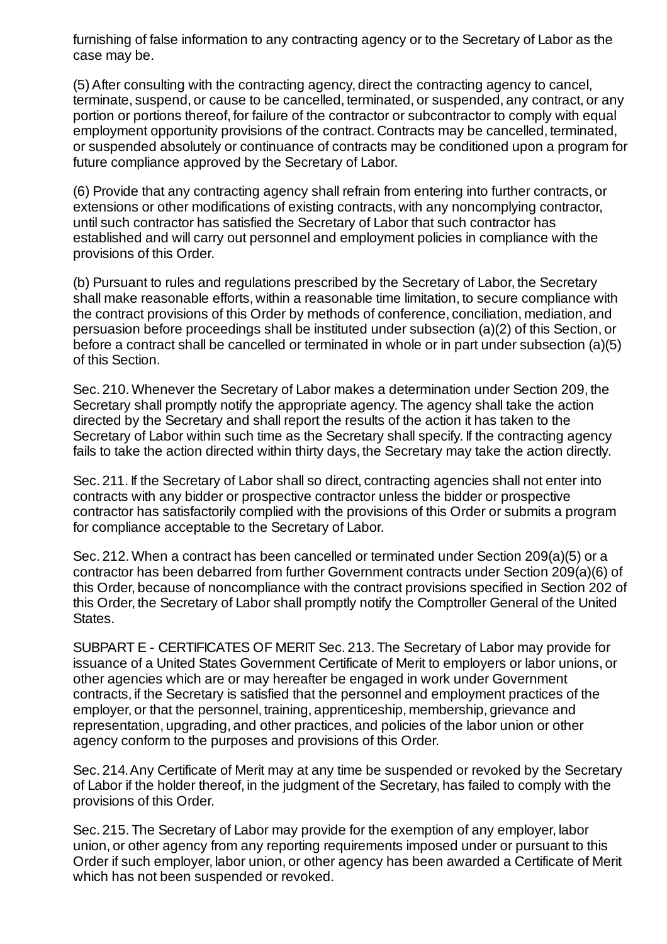furnishing of false information to any contracting agency or to the Secretary of Labor as the case may be.

(5) After consulting with the contracting agency, direct the contracting agency to cancel, terminate, suspend, or cause to be cancelled, terminated, or suspended, any contract, or any portion or portions thereof, for failure of the contractor or subcontractor to comply with equal employment opportunity provisions of the contract. Contracts may be cancelled, terminated, or suspended absolutely or continuance of contracts may be conditioned upon a program for future compliance approved by the Secretary of Labor.

(6) Provide that any contracting agency shall refrain from entering into further contracts, or extensions or other modifications of existing contracts, with any noncomplying contractor, until such contractor has satisfied the Secretary of Labor that such contractor has established and will carry out personnel and employment policies in compliance with the provisions of this Order.

(b) Pursuant to rules and regulations prescribed by the Secretary of Labor, the Secretary shall make reasonable efforts, within a reasonable time limitation, to secure compliance with the contract provisions of this Order by methods of conference, conciliation, mediation, and persuasion before proceedings shall be instituted under subsection (a)(2) of this Section, or before a contract shall be cancelled or terminated in whole or in part under subsection (a)(5) of this Section.

Sec. 210. Whenever the Secretary of Labor makes a determination under Section 209, the Secretary shall promptly notify the appropriate agency. The agency shall take the action directed by the Secretary and shall report the results of the action it has taken to the Secretary of Labor within such time as the Secretary shall specify. If the contracting agency fails to take the action directed within thirty days, the Secretary may take the action directly.

Sec. 211. If the Secretary of Labor shall so direct, contracting agencies shall not enter into contracts with any bidder or prospective contractor unless the bidder or prospective contractor has satisfactorily complied with the provisions of this Order or submits a program for compliance acceptable to the Secretary of Labor.

Sec. 212. When a contract has been cancelled or terminated under Section 209(a)(5) or a contractor has been debarred from further Government contracts under Section 209(a)(6) of this Order, because of noncompliance with the contract provisions specified in Section 202 of this Order, the Secretary of Labor shall promptly notify the Comptroller General of the United States.

SUBPART E - CERTIFICATES OF MERIT Sec. 213. The Secretary of Labor may provide for issuance of a United States Government Certificate of Merit to employers or labor unions, or other agencies which are or may hereafter be engaged in work under Government contracts, if the Secretary is satisfied that the personnel and employment practices of the employer, or that the personnel, training, apprenticeship, membership, grievance and representation, upgrading, and other practices, and policies of the labor union or other agency conform to the purposes and provisions of this Order.

Sec. 214.Any Certificate of Merit may at any time be suspended or revoked by the Secretary of Labor if the holder thereof, in the judgment of the Secretary, has failed to comply with the provisions of this Order.

Sec. 215. The Secretary of Labor may provide for the exemption of any employer, labor union, or other agency from any reporting requirements imposed under or pursuant to this Order if such employer, labor union, or other agency has been awarded a Certificate of Merit which has not been suspended or revoked.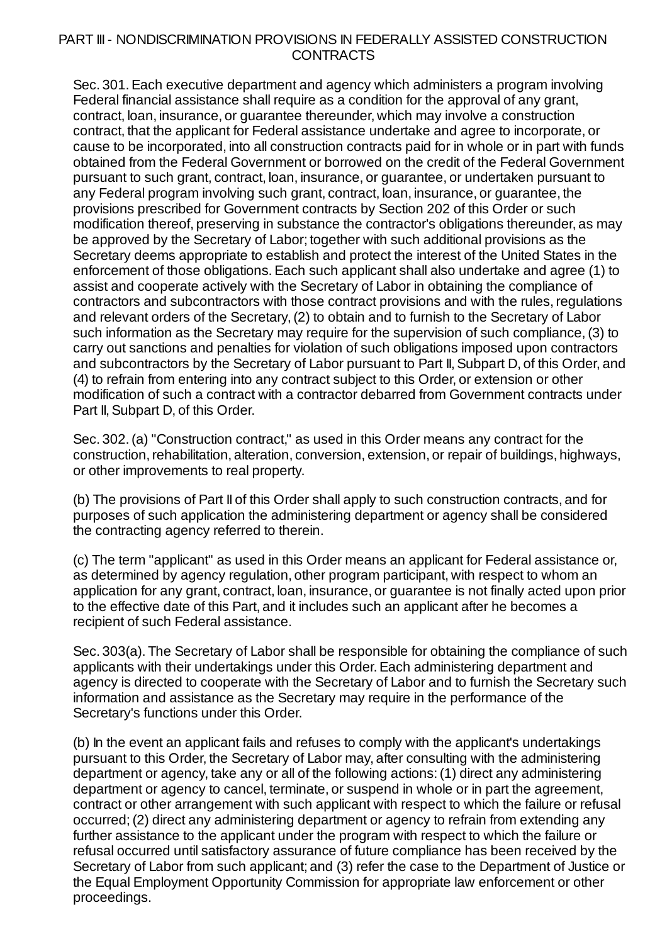## PART III- NONDISCRIMINATION PROVISIONS IN FEDERALLY ASSISTED CONSTRUCTION **CONTRACTS**

Sec. 301. Each executive department and agency which administers a program involving Federal financial assistance shall require as a condition for the approval of any grant, contract, loan, insurance, or guarantee thereunder, which may involve a construction contract, that the applicant for Federal assistance undertake and agree to incorporate, or cause to be incorporated, into all construction contracts paid for in whole or in part with funds obtained from the Federal Government or borrowed on the credit of the Federal Government pursuant to such grant, contract, loan, insurance, or guarantee, or undertaken pursuant to any Federal program involving such grant, contract, loan, insurance, or guarantee, the provisions prescribed for Government contracts by Section 202 of this Order or such modification thereof, preserving in substance the contractor's obligations thereunder, as may be approved by the Secretary of Labor; together with such additional provisions as the Secretary deems appropriate to establish and protect the interest of the United States in the enforcement of those obligations.Each such applicant shall also undertake and agree (1) to assist and cooperate actively with the Secretary of Labor in obtaining the compliance of contractors and subcontractors with those contract provisions and with the rules,regulations and relevant orders of the Secretary,(2) to obtain and to furnish to the Secretary of Labor such information as the Secretary may require for the supervision of such compliance,(3) to carry out sanctions and penalties for violation of such obligations imposed upon contractors and subcontractors by the Secretary of Labor pursuant to Part II. Subpart D, of this Order, and (4) to refrain from entering into any contract subject to this Order, or extension or other modification of such a contract with a contractor debarred from Government contracts under Part II, Subpart D, of this Order.

Sec. 302.(a) "Construction contract," as used in this Order means any contract for the construction,rehabilitation, alteration, conversion, extension, or repair of buildings, highways, or other improvements to real property.

(b) The provisions of Part II of this Order shall apply to such construction contracts, and for purposes of such application the administering department or agency shall be considered the contracting agency referred to therein.

(c) The term "applicant" as used in this Order means an applicant for Federal assistance or, as determined by agency regulation, other program participant, with respect to whom an application for any grant, contract, loan, insurance, or guarantee is not finally acted upon prior to the effective date of this Part, and it includes such an applicant after he becomes a recipient of such Federal assistance.

Sec. 303(a). The Secretary of Labor shall be responsible for obtaining the compliance of such applicants with their undertakings under this Order.Each administering department and agency is directed to cooperate with the Secretary of Labor and to furnish the Secretary such information and assistance as the Secretary may require in the performance of the Secretary's functions under this Order.

(b) In the event an applicant fails and refuses to comply with the applicant's undertakings pursuant to this Order, the Secretary of Labor may, after consulting with the administering department or agency, take any or all of the following actions:(1) direct any administering department or agency to cancel, terminate, or suspend in whole or in part the agreement, contract or other arrangement with such applicant with respect to which the failure or refusal occurred;(2) direct any administering department or agency to refrain from extending any further assistance to the applicant under the program with respect to which the failure or refusal occurred until satisfactory assurance of future compliance has been received by the Secretary of Labor from such applicant; and (3) refer the case to the Department of Justice or the Equal Employment Opportunity Commission for appropriate law enforcement or other proceedings.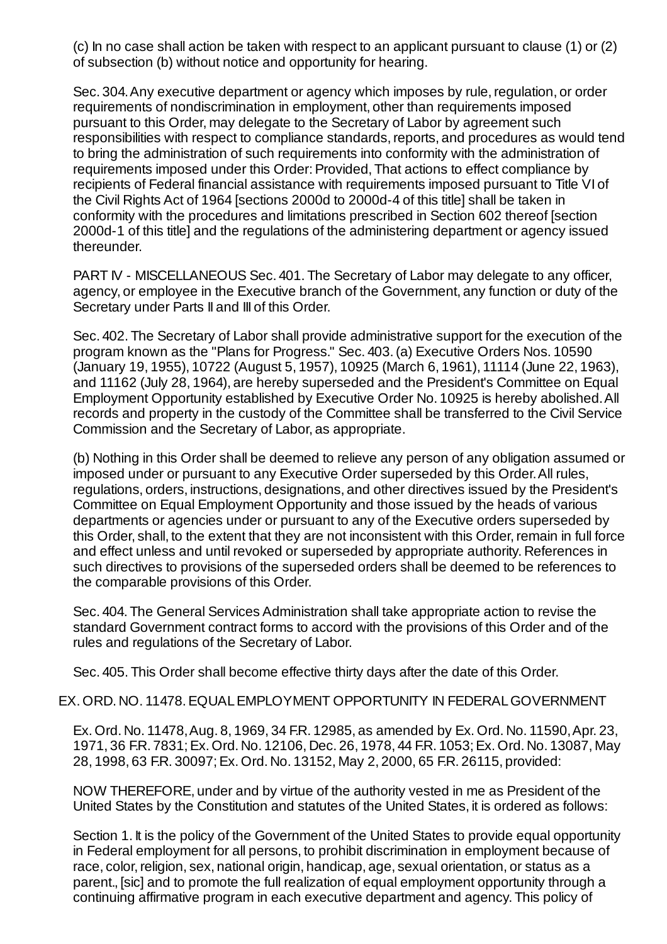(c) In no case shall action be taken with respect to an applicant pursuant to clause (1) or (2) of subsection (b) without notice and opportunity for hearing.

Sec. 304. Any executive department or agency which imposes by rule, regulation, or order requirements of nondiscrimination in employment, other than requirements imposed pursuant to this Order, may delegate to the Secretary of Labor by agreement such responsibilities with respect to compliance standards,reports, and procedures as would tend to bring the administration of such requirements into conformity with the administration of requirements imposed under this Order: Provided. That actions to effect compliance by recipients of Federal financial assistance with requirements imposed pursuant to Title VI of the Civil Rights Act of 1964 [sections 2000d to 2000d-4 of this title] shall be taken in conformity with the procedures and limitations prescribed in Section 602 thereof [section 2000d-1 of this title] and the regulations of the administering department or agency issued thereunder.

PART IV - MISCELLANEOUS Sec. 401. The Secretary of Labor may delegate to any officer, agency, or employee in the Executive branch of the Government, any function or duty of the Secretary under Parts II and III of this Order.

Sec. 402. The Secretary of Labor shall provide administrative support for the execution of the program known as the "Plans for Progress." Sec. 403.(a) Executive Orders Nos. 10590 (January 19, 1955), 10722 (August 5, 1957), 10925 (March 6, 1961), 11114 (June 22, 1963), and 11162 (July 28, 1964), are hereby superseded and the President's Committee on Equal Employment Opportunity established by Executive Order No. 10925 is hereby abolished.All records and property in the custody of the Committee shall be transferred to the Civil Service Commission and the Secretary of Labor, as appropriate.

(b) Nothing in this Order shall be deemed to relieve any person of any obligation assumed or imposed under or pursuant to any Executive Order superseded by this Order.All rules, regulations, orders, instructions, designations, and other directives issued by the President's Committee on Equal Employment Opportunity and those issued by the heads of various departments or agencies under or pursuant to any of the Executive orders superseded by this Order, shall, to the extent that they are not inconsistent with this Order, remain in full force and effect unless and until revoked or superseded by appropriate authority. References in such directives to provisions of the superseded orders shall be deemed to be references to the comparable provisions of this Order.

Sec. 404. The General Services Administration shall take appropriate action to revise the standard Government contract forms to accord with the provisions of this Order and of the rules and regulations of the Secretary of Labor.

Sec. 405. This Order shall become effective thirty days after the date of this Order.

EX. ORD. NO. 11478.EQUALEMPLOYMENT OPPORTUNITY IN FEDERALGOVERNMENT

Ex. Ord. No. 11478,Aug. 8, 1969, 34 F.R. 12985, as amended by Ex. Ord. No. 11590,Apr. 23, 1971, 36 F.R. 7831;Ex. Ord. No. 12106, Dec. 26, 1978, 44 F.R. 1053;Ex. Ord. No. 13087, May 28, 1998, 63 F.R. 30097;Ex. Ord. No. 13152, May 2, 2000, 65 F.R. 26115, provided:

NOW THEREFORE, under and by virtue of the authority vested in me as President of the United States by the Constitution and statutes of the United States, it is ordered as follows:

Section 1. It is the policy of the Government of the United States to provide equal opportunity in Federal employment for all persons, to prohibit discrimination in employment because of race, color, religion, sex, national origin, handicap, age, sexual orientation, or status as a parent., [sic] and to promote the full realization of equal employment opportunity through a continuing affirmative program in each executive department and agency. This policy of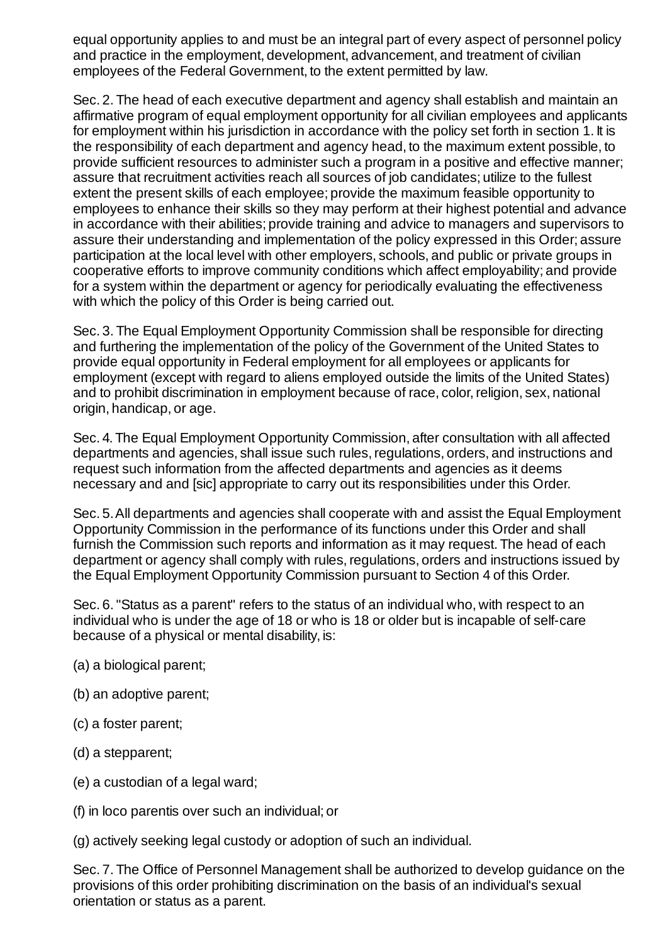equal opportunity applies to and must be an integral part of every aspect of personnel policy and practice in the employment, development, advancement, and treatment of civilian employees of the Federal Government, to the extent permitted by law.

Sec. 2. The head of each executive department and agency shall establish and maintain an affirmative program of equal employment opportunity for all civilian employees and applicants for employment within his jurisdiction in accordance with the policy set forth in section 1. It is the responsibility of each department and agency head, to the maximum extent possible, to provide sufficient resources to administer such a program in a positive and effective manner; assure that recruitment activities reach all sources of job candidates; utilize to the fullest extent the present skills of each employee; provide the maximum feasible opportunity to employees to enhance their skills so they may perform at their highest potential and advance in accordance with their abilities; provide training and advice to managers and supervisors to assure their understanding and implementation of the policy expressed in this Order; assure participation at the local level with other employers, schools, and public or private groups in cooperative efforts to improve community conditions which affect employability; and provide for a system within the department or agency for periodically evaluating the effectiveness with which the policy of this Order is being carried out.

Sec. 3. The Equal Employment Opportunity Commission shall be responsible for directing and furthering the implementation of the policy of the Government of the United States to provide equal opportunity in Federal employment for all employees or applicants for employment (except with regard to aliens employed outside the limits of the United States) and to prohibit discrimination in employment because of race, color, religion, sex, national origin, handicap, or age.

Sec. 4. The Equal Employment Opportunity Commission, after consultation with all affected departments and agencies, shall issue such rules,regulations, orders, and instructions and request such information from the affected departments and agencies as it deems necessary and and [sic] appropriate to carry out its responsibilities under this Order.

Sec. 5.All departments and agencies shall cooperate with and assist the Equal Employment Opportunity Commission in the performance of its functions under this Order and shall furnish the Commission such reports and information as it may request. The head of each department or agency shall comply with rules, regulations, orders and instructions issued by the Equal Employment Opportunity Commission pursuant to Section 4 of this Order.

Sec. 6."Status as a parent" refers to the status of an individual who, with respect to an individual who is under the age of 18 or who is 18 or older but is incapable of self-care because of a physical or mental disability, is:

- (a) a biological parent;
- (b) an adoptive parent;
- (c) a foster parent;
- (d) a stepparent;
- (e) a custodian of a legal ward;
- (f) in loco parentis over such an individual; or
- (g) actively seeking legal custody or adoption of such an individual.

Sec. 7. The Office of Personnel Management shall be authorized to develop guidance on the provisions of this order prohibiting discrimination on the basis of an individual's sexual orientation or status as a parent.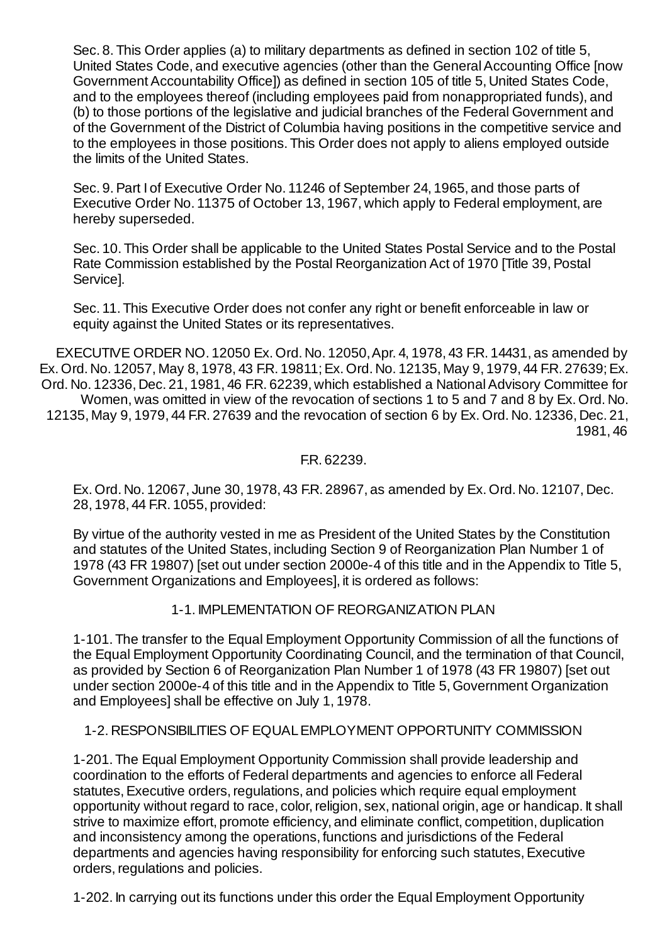Sec. 8. This Order applies (a) to military departments as defined in section 102 of title 5, United States Code, and executive agencies (other than the General Accounting Office [now GovernmentAccountability Office]) as defined in section 105 of title 5, United States Code, and to the employees thereof (including employees paid from nonappropriated funds), and (b) to those portions of the legislative and judicial branches of the Federal Government and of the Government of the District of Columbia having positions in the competitive service and to the employees in those positions. This Order does not apply to aliens employed outside the limits of the United States.

Sec. 9.Part I of Executive Order No. 11246 of September 24, 1965, and those parts of Executive Order No. 11375 of October 13, 1967, which apply to Federal employment, are hereby superseded.

Sec. 10. This Order shall be applicable to the United States Postal Service and to the Postal Rate Commission established by the Postal Reorganization Act of 1970 [Title 39, Postal] Service].

Sec. 11. This Executive Order does not confer any right or benefit enforceable in law or equity against the United States or its representatives.

EXECUTIVE ORDER NO. 12050 Ex. Ord. No. 12050,Apr. 4, 1978, 43 F.R. 14431, as amended by Ex. Ord. No. 12057, May 8, 1978, 43 F.R. 19811; Ex. Ord. No. 12135, May 9, 1979, 44 F.R. 27639; Ex. Ord. No. 12336, Dec. 21, 1981, 46 F.R. 62239, which established a National Advisory Committee for Women, was omitted in view of the revocation of sections 1 to 5 and 7 and 8 by Ex. Ord. No. 12135, May 9, 1979, 44 F.R. 27639 and the revocation of section 6 by Ex. Ord. No. 12336, Dec. 21, 1981, 46

#### F.R. 62239.

Ex. Ord. No. 12067, June 30, 1978, 43 F.R. 28967, as amended by Ex. Ord. No. 12107, Dec. 28, 1978, 44 F.R. 1055, provided:

By virtue of the authority vested in me as President of the United States by the Constitution and statutes of the United States, including Section 9 of Reorganization Plan Number 1 of 1978 (43 FR 19807) [set out under section 2000e-4 of this title and in the Appendix to Title 5, Government Organizations and Employees], it is ordered as follows:

#### 1-1. IMPLEMENTATION OF REORGANIZATION PLAN

1-101. The transfer to the Equal Employment Opportunity Commission of all the functions of the Equal Employment Opportunity Coordinating Council, and the termination of that Council, as provided by Section 6 of Reorganization Plan Number 1 of 1978 (43 FR 19807) [set out under section 2000e-4 of this title and in the Appendix to Title 5, Government Organization and Employees] shall be effective on July 1, 1978.

#### 1-2. RESPONSIBILITIES OF EQUALEMPLOYMENT OPPORTUNITY COMMISSION

1-201. The Equal Employment Opportunity Commission shall provide leadership and coordination to the efforts of Federal departments and agencies to enforce all Federal statutes, Executive orders, regulations, and policies which require equal employment opportunity without regard to race, color, religion, sex, national origin, age or handicap. It shall strive to maximize effort, promote efficiency, and eliminate conflict, competition, duplication and inconsistency among the operations, functions and jurisdictions of the Federal departments and agencies having responsibility for enforcing such statutes, Executive orders, regulations and policies.

1-202. In carrying out its functions under this order the Equal Employment Opportunity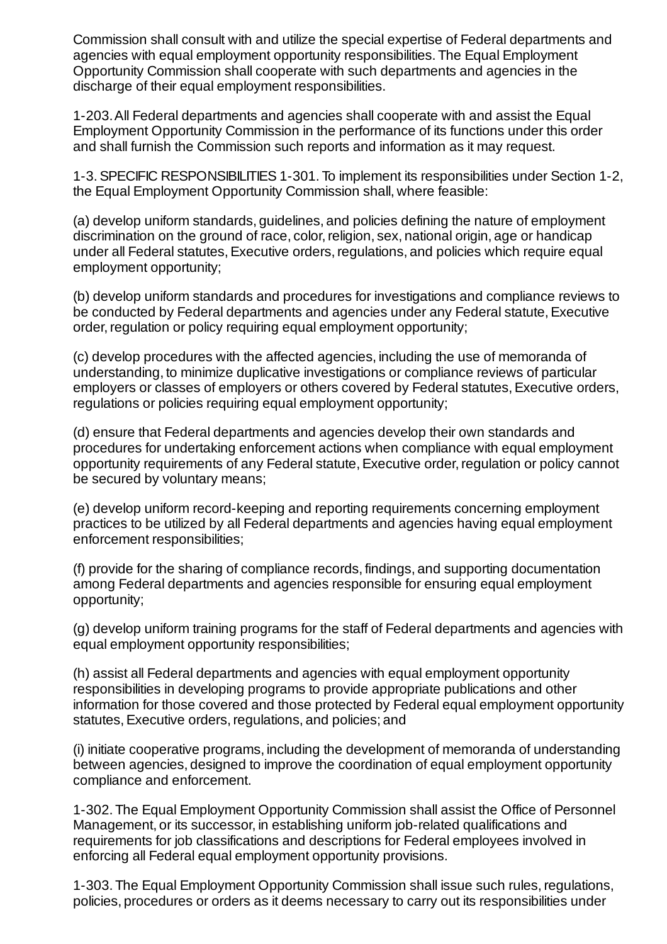Commission shall consult with and utilize the special expertise of Federal departments and agencies with equal employment opportunity responsibilities. The Equal Employment Opportunity Commission shall cooperate with such departments and agencies in the discharge of their equal employment responsibilities.

1-203.All Federal departments and agencies shall cooperate with and assist the Equal Employment Opportunity Commission in the performance of its functions under this order and shall furnish the Commission such reports and information as it may request.

1-3.SPECIFIC RESPONSIBILITIES 1-301. To implement its responsibilities under Section 1-2, the Equal Employment Opportunity Commission shall, where feasible:

(a) develop uniform standards, guidelines, and policies defining the nature of employment discrimination on the ground of race, color, religion, sex, national origin, age or handicap under all Federal statutes, Executive orders, regulations, and policies which require equal employment opportunity;

(b) develop uniform standards and procedures for investigations and compliance reviews to be conducted by Federal departments and agencies under any Federal statute, Executive order, regulation or policy requiring equal employment opportunity;

(c) develop procedures with the affected agencies, including the use of memoranda of understanding, to minimize duplicative investigations or compliance reviews of particular employers or classes of employers or others covered by Federal statutes, Executive orders, regulations or policies requiring equal employment opportunity;

(d) ensure that Federal departments and agencies develop their own standards and procedures for undertaking enforcement actions when compliance with equal employment opportunity requirements of any Federal statute, Executive order, regulation or policy cannot be secured by voluntary means;

(e) develop uniform record-keeping and reporting requirements concerning employment practices to be utilized by all Federal departments and agencies having equal employment enforcement responsibilities;

(f) provide for the sharing of compliance records, findings, and supporting documentation among Federal departments and agencies responsible for ensuring equal employment opportunity;

(g) develop uniform training programs for the staff of Federal departments and agencies with equal employment opportunity responsibilities;

(h) assist all Federal departments and agencies with equal employment opportunity responsibilities in developing programs to provide appropriate publications and other information for those covered and those protected by Federal equal employment opportunity statutes, Executive orders, regulations, and policies; and

(i) initiate cooperative programs, including the development of memoranda of understanding between agencies, designed to improve the coordination of equal employment opportunity compliance and enforcement.

1-302. The Equal Employment Opportunity Commission shall assist the Office of Personnel Management, or its successor, in establishing uniform job-related qualifications and requirements for job classifications and descriptions for Federal employees involved in enforcing all Federal equal employment opportunity provisions.

1-303. The Equal Employment Opportunity Commission shall issue such rules,regulations, policies, procedures or orders as it deems necessary to carry out its responsibilities under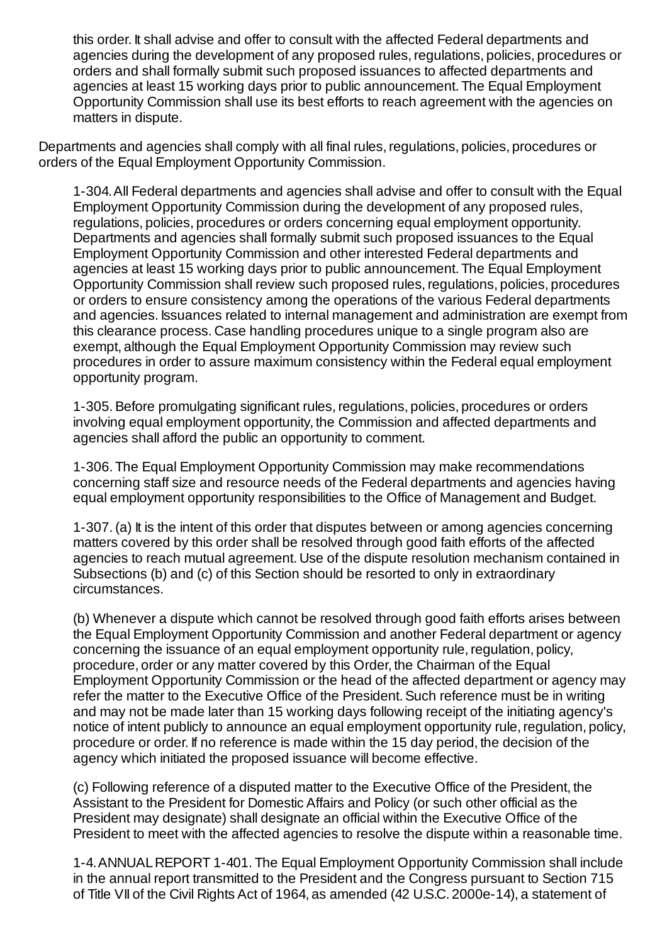this order. It shall advise and offer to consult with the affected Federal departments and agencies during the development of any proposed rules, regulations, policies, procedures or orders and shall formally submit such proposed issuances to affected departments and agencies at least 15 working days prior to public announcement. The Equal Employment Opportunity Commission shall use its best efforts to reach agreement with the agencies on matters in dispute.

Departments and agencies shall comply with all final rules, regulations, policies, procedures or orders of the Equal Employment Opportunity Commission.

1-304.All Federal departments and agencies shall advise and offer to consult with the Equal Employment Opportunity Commission during the development of any proposed rules, regulations, policies, procedures or orders concerning equal employment opportunity. Departments and agencies shall formally submit such proposed issuances to the Equal Employment Opportunity Commission and other interested Federal departments and agencies at least 15 working days prior to public announcement. The Equal Employment Opportunity Commission shall review such proposed rules,regulations, policies, procedures or orders to ensure consistency among the operations of the various Federal departments and agencies. Issuances related to internal management and administration are exempt from this clearance process. Case handling procedures unique to a single program also are exempt, although the Equal Employment Opportunity Commission may review such procedures in order to assure maximum consistency within the Federal equal employment opportunity program.

1-305. Before promulgating significant rules, regulations, policies, procedures or orders involving equal employment opportunity, the Commission and affected departments and agencies shall afford the public an opportunity to comment.

1-306. The Equal Employment Opportunity Commission may make recommendations concerning staff size and resource needs of the Federal departments and agencies having equal employment opportunity responsibilities to the Office of Management and Budget.

1-307.(a) It is the intent of this order that disputes between or among agencies concerning matters covered by this order shall be resolved through good faith efforts of the affected agencies to reach mutual agreement. Use of the dispute resolution mechanism contained in Subsections (b) and (c) of this Section should be resorted to only in extraordinary circumstances.

(b) Whenever a dispute which cannot be resolved through good faith efforts arises between the Equal Employment Opportunity Commission and another Federal department or agency concerning the issuance of an equal employment opportunity rule, regulation, policy, procedure, order or any matter covered by this Order, the Chairman of the Equal Employment Opportunity Commission or the head of the affected department or agency may refer the matter to the Executive Office of the President. Such reference must be in writing and may not be made later than 15 working days following receipt of the initiating agency's notice of intent publicly to announce an equal employment opportunity rule, regulation, policy, procedure or order. If no reference is made within the 15 day period, the decision of the agency which initiated the proposed issuance will become effective.

(c) Following reference of a disputed matter to the Executive Office of the President, the Assistant to the President for Domestic Affairs and Policy (or such other official as the President may designate) shall designate an official within the Executive Office of the President to meet with the affected agencies to resolve the dispute within a reasonable time.

1-4.ANNUALREPORT 1-401. The Equal Employment Opportunity Commission shall include in the annual report transmitted to the President and the Congress pursuant to Section 715 of Title VII of the Civil Rights Act of 1964, as amended (42 U.S.C. 2000e-14), a statement of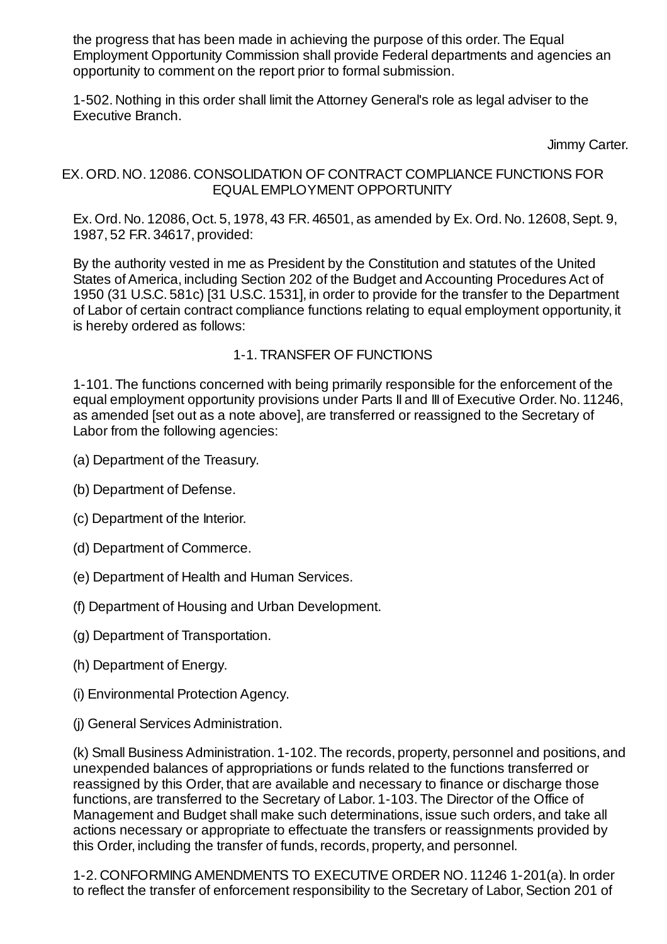the progress that has been made in achieving the purpose of this order. The Equal Employment Opportunity Commission shall provide Federal departments and agencies an opportunity to comment on the report prior to formal submission.

1-502. Nothing in this order shall limit the Attorney General's role as legal adviser to the Executive Branch.

Jimmy Carter.

# EX. ORD. NO. 12086. CONSOLIDATION OF CONTRACT COMPLIANCE FUNCTIONS FOR EQUALEMPLOYMENT OPPORTUNITY

Ex. Ord. No. 12086, Oct. 5, 1978, 43 F.R. 46501, as amended by Ex. Ord. No. 12608, Sept. 9, 1987, 52 F.R. 34617, provided:

By the authority vested in me as President by the Constitution and statutes of the United States of America, including Section 202 of the Budget and Accounting Procedures Act of 1950 (31 U.S.C. 581c) [31 U.S.C. 1531], in order to provide for the transfer to the Department of Labor of certain contract compliance functions relating to equal employment opportunity, it is hereby ordered as follows:

# 1-1. TRANSFER OF FUNCTIONS

1-101. The functions concerned with being primarily responsible for the enforcement of the equal employment opportunity provisions under Parts II and III of Executive Order. No. 11246. as amended [set out as a note above], are transferred or reassigned to the Secretary of Labor from the following agencies:

- (a) Department of the Treasury.
- (b) Department of Defense.
- (c) Department of the Interior.
- (d) Department of Commerce.
- (e) Department of Health and Human Services.
- (f) Department of Housing and Urban Development.
- (g) Department of Transportation.
- (h) Department of Energy.
- (i) Environmental Protection Agency.
- (j) General Services Administration.

(k) Small Business Administration. 1-102. The records, property, personnel and positions, and unexpended balances of appropriations or funds related to the functions transferred or reassigned by this Order, that are available and necessary to finance or discharge those functions, are transferred to the Secretary of Labor. 1-103. The Director of the Office of Management and Budget shall make such determinations, issue such orders, and take all actions necessary or appropriate to effectuate the transfers or reassignments provided by this Order, including the transfer of funds, records, property, and personnel.

1-2. CONFORMING AMENDMENTS TO EXECUTIVE ORDER NO. 11246 1-201(a). In order to reflect the transfer of enforcement responsibility to the Secretary of Labor, Section 201 of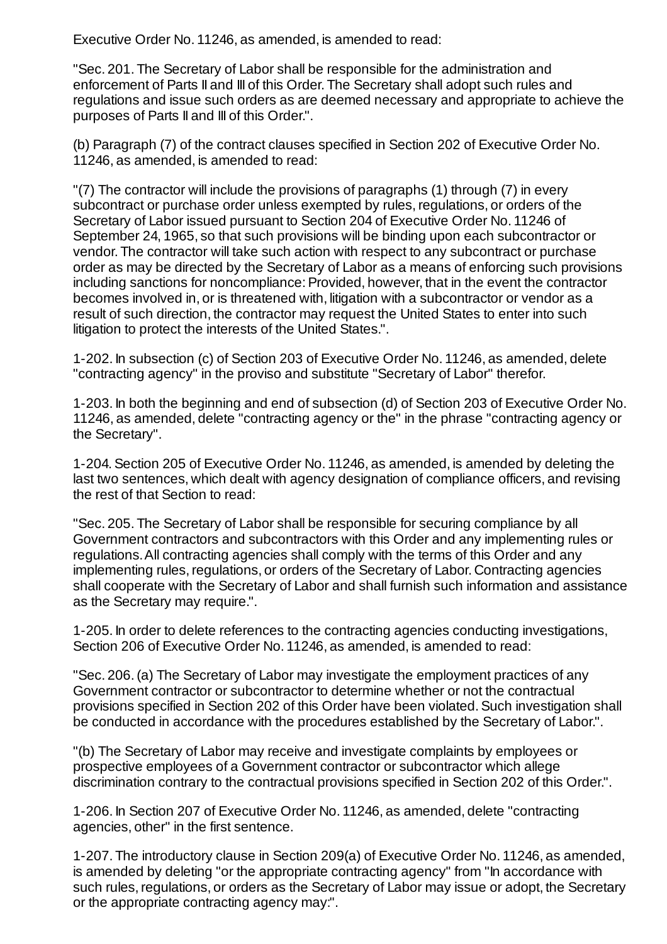Executive Order No. 11246, as amended, is amended to read:

"Sec. 201. The Secretary of Labor shall be responsible for the administration and enforcement of Parts II and III of this Order. The Secretary shall adopt such rules and regulations and issue such orders as are deemed necessary and appropriate to achieve the purposes of Parts II and III of this Order.".

(b) Paragraph (7) of the contract clauses specified in Section 202 of Executive Order No. 11246, as amended, is amended to read:

"(7) The contractor will include the provisions of paragraphs (1) through (7) in every subcontract or purchase order unless exempted by rules, requiations, or orders of the Secretary of Labor issued pursuant to Section 204 of Executive Order No. 11246 of September 24, 1965, so that such provisions will be binding upon each subcontractor or vendor. The contractor will take such action with respect to any subcontract or purchase order as may be directed by the Secretary of Labor as a means of enforcing such provisions including sanctions for noncompliance: Provided, however, that in the event the contractor becomes involved in, or is threatened with, litigation with a subcontractor or vendor as a result of such direction, the contractor may request the United States to enter into such litigation to protect the interests of the United States.".

1-202. In subsection (c) of Section 203 of Executive Order No. 11246, as amended, delete "contracting agency" in the proviso and substitute "Secretary of Labor" therefor.

1-203. In both the beginning and end of subsection (d) of Section 203 of Executive Order No. 11246, as amended, delete "contracting agency or the" in the phrase "contracting agency or the Secretary".

1-204.Section 205 of Executive Order No. 11246, as amended, is amended by deleting the last two sentences, which dealt with agency designation of compliance officers, and revising the rest of that Section to read:

"Sec. 205. The Secretary of Labor shall be responsible for securing compliance by all Government contractors and subcontractors with this Order and any implementing rules or regulations.All contracting agencies shall comply with the terms of this Order and any implementing rules, regulations, or orders of the Secretary of Labor. Contracting agencies shall cooperate with the Secretary of Labor and shall furnish such information and assistance as the Secretary may require.".

1-205. In order to delete references to the contracting agencies conducting investigations, Section 206 of Executive Order No. 11246, as amended, is amended to read:

"Sec. 206.(a) The Secretary of Labor may investigate the employment practices of any Government contractor or subcontractor to determine whether or not the contractual provisions specified in Section 202 of this Order have been violated. Such investigation shall be conducted in accordance with the procedures established by the Secretary of Labor.".

"(b) The Secretary of Labor may receive and investigate complaints by employees or prospective employees of a Government contractor or subcontractor which allege discrimination contrary to the contractual provisions specified in Section 202 of this Order.".

1-206. In Section 207 of Executive Order No. 11246, as amended, delete "contracting agencies, other" in the first sentence.

1-207. The introductory clause in Section 209(a) of Executive Order No. 11246, as amended, is amended by deleting "or the appropriate contracting agency" from "In accordance with such rules, regulations, or orders as the Secretary of Labor may issue or adopt, the Secretary or the appropriate contracting agency may:".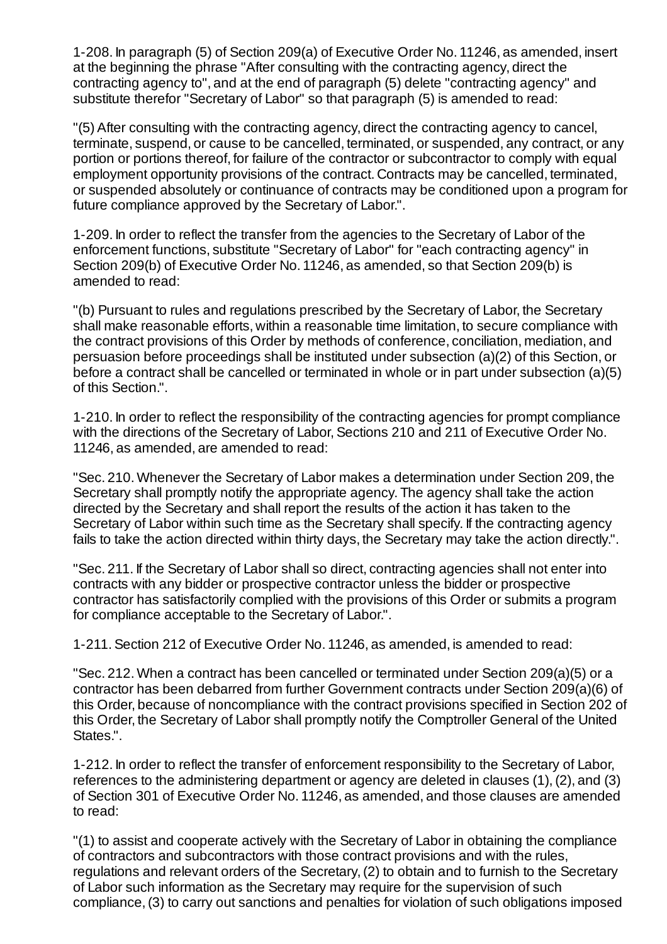1-208. In paragraph (5) of Section 209(a) of Executive Order No. 11246, as amended, insert at the beginning the phrase "After consulting with the contracting agency, direct the contracting agency to", and at the end of paragraph (5) delete "contracting agency" and substitute therefor "Secretary of Labor" so that paragraph (5) is amended to read:

"(5) After consulting with the contracting agency, direct the contracting agency to cancel, terminate, suspend, or cause to be cancelled, terminated, or suspended, any contract, or any portion or portions thereof, for failure of the contractor or subcontractor to comply with equal employment opportunity provisions of the contract. Contracts may be cancelled, terminated, or suspended absolutely or continuance of contracts may be conditioned upon a program for future compliance approved by the Secretary of Labor.".

1-209. In order to reflect the transfer from the agencies to the Secretary of Labor of the enforcement functions, substitute "Secretary of Labor" for "each contracting agency" in Section 209(b) of Executive Order No. 11246, as amended, so that Section 209(b) is amended to read:

"(b) Pursuant to rules and regulations prescribed by the Secretary of Labor, the Secretary shall make reasonable efforts, within a reasonable time limitation, to secure compliance with the contract provisions of this Order by methods of conference, conciliation, mediation, and persuasion before proceedings shall be instituted under subsection (a)(2) of this Section, or before a contract shall be cancelled or terminated in whole or in part under subsection (a)(5) of this Section.".

1-210. In order to reflect the responsibility of the contracting agencies for prompt compliance with the directions of the Secretary of Labor, Sections 210 and 211 of Executive Order No. 11246, as amended, are amended to read:

"Sec. 210. Whenever the Secretary of Labor makes a determination under Section 209, the Secretary shall promptly notify the appropriate agency. The agency shall take the action directed by the Secretary and shall report the results of the action it has taken to the Secretary of Labor within such time as the Secretary shall specify. If the contracting agency fails to take the action directed within thirty days, the Secretary may take the action directly.".

"Sec. 211. If the Secretary of Labor shall so direct, contracting agencies shall not enter into contracts with any bidder or prospective contractor unless the bidder or prospective contractor has satisfactorily complied with the provisions of this Order or submits a program for compliance acceptable to the Secretary of Labor.".

1-211.Section 212 of Executive Order No. 11246, as amended, is amended to read:

"Sec. 212. When a contract has been cancelled or terminated under Section 209(a)(5) or a contractor has been debarred from further Government contracts under Section 209(a)(6) of this Order, because of noncompliance with the contract provisions specified in Section 202 of this Order, the Secretary of Labor shall promptly notify the Comptroller General of the United States.".

1-212. In order to reflect the transfer of enforcement responsibility to the Secretary of Labor, references to the administering department or agency are deleted in clauses (1),(2), and (3) of Section 301 of Executive Order No. 11246, as amended, and those clauses are amended to read:

"(1) to assist and cooperate actively with the Secretary of Labor in obtaining the compliance of contractors and subcontractors with those contract provisions and with the rules, regulations and relevant orders of the Secretary,(2) to obtain and to furnish to the Secretary of Labor such information as the Secretary may require for the supervision of such compliance,(3) to carry out sanctions and penalties for violation of such obligations imposed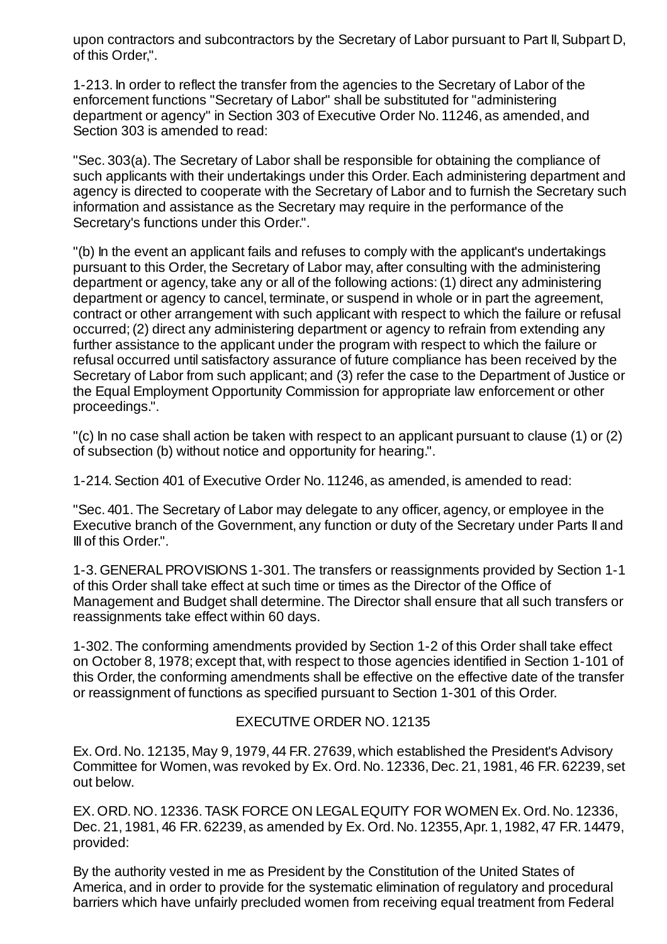upon contractors and subcontractors by the Secretary of Labor pursuant to Part II, Subpart D, of this Order,".

1-213. In order to reflect the transfer from the agencies to the Secretary of Labor of the enforcement functions "Secretary of Labor" shall be substituted for "administering department or agency" in Section 303 of Executive Order No. 11246, as amended, and Section 303 is amended to read:

"Sec. 303(a). The Secretary of Labor shall be responsible for obtaining the compliance of such applicants with their undertakings under this Order.Each administering department and agency is directed to cooperate with the Secretary of Labor and to furnish the Secretary such information and assistance as the Secretary may require in the performance of the Secretary's functions under this Order.".

"(b) In the event an applicant fails and refuses to comply with the applicant's undertakings pursuant to this Order, the Secretary of Labor may, after consulting with the administering department or agency, take any or all of the following actions:(1) direct any administering department or agency to cancel, terminate, or suspend in whole or in part the agreement, contract or other arrangement with such applicant with respect to which the failure or refusal occurred;(2) direct any administering department or agency to refrain from extending any further assistance to the applicant under the program with respect to which the failure or refusal occurred until satisfactory assurance of future compliance has been received by the Secretary of Labor from such applicant; and (3) refer the case to the Department of Justice or the Equal Employment Opportunity Commission for appropriate law enforcement or other proceedings.".

"(c) In no case shall action be taken with respect to an applicant pursuant to clause (1) or (2) of subsection (b) without notice and opportunity for hearing.".

1-214.Section 401 of Executive Order No. 11246, as amended, is amended to read:

"Sec. 401. The Secretary of Labor may delegate to any officer, agency, or employee in the Executive branch of the Government, any function or duty of the Secretary under Parts II and III of this Order.".

1-3. GENERALPROVISIONS 1-301. The transfers or reassignments provided by Section 1-1 of this Order shall take effect at such time or times as the Director of the Office of Management and Budget shall determine. The Director shall ensure that all such transfers or reassignments take effect within 60 days.

1-302. The conforming amendments provided by Section 1-2 of this Order shall take effect on October 8, 1978; except that, with respect to those agencies identified in Section 1-101 of this Order, the conforming amendments shall be effective on the effective date of the transfer or reassignment of functions as specified pursuant to Section 1-301 of this Order.

# EXECUTIVE ORDER NO. 12135

Ex. Ord. No. 12135, May 9, 1979, 44 F.R. 27639, which established the President's Advisory Committee for Women, was revoked by Ex. Ord. No. 12336, Dec. 21, 1981, 46 F.R. 62239, set out below.

EX. ORD. NO. 12336. TASK FORCE ON LEGALEQUITY FOR WOMEN Ex. Ord. No. 12336, Dec. 21, 1981, 46 F.R. 62239, as amended by Ex. Ord. No. 12355,Apr. 1, 1982, 47 F.R. 14479, provided:

By the authority vested in me as President by the Constitution of the United States of America, and in order to provide for the systematic elimination of regulatory and procedural barriers which have unfairly precluded women from receiving equal treatment from Federal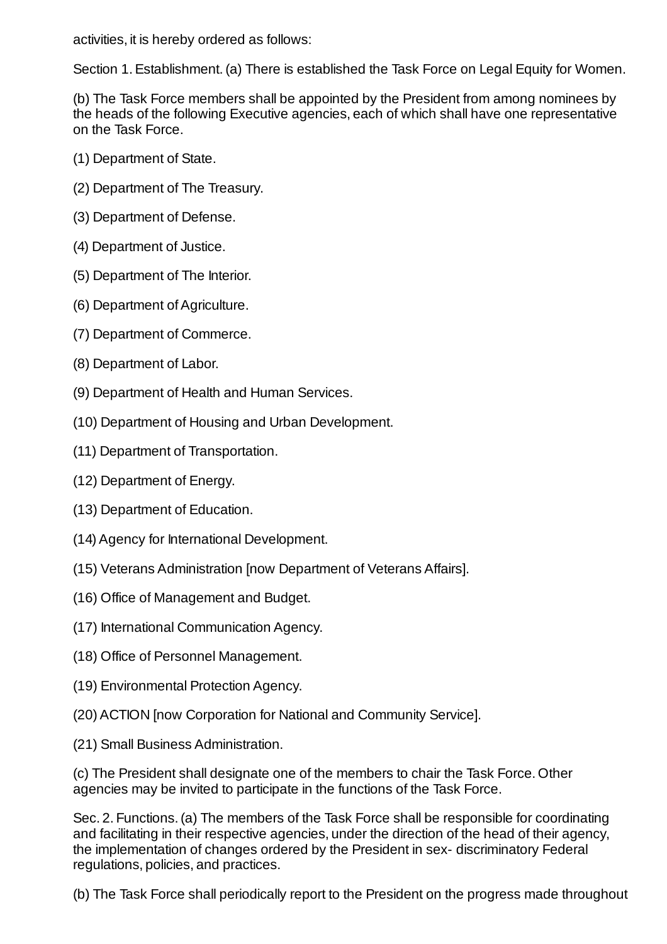activities, it is hereby ordered as follows:

Section 1. Establishment. (a) There is established the Task Force on Legal Equity for Women.

(b) The Task Force members shall be appointed by the President from among nominees by the heads of the following Executive agencies, each of which shall have one representative on the Task Force.

- (1) Department of State.
- (2) Department of The Treasury.
- (3) Department of Defense.
- (4) Department of Justice.
- (5) Department of The Interior.
- (6) Department of Agriculture.
- (7) Department of Commerce.
- (8) Department of Labor.
- (9) Department of Health and Human Services.
- (10) Department of Housing and Urban Development.
- (11) Department of Transportation.
- (12) Department of Energy.
- (13) Department of Education.
- (14) Agency for International Development.
- (15) Veterans Administration [now Department of Veterans Affairs].
- (16) Office of Management and Budget.
- (17) International Communication Agency.
- (18) Office of Personnel Management.
- (19) Environmental Protection Agency.
- (20) ACTION [now Corporation for National and Community Service].
- (21) Small Business Administration.

(c) The President shall designate one of the members to chair the Task Force. Other agencies may be invited to participate in the functions of the Task Force.

Sec. 2. Functions.(a) The members of the Task Force shall be responsible for coordinating and facilitating in their respective agencies, under the direction of the head of their agency, the implementation of changes ordered by the President in sex- discriminatory Federal regulations, policies, and practices.

(b) The Task Force shall periodically report to the President on the progress made throughout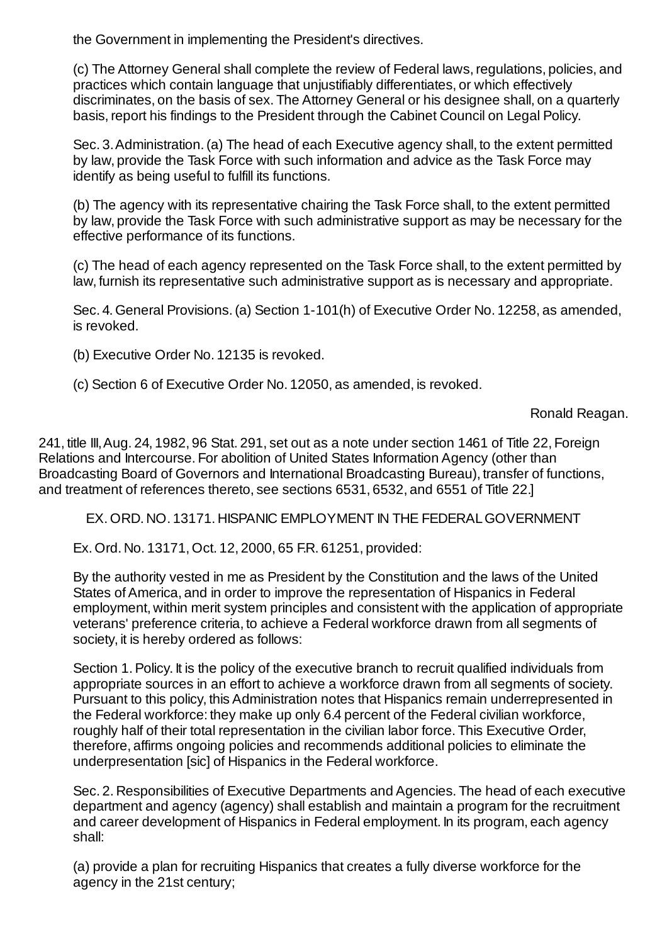the Government in implementing the President's directives.

(c) The Attorney General shall complete the review of Federal laws,regulations, policies, and practices which contain language that unjustifiably differentiates, or which effectively discriminates, on the basis of sex. The Attorney General or his designee shall, on a quarterly basis, report his findings to the President through the Cabinet Council on Legal Policy.

Sec. 3.Administration.(a) The head of each Executive agency shall, to the extent permitted by law, provide the Task Force with such information and advice as the Task Force may identify as being useful to fulfill its functions.

(b) The agency with its representative chairing the Task Force shall, to the extent permitted by law, provide the Task Force with such administrative support as may be necessary for the effective performance of its functions.

(c) The head of each agency represented on the Task Force shall, to the extent permitted by law, furnish its representative such administrative support as is necessary and appropriate.

Sec. 4. General Provisions.(a) Section 1-101(h) of Executive Order No. 12258, as amended, is revoked.

(b) Executive Order No. 12135 is revoked.

(c) Section 6 of Executive Order No. 12050, as amended, is revoked.

Ronald Reagan.

241, title III,Aug. 24, 1982, 96 Stat. 291, set out as a note under section 1461 of Title 22, Foreign Relations and Intercourse. For abolition of United States Information Agency (other than Broadcasting Board of Governors and International Broadcasting Bureau), transfer of functions, and treatment of references thereto, see sections 6531, 6532, and 6551 of Title 22.]

EX. ORD. NO. 13171. HISPANIC EMPLOYMENT IN THE FEDERALGOVERNMENT

Ex. Ord. No. 13171, Oct. 12, 2000, 65 F.R. 61251, provided:

By the authority vested in me as President by the Constitution and the laws of the United States of America, and in order to improve the representation of Hispanics in Federal employment, within merit system principles and consistent with the application of appropriate veterans' preference criteria, to achieve a Federal workforce drawn from all segments of society, it is hereby ordered as follows:

Section 1. Policy. It is the policy of the executive branch to recruit qualified individuals from appropriate sources in an effort to achieve a workforce drawn from all segments of society. Pursuant to this policy, this Administration notes that Hispanics remain underrepresented in the Federal workforce: they make up only 6.4 percent of the Federal civilian workforce, roughly half of their total representation in the civilian labor force. This Executive Order, therefore, affirms ongoing policies and recommends additional policies to eliminate the underpresentation [sic] of Hispanics in the Federal workforce.

Sec. 2. Responsibilities of Executive Departments and Agencies. The head of each executive department and agency (agency) shall establish and maintain a program for the recruitment and career development of Hispanics in Federal employment. In its program, each agency shall:

(a) provide a plan for recruiting Hispanics that creates a fully diverse workforce for the agency in the 21st century;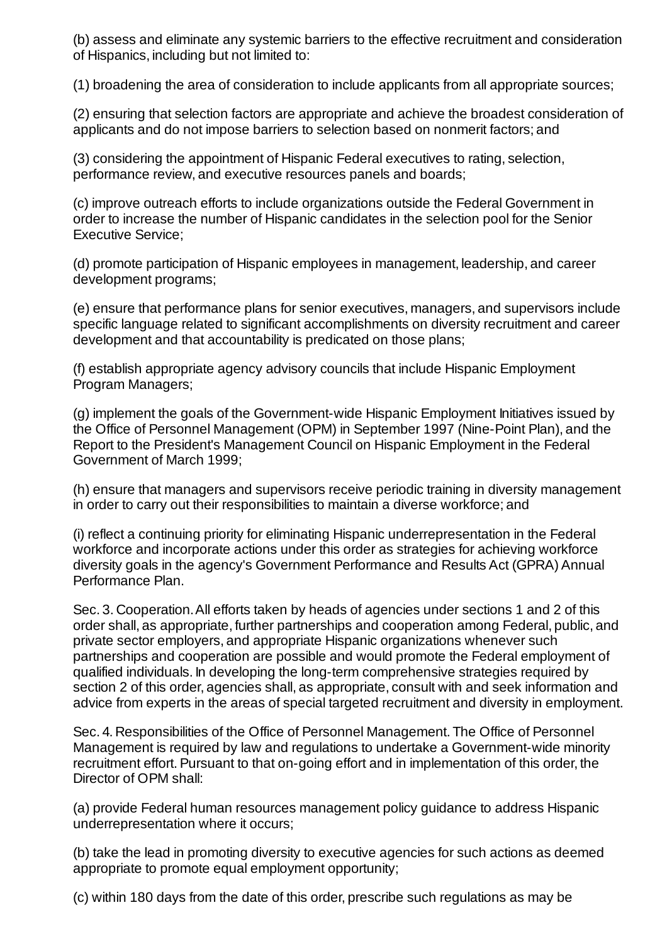(b) assess and eliminate any systemic barriers to the effective recruitment and consideration of Hispanics, including but not limited to:

(1) broadening the area of consideration to include applicants from all appropriate sources;

(2) ensuring that selection factors are appropriate and achieve the broadest consideration of applicants and do not impose barriers to selection based on nonmerit factors; and

(3) considering the appointment of Hispanic Federal executives to rating, selection, performance review, and executive resources panels and boards;

(c) improve outreach efforts to include organizations outside the Federal Government in order to increase the number of Hispanic candidates in the selection pool for the Senior Executive Service;

(d) promote participation of Hispanic employees in management, leadership, and career development programs;

(e) ensure that performance plans for senior executives, managers, and supervisors include specific language related to significant accomplishments on diversity recruitment and career development and that accountability is predicated on those plans;

(f) establish appropriate agency advisory councils that include Hispanic Employment Program Managers;

(g) implement the goals of the Government-wide Hispanic Employment Initiatives issued by the Office of Personnel Management (OPM) in September 1997 (Nine-Point Plan), and the Report to the President's Management Council on Hispanic Employment in the Federal Government of March 1999;

(h) ensure that managers and supervisors receive periodic training in diversity management in order to carry out their responsibilities to maintain a diverse workforce; and

(i) reflect a continuing priority for eliminating Hispanic underrepresentation in the Federal workforce and incorporate actions under this order as strategies for achieving workforce diversity goals in the agency's Government Performance and Results Act (GPRA) Annual Performance Plan.

Sec. 3. Cooperation.All efforts taken by heads of agencies under sections 1 and 2 of this order shall, as appropriate, further partnerships and cooperation among Federal, public, and private sector employers, and appropriate Hispanic organizations whenever such partnerships and cooperation are possible and would promote the Federal employment of qualified individuals. In developing the long-term comprehensive strategies required by section 2 of this order, agencies shall, as appropriate, consult with and seek information and advice from experts in the areas of special targeted recruitment and diversity in employment.

Sec. 4. Responsibilities of the Office of Personnel Management. The Office of Personnel Management is required by law and regulations to undertake a Government-wide minority recruitment effort. Pursuant to that on-going effort and in implementation of this order, the Director of OPM shall:

(a) provide Federal human resources management policy guidance to address Hispanic underrepresentation where it occurs;

(b) take the lead in promoting diversity to executive agencies for such actions as deemed appropriate to promote equal employment opportunity;

(c) within 180 days from the date of this order, prescribe such regulations as may be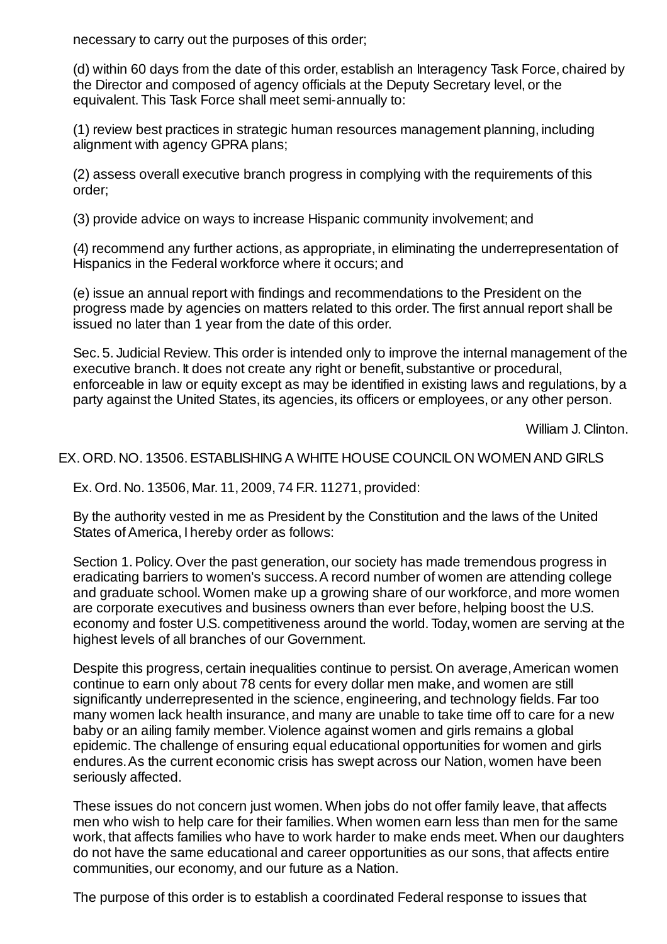necessary to carry out the purposes of this order;

(d) within 60 days from the date of this order, establish an Interagency Task Force, chaired by the Director and composed of agency officials at the Deputy Secretary level, or the equivalent. This Task Force shall meet semi-annually to:

(1) review best practices in strategic human resources management planning, including alignment with agency GPRA plans;

(2) assess overall executive branch progress in complying with the requirements of this order;

(3) provide advice on ways to increase Hispanic community involvement; and

(4) recommend any further actions, as appropriate, in eliminating the underrepresentation of Hispanics in the Federal workforce where it occurs; and

(e) issue an annual report with findings and recommendations to the President on the progress made by agencies on matters related to this order. The first annual report shall be issued no later than 1 year from the date of this order.

Sec. 5. Judicial Review. This order is intended only to improve the internal management of the executive branch. It does not create any right or benefit, substantive or procedural, enforceable in law or equity except as may be identified in existing laws and regulations, by a party against the United States, its agencies, its officers or employees, or any other person.

William J. Clinton.

EX. ORD. NO. 13506.ESTABLISHING A WHITE HOUSE COUNCILON WOMEN AND GIRLS

Ex. Ord. No. 13506, Mar. 11, 2009, 74 F.R. 11271, provided:

By the authority vested in me as President by the Constitution and the laws of the United States of America, I hereby order as follows:

Section 1. Policy. Over the past generation, our society has made tremendous progress in eradicating barriers to women's success.A record number of women are attending college and graduate school. Women make up a growing share of our workforce, and more women are corporate executives and business owners than ever before, helping boost the U.S. economy and foster U.S. competitiveness around the world. Today, women are serving at the highest levels of all branches of our Government.

Despite this progress, certain inequalities continue to persist. On average,American women continue to earn only about 78 cents for every dollar men make, and women are still significantly underrepresented in the science, engineering, and technology fields. Far too many women lack health insurance, and many are unable to take time off to care for a new baby or an ailing family member. Violence against women and girls remains a global epidemic. The challenge of ensuring equal educational opportunities for women and girls endures.As the current economic crisis has swept across our Nation, women have been seriously affected.

These issues do not concern just women. When jobs do not offer family leave, that affects men who wish to help care for their families. When women earn less than men for the same work, that affects families who have to work harder to make ends meet. When our daughters do not have the same educational and career opportunities as our sons, that affects entire communities, our economy, and our future as a Nation.

The purpose of this order is to establish a coordinated Federal response to issues that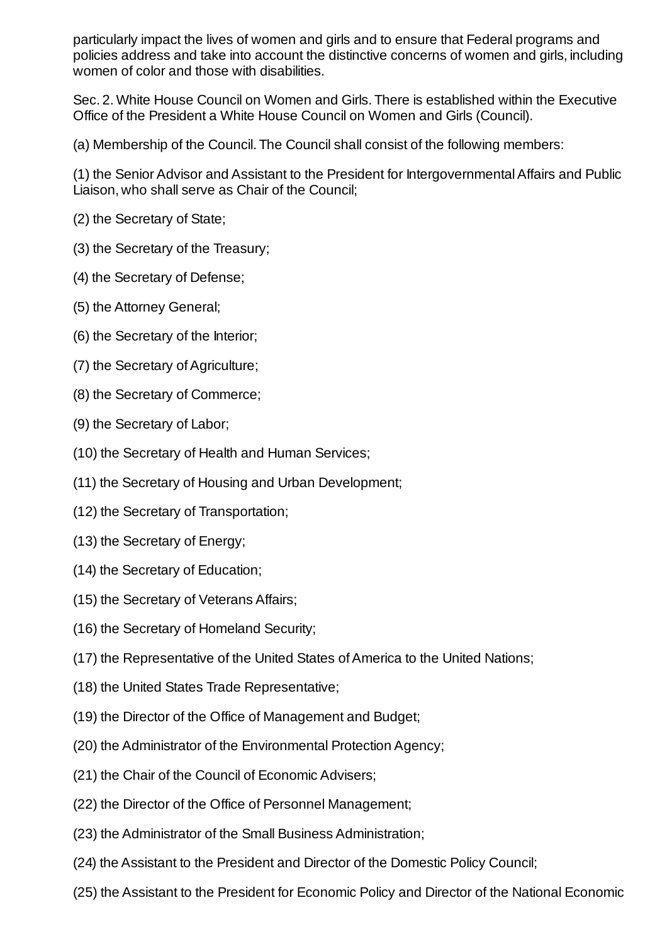particularly impact the lives of women and girls and to ensure that Federal programs and policies address and take into account the distinctive concerns of women and girls, including women of color and those with disabilities.

Sec. 2. White House Council on Women and Girls. There is established within the Executive Office of the President a White House Council on Women and Girls (Council).

(a) Membership of the Council. The Council shall consist of the following members:

(1) the Senior Advisor and Assistant to the President for Intergovernmental Affairs and Public Liaison, who shall serve as Chair of the Council;

- (2) the Secretary of State;
- (3) the Secretary of the Treasury;
- (4) the Secretary of Defense;
- (5) the Attorney General;
- (6) the Secretary of the Interior;
- (7) the Secretary of Agriculture;
- (8) the Secretary of Commerce;
- (9) the Secretary of Labor;
- (10) the Secretary of Health and Human Services;
- (11) the Secretary of Housing and Urban Development;
- (12) the Secretary of Transportation;
- (13) the Secretary of Energy;
- (14) the Secretary of Education;
- (15) the Secretary of Veterans Affairs;
- (16) the Secretary of Homeland Security;
- (17) the Representative of the United States ofAmerica to the United Nations;
- (18) the United States Trade Representative;
- (19) the Director of the Office of Management and Budget;
- (20) the Administrator of the Environmental Protection Agency;
- (21) the Chair of the Council of Economic Advisers;
- (22) the Director of the Office of Personnel Management;
- (23) the Administrator of the Small Business Administration;
- (24) the Assistant to the President and Director of the Domestic Policy Council;
- (25) the Assistant to the President for Economic Policy and Director of the National Economic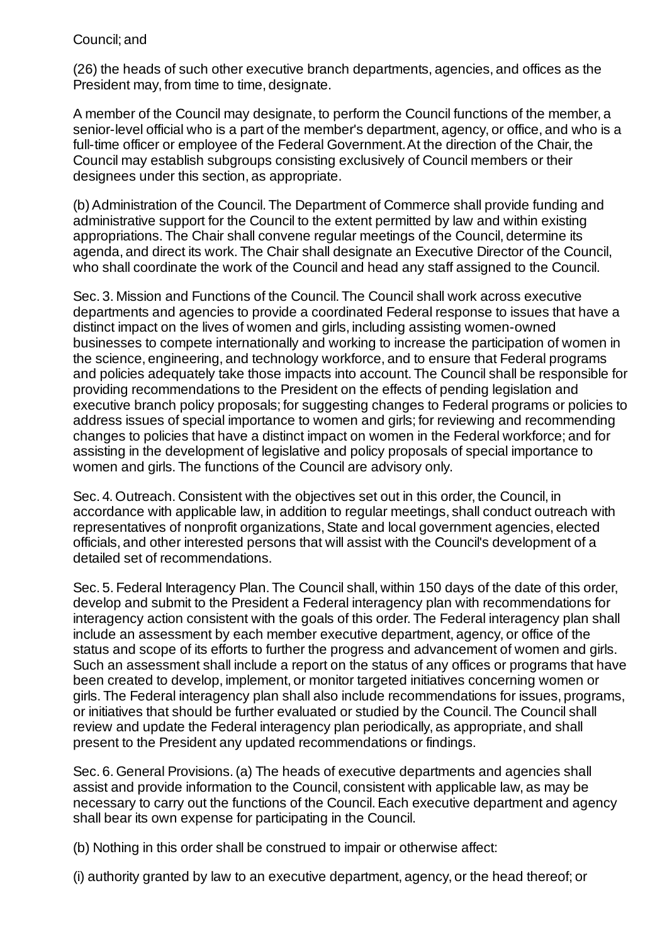#### Council; and

(26) the heads of such other executive branch departments, agencies, and offices as the President may, from time to time, designate.

A member of the Council may designate, to perform the Council functions of the member, a senior-level official who is a part of the member's department, agency, or office, and who is a full-time officer or employee of the Federal Government.At the direction of the Chair, the Council may establish subgroups consisting exclusively of Council members or their designees under this section, as appropriate.

(b) Administration of the Council. The Department of Commerce shall provide funding and administrative support for the Council to the extent permitted by law and within existing appropriations. The Chair shall convene regular meetings of the Council, determine its agenda, and direct its work. The Chair shall designate an Executive Director of the Council, who shall coordinate the work of the Council and head any staff assigned to the Council.

Sec. 3. Mission and Functions of the Council. The Council shall work across executive departments and agencies to provide a coordinated Federal response to issues that have a distinct impact on the lives of women and girls, including assisting women-owned businesses to compete internationally and working to increase the participation of women in the science, engineering, and technology workforce, and to ensure that Federal programs and policies adequately take those impacts into account. The Council shall be responsible for providing recommendations to the President on the effects of pending legislation and executive branch policy proposals; for suggesting changes to Federal programs or policies to address issues of special importance to women and girls; for reviewing and recommending changes to policies that have a distinct impact on women in the Federal workforce; and for assisting in the development of legislative and policy proposals of special importance to women and girls. The functions of the Council are advisory only.

Sec. 4. Outreach. Consistent with the objectives set out in this order, the Council, in accordance with applicable law, in addition to regular meetings, shall conduct outreach with representatives of nonprofit organizations, State and local government agencies, elected officials, and other interested persons that will assist with the Council's development of a detailed set of recommendations.

Sec. 5. Federal Interagency Plan. The Council shall, within 150 days of the date of this order, develop and submit to the President a Federal interagency plan with recommendations for interagency action consistent with the goals of this order. The Federal interagency plan shall include an assessment by each member executive department, agency, or office of the status and scope of its efforts to further the progress and advancement of women and girls. Such an assessment shall include a report on the status of any offices or programs that have been created to develop, implement, or monitor targeted initiatives concerning women or girls. The Federal interagency plan shall also include recommendations for issues, programs, or initiatives that should be further evaluated or studied by the Council. The Council shall review and update the Federal interagency plan periodically, as appropriate, and shall present to the President any updated recommendations or findings.

Sec. 6. General Provisions.(a) The heads of executive departments and agencies shall assist and provide information to the Council, consistent with applicable law, as may be necessary to carry out the functions of the Council.Each executive department and agency shall bear its own expense for participating in the Council.

(b) Nothing in this order shall be construed to impair or otherwise affect:

(i) authority granted by law to an executive department, agency, or the head thereof; or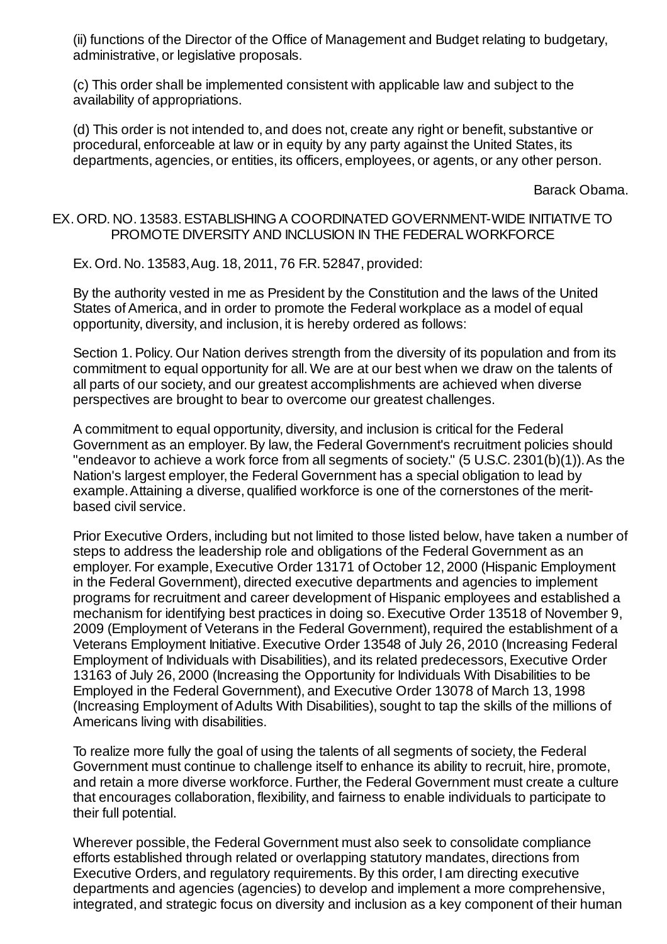(ii) functions of the Director of the Office of Management and Budget relating to budgetary, administrative, or legislative proposals.

(c) This order shall be implemented consistent with applicable law and subject to the availability of appropriations.

(d) This order is not intended to, and does not, create any right or benefit, substantive or procedural, enforceable at law or in equity by any party against the United States, its departments, agencies, or entities, its officers, employees, or agents, or any other person.

Barack Obama.

#### EX. ORD. NO. 13583.ESTABLISHING A COORDINATED GOVERNMENT-WIDE INITIATIVE TO PROMOTE DIVERSITY AND INCLUSION IN THE FEDERAL WORKFORCE

Ex. Ord. No. 13583,Aug. 18, 2011, 76 F.R. 52847, provided:

By the authority vested in me as President by the Constitution and the laws of the United States of America, and in order to promote the Federal workplace as a model of equal opportunity, diversity, and inclusion, it is hereby ordered as follows:

Section 1. Policy. Our Nation derives strength from the diversity of its population and from its commitment to equal opportunity for all. We are at our best when we draw on the talents of all parts of our society, and our greatest accomplishments are achieved when diverse perspectives are brought to bear to overcome our greatest challenges.

A commitment to equal opportunity, diversity, and inclusion is critical for the Federal Government as an employer.By law, the Federal Government's recruitment policies should "endeavor to achieve a work force from all segments of society." (5 U.S.C. 2301(b)(1)).As the Nation's largest employer, the Federal Government has a special obligation to lead by example.Attaining a diverse, qualified workforce is one of the cornerstones of the meritbased civil service.

Prior Executive Orders, including but not limited to those listed below, have taken a number of steps to address the leadership role and obligations of the Federal Government as an employer. For example, Executive Order 13171 of October 12, 2000 (Hispanic Employment in the Federal Government), directed executive departments and agencies to implement programs for recruitment and career development of Hispanic employees and established a mechanism for identifying best practices in doing so.Executive Order 13518 of November 9, 2009 (Employment of Veterans in the Federal Government), required the establishment of a Veterans Employment Initiative.Executive Order 13548 of July 26, 2010 (Increasing Federal Employment of Individuals with Disabilities), and its related predecessors, Executive Order 13163 of July 26, 2000 (Increasing the Opportunity for Individuals With Disabilities to be Employed in the Federal Government), and Executive Order 13078 of March 13, 1998 (Increasing Employment of Adults With Disabilities), sought to tap the skills of the millions of Americans living with disabilities.

To realize more fully the goal of using the talents of all segments of society, the Federal Government must continue to challenge itself to enhance its ability to recruit, hire, promote, and retain a more diverse workforce. Further, the Federal Government must create a culture that encourages collaboration, flexibility, and fairness to enable individuals to participate to their full potential.

Wherever possible, the Federal Government must also seek to consolidate compliance efforts established through related or overlapping statutory mandates, directions from Executive Orders, and regulatory requirements.By this order, I am directing executive departments and agencies (agencies) to develop and implement a more comprehensive, integrated, and strategic focus on diversity and inclusion as a key component of their human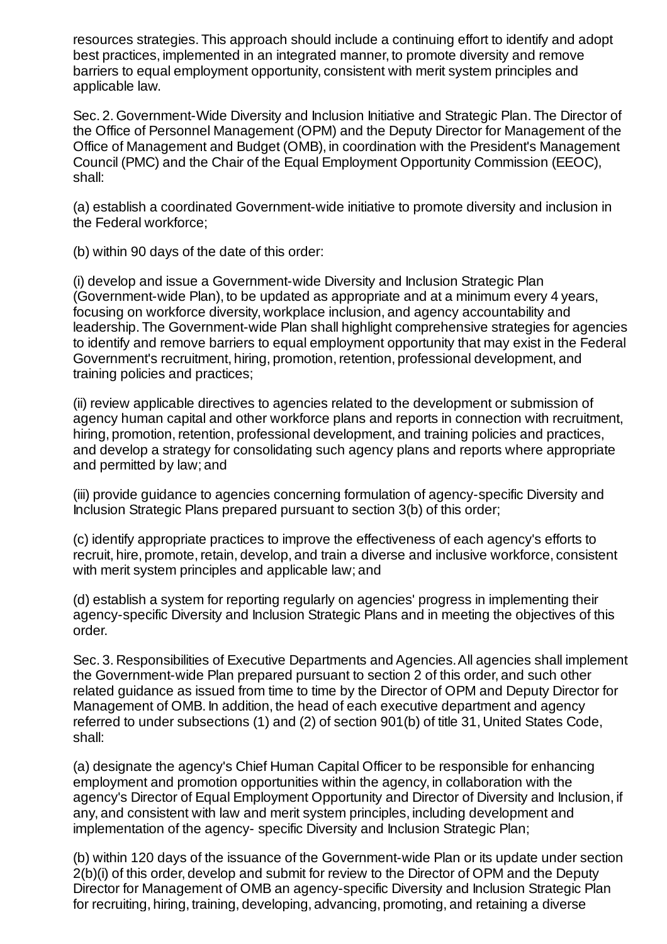resources strategies. This approach should include a continuing effort to identify and adopt best practices, implemented in an integrated manner, to promote diversity and remove barriers to equal employment opportunity, consistent with merit system principles and applicable law.

Sec. 2. Government-Wide Diversity and Inclusion Initiative and Strategic Plan. The Director of the Office of Personnel Management (OPM) and the Deputy Director for Management of the Office of Management and Budget (OMB), in coordination with the President's Management Council (PMC) and the Chair of the Equal Employment Opportunity Commission (EEOC), shall:

(a) establish a coordinated Government-wide initiative to promote diversity and inclusion in the Federal workforce;

(b) within 90 days of the date of this order:

(i) develop and issue a Government-wide Diversity and Inclusion Strategic Plan (Government-wide Plan), to be updated as appropriate and at a minimum every 4 years, focusing on workforce diversity, workplace inclusion, and agency accountability and leadership. The Government-wide Plan shall highlight comprehensive strategies for agencies to identify and remove barriers to equal employment opportunity that may exist in the Federal Government's recruitment, hiring, promotion, retention, professional development, and training policies and practices;

(ii) review applicable directives to agencies related to the development or submission of agency human capital and other workforce plans and reports in connection with recruitment, hiring, promotion, retention, professional development, and training policies and practices, and develop a strategy for consolidating such agency plans and reports where appropriate and permitted by law; and

(iii) provide guidance to agencies concerning formulation of agency-specific Diversity and Inclusion Strategic Plans prepared pursuant to section 3(b) of this order;

(c) identify appropriate practices to improve the effectiveness of each agency's efforts to recruit, hire, promote, retain, develop, and train a diverse and inclusive workforce, consistent with merit system principles and applicable law; and

(d) establish a system for reporting regularly on agencies' progress in implementing their agency-specific Diversity and Inclusion Strategic Plans and in meeting the objectives of this order.

Sec. 3. Responsibilities of Executive Departments and Agencies.All agencies shall implement the Government-wide Plan prepared pursuant to section 2 of this order, and such other related guidance as issued from time to time by the Director of OPM and Deputy Director for Management of OMB. In addition, the head of each executive department and agency referred to under subsections (1) and (2) of section 901(b) of title 31, United States Code, shall:

(a) designate the agency's Chief Human Capital Officer to be responsible for enhancing employment and promotion opportunities within the agency, in collaboration with the agency's Director of Equal Employment Opportunity and Director of Diversity and Inclusion, if any, and consistent with law and merit system principles, including development and implementation of the agency- specific Diversity and Inclusion Strategic Plan;

(b) within 120 days of the issuance of the Government-wide Plan or its update under section 2(b)(i) of this order, develop and submit for review to the Director of OPM and the Deputy Director for Management of OMB an agency-specific Diversity and Inclusion Strategic Plan for recruiting, hiring, training, developing, advancing, promoting, and retaining a diverse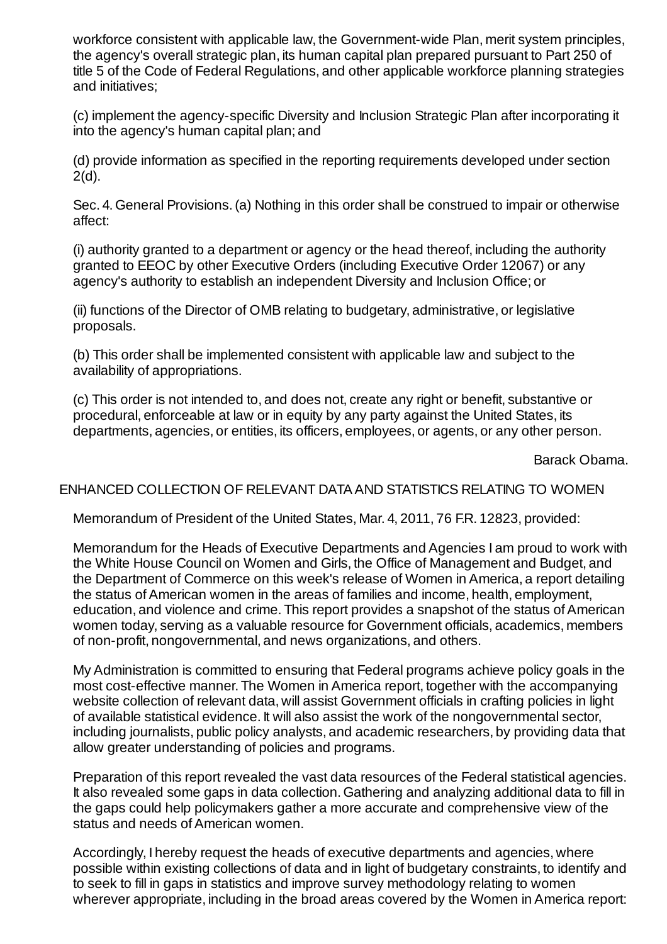workforce consistent with applicable law, the Government-wide Plan, merit system principles, the agency's overall strategic plan, its human capital plan prepared pursuant to Part 250 of title 5 of the Code of Federal Regulations, and other applicable workforce planning strategies and initiatives;

(c) implement the agency-specific Diversity and Inclusion Strategic Plan after incorporating it into the agency's human capital plan; and

(d) provide information as specified in the reporting requirements developed under section 2(d).

Sec. 4. General Provisions.(a) Nothing in this order shall be construed to impair or otherwise affect:

(i) authority granted to a department or agency or the head thereof, including the authority granted to EEOC by other Executive Orders (including Executive Order 12067) or any agency's authority to establish an independent Diversity and Inclusion Office; or

(ii) functions of the Director of OMB relating to budgetary, administrative, or legislative proposals.

(b) This order shall be implemented consistent with applicable law and subject to the availability of appropriations.

(c) This order is not intended to, and does not, create any right or benefit, substantive or procedural, enforceable at law or in equity by any party against the United States, its departments, agencies, or entities, its officers, employees, or agents, or any other person.

Barack Obama.

#### ENHANCED COLLECTION OF RELEVANT DATAAND STATISTICS RELATING TO WOMEN

Memorandum of President of the United States, Mar. 4, 2011, 76 F.R. 12823, provided:

Memorandum for the Heads of Executive Departments and Agencies I am proud to work with the White House Council on Women and Girls, the Office of Management and Budget, and the Department of Commerce on this week's release of Women in America, a report detailing the status ofAmerican women in the areas of families and income, health, employment, education, and violence and crime. This report provides a snapshot of the status of American women today, serving as a valuable resource for Government officials, academics, members of non-profit, nongovernmental, and news organizations, and others.

My Administration is committed to ensuring that Federal programs achieve policy goals in the most cost-effective manner. The Women in America report, together with the accompanying website collection of relevant data, will assist Government officials in crafting policies in light of available statistical evidence. It will also assist the work of the nongovernmental sector, including journalists, public policy analysts, and academic researchers, by providing data that allow greater understanding of policies and programs.

Preparation of this report revealed the vast data resources of the Federal statistical agencies. It also revealed some gaps in data collection. Gathering and analyzing additional data to fill in the gaps could help policymakers gather a more accurate and comprehensive view of the status and needs of American women.

Accordingly, I hereby request the heads of executive departments and agencies, where possible within existing collections of data and in light of budgetary constraints, to identify and to seek to fill in gaps in statistics and improve survey methodology relating to women wherever appropriate, including in the broad areas covered by the Women in America report: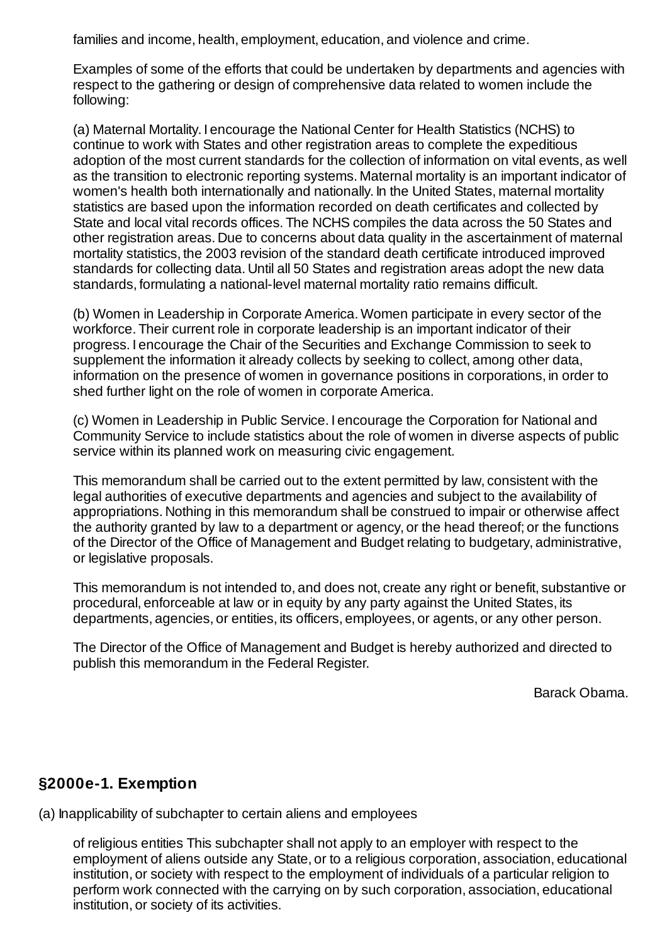families and income, health, employment, education, and violence and crime.

Examples of some of the efforts that could be undertaken by departments and agencies with respect to the gathering or design of comprehensive data related to women include the following:

(a) Maternal Mortality. I encourage the National Center for Health Statistics (NCHS) to continue to work with States and other registration areas to complete the expeditious adoption of the most current standards for the collection of information on vital events, as well as the transition to electronic reporting systems. Maternal mortality is an important indicator of women's health both internationally and nationally. In the United States, maternal mortality statistics are based upon the information recorded on death certificates and collected by State and local vital records offices. The NCHS compiles the data across the 50 States and other registration areas. Due to concerns about data quality in the ascertainment of maternal mortality statistics, the 2003 revision of the standard death certificate introduced improved standards for collecting data. Until all 50 States and registration areas adopt the new data standards, formulating a national-level maternal mortality ratio remains difficult.

(b) Women in Leadership in Corporate America. Women participate in every sector of the workforce. Their current role in corporate leadership is an important indicator of their progress. I encourage the Chair of the Securities and Exchange Commission to seek to supplement the information it already collects by seeking to collect, among other data, information on the presence of women in governance positions in corporations, in order to shed further light on the role of women in corporate America.

(c) Women in Leadership in Public Service. I encourage the Corporation for National and Community Service to include statistics about the role of women in diverse aspects of public service within its planned work on measuring civic engagement.

This memorandum shall be carried out to the extent permitted by law, consistent with the legal authorities of executive departments and agencies and subject to the availability of appropriations. Nothing in this memorandum shall be construed to impair or otherwise affect the authority granted by law to a department or agency, or the head thereof; or the functions of the Director of the Office of Management and Budget relating to budgetary, administrative, or legislative proposals.

This memorandum is not intended to, and does not, create any right or benefit, substantive or procedural, enforceable at law or in equity by any party against the United States, its departments, agencies, or entities, its officers, employees, or agents, or any other person.

The Director of the Office of Management and Budget is hereby authorized and directed to publish this memorandum in the Federal Register.

Barack Obama.

# **§2000e-1. Exemption**

(a) Inapplicability of subchapter to certain aliens and employees

of religious entities This subchapter shall not apply to an employer with respect to the employment of aliens outside any State, or to a religious corporation, association, educational institution, or society with respect to the employment of individuals of a particular religion to perform work connected with the carrying on by such corporation, association, educational institution, or society of its activities.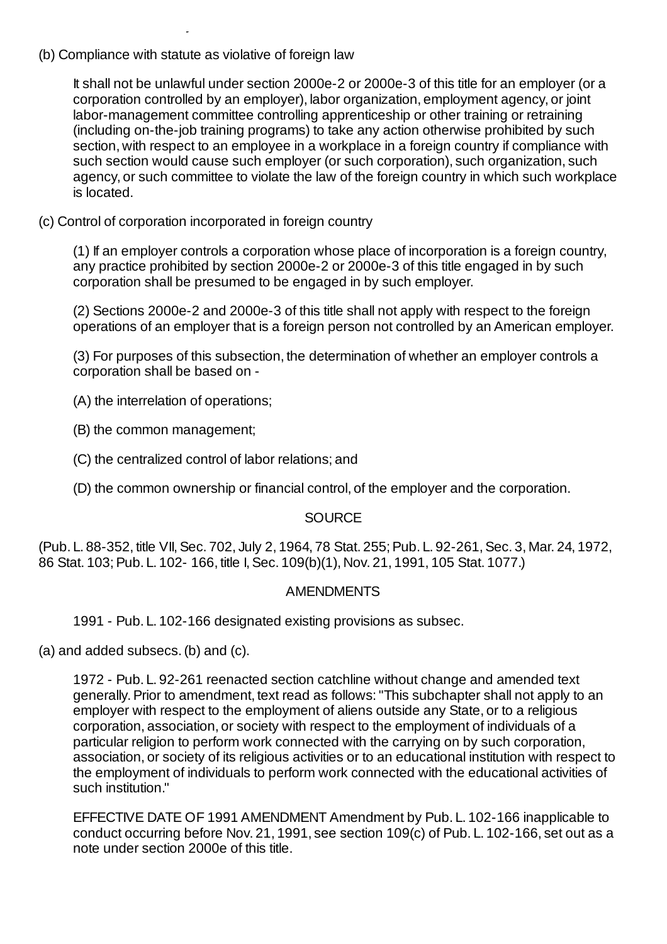(b) Compliance with statute as violative of foreign law

institution, or society of its activities.

It shall not be unlawful under section 2000e-2 or 2000e-3 of this title for an employer (or a corporation controlled by an employer), labor organization, employment agency, or joint labor-management committee controlling apprenticeship or other training or retraining (including on-the-job training programs) to take any action otherwise prohibited by such section, with respect to an employee in a workplace in a foreign country if compliance with such section would cause such employer (or such corporation), such organization, such agency, or such committee to violate the law of the foreign country in which such workplace is located.

(c) Control of corporation incorporated in foreign country

(1) If an employer controls a corporation whose place of incorporation is a foreign country, any practice prohibited by section 2000e-2 or 2000e-3 of this title engaged in by such corporation shall be presumed to be engaged in by such employer.

(2) Sections 2000e-2 and 2000e-3 of this title shall not apply with respect to the foreign operations of an employer that is a foreign person not controlled by an American employer.

(3) For purposes of this subsection, the determination of whether an employer controls a corporation shall be based on -

- (A) the interrelation of operations;
- (B) the common management;
- (C) the centralized control of labor relations; and
- (D) the common ownership or financial control, of the employer and the corporation.

#### **SOURCE**

(Pub. L. 88-352, title VII, Sec. 702, July 2, 1964, 78 Stat. 255; Pub. L. 92-261, Sec. 3, Mar. 24, 1972, 86 Stat. 103; Pub. L. 102- 166, title I, Sec. 109(b)(1), Nov. 21, 1991, 105 Stat. 1077.)

#### AMENDMENTS

1991 - Pub. L. 102-166 designated existing provisions as subsec.

(a) and added subsecs.(b) and (c).

1972 - Pub. L. 92-261 reenacted section catchline without change and amended text generally.Prior to amendment, text read as follows:"This subchapter shall not apply to an employer with respect to the employment of aliens outside any State, or to a religious corporation, association, or society with respect to the employment of individuals of a particular religion to perform work connected with the carrying on by such corporation, association, or society of its religious activities or to an educational institution with respect to the employment of individuals to perform work connected with the educational activities of such institution."

EFFECTIVE DATE OF 1991 AMENDMENT Amendment by Pub. L. 102-166 inapplicable to conduct occurring before Nov. 21, 1991, see section 109(c) of Pub. L. 102-166, set out as a note under section 2000e of this title.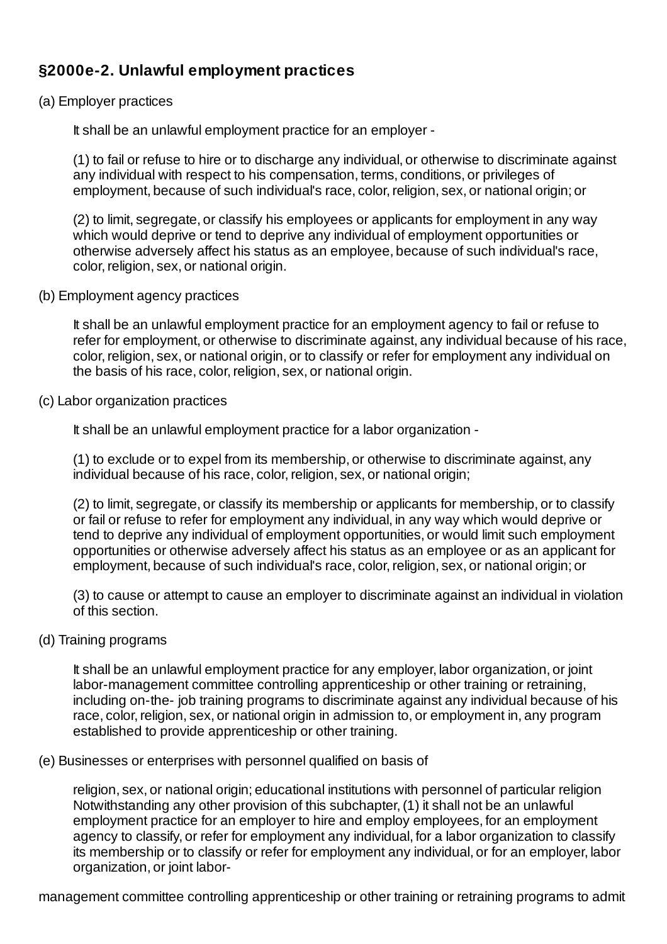# **§2000e-2. Unlawful employment practices**

(a) Employer practices

It shall be an unlawful employment practice for an employer -

(1) to fail or refuse to hire or to discharge any individual, or otherwise to discriminate against any individual with respect to his compensation, terms, conditions, or privileges of employment, because of such individual's race, color,religion, sex, or national origin; or

(2) to limit, segregate, or classify his employees or applicants for employment in any way which would deprive or tend to deprive any individual of employment opportunities or otherwise adversely affect his status as an employee, because of such individual's race, color, religion, sex, or national origin.

(b) Employment agency practices

It shall be an unlawful employment practice for an employment agency to fail or refuse to refer for employment, or otherwise to discriminate against, any individual because of his race, color, religion, sex, or national origin, or to classify or refer for employment any individual on the basis of his race, color, religion, sex, or national origin.

(c) Labor organization practices

It shall be an unlawful employment practice for a labor organization -

(1) to exclude or to expel from its membership, or otherwise to discriminate against, any individual because of his race, color, religion, sex, or national origin;

(2) to limit, segregate, or classify its membership or applicants for membership, or to classify or fail or refuse to refer for employment any individual, in any way which would deprive or tend to deprive any individual of employment opportunities, or would limit such employment opportunities or otherwise adversely affect his status as an employee or as an applicant for employment, because of such individual's race, color,religion, sex, or national origin; or

(3) to cause or attempt to cause an employer to discriminate against an individual in violation of this section.

#### (d) Training programs

It shall be an unlawful employment practice for any employer, labor organization, or joint labor-management committee controlling apprenticeship or other training or retraining, including on-the- job training programs to discriminate against any individual because of his race, color, religion, sex, or national origin in admission to, or employment in, any program established to provide apprenticeship or other training.

#### (e) Businesses or enterprises with personnel qualified on basis of

religion, sex, or national origin; educational institutions with personnel of particular religion Notwithstanding any other provision of this subchapter,(1) it shall not be an unlawful employment practice for an employer to hire and employ employees, for an employment agency to classify, or refer for employment any individual, for a labor organization to classify its membership or to classify or refer for employment any individual, or for an employer, labor organization, or joint labor-

management committee controlling apprenticeship or other training or retraining programs to admit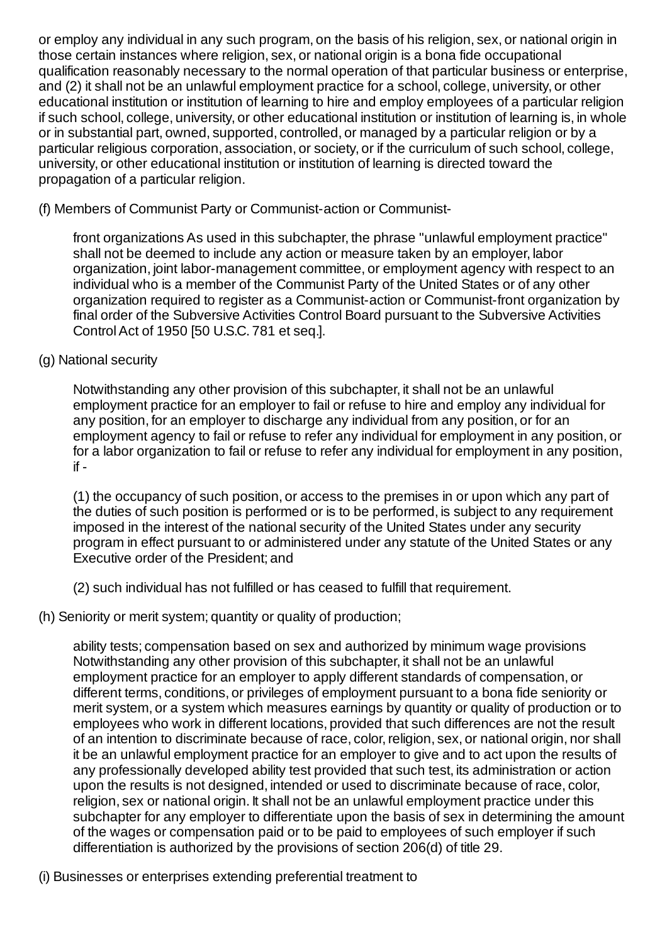or employ any individual in any such program, on the basis of his religion, sex, or national origin in those certain instances where religion, sex, or national origin is a bona fide occupational qualification reasonably necessary to the normal operation of that particular business or enterprise, and (2) it shall not be an unlawful employment practice for a school, college, university, or other educational institution or institution of learning to hire and employ employees of a particular religion if such school, college, university, or other educational institution or institution of learning is, in whole or in substantial part, owned, supported, controlled, or managed by a particular religion or by a particular religious corporation, association, or society, or if the curriculum of such school, college, university, or other educational institution or institution of learning is directed toward the propagation of a particular religion.

(f) Members of Communist Party or Communist-action or Communist-

front organizations As used in this subchapter, the phrase "unlawful employment practice" shall not be deemed to include any action or measure taken by an employer, labor organization, joint labor-management committee, or employment agency with respect to an individual who is a member of the Communist Party of the United States or of any other organization required to register as a Communist-action or Communist-front organization by final order of the Subversive Activities Control Board pursuant to the Subversive Activities ControlAct of 1950 [50 U.S.C. 781 et seq.].

# (g) National security

Notwithstanding any other provision of this subchapter, it shall not be an unlawful employment practice for an employer to fail or refuse to hire and employ any individual for any position, for an employer to discharge any individual from any position, or for an employment agency to fail or refuse to refer any individual for employment in any position, or for a labor organization to fail or refuse to refer any individual for employment in any position, if -

(1) the occupancy of such position, or access to the premises in or upon which any part of the duties of such position is performed or is to be performed, is subject to any requirement imposed in the interest of the national security of the United States under any security program in effect pursuant to or administered under any statute of the United States or any Executive order of the President; and

(2) such individual has not fulfilled or has ceased to fulfill that requirement.

(h) Seniority or merit system; quantity or quality of production;

ability tests; compensation based on sex and authorized by minimum wage provisions Notwithstanding any other provision of this subchapter, it shall not be an unlawful employment practice for an employer to apply different standards of compensation, or different terms, conditions, or privileges of employment pursuant to a bona fide seniority or merit system, or a system which measures earnings by quantity or quality of production or to employees who work in different locations, provided that such differences are not the result of an intention to discriminate because of race, color, religion, sex, or national origin, nor shall it be an unlawful employment practice for an employer to give and to act upon the results of any professionally developed ability test provided that such test, its administration or action upon the results is not designed, intended or used to discriminate because of race, color, religion, sex or national origin. It shall not be an unlawful employment practice under this subchapter for any employer to differentiate upon the basis of sex in determining the amount of the wages or compensation paid or to be paid to employees of such employer if such differentiation is authorized by the provisions of section 206(d) of title 29.

(i) Businesses or enterprises extending preferential treatment to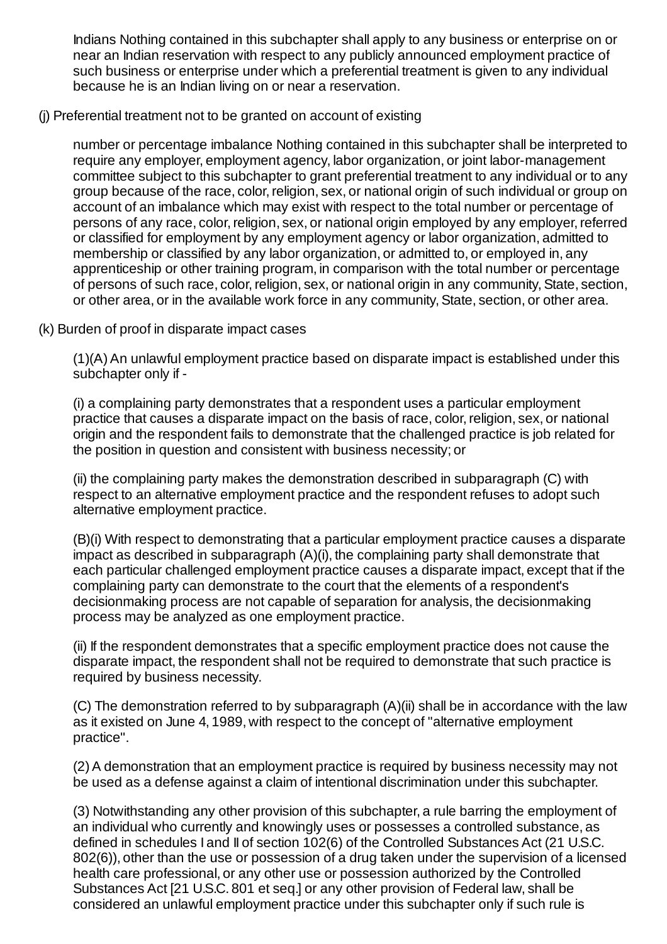Indians Nothing contained in this subchapter shall apply to any business or enterprise on or near an Indian reservation with respect to any publicly announced employment practice of such business or enterprise under which a preferential treatment is given to any individual because he is an Indian living on or near a reservation.

(j) Preferential treatment not to be granted on account of existing

number or percentage imbalance Nothing contained in this subchapter shall be interpreted to require any employer, employment agency, labor organization, or joint labor-management committee subject to this subchapter to grant preferential treatment to any individual or to any group because of the race, color, religion, sex, or national origin of such individual or group on account of an imbalance which may exist with respect to the total number or percentage of persons of any race, color, religion, sex, or national origin employed by any employer, referred or classified for employment by any employment agency or labor organization, admitted to membership or classified by any labor organization, or admitted to, or employed in, any apprenticeship or other training program, in comparison with the total number or percentage of persons of such race, color, religion, sex, or national origin in any community, State, section, or other area, or in the available work force in any community, State, section, or other area.

(k) Burden of proof in disparate impact cases

(1)(A) An unlawful employment practice based on disparate impact is established under this subchapter only if -

(i) a complaining party demonstrates that a respondent uses a particular employment practice that causes a disparate impact on the basis of race, color,religion, sex, or national origin and the respondent fails to demonstrate that the challenged practice is job related for the position in question and consistent with business necessity; or

(ii) the complaining party makes the demonstration described in subparagraph (C) with respect to an alternative employment practice and the respondent refuses to adopt such alternative employment practice.

(B)(i) With respect to demonstrating that a particular employment practice causes a disparate impact as described in subparagraph (A)(i), the complaining party shall demonstrate that each particular challenged employment practice causes a disparate impact, except that if the complaining party can demonstrate to the court that the elements of a respondent's decisionmaking process are not capable of separation for analysis, the decisionmaking process may be analyzed as one employment practice.

(ii) If the respondent demonstrates that a specific employment practice does not cause the disparate impact, the respondent shall not be required to demonstrate that such practice is required by business necessity.

(C) The demonstration referred to by subparagraph (A)(ii) shall be in accordance with the law as it existed on June 4, 1989, with respect to the concept of "alternative employment practice".

(2) A demonstration that an employment practice is required by business necessity may not be used as a defense against a claim of intentional discrimination under this subchapter.

(3) Notwithstanding any other provision of this subchapter, a rule barring the employment of an individual who currently and knowingly uses or possesses a controlled substance, as defined in schedules I and II of section 102(6) of the Controlled Substances Act (21 U.S.C. 802(6)), other than the use or possession of a drug taken under the supervision of a licensed health care professional, or any other use or possession authorized by the Controlled Substances Act [21 U.S.C. 801 et seq.] or any other provision of Federal law, shall be considered an unlawful employment practice under this subchapter only if such rule is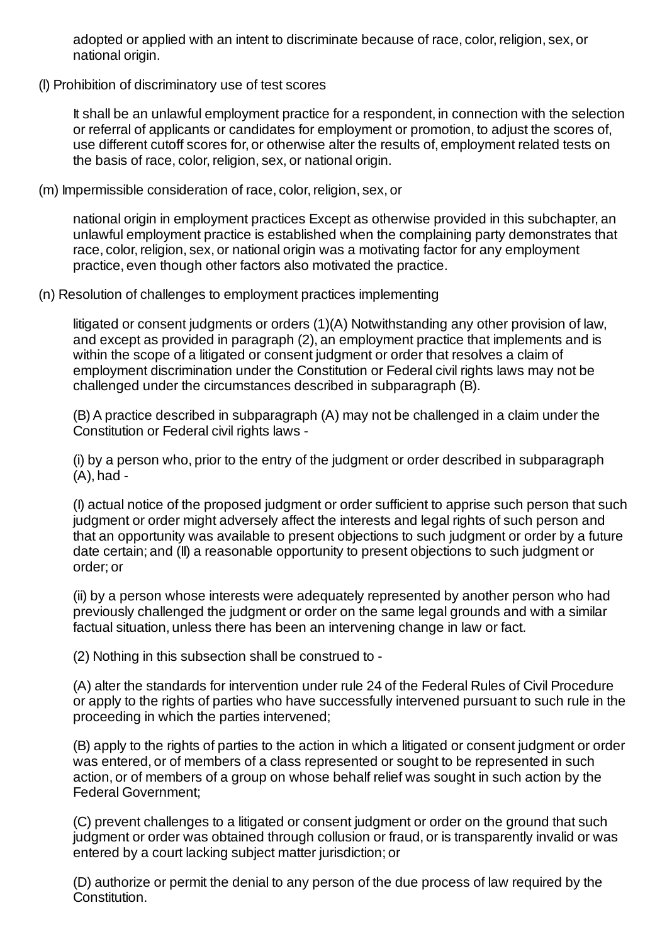adopted or applied with an intent to discriminate because of race, color,religion, sex, or national origin.

(l) Prohibition of discriminatory use of test scores

It shall be an unlawful employment practice for a respondent, in connection with the selection or referral of applicants or candidates for employment or promotion, to adjust the scores of, use different cutoff scores for, or otherwise alter the results of, employment related tests on the basis of race, color, religion, sex, or national origin.

(m) Impermissible consideration of race, color, religion, sex, or

national origin in employment practices Except as otherwise provided in this subchapter, an unlawful employment practice is established when the complaining party demonstrates that race, color, religion, sex, or national origin was a motivating factor for any employment practice, even though other factors also motivated the practice.

#### (n) Resolution of challenges to employment practices implementing

litigated or consent judgments or orders (1)(A) Notwithstanding any other provision of law, and except as provided in paragraph (2), an employment practice that implements and is within the scope of a litigated or consent judgment or order that resolves a claim of employment discrimination under the Constitution or Federal civil rights laws may not be challenged under the circumstances described in subparagraph (B).

(B) A practice described in subparagraph (A) may not be challenged in a claim under the Constitution or Federal civil rights laws -

(i) by a person who, prior to the entry of the judgment or order described in subparagraph (A), had -

(I) actual notice of the proposed judgment or order sufficient to apprise such person that such judgment or order might adversely affect the interests and legal rights of such person and that an opportunity was available to present objections to such judgment or order by a future date certain; and (II) a reasonable opportunity to present objections to such judgment or order; or

(ii) by a person whose interests were adequately represented by another person who had previously challenged the judgment or order on the same legal grounds and with a similar factual situation, unless there has been an intervening change in law or fact.

(2) Nothing in this subsection shall be construed to -

(A) alter the standards for intervention under rule 24 of the Federal Rules of Civil Procedure or apply to the rights of parties who have successfully intervened pursuant to such rule in the proceeding in which the parties intervened;

(B) apply to the rights of parties to the action in which a litigated or consent judgment or order was entered, or of members of a class represented or sought to be represented in such action, or of members of a group on whose behalf relief was sought in such action by the Federal Government;

(C) prevent challenges to a litigated or consent judgment or order on the ground that such judgment or order was obtained through collusion or fraud, or is transparently invalid or was entered by a court lacking subject matter jurisdiction; or

(D) authorize or permit the denial to any person of the due process of law required by the Constitution.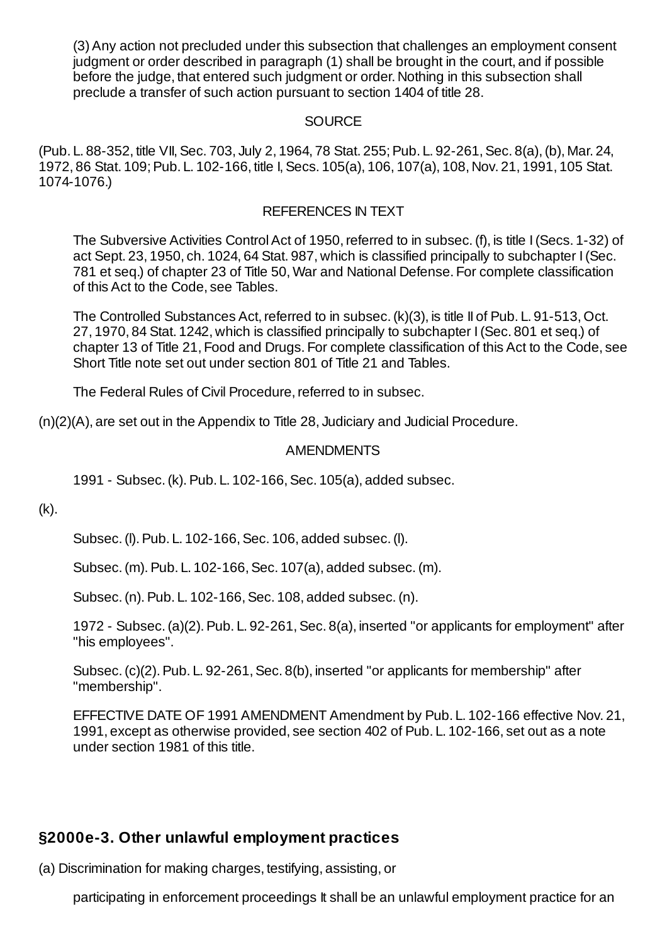(3) Any action not precluded under this subsection that challenges an employment consent judgment or order described in paragraph (1) shall be brought in the court, and if possible before the judge, that entered such judgment or order. Nothing in this subsection shall preclude a transfer of such action pursuant to section 1404 of title 28.

#### **SOURCE**

(Pub. L. 88-352, title VII, Sec. 703, July 2, 1964, 78 Stat. 255; Pub. L. 92-261, Sec. 8(a), (b), Mar. 24, 1972, 86 Stat. 109;Pub. L. 102-166, title I,Secs. 105(a), 106, 107(a), 108, Nov. 21, 1991, 105 Stat. 1074-1076.)

#### REFERENCES IN TEXT

The Subversive Activities Control Act of 1950, referred to in subsec. (f), is title I (Secs. 1-32) of act Sept. 23, 1950, ch. 1024, 64 Stat. 987, which is classified principally to subchapter I(Sec. 781 et seq.) of chapter 23 of Title 50, War and National Defense. For complete classification of this Act to the Code, see Tables.

The Controlled Substances Act, referred to in subsec. (k)(3), is title II of Pub. L. 91-513, Oct. 27, 1970, 84 Stat. 1242, which is classified principally to subchapter I(Sec. 801 et seq.) of chapter 13 of Title 21, Food and Drugs. For complete classification of this Act to the Code, see Short Title note set out under section 801 of Title 21 and Tables.

The Federal Rules of Civil Procedure, referred to in subsec.

(n)(2)(A), are set out in the Appendix to Title 28, Judiciary and Judicial Procedure.

#### **AMENDMENTS**

1991 - Subsec. (k). Pub. L. 102-166, Sec. 105(a), added subsec.

(k).

Subsec. (I). Pub. L. 102-166, Sec. 106, added subsec. (I).

Subsec. (m). Pub. L. 102-166, Sec. 107(a), added subsec. (m).

Subsec. (n). Pub. L. 102-166, Sec. 108, added subsec. (n).

1972 - Subsec. (a)(2). Pub. L. 92-261, Sec. 8(a), inserted "or applicants for employment" after "his employees".

Subsec. (c)(2). Pub. L. 92-261, Sec. 8(b), inserted "or applicants for membership" after "membership".

EFFECTIVE DATE OF 1991 AMENDMENT Amendment by Pub. L. 102-166 effective Nov. 21, 1991, except as otherwise provided, see section 402 of Pub. L. 102-166, set out as a note under section 1981 of this title.

# **§2000e-3. Other unlawful employment practices**

(a) Discrimination for making charges, testifying, assisting, or

participating in enforcement proceedings It shall be an unlawful employment practice for an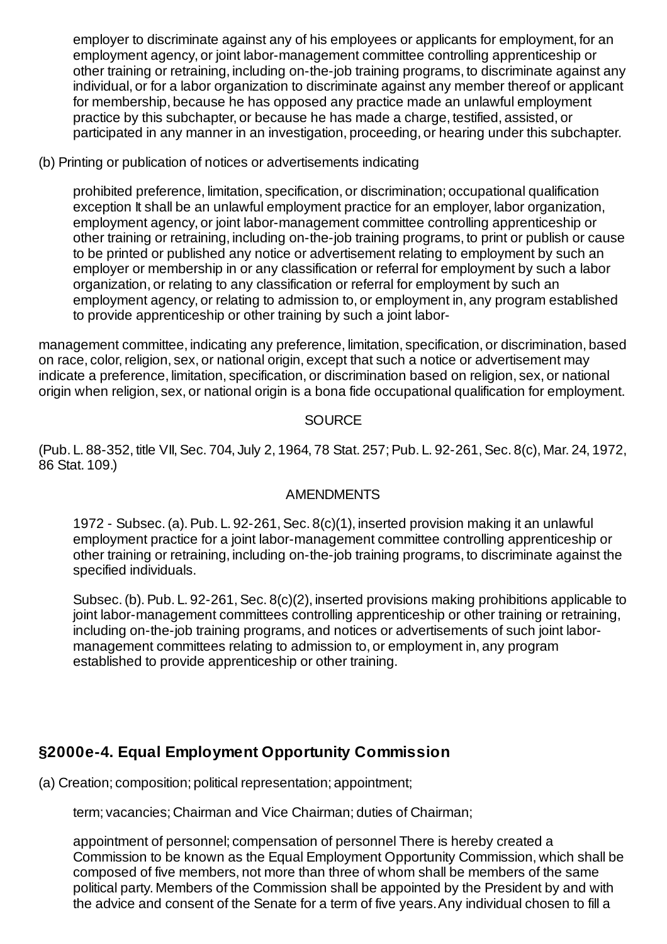employer to discriminate against any of his employees or applicants for employment, for an employment agency, or joint labor-management committee controlling apprenticeship or other training or retraining, including on-the-job training programs, to discriminate against any individual, or for a labor organization to discriminate against any member thereof or applicant for membership, because he has opposed any practice made an unlawful employment practice by this subchapter, or because he has made a charge, testified, assisted, or participated in any manner in an investigation, proceeding, or hearing under this subchapter.

# (b) Printing or publication of notices or advertisements indicating

prohibited preference, limitation, specification, or discrimination; occupational qualification exception It shall be an unlawful employment practice for an employer, labor organization, employment agency, or joint labor-management committee controlling apprenticeship or other training or retraining, including on-the-job training programs, to print or publish or cause to be printed or published any notice or advertisement relating to employment by such an employer or membership in or any classification or referral for employment by such a labor organization, or relating to any classification or referral for employment by such an employment agency, or relating to admission to, or employment in, any program established to provide apprenticeship or other training by such a joint labor-

management committee, indicating any preference, limitation, specification, or discrimination, based on race, color, religion, sex, or national origin, except that such a notice or advertisement may indicate a preference, limitation, specification, or discrimination based on religion, sex, or national origin when religion, sex, or national origin is a bona fide occupational qualification for employment.

## **SOURCE**

(Pub. L. 88-352, title VII, Sec. 704, July 2, 1964, 78 Stat. 257; Pub. L. 92-261, Sec. 8(c), Mar. 24, 1972, 86 Stat. 109.)

#### AMENDMENTS

1972 - Subsec. (a). Pub. L. 92-261, Sec. 8(c)(1), inserted provision making it an unlawful employment practice for a joint labor-management committee controlling apprenticeship or other training or retraining, including on-the-job training programs, to discriminate against the specified individuals.

Subsec. (b). Pub. L. 92-261, Sec. 8(c)(2), inserted provisions making prohibitions applicable to joint labor-management committees controlling apprenticeship or other training or retraining, including on-the-job training programs, and notices or advertisements of such joint labormanagement committees relating to admission to, or employment in, any program established to provide apprenticeship or other training.

# **§2000e-4. Equal Employment Opportunity Commission**

(a) Creation; composition; political representation; appointment;

term; vacancies; Chairman and Vice Chairman; duties of Chairman;

appointment of personnel; compensation of personnel There is hereby created a Commission to be known as the Equal Employment Opportunity Commission, which shall be composed of five members, not more than three of whom shall be members of the same political party. Members of the Commission shall be appointed by the President by and with the advice and consent of the Senate for a term of five years.Any individual chosen to fill a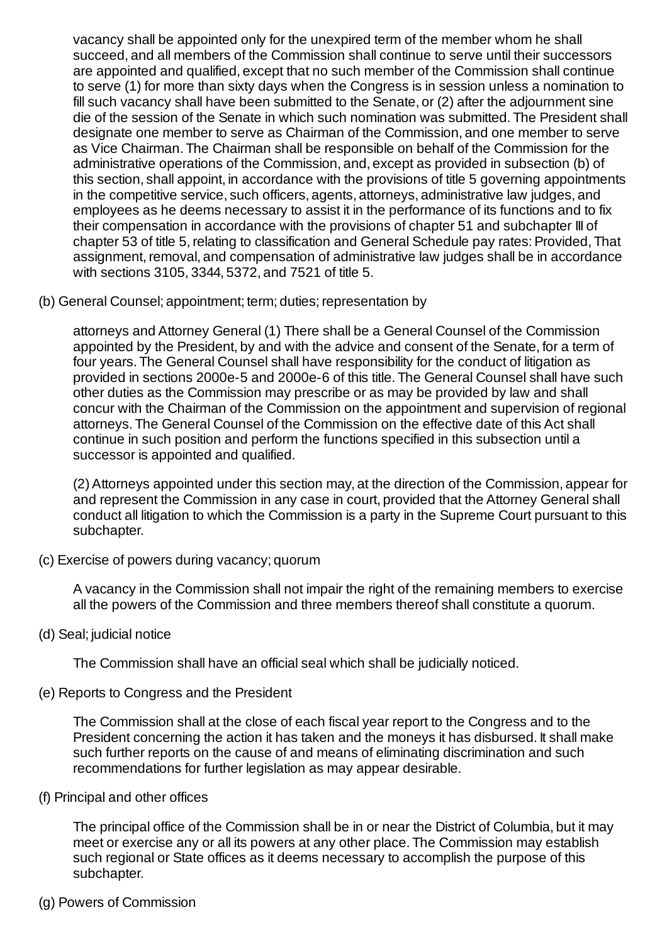vacancy shall be appointed only for the unexpired term of the member whom he shall succeed, and all members of the Commission shall continue to serve until their successors are appointed and qualified, except that no such member of the Commission shall continue to serve (1) for more than sixty days when the Congress is in session unless a nomination to fill such vacancy shall have been submitted to the Senate, or (2) after the adjournment sine die of the session of the Senate in which such nomination was submitted. The President shall designate one member to serve as Chairman of the Commission, and one member to serve as Vice Chairman. The Chairman shall be responsible on behalf of the Commission for the administrative operations of the Commission, and, except as provided in subsection (b) of this section, shall appoint, in accordance with the provisions of title 5 governing appointments in the competitive service, such officers, agents, attorneys, administrative law judges, and employees as he deems necessary to assist it in the performance of its functions and to fix their compensation in accordance with the provisions of chapter 51 and subchapter III of chapter 53 of title 5,relating to classification and General Schedule pay rates:Provided, That assignment, removal, and compensation of administrative law judges shall be in accordance with sections 3105, 3344, 5372, and 7521 of title 5.

(b) General Counsel; appointment; term; duties; representation by

attorneys and Attorney General (1) There shall be a General Counsel of the Commission appointed by the President, by and with the advice and consent of the Senate, for a term of four years. The General Counsel shall have responsibility for the conduct of litigation as provided in sections 2000e-5 and 2000e-6 of this title. The General Counsel shall have such other duties as the Commission may prescribe or as may be provided by law and shall concur with the Chairman of the Commission on the appointment and supervision of regional attorneys. The General Counsel of the Commission on the effective date of this Act shall continue in such position and perform the functions specified in this subsection until a successor is appointed and qualified.

(2) Attorneys appointed under this section may, at the direction of the Commission, appear for and represent the Commission in any case in court, provided that the Attorney General shall conduct all litigation to which the Commission is a party in the Supreme Court pursuant to this subchapter.

(c) Exercise of powers during vacancy; quorum

A vacancy in the Commission shall not impair the right of the remaining members to exercise all the powers of the Commission and three members thereof shall constitute a quorum.

(d) Seal; judicial notice

The Commission shall have an official seal which shall be judicially noticed.

(e) Reports to Congress and the President

The Commission shall at the close of each fiscal year report to the Congress and to the President concerning the action it has taken and the moneys it has disbursed. It shall make such further reports on the cause of and means of eliminating discrimination and such recommendations for further legislation as may appear desirable.

(f) Principal and other offices

The principal office of the Commission shall be in or near the District of Columbia, but it may meet or exercise any or all its powers at any other place. The Commission may establish such regional or State offices as it deems necessary to accomplish the purpose of this subchapter.

(g) Powers of Commission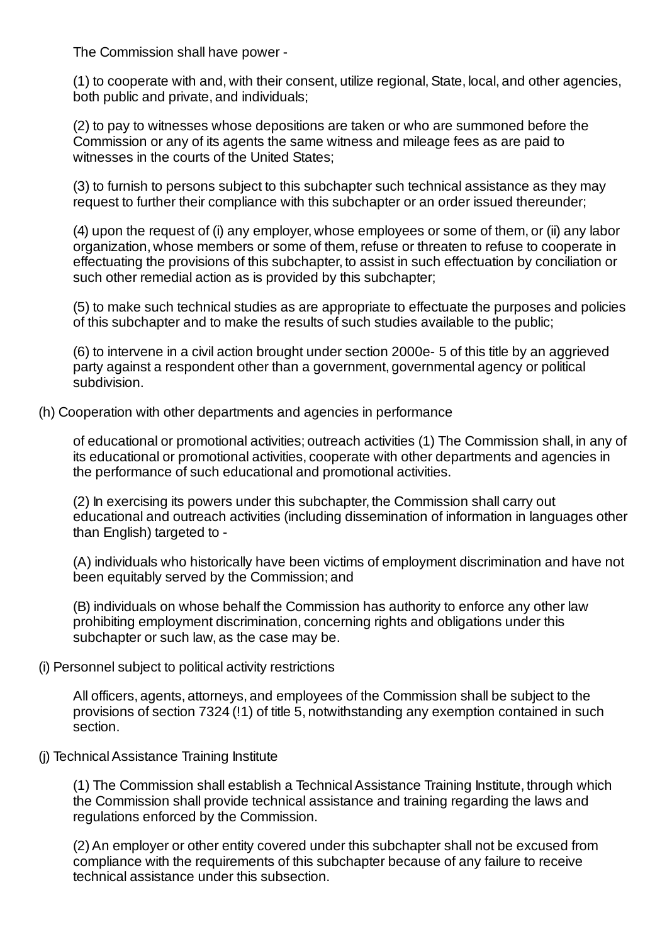The Commission shall have power -

(1) to cooperate with and, with their consent, utilize regional,State, local, and other agencies, both public and private, and individuals;

(2) to pay to witnesses whose depositions are taken or who are summoned before the Commission or any of its agents the same witness and mileage fees as are paid to witnesses in the courts of the United States:

(3) to furnish to persons subject to this subchapter such technical assistance as they may request to further their compliance with this subchapter or an order issued thereunder;

(4) upon the request of (i) any employer, whose employees or some of them, or (ii) any labor organization, whose members or some of them, refuse or threaten to refuse to cooperate in effectuating the provisions of this subchapter, to assist in such effectuation by conciliation or such other remedial action as is provided by this subchapter;

(5) to make such technical studies as are appropriate to effectuate the purposes and policies of this subchapter and to make the results of such studies available to the public;

(6) to intervene in a civil action brought under section 2000e- 5 of this title by an aggrieved party against a respondent other than a government, governmental agency or political subdivision.

#### (h) Cooperation with other departments and agencies in performance

of educational or promotional activities; outreach activities (1) The Commission shall, in any of its educational or promotional activities, cooperate with other departments and agencies in the performance of such educational and promotional activities.

(2) In exercising its powers under this subchapter, the Commission shall carry out educational and outreach activities (including dissemination of information in languages other than English) targeted to -

(A) individuals who historically have been victims of employment discrimination and have not been equitably served by the Commission; and

(B) individuals on whose behalf the Commission has authority to enforce any other law prohibiting employment discrimination, concerning rights and obligations under this subchapter or such law, as the case may be.

#### (i) Personnel subject to political activity restrictions

All officers, agents, attorneys, and employees of the Commission shall be subject to the provisions of section 7324 (!1) of title 5, notwithstanding any exemption contained in such section.

#### (j) TechnicalAssistance Training Institute

(1) The Commission shall establish a TechnicalAssistance Training Institute, through which the Commission shall provide technical assistance and training regarding the laws and regulations enforced by the Commission.

(2) An employer or other entity covered under this subchapter shall not be excused from compliance with the requirements of this subchapter because of any failure to receive technical assistance under this subsection.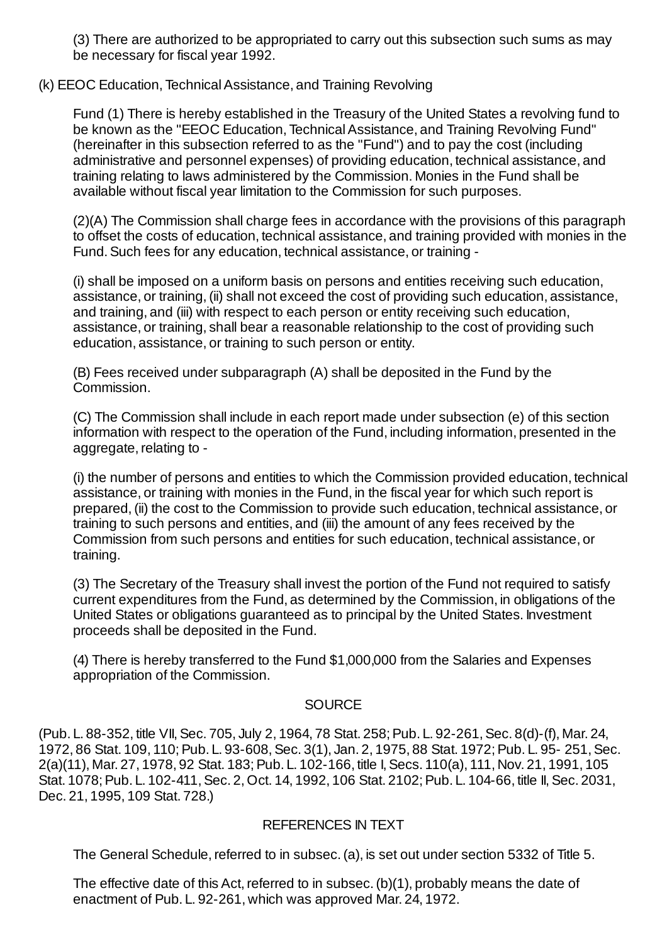(3) There are authorized to be appropriated to carry out this subsection such sums as may be necessary for fiscal year 1992.

(k) EEOC Education, Technical Assistance, and Training Revolving

Fund (1) There is hereby established in the Treasury of the United States a revolving fund to be known as the "EEOC Education, Technical Assistance, and Training Revolving Fund" (hereinafter in this subsection referred to as the "Fund") and to pay the cost (including administrative and personnel expenses) of providing education, technical assistance, and training relating to laws administered by the Commission. Monies in the Fund shall be available without fiscal year limitation to the Commission for such purposes.

(2)(A) The Commission shall charge fees in accordance with the provisions of this paragraph to offset the costs of education, technical assistance, and training provided with monies in the Fund.Such fees for any education, technical assistance, or training -

(i) shall be imposed on a uniform basis on persons and entities receiving such education, assistance, or training,(ii) shall not exceed the cost of providing such education, assistance, and training, and (iii) with respect to each person or entity receiving such education, assistance, or training, shall bear a reasonable relationship to the cost of providing such education, assistance, or training to such person or entity.

(B) Fees received under subparagraph (A) shall be deposited in the Fund by the Commission.

(C) The Commission shall include in each report made under subsection (e) of this section information with respect to the operation of the Fund, including information, presented in the aggregate, relating to -

(i) the number of persons and entities to which the Commission provided education, technical assistance, or training with monies in the Fund, in the fiscal year for which such report is prepared,(ii) the cost to the Commission to provide such education, technical assistance, or training to such persons and entities, and (iii) the amount of any fees received by the Commission from such persons and entities for such education, technical assistance, or training.

(3) The Secretary of the Treasury shall invest the portion of the Fund not required to satisfy current expenditures from the Fund, as determined by the Commission, in obligations of the United States or obligations guaranteed as to principal by the United States. Investment proceeds shall be deposited in the Fund.

(4) There is hereby transferred to the Fund \$1,000,000 from the Salaries and Expenses appropriation of the Commission.

#### **SOURCE**

(Pub. L. 88-352, title VII, Sec. 705, July 2, 1964, 78 Stat. 258; Pub. L. 92-261, Sec. 8(d)-(f), Mar. 24, 1972, 86 Stat. 109, 110; Pub. L. 93-608, Sec. 3(1), Jan. 2, 1975, 88 Stat. 1972; Pub. L. 95- 251, Sec. 2(a)(11), Mar. 27, 1978, 92 Stat. 183; Pub. L. 102-166, title I, Secs. 110(a), 111, Nov. 21, 1991, 105 Stat. 1078; Pub. L. 102-411, Sec. 2, Oct. 14, 1992, 106 Stat. 2102; Pub. L. 104-66, title II, Sec. 2031, Dec. 21, 1995, 109 Stat. 728.)

#### REFERENCES IN TEXT

The General Schedule, referred to in subsec. (a), is set out under section 5332 of Title 5.

The effective date of this Act, referred to in subsec. (b) $(1)$ , probably means the date of enactment of Pub. L. 92-261, which was approved Mar. 24, 1972.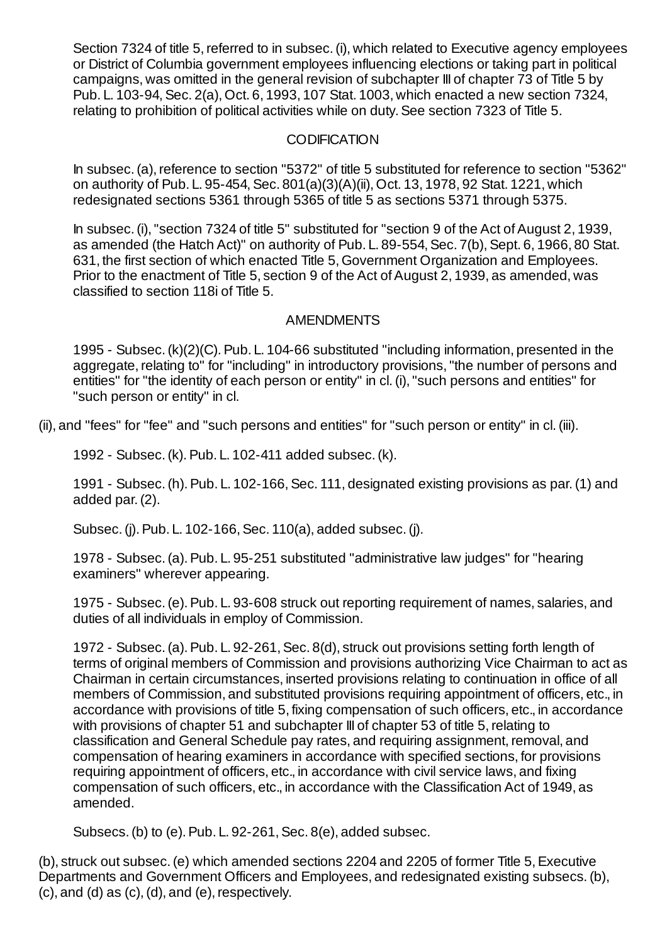Section 7324 of title 5, referred to in subsec. (i), which related to Executive agency employees or District of Columbia government employees influencing elections or taking part in political campaigns, was omitted in the general revision of subchapter III of chapter 73 of Title 5 by Pub. L. 103-94, Sec. 2(a), Oct. 6, 1993, 107 Stat. 1003, which enacted a new section 7324, relating to prohibition of political activities while on duty. See section 7323 of Title 5.

# **CODIFICATION**

In subsec. (a), reference to section "5372" of title 5 substituted for reference to section "5362" on authority of Pub. L. 95-454, Sec. 801(a)(3)(A)(ii), Oct. 13, 1978, 92 Stat. 1221, which redesignated sections 5361 through 5365 of title 5 as sections 5371 through 5375.

In subsec. (i), "section 7324 of title 5" substituted for "section 9 of the Act of August 2, 1939. as amended (the Hatch Act)" on authority of Pub. L. 89-554, Sec. 7(b), Sept. 6, 1966, 80 Stat. 631, the first section of which enacted Title 5, Government Organization and Employees. Prior to the enactment of Title 5, section 9 of the Act of August 2, 1939, as amended, was classified to section 118i of Title 5.

## AMENDMENTS

1995 - Subsec. (k)(2)(C). Pub. L. 104-66 substituted "including information, presented in the aggregate, relating to" for "including" in introductory provisions, "the number of persons and entities" for "the identity of each person or entity" in cl.(i),"such persons and entities" for "such person or entity" in cl.

(ii), and "fees" for "fee" and "such persons and entities" for "such person or entity" in cl.(iii).

1992 - Subsec.(k).Pub. L. 102-411 added subsec.(k).

1991 - Subsec. (h). Pub. L. 102-166, Sec. 111, designated existing provisions as par. (1) and added par.(2).

Subsec. (j). Pub. L. 102-166, Sec. 110(a), added subsec. (j).

1978 - Subsec.(a).Pub. L. 95-251 substituted "administrative law judges" for "hearing examiners" wherever appearing.

1975 - Subsec.(e).Pub. L. 93-608 struck out reporting requirement of names, salaries, and duties of all individuals in employ of Commission.

1972 - Subsec. (a), Pub. L. 92-261, Sec. 8(d), struck out provisions setting forth length of terms of original members of Commission and provisions authorizing Vice Chairman to act as Chairman in certain circumstances, inserted provisions relating to continuation in office of all members of Commission, and substituted provisions requiring appointment of officers, etc., in accordance with provisions of title 5, fixing compensation of such officers, etc., in accordance with provisions of chapter 51 and subchapter III of chapter 53 of title 5, relating to classification and General Schedule pay rates, and requiring assignment, removal, and compensation of hearing examiners in accordance with specified sections, for provisions requiring appointment of officers, etc., in accordance with civil service laws, and fixing compensation of such officers, etc., in accordance with the Classification Act of 1949, as amended.

Subsecs. (b) to  $(e)$ . Pub. L. 92-261, Sec.  $8(e)$ , added subsec.

(b), struck out subsec. (e) which amended sections 2204 and 2205 of former Title 5, Executive Departments and Government Officers and Employees, and redesignated existing subsecs.(b),  $(c)$ , and  $(d)$  as  $(c)$ ,  $(d)$ , and  $(e)$ , respectively.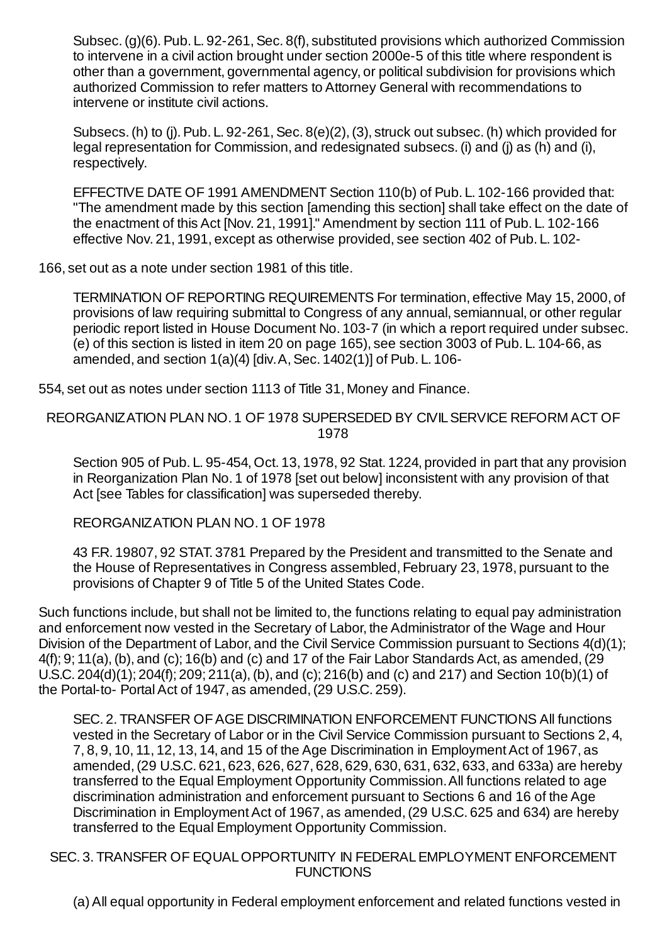Subsec. (g)(6). Pub. L. 92-261, Sec. 8(f), substituted provisions which authorized Commission to intervene in a civil action brought under section 2000e-5 of this title where respondent is other than a government, governmental agency, or political subdivision for provisions which authorized Commission to refer matters to Attorney General with recommendations to intervene or institute civil actions.

Subsecs. (h) to (j). Pub. L. 92-261, Sec. 8(e)(2), (3), struck out subsec. (h) which provided for legal representation for Commission, and redesignated subsecs.(i) and (j) as (h) and (i), respectively.

EFFECTIVE DATE OF 1991 AMENDMENT Section 110(b) of Pub. L. 102-166 provided that: "The amendment made by this section [amending this section] shall take effect on the date of the enactment of this Act [Nov. 21, 1991]." Amendment by section 111 of Pub. L. 102-166 effective Nov. 21, 1991, except as otherwise provided, see section 402 of Pub. L. 102-

166, set out as a note under section 1981 of this title.

TERMINATION OF REPORTING REQUIREMENTS For termination, effective May 15, 2000, of provisions of law requiring submittal to Congress of any annual, semiannual, or other regular periodic report listed in House Document No. 103-7 (in which a report required under subsec. (e) of this section is listed in item 20 on page 165), see section 3003 of Pub. L. 104-66, as amended, and section  $1(a)(4)$  [div. A, Sec.  $1402(1)$ ] of Pub. L.  $106-$ 

554, set out as notes under section 1113 of Title 31, Money and Finance.

## REORGANIZATION PLAN NO. 1 OF 1978 SUPERSEDED BY CIVILSERVICE REFORM ACT OF 1978

Section 905 of Pub. L. 95-454, Oct. 13, 1978, 92 Stat. 1224, provided in part that any provision in Reorganization Plan No. 1 of 1978 [set out below] inconsistent with any provision of that Act [see Tables for classification] was superseded thereby.

REORGANIZATION PLAN NO. 1 OF 1978

43 F.R. 19807, 92 STAT. 3781 Prepared by the President and transmitted to the Senate and the House of Representatives in Congress assembled, February 23, 1978, pursuant to the provisions of Chapter 9 of Title 5 of the United States Code.

Such functions include, but shall not be limited to, the functions relating to equal pay administration and enforcement now vested in the Secretary of Labor, the Administrator of the Wage and Hour Division of the Department of Labor, and the Civil Service Commission pursuant to Sections 4(d)(1);  $4(f)$ ; 9; 11(a), (b), and (c); 16(b) and (c) and 17 of the Fair Labor Standards Act, as amended, (29 U.S.C. 204(d)(1); 204(f); 209; 211(a),(b), and (c); 216(b) and (c) and 217) and Section 10(b)(1) of the Portal-to- Portal Act of 1947, as amended, (29 U.S.C. 259).

SEC. 2. TRANSFER OFAGE DISCRIMINATION ENFORCEMENT FUNCTIONS All functions vested in the Secretary of Labor or in the Civil Service Commission pursuant to Sections 2, 4, 7, 8, 9, 10, 11, 12, 13, 14, and 15 of the Age Discrimination in EmploymentAct of 1967, as amended,(29 U.S.C. 621, 623, 626, 627, 628, 629, 630, 631, 632, 633, and 633a) are hereby transferred to the Equal Employment Opportunity Commission.All functions related to age discrimination administration and enforcement pursuant to Sections 6 and 16 of the Age Discrimination in Employment Act of 1967, as amended, (29 U.S.C. 625 and 634) are hereby transferred to the Equal Employment Opportunity Commission.

SEC. 3. TRANSFER OF EQUALOPPORTUNITY IN FEDERALEMPLOYMENT ENFORCEMENT **FUNCTIONS** 

(a) All equal opportunity in Federal employment enforcement and related functions vested in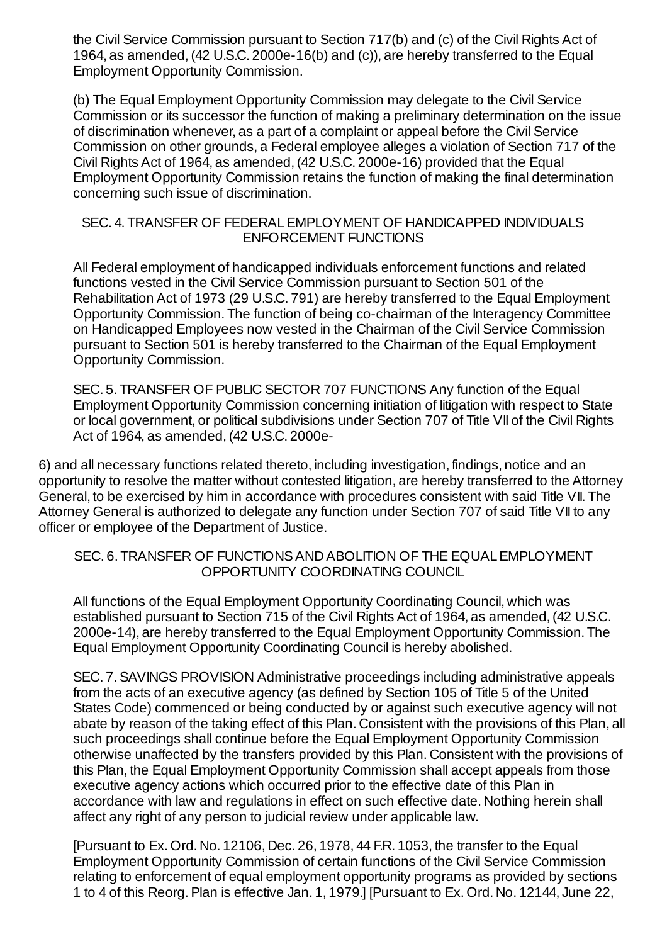the Civil Service Commission pursuant to Section 717(b) and (c) of the Civil Rights Act of 1964, as amended,(42 U.S.C. 2000e-16(b) and (c)), are hereby transferred to the Equal Employment Opportunity Commission.

(b) The Equal Employment Opportunity Commission may delegate to the Civil Service Commission or its successor the function of making a preliminary determination on the issue of discrimination whenever, as a part of a complaint or appeal before the Civil Service Commission on other grounds, a Federal employee alleges a violation of Section 717 of the Civil Rights Act of 1964, as amended,(42 U.S.C. 2000e-16) provided that the Equal Employment Opportunity Commission retains the function of making the final determination concerning such issue of discrimination.

## SEC. 4. TRANSFER OF FEDERALEMPLOYMENT OF HANDICAPPED INDIVIDUALS ENFORCEMENT FUNCTIONS

All Federal employment of handicapped individuals enforcement functions and related functions vested in the Civil Service Commission pursuant to Section 501 of the Rehabilitation Act of 1973 (29 U.S.C. 791) are hereby transferred to the Equal Employment Opportunity Commission. The function of being co-chairman of the Interagency Committee on Handicapped Employees now vested in the Chairman of the Civil Service Commission pursuant to Section 501 is hereby transferred to the Chairman of the Equal Employment Opportunity Commission.

SEC. 5. TRANSFER OF PUBLIC SECTOR 707 FUNCTIONS Any function of the Equal Employment Opportunity Commission concerning initiation of litigation with respect to State or local government, or political subdivisions under Section 707 of Title VII of the Civil Rights Act of 1964, as amended,(42 U.S.C. 2000e-

6) and all necessary functions related thereto, including investigation, findings, notice and an opportunity to resolve the matter without contested litigation, are hereby transferred to the Attorney General, to be exercised by him in accordance with procedures consistent with said Title VII. The Attorney General is authorized to delegate any function under Section 707 of said Title VII to any officer or employee of the Department of Justice.

#### SEC. 6. TRANSFER OF FUNCTIONSAND ABOLITION OF THE EQUALEMPLOYMENT OPPORTUNITY COORDINATING COUNCIL

All functions of the Equal Employment Opportunity Coordinating Council, which was established pursuant to Section 715 of the Civil Rights Act of 1964, as amended,(42 U.S.C. 2000e-14), are hereby transferred to the Equal Employment Opportunity Commission. The Equal Employment Opportunity Coordinating Council is hereby abolished.

SEC. 7.SAVINGS PROVISION Administrative proceedings including administrative appeals from the acts of an executive agency (as defined by Section 105 of Title 5 of the United States Code) commenced or being conducted by or against such executive agency will not abate by reason of the taking effect of this Plan. Consistent with the provisions of this Plan, all such proceedings shall continue before the Equal Employment Opportunity Commission otherwise unaffected by the transfers provided by this Plan. Consistent with the provisions of this Plan, the Equal Employment Opportunity Commission shall accept appeals from those executive agency actions which occurred prior to the effective date of this Plan in accordance with law and regulations in effect on such effective date. Nothing herein shall affect any right of any person to judicial review under applicable law.

[Pursuant to Ex. Ord. No. 12106, Dec. 26, 1978, 44 F.R. 1053, the transfer to the Equal Employment Opportunity Commission of certain functions of the Civil Service Commission relating to enforcement of equal employment opportunity programs as provided by sections 1 to 4 of this Reorg.Plan is effective Jan. 1, 1979.] [Pursuant to Ex. Ord. No. 12144, June 22,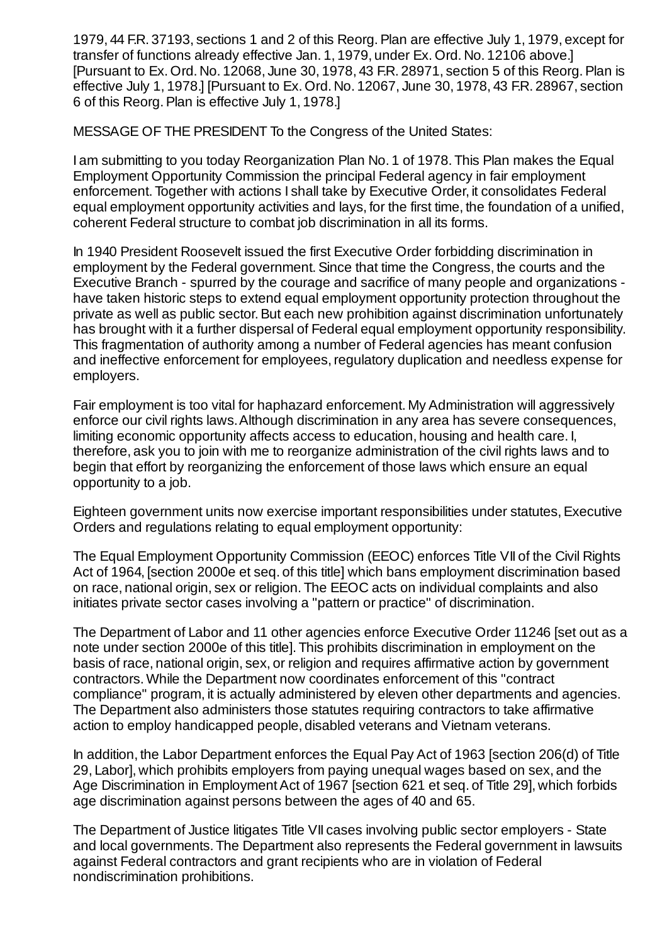1979, 44 F.R. 37193, sections 1 and 2 of this Reorg.Plan are effective July 1, 1979, except for transfer of functions already effective Jan. 1, 1979, under Ex. Ord. No. 12106 above.] [Pursuant to Ex. Ord. No. 12068, June 30, 1978, 43 F.R. 28971, section 5 of this Reorg. Plan is effective July 1, 1978.] [Pursuant to Ex. Ord. No. 12067, June 30, 1978, 43 F.R. 28967, section 6 of this Reorg.Plan is effective July 1, 1978.]

MESSAGE OF THE PRESIDENT To the Congress of the United States:

I am submitting to you today Reorganization Plan No. 1 of 1978. This Plan makes the Equal Employment Opportunity Commission the principal Federal agency in fair employment enforcement. Together with actions I shall take by Executive Order, it consolidates Federal equal employment opportunity activities and lays, for the first time, the foundation of a unified, coherent Federal structure to combat job discrimination in all its forms.

In 1940 President Roosevelt issued the first Executive Order forbidding discrimination in employment by the Federal government.Since that time the Congress, the courts and the Executive Branch - spurred by the courage and sacrifice of many people and organizations have taken historic steps to extend equal employment opportunity protection throughout the private as well as public sector. But each new prohibition against discrimination unfortunately has brought with it a further dispersal of Federal equal employment opportunity responsibility. This fragmentation of authority among a number of Federal agencies has meant confusion and ineffective enforcement for employees, regulatory duplication and needless expense for employers.

Fair employment is too vital for haphazard enforcement. My Administration will aggressively enforce our civil rights laws.Although discrimination in any area has severe consequences, limiting economic opportunity affects access to education, housing and health care. I, therefore, ask you to join with me to reorganize administration of the civil rights laws and to begin that effort by reorganizing the enforcement of those laws which ensure an equal opportunity to a job.

Eighteen government units now exercise important responsibilities under statutes, Executive Orders and regulations relating to equal employment opportunity:

The Equal Employment Opportunity Commission (EEOC) enforces Title VII of the Civil Rights Act of 1964, [section 2000e et seq. of this title] which bans employment discrimination based on race, national origin, sex or religion. The EEOC acts on individual complaints and also initiates private sector cases involving a "pattern or practice" of discrimination.

The Department of Labor and 11 other agencies enforce Executive Order 11246 [set out as a note under section 2000e of this title]. This prohibits discrimination in employment on the basis of race, national origin, sex, or religion and requires affirmative action by government contractors. While the Department now coordinates enforcement of this "contract compliance" program, it is actually administered by eleven other departments and agencies. The Department also administers those statutes requiring contractors to take affirmative action to employ handicapped people, disabled veterans and Vietnam veterans.

In addition, the Labor Department enforces the Equal Pay Act of 1963 [section 206(d) of Title 29, Labor], which prohibits employers from paying unequal wages based on sex, and the Age Discrimination in Employment Act of 1967 [section 621 et seq. of Title 29], which forbids age discrimination against persons between the ages of 40 and 65.

The Department of Justice litigates Title VII cases involving public sector employers - State and local governments. The Department also represents the Federal government in lawsuits against Federal contractors and grant recipients who are in violation of Federal nondiscrimination prohibitions.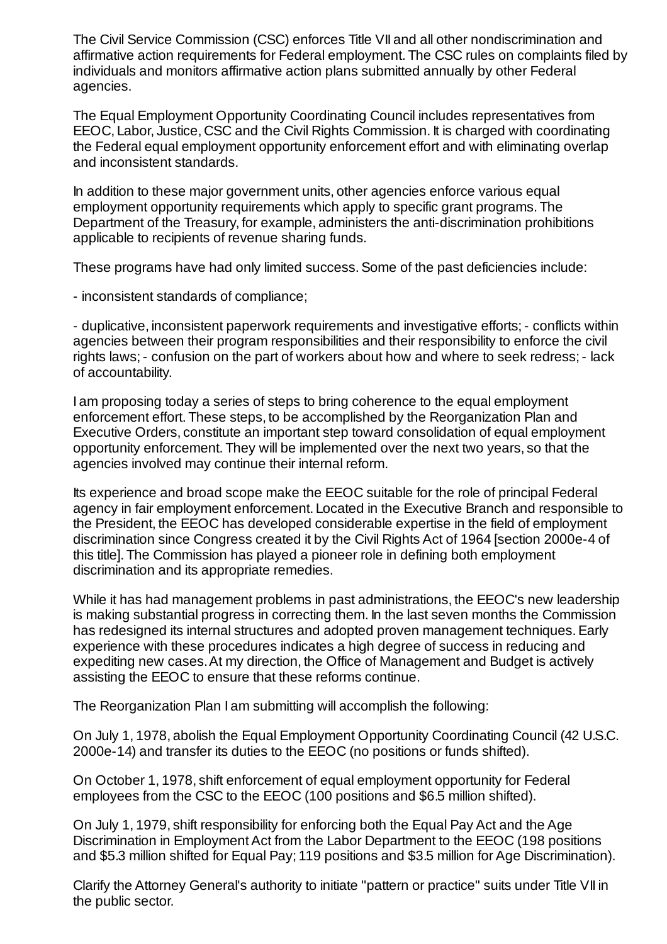The Civil Service Commission (CSC) enforces Title VII and all other nondiscrimination and affirmative action requirements for Federal employment. The CSC rules on complaints filed by individuals and monitors affirmative action plans submitted annually by other Federal agencies.

The Equal Employment Opportunity Coordinating Council includes representatives from EEOC, Labor, Justice, CSC and the Civil Rights Commission. It is charged with coordinating the Federal equal employment opportunity enforcement effort and with eliminating overlap and inconsistent standards.

In addition to these major government units, other agencies enforce various equal employment opportunity requirements which apply to specific grant programs. The Department of the Treasury, for example, administers the anti-discrimination prohibitions applicable to recipients of revenue sharing funds.

These programs have had only limited success.Some of the past deficiencies include:

- inconsistent standards of compliance;

- duplicative, inconsistent paperwork requirements and investigative efforts;- conflicts within agencies between their program responsibilities and their responsibility to enforce the civil rights laws;- confusion on the part of workers about how and where to seek redress;- lack of accountability.

I am proposing today a series of steps to bring coherence to the equal employment enforcement effort. These steps, to be accomplished by the Reorganization Plan and Executive Orders, constitute an important step toward consolidation of equal employment opportunity enforcement. They will be implemented over the next two years, so that the agencies involved may continue their internal reform.

Its experience and broad scope make the EEOC suitable for the role of principal Federal agency in fair employment enforcement. Located in the Executive Branch and responsible to the President, the EEOC has developed considerable expertise in the field of employment discrimination since Congress created it by the Civil Rights Act of 1964 [section 2000e-4 of this title]. The Commission has played a pioneer role in defining both employment discrimination and its appropriate remedies.

While it has had management problems in past administrations, the EEOC's new leadership is making substantial progress in correcting them. In the last seven months the Commission has redesigned its internal structures and adopted proven management techniques. Early experience with these procedures indicates a high degree of success in reducing and expediting new cases.At my direction, the Office of Management and Budget is actively assisting the EEOC to ensure that these reforms continue.

The Reorganization Plan I am submitting will accomplish the following:

On July 1, 1978, abolish the Equal Employment Opportunity Coordinating Council (42 U.S.C. 2000e-14) and transfer its duties to the EEOC (no positions or funds shifted).

On October 1, 1978, shift enforcement of equal employment opportunity for Federal employees from the CSC to the EEOC (100 positions and \$6.5 million shifted).

On July 1, 1979, shift responsibility for enforcing both the Equal Pay Act and the Age Discrimination in Employment Act from the Labor Department to the EEOC (198 positions and \$5.3 million shifted for Equal Pay; 119 positions and \$3.5 million for Age Discrimination).

Clarify the Attorney General's authority to initiate "pattern or practice" suits under Title VII in the public sector.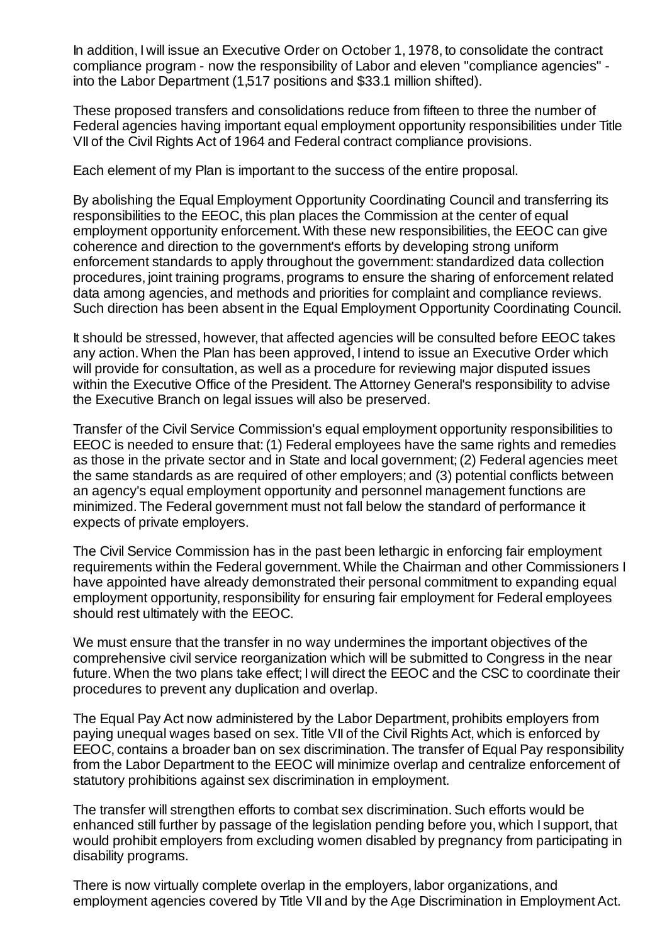In addition, I will issue an Executive Order on October 1, 1978, to consolidate the contract compliance program - now the responsibility of Labor and eleven "compliance agencies" into the Labor Department (1,517 positions and \$33.1 million shifted).

These proposed transfers and consolidations reduce from fifteen to three the number of Federal agencies having important equal employment opportunity responsibilities under Title VII of the Civil Rights Act of 1964 and Federal contract compliance provisions.

Each element of my Plan is important to the success of the entire proposal.

By abolishing the Equal Employment Opportunity Coordinating Council and transferring its responsibilities to the EEOC, this plan places the Commission at the center of equal employment opportunity enforcement. With these new responsibilities, the EEOC can give coherence and direction to the government's efforts by developing strong uniform enforcement standards to apply throughout the government: standardized data collection procedures, joint training programs, programs to ensure the sharing of enforcement related data among agencies, and methods and priorities for complaint and compliance reviews. Such direction has been absent in the Equal Employment Opportunity Coordinating Council.

It should be stressed, however, that affected agencies will be consulted before EEOC takes any action. When the Plan has been approved, I intend to issue an Executive Order which will provide for consultation, as well as a procedure for reviewing major disputed issues within the Executive Office of the President. The Attorney General's responsibility to advise the Executive Branch on legal issues will also be preserved.

Transfer of the Civil Service Commission's equal employment opportunity responsibilities to EEOC is needed to ensure that:(1) Federal employees have the same rights and remedies as those in the private sector and in State and local government;(2) Federal agencies meet the same standards as are required of other employers; and (3) potential conflicts between an agency's equal employment opportunity and personnel management functions are minimized. The Federal government must not fall below the standard of performance it expects of private employers.

The Civil Service Commission has in the past been lethargic in enforcing fair employment requirements within the Federal government. While the Chairman and other Commissioners I have appointed have already demonstrated their personal commitment to expanding equal employment opportunity, responsibility for ensuring fair employment for Federal employees should rest ultimately with the EEOC.

We must ensure that the transfer in no way undermines the important objectives of the comprehensive civil service reorganization which will be submitted to Congress in the near future. When the two plans take effect; I will direct the EEOC and the CSC to coordinate their procedures to prevent any duplication and overlap.

The Equal Pay Act now administered by the Labor Department, prohibits employers from paying unequal wages based on sex. Title VII of the Civil Rights Act, which is enforced by EEOC, contains a broader ban on sex discrimination. The transfer of Equal Pay responsibility from the Labor Department to the EEOC will minimize overlap and centralize enforcement of statutory prohibitions against sex discrimination in employment.

The transfer will strengthen efforts to combat sex discrimination. Such efforts would be enhanced still further by passage of the legislation pending before you, which I support, that would prohibit employers from excluding women disabled by pregnancy from participating in disability programs.

There is now virtually complete overlap in the employers, labor organizations, and employment agencies covered by Title VII and by the Age Discrimination in Employment Act.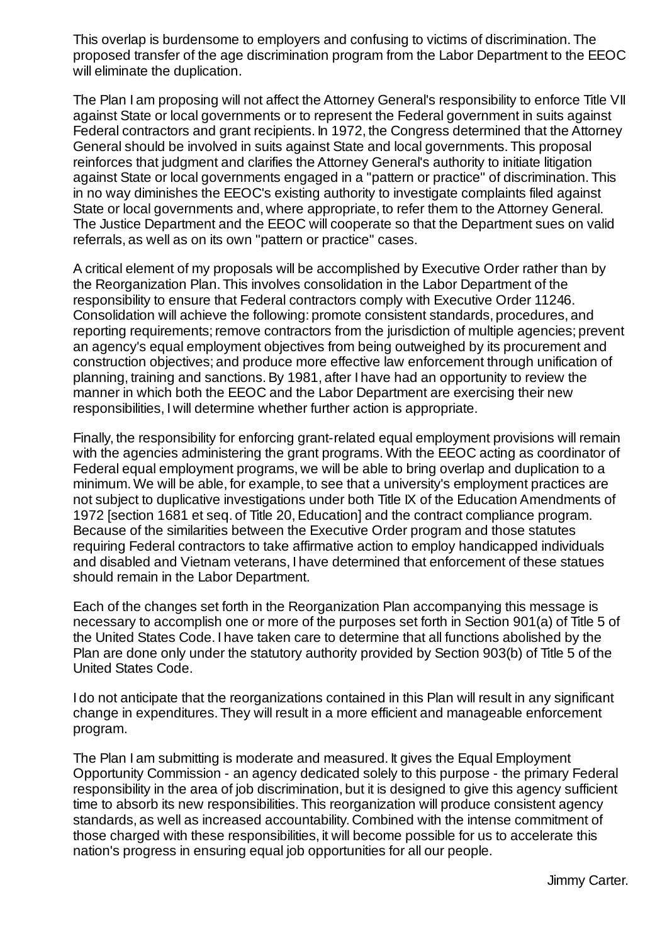This overlap is burdensome to employers and confusing to victims of discrimination. The proposed transfer of the age discrimination program from the Labor Department to the EEOC will eliminate the duplication.

The Plan I am proposing will not affect the Attorney General's responsibility to enforce Title VII against State or local governments or to represent the Federal government in suits against Federal contractors and grant recipients. In 1972, the Congress determined that the Attorney General should be involved in suits against State and local governments. This proposal reinforces that judgment and clarifies the Attorney General's authority to initiate litigation against State or local governments engaged in a "pattern or practice" of discrimination. This in no way diminishes the EEOC's existing authority to investigate complaints filed against State or local governments and, where appropriate, to refer them to the Attorney General. The Justice Department and the EEOC will cooperate so that the Department sues on valid referrals, as well as on its own "pattern or practice" cases.

A critical element of my proposals will be accomplished by Executive Order rather than by the Reorganization Plan. This involves consolidation in the Labor Department of the responsibility to ensure that Federal contractors comply with Executive Order 11246. Consolidation will achieve the following: promote consistent standards, procedures, and reporting requirements; remove contractors from the jurisdiction of multiple agencies; prevent an agency's equal employment objectives from being outweighed by its procurement and construction objectives; and produce more effective law enforcement through unification of planning, training and sanctions.By 1981, after I have had an opportunity to review the manner in which both the EEOC and the Labor Department are exercising their new responsibilities, I will determine whether further action is appropriate.

Finally, the responsibility for enforcing grant-related equal employment provisions will remain with the agencies administering the grant programs. With the EEOC acting as coordinator of Federal equal employment programs, we will be able to bring overlap and duplication to a minimum. We will be able, for example, to see that a university's employment practices are not subject to duplicative investigations under both Title IX of the Education Amendments of 1972 [section 1681 et seq. of Title 20, Education] and the contract compliance program. Because of the similarities between the Executive Order program and those statutes requiring Federal contractors to take affirmative action to employ handicapped individuals and disabled and Vietnam veterans, I have determined that enforcement of these statues should remain in the Labor Department.

Each of the changes set forth in the Reorganization Plan accompanying this message is necessary to accomplish one or more of the purposes set forth in Section 901(a) of Title 5 of the United States Code. I have taken care to determine that all functions abolished by the Plan are done only under the statutory authority provided by Section 903(b) of Title 5 of the United States Code.

I do not anticipate that the reorganizations contained in this Plan will result in any significant change in expenditures. They will result in a more efficient and manageable enforcement program.

The Plan I am submitting is moderate and measured. It gives the Equal Employment Opportunity Commission - an agency dedicated solely to this purpose - the primary Federal responsibility in the area of job discrimination, but it is designed to give this agency sufficient time to absorb its new responsibilities. This reorganization will produce consistent agency standards, as well as increased accountability. Combined with the intense commitment of those charged with these responsibilities, it will become possible for us to accelerate this nation's progress in ensuring equal job opportunities for all our people.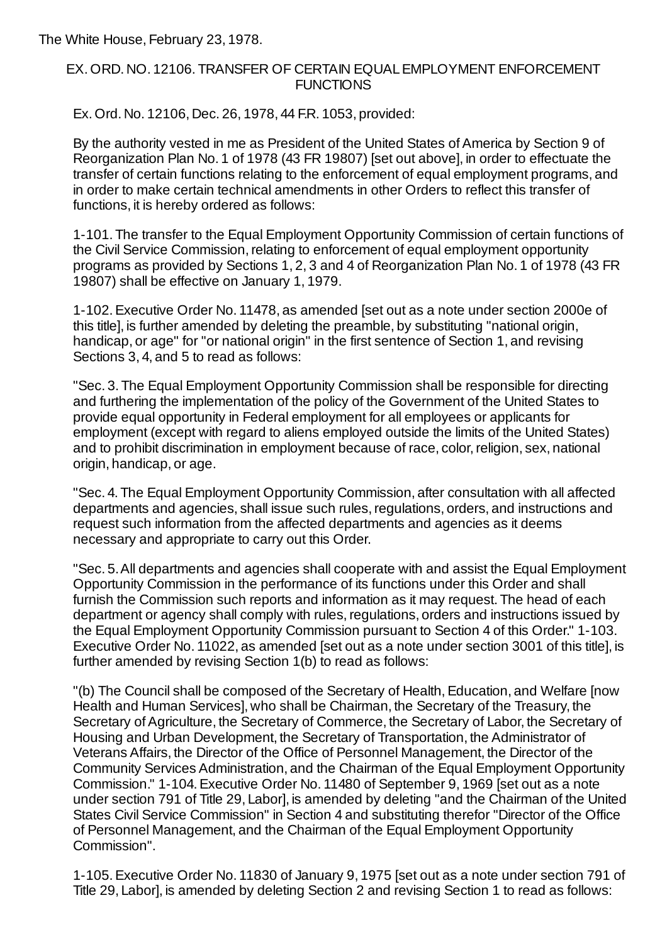The White House, February 23, 1978.

#### EX. ORD. NO. 12106. TRANSFER OF CERTAIN EQUALEMPLOYMENT ENFORCEMENT **FUNCTIONS**

Ex. Ord. No. 12106, Dec. 26, 1978, 44 F.R. 1053, provided:

By the authority vested in me as President of the United States of America by Section 9 of Reorganization Plan No. 1 of 1978 (43 FR 19807) [set out above], in order to effectuate the transfer of certain functions relating to the enforcement of equal employment programs, and in order to make certain technical amendments in other Orders to reflect this transfer of functions, it is hereby ordered as follows:

1-101. The transfer to the Equal Employment Opportunity Commission of certain functions of the Civil Service Commission, relating to enforcement of equal employment opportunity programs as provided by Sections 1, 2, 3 and 4 of Reorganization Plan No. 1 of 1978 (43 FR 19807) shall be effective on January 1, 1979.

1-102.Executive Order No. 11478, as amended [set out as a note under section 2000e of this title], is further amended by deleting the preamble, by substituting "national origin, handicap, or age" for "or national origin" in the first sentence of Section 1, and revising Sections 3, 4, and 5 to read as follows:

"Sec. 3. The Equal Employment Opportunity Commission shall be responsible for directing and furthering the implementation of the policy of the Government of the United States to provide equal opportunity in Federal employment for all employees or applicants for employment (except with regard to aliens employed outside the limits of the United States) and to prohibit discrimination in employment because of race, color, religion, sex, national origin, handicap, or age.

"Sec. 4. The Equal Employment Opportunity Commission, after consultation with all affected departments and agencies, shall issue such rules, regulations, orders, and instructions and request such information from the affected departments and agencies as it deems necessary and appropriate to carry out this Order.

"Sec. 5.All departments and agencies shall cooperate with and assist the Equal Employment Opportunity Commission in the performance of its functions under this Order and shall furnish the Commission such reports and information as it may request. The head of each department or agency shall comply with rules, regulations, orders and instructions issued by the Equal Employment Opportunity Commission pursuant to Section 4 of this Order." 1-103. Executive Order No. 11022, as amended [set out as a note under section 3001 of this title], is further amended by revising Section 1(b) to read as follows:

"(b) The Council shall be composed of the Secretary of Health, Education, and Welfare [now Health and Human Services], who shall be Chairman, the Secretary of the Treasury, the Secretary of Agriculture, the Secretary of Commerce, the Secretary of Labor, the Secretary of Housing and Urban Development, the Secretary of Transportation, the Administrator of Veterans Affairs, the Director of the Office of Personnel Management, the Director of the Community Services Administration, and the Chairman of the Equal Employment Opportunity Commission." 1-104.Executive Order No. 11480 of September 9, 1969 [set out as a note under section 791 of Title 29, Labor], is amended by deleting "and the Chairman of the United States Civil Service Commission" in Section 4 and substituting therefor "Director of the Office of Personnel Management, and the Chairman of the Equal Employment Opportunity Commission".

1-105.Executive Order No. 11830 of January 9, 1975 [set out as a note under section 791 of Title 29, Labor], is amended by deleting Section 2 and revising Section 1 to read as follows: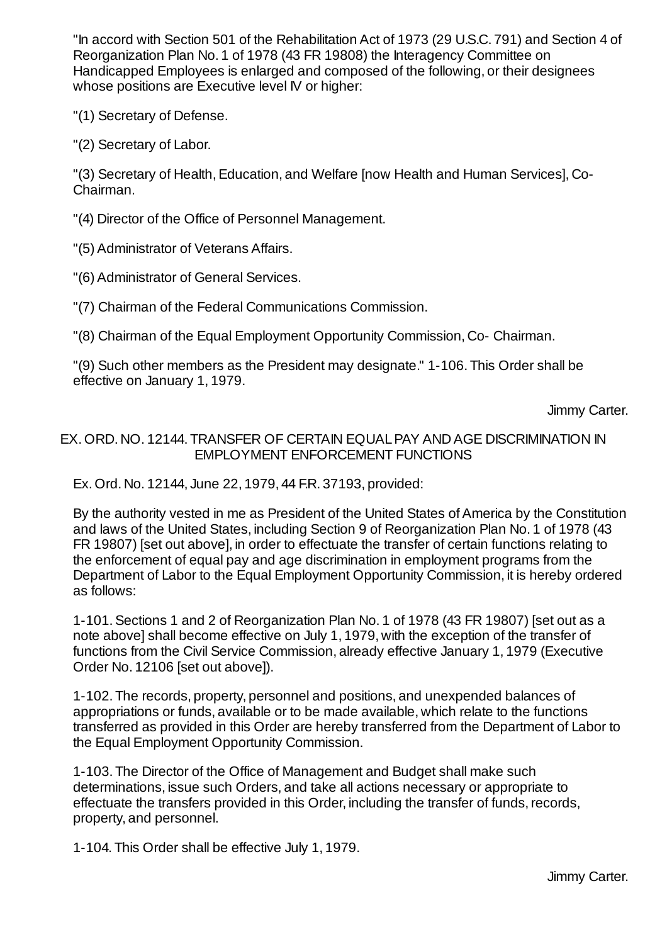"In accord with Section 501 of the Rehabilitation Act of 1973 (29 U.S.C. 791) and Section 4 of Reorganization Plan No. 1 of 1978 (43 FR 19808) the Interagency Committee on Handicapped Employees is enlarged and composed of the following, or their designees whose positions are Executive level IV or higher:

"(1) Secretary of Defense.

"(2) Secretary of Labor.

"(3) Secretary of Health, Education, and Welfare [now Health and Human Services], Co-Chairman.

"(4) Director of the Office of Personnel Management.

"(5) Administrator of Veterans Affairs.

"(6) Administrator of General Services.

"(7) Chairman of the Federal Communications Commission.

"(8) Chairman of the Equal Employment Opportunity Commission, Co- Chairman.

"(9) Such other members as the President may designate." 1-106. This Order shall be effective on January 1, 1979.

Jimmy Carter.

## EX. ORD. NO. 12144. TRANSFER OF CERTAIN EQUALPAY AND AGE DISCRIMINATION IN EMPLOYMENT ENFORCEMENT FUNCTIONS

Ex. Ord. No. 12144, June 22, 1979, 44 F.R. 37193, provided:

By the authority vested in me as President of the United States of America by the Constitution and laws of the United States, including Section 9 of Reorganization Plan No. 1 of 1978 (43 FR 19807) [set out above], in order to effectuate the transfer of certain functions relating to the enforcement of equal pay and age discrimination in employment programs from the Department of Labor to the Equal Employment Opportunity Commission, it is hereby ordered as follows:

1-101.Sections 1 and 2 of Reorganization Plan No. 1 of 1978 (43 FR 19807) [set out as a note above] shall become effective on July 1, 1979, with the exception of the transfer of functions from the Civil Service Commission, already effective January 1, 1979 (Executive Order No. 12106 [set out above]).

1-102. The records, property, personnel and positions, and unexpended balances of appropriations or funds, available or to be made available, which relate to the functions transferred as provided in this Order are hereby transferred from the Department of Labor to the Equal Employment Opportunity Commission.

1-103. The Director of the Office of Management and Budget shall make such determinations, issue such Orders, and take all actions necessary or appropriate to effectuate the transfers provided in this Order, including the transfer of funds, records, property, and personnel.

1-104. This Order shall be effective July 1, 1979.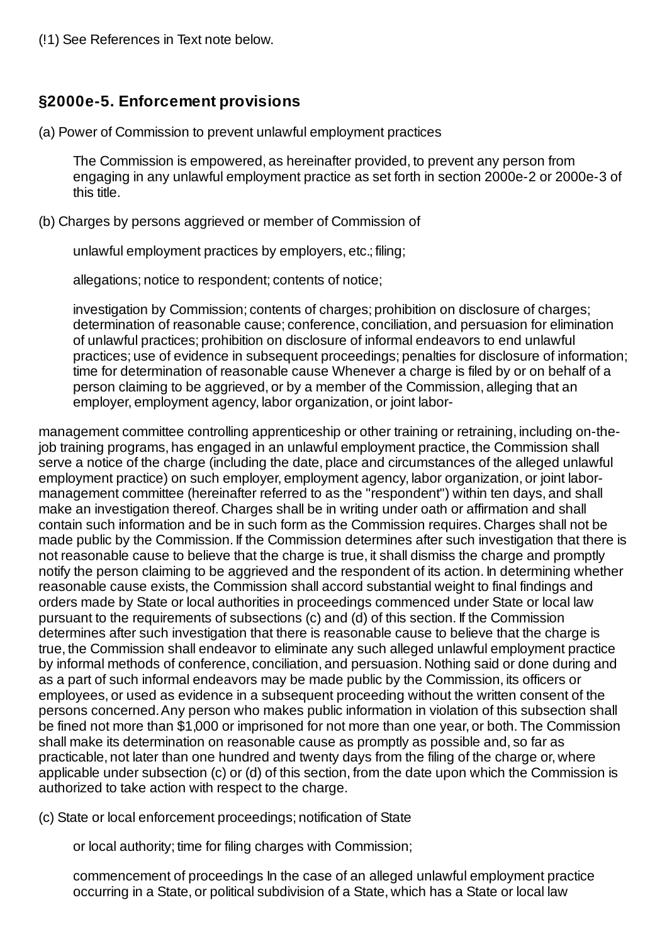(!1) See References in Text note below.

# **§2000e-5. Enforcement provisions**

(a) Power of Commission to prevent unlawful employment practices

The Commission is empowered, as hereinafter provided, to prevent any person from engaging in any unlawful employment practice as set forth in section 2000e-2 or 2000e-3 of this title.

(b) Charges by persons aggrieved or member of Commission of

unlawful employment practices by employers, etc.; filing;

allegations; notice to respondent; contents of notice;

investigation by Commission; contents of charges; prohibition on disclosure of charges; determination of reasonable cause; conference, conciliation, and persuasion for elimination of unlawful practices; prohibition on disclosure of informal endeavors to end unlawful practices; use of evidence in subsequent proceedings; penalties for disclosure of information; time for determination of reasonable cause Whenever a charge is filed by or on behalf of a person claiming to be aggrieved, or by a member of the Commission, alleging that an employer, employment agency, labor organization, or joint labor-

management committee controlling apprenticeship or other training or retraining, including on-thejob training programs, has engaged in an unlawful employment practice, the Commission shall serve a notice of the charge (including the date, place and circumstances of the alleged unlawful employment practice) on such employer, employment agency, labor organization, or joint labormanagement committee (hereinafter referred to as the "respondent") within ten days, and shall make an investigation thereof. Charges shall be in writing under oath or affirmation and shall contain such information and be in such form as the Commission requires. Charges shall not be made public by the Commission. If the Commission determines after such investigation that there is not reasonable cause to believe that the charge is true, it shall dismiss the charge and promptly notify the person claiming to be aggrieved and the respondent of its action. In determining whether reasonable cause exists, the Commission shall accord substantial weight to final findings and orders made by State or local authorities in proceedings commenced under State or local law pursuant to the requirements of subsections (c) and (d) of this section. If the Commission determines after such investigation that there is reasonable cause to believe that the charge is true, the Commission shall endeavor to eliminate any such alleged unlawful employment practice by informal methods of conference, conciliation, and persuasion. Nothing said or done during and as a part of such informal endeavors may be made public by the Commission, its officers or employees, or used as evidence in a subsequent proceeding without the written consent of the persons concerned.Any person who makes public information in violation of this subsection shall be fined not more than \$1,000 or imprisoned for not more than one year, or both. The Commission shall make its determination on reasonable cause as promptly as possible and, so far as practicable, not later than one hundred and twenty days from the filing of the charge or, where applicable under subsection (c) or (d) of this section, from the date upon which the Commission is authorized to take action with respect to the charge.

(c) State or local enforcement proceedings; notification of State

or local authority; time for filing charges with Commission;

commencement of proceedings In the case of an alleged unlawful employment practice occurring in a State, or political subdivision of a State, which has a State or local law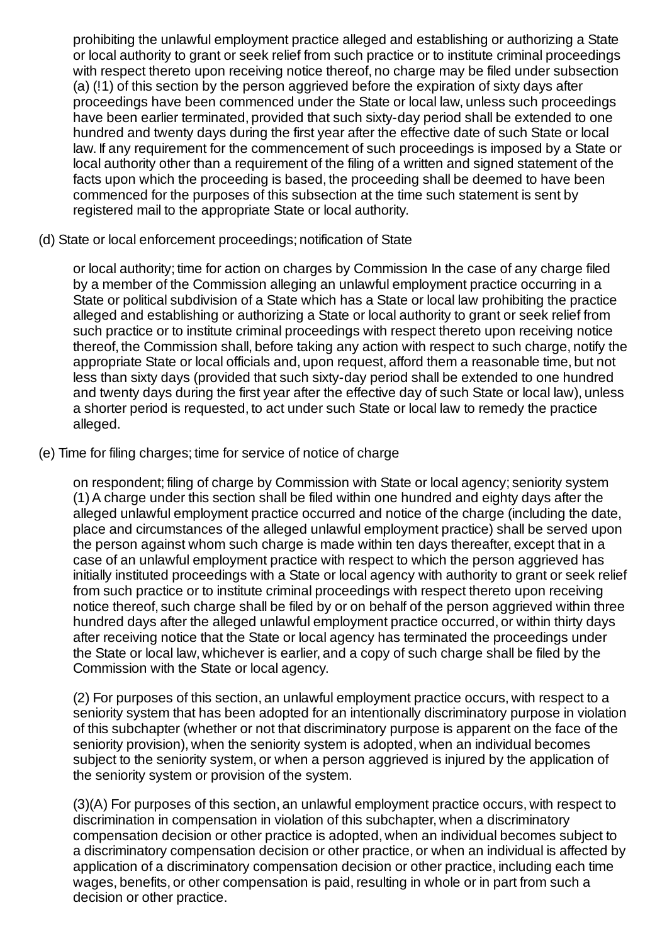prohibiting the unlawful employment practice alleged and establishing or authorizing a State or local authority to grant or seek relief from such practice or to institute criminal proceedings with respect thereto upon receiving notice thereof, no charge may be filed under subsection (a) (!1) of this section by the person aggrieved before the expiration of sixty days after proceedings have been commenced under the State or local law, unless such proceedings have been earlier terminated, provided that such sixty-day period shall be extended to one hundred and twenty days during the first year after the effective date of such State or local law. If any requirement for the commencement of such proceedings is imposed by a State or local authority other than a requirement of the filing of a written and signed statement of the facts upon which the proceeding is based, the proceeding shall be deemed to have been commenced for the purposes of this subsection at the time such statement is sent by registered mail to the appropriate State or local authority.

(d) State or local enforcement proceedings; notification of State

or local authority; time for action on charges by Commission In the case of any charge filed by a member of the Commission alleging an unlawful employment practice occurring in a State or political subdivision of a State which has a State or local law prohibiting the practice alleged and establishing or authorizing a State or local authority to grant or seek relief from such practice or to institute criminal proceedings with respect thereto upon receiving notice thereof, the Commission shall, before taking any action with respect to such charge, notify the appropriate State or local officials and, upon request, afford them a reasonable time, but not less than sixty days (provided that such sixty-day period shall be extended to one hundred and twenty days during the first year after the effective day of such State or local law), unless a shorter period is requested, to act under such State or local law to remedy the practice alleged.

(e) Time for filing charges; time for service of notice of charge

on respondent; filing of charge by Commission with State or local agency; seniority system (1) A charge under this section shall be filed within one hundred and eighty days after the alleged unlawful employment practice occurred and notice of the charge (including the date, place and circumstances of the alleged unlawful employment practice) shall be served upon the person against whom such charge is made within ten days thereafter, except that in a case of an unlawful employment practice with respect to which the person aggrieved has initially instituted proceedings with a State or local agency with authority to grant or seek relief from such practice or to institute criminal proceedings with respect thereto upon receiving notice thereof, such charge shall be filed by or on behalf of the person aggrieved within three hundred days after the alleged unlawful employment practice occurred, or within thirty days after receiving notice that the State or local agency has terminated the proceedings under the State or local law, whichever is earlier, and a copy of such charge shall be filed by the Commission with the State or local agency.

(2) For purposes of this section, an unlawful employment practice occurs, with respect to a seniority system that has been adopted for an intentionally discriminatory purpose in violation of this subchapter (whether or not that discriminatory purpose is apparent on the face of the seniority provision), when the seniority system is adopted, when an individual becomes subject to the seniority system, or when a person aggrieved is injured by the application of the seniority system or provision of the system.

(3)(A) For purposes of this section, an unlawful employment practice occurs, with respect to discrimination in compensation in violation of this subchapter, when a discriminatory compensation decision or other practice is adopted, when an individual becomes subject to a discriminatory compensation decision or other practice, or when an individual is affected by application of a discriminatory compensation decision or other practice, including each time wages, benefits, or other compensation is paid, resulting in whole or in part from such a decision or other practice.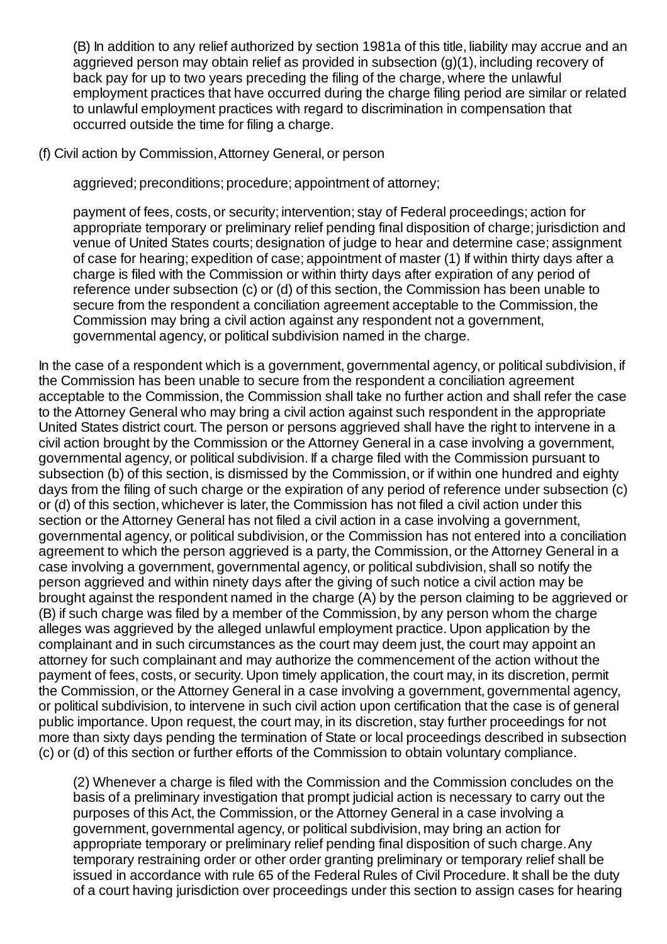(B) In addition to any relief authorized by section 1981a of this title, liability may accrue and an aggrieved person may obtain relief as provided in subsection  $(q)(1)$ , including recovery of back pay for up to two years preceding the filing of the charge, where the unlawful employment practices that have occurred during the charge filing period are similar or related to unlawful employment practices with regard to discrimination in compensation that occurred outside the time for filing a charge.

## (f) Civil action by Commission,Attorney General, or person

aggrieved; preconditions; procedure; appointment of attorney;

payment of fees, costs, or security; intervention; stay of Federal proceedings; action for appropriate temporary or preliminary relief pending final disposition of charge; jurisdiction and venue of United States courts; designation of judge to hear and determine case; assignment of case for hearing; expedition of case; appointment of master (1) If within thirty days after a charge is filed with the Commission or within thirty days after expiration of any period of reference under subsection (c) or (d) of this section, the Commission has been unable to secure from the respondent a conciliation agreement acceptable to the Commission, the Commission may bring a civil action against any respondent not a government, governmental agency, or political subdivision named in the charge.

In the case of a respondent which is a government, governmental agency, or political subdivision, if the Commission has been unable to secure from the respondent a conciliation agreement acceptable to the Commission, the Commission shall take no further action and shall refer the case to the Attorney General who may bring a civil action against such respondent in the appropriate United States district court. The person or persons aggrieved shall have the right to intervene in a civil action brought by the Commission or the Attorney General in a case involving a government, governmental agency, or political subdivision. If a charge filed with the Commission pursuant to subsection (b) of this section, is dismissed by the Commission, or if within one hundred and eighty days from the filing of such charge or the expiration of any period of reference under subsection (c) or (d) of this section, whichever is later, the Commission has not filed a civil action under this section or the Attorney General has not filed a civil action in a case involving a government, governmental agency, or political subdivision, or the Commission has not entered into a conciliation agreement to which the person aggrieved is a party, the Commission, or the Attorney General in a case involving a government, governmental agency, or political subdivision, shall so notify the person aggrieved and within ninety days after the giving of such notice a civil action may be brought against the respondent named in the charge (A) by the person claiming to be aggrieved or (B) if such charge was filed by a member of the Commission, by any person whom the charge alleges was aggrieved by the alleged unlawful employment practice. Upon application by the complainant and in such circumstances as the court may deem just, the court may appoint an attorney for such complainant and may authorize the commencement of the action without the payment of fees, costs, or security. Upon timely application, the court may, in its discretion, permit the Commission, or the Attorney General in a case involving a government, governmental agency, or political subdivision, to intervene in such civil action upon certification that the case is of general public importance. Upon request, the court may, in its discretion, stay further proceedings for not more than sixty days pending the termination of State or local proceedings described in subsection (c) or (d) of this section or further efforts of the Commission to obtain voluntary compliance.

(2) Whenever a charge is filed with the Commission and the Commission concludes on the basis of a preliminary investigation that prompt judicial action is necessary to carry out the purposes of this Act, the Commission, or the Attorney General in a case involving a government, governmental agency, or political subdivision, may bring an action for appropriate temporary or preliminary relief pending final disposition of such charge.Any temporary restraining order or other order granting preliminary or temporary relief shall be issued in accordance with rule 65 of the Federal Rules of Civil Procedure. It shall be the duty of a court having jurisdiction over proceedings under this section to assign cases for hearing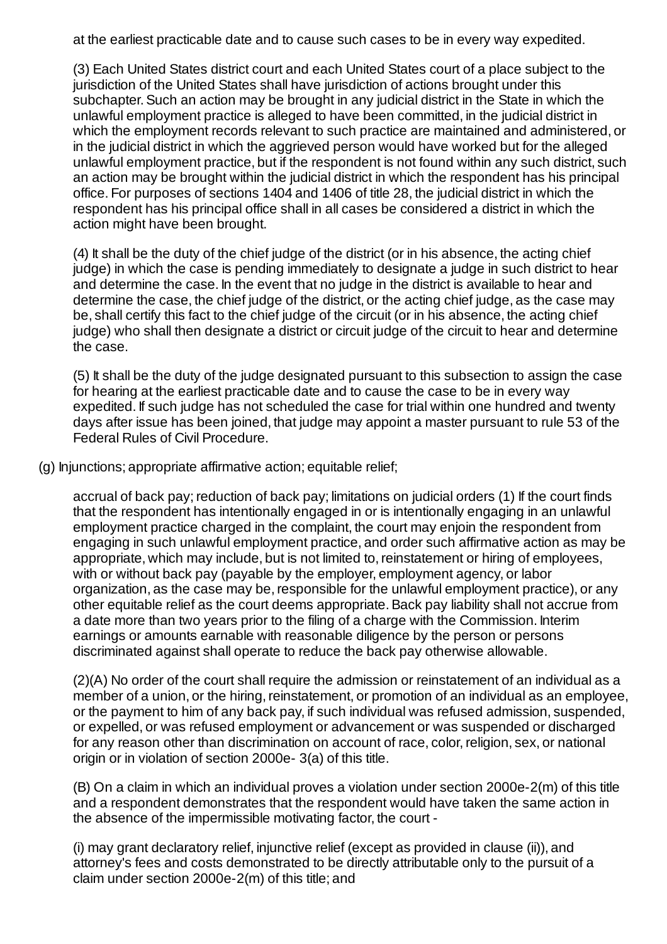at the earliest practicable date and to cause such cases to be in every way expedited.

(3) Each United States district court and each United States court of a place subject to the jurisdiction of the United States shall have jurisdiction of actions brought under this subchapter.Such an action may be brought in any judicial district in the State in which the unlawful employment practice is alleged to have been committed, in the judicial district in which the employment records relevant to such practice are maintained and administered, or in the judicial district in which the aggrieved person would have worked but for the alleged unlawful employment practice, but if the respondent is not found within any such district, such an action may be brought within the judicial district in which the respondent has his principal office. For purposes of sections 1404 and 1406 of title 28, the judicial district in which the respondent has his principal office shall in all cases be considered a district in which the action might have been brought.

(4) It shall be the duty of the chief judge of the district (or in his absence, the acting chief judge) in which the case is pending immediately to designate a judge in such district to hear and determine the case. In the event that no judge in the district is available to hear and determine the case, the chief judge of the district, or the acting chief judge, as the case may be, shall certify this fact to the chief judge of the circuit (or in his absence, the acting chief judge) who shall then designate a district or circuit judge of the circuit to hear and determine the case.

(5) It shall be the duty of the judge designated pursuant to this subsection to assign the case for hearing at the earliest practicable date and to cause the case to be in every way expedited. If such judge has not scheduled the case for trial within one hundred and twenty days after issue has been joined, that judge may appoint a master pursuant to rule 53 of the Federal Rules of Civil Procedure.

(g) Injunctions; appropriate affirmative action; equitable relief;

accrual of back pay; reduction of back pay; limitations on judicial orders (1) If the court finds that the respondent has intentionally engaged in or is intentionally engaging in an unlawful employment practice charged in the complaint, the court may enjoin the respondent from engaging in such unlawful employment practice, and order such affirmative action as may be appropriate, which may include, but is not limited to, reinstatement or hiring of employees. with or without back pay (payable by the employer, employment agency, or labor organization, as the case may be, responsible for the unlawful employment practice), or any other equitable relief as the court deems appropriate.Back pay liability shall not accrue from a date more than two years prior to the filing of a charge with the Commission. Interim earnings or amounts earnable with reasonable diligence by the person or persons discriminated against shall operate to reduce the back pay otherwise allowable.

(2)(A) No order of the court shall require the admission or reinstatement of an individual as a member of a union, or the hiring, reinstatement, or promotion of an individual as an employee, or the payment to him of any back pay, if such individual was refused admission, suspended, or expelled, or was refused employment or advancement or was suspended or discharged for any reason other than discrimination on account of race, color, religion, sex, or national origin or in violation of section 2000e- 3(a) of this title.

(B) On a claim in which an individual proves a violation under section 2000e-2(m) of this title and a respondent demonstrates that the respondent would have taken the same action in the absence of the impermissible motivating factor, the court -

(i) may grant declaratory relief, injunctive relief (except as provided in clause (ii)), and attorney's fees and costs demonstrated to be directly attributable only to the pursuit of a claim under section 2000e-2(m) of this title; and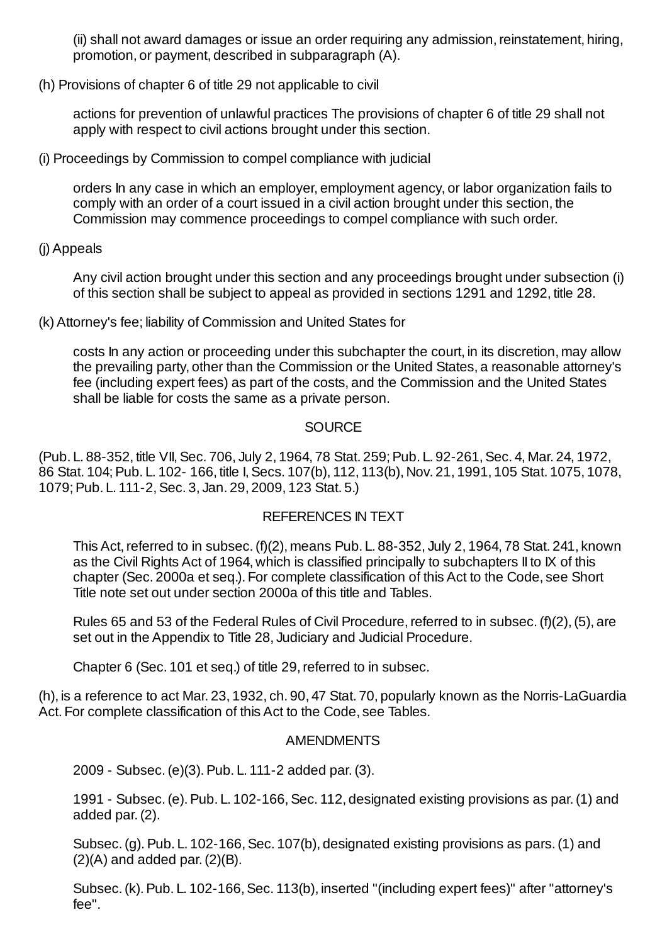(ii) shall not award damages or issue an order requiring any admission,reinstatement, hiring, promotion, or payment, described in subparagraph (A).

(h) Provisions of chapter 6 of title 29 not applicable to civil

actions for prevention of unlawful practices The provisions of chapter 6 of title 29 shall not apply with respect to civil actions brought under this section.

(i) Proceedings by Commission to compel compliance with judicial

orders In any case in which an employer, employment agency, or labor organization fails to comply with an order of a court issued in a civil action brought under this section, the Commission may commence proceedings to compel compliance with such order.

## (j) Appeals

Any civil action brought under this section and any proceedings brought under subsection (i) of this section shall be subject to appeal as provided in sections 1291 and 1292, title 28.

(k) Attorney's fee; liability of Commission and United States for

costs In any action or proceeding under this subchapter the court, in its discretion, may allow the prevailing party, other than the Commission or the United States, a reasonable attorney's fee (including expert fees) as part of the costs, and the Commission and the United States shall be liable for costs the same as a private person.

## **SOURCE**

(Pub. L. 88-352, title VII, Sec. 706, July 2, 1964, 78 Stat. 259; Pub. L. 92-261, Sec. 4, Mar. 24, 1972, 86 Stat. 104; Pub. L. 102- 166, title I, Secs. 107(b), 112, 113(b), Nov. 21, 1991, 105 Stat. 1075, 1078, 1079;Pub. L. 111-2,Sec. 3, Jan. 29, 2009, 123 Stat. 5.)

## REFERENCES IN TEXT

This Act, referred to in subsec. (f)(2), means Pub. L. 88-352, July 2, 1964, 78 Stat. 241, known as the Civil Rights Act of 1964, which is classified principally to subchapters II to IX of this chapter (Sec. 2000a et seq.). For complete classification of this Act to the Code, see Short Title note set out under section 2000a of this title and Tables.

Rules 65 and 53 of the Federal Rules of Civil Procedure, referred to in subsec. (f)(2), (5), are set out in the Appendix to Title 28, Judiciary and Judicial Procedure.

Chapter 6 (Sec. 101 et seq.) of title 29,referred to in subsec.

(h), is a reference to act Mar. 23, 1932, ch. 90, 47 Stat. 70, popularly known as the Norris-LaGuardia Act. For complete classification of this Act to the Code, see Tables.

## **AMENDMENTS**

2009 - Subsec.(e)(3).Pub. L. 111-2 added par.(3).

1991 - Subsec. (e). Pub. L. 102-166, Sec. 112, designated existing provisions as par. (1) and added par.(2).

Subsec. (g). Pub. L. 102-166, Sec. 107(b), designated existing provisions as pars. (1) and  $(2)(A)$  and added par.  $(2)(B)$ .

Subsec. (k). Pub. L. 102-166, Sec. 113(b), inserted "(including expert fees)" after "attorney's fee".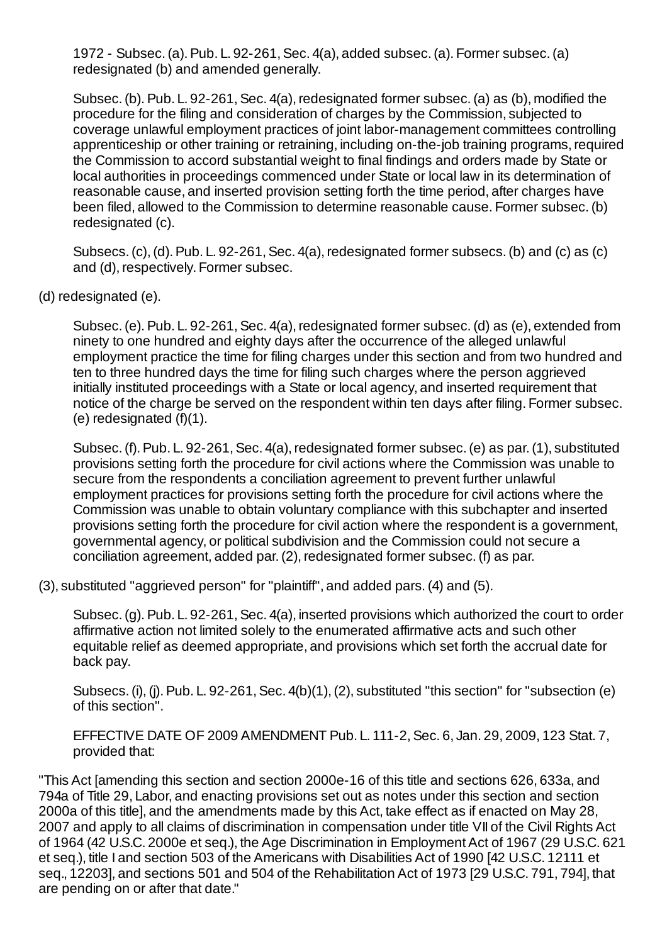1972 - Subsec. (a). Pub. L. 92-261, Sec. 4(a), added subsec. (a). Former subsec. (a) redesignated (b) and amended generally.

Subsec. (b). Pub. L. 92-261, Sec. 4(a), redesignated former subsec. (a) as (b), modified the procedure for the filing and consideration of charges by the Commission, subjected to coverage unlawful employment practices of joint labor-management committees controlling apprenticeship or other training or retraining, including on-the-job training programs,required the Commission to accord substantial weight to final findings and orders made by State or local authorities in proceedings commenced under State or local law in its determination of reasonable cause, and inserted provision setting forth the time period, after charges have been filed, allowed to the Commission to determine reasonable cause. Former subsec.(b) redesignated (c).

Subsecs. (c), (d). Pub. L. 92-261, Sec. 4(a), redesignated former subsecs. (b) and (c) as (c) and (d), respectively. Former subsec.

## (d) redesignated (e).

Subsec. (e). Pub. L. 92-261, Sec. 4(a), redesignated former subsec. (d) as (e), extended from ninety to one hundred and eighty days after the occurrence of the alleged unlawful employment practice the time for filing charges under this section and from two hundred and ten to three hundred days the time for filing such charges where the person aggrieved initially instituted proceedings with a State or local agency, and inserted requirement that notice of the charge be served on the respondent within ten days after filing. Former subsec. (e) redesignated (f)(1).

Subsec. (f). Pub. L. 92-261, Sec. 4(a), redesignated former subsec. (e) as par. (1), substituted provisions setting forth the procedure for civil actions where the Commission was unable to secure from the respondents a conciliation agreement to prevent further unlawful employment practices for provisions setting forth the procedure for civil actions where the Commission was unable to obtain voluntary compliance with this subchapter and inserted provisions setting forth the procedure for civil action where the respondent is a government, governmental agency, or political subdivision and the Commission could not secure a conciliation agreement, added par. (2), redesignated former subsec. (f) as par.

(3), substituted "aggrieved person" for "plaintiff", and added pars.(4) and (5).

Subsec. (g). Pub. L. 92-261, Sec. 4(a), inserted provisions which authorized the court to order affirmative action not limited solely to the enumerated affirmative acts and such other equitable relief as deemed appropriate, and provisions which set forth the accrual date for back pay.

Subsecs. (i), (j). Pub. L. 92-261, Sec. 4(b)(1), (2), substituted "this section" for "subsection (e) of this section".

EFFECTIVE DATE OF 2009 AMENDMENT Pub. L. 111-2,Sec. 6, Jan. 29, 2009, 123 Stat. 7, provided that:

"This Act [amending this section and section 2000e-16 of this title and sections 626, 633a, and 794a of Title 29, Labor, and enacting provisions set out as notes under this section and section 2000a of this title], and the amendments made by this Act, take effect as if enacted on May 28, 2007 and apply to all claims of discrimination in compensation under title VII of the Civil Rights Act of 1964 (42 U.S.C. 2000e et seq.), the Age Discrimination in EmploymentAct of 1967 (29 U.S.C. 621 et seq.), title I and section 503 of the Americans with Disabilities Act of 1990 [42 U.S.C. 12111 et seq., 12203], and sections 501 and 504 of the Rehabilitation Act of 1973 [29 U.S.C. 791, 794], that are pending on or after that date."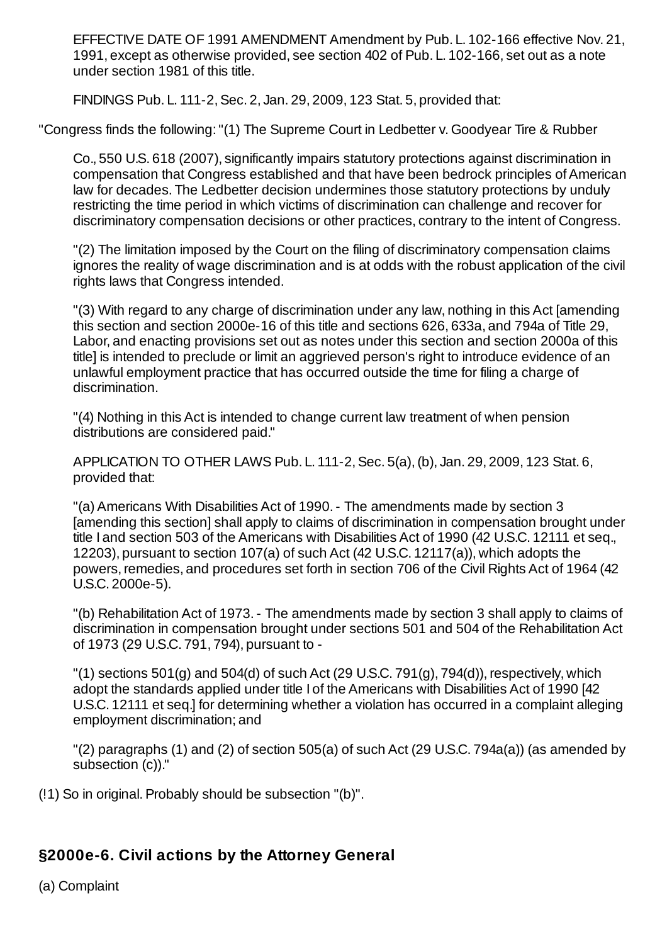EFFECTIVE DATE OF 1991 AMENDMENT Amendment by Pub. L. 102-166 effective Nov. 21, 1991, except as otherwise provided, see section 402 of Pub. L. 102-166, set out as a note under section 1981 of this title.

FINDINGS Pub. L. 111-2,Sec. 2, Jan. 29, 2009, 123 Stat. 5, provided that:

"Congress finds the following:"(1) The Supreme Court in Ledbetter v. Goodyear Tire & Rubber

Co., 550 U.S. 618 (2007), significantly impairs statutory protections against discrimination in compensation that Congress established and that have been bedrock principles ofAmerican law for decades. The Ledbetter decision undermines those statutory protections by unduly restricting the time period in which victims of discrimination can challenge and recover for discriminatory compensation decisions or other practices, contrary to the intent of Congress.

"(2) The limitation imposed by the Court on the filing of discriminatory compensation claims ignores the reality of wage discrimination and is at odds with the robust application of the civil rights laws that Congress intended.

"(3) With regard to any charge of discrimination under any law, nothing in this Act [amending this section and section 2000e-16 of this title and sections 626, 633a, and 794a of Title 29, Labor, and enacting provisions set out as notes under this section and section 2000a of this title] is intended to preclude or limit an aggrieved person's right to introduce evidence of an unlawful employment practice that has occurred outside the time for filing a charge of discrimination.

"(4) Nothing in this Act is intended to change current law treatment of when pension distributions are considered paid."

APPLICATION TO OTHER LAWS Pub. L. 111-2,Sec. 5(a),(b), Jan. 29, 2009, 123 Stat. 6, provided that:

"(a) Americans With Disabilities Act of 1990.- The amendments made by section 3 [amending this section] shall apply to claims of discrimination in compensation brought under title I and section 503 of the Americans with Disabilities Act of 1990 (42 U.S.C. 12111 et seq., 12203), pursuant to section 107(a) of such Act (42 U.S.C. 12117(a)), which adopts the powers, remedies, and procedures set forth in section 706 of the Civil Rights Act of 1964 (42 U.S.C. 2000e-5).

"(b) Rehabilitation Act of 1973.- The amendments made by section 3 shall apply to claims of discrimination in compensation brought under sections 501 and 504 of the Rehabilitation Act of 1973 (29 U.S.C. 791, 794), pursuant to -

" $(1)$  sections 501 $(g)$  and 504 $(d)$  of such Act  $(29 \text{ U.S.C. } 791(g), 794(d))$ , respectively, which adopt the standards applied under title I of the Americans with Disabilities Act of 1990 [42 U.S.C. 12111 et seq.] for determining whether a violation has occurred in a complaint alleging employment discrimination; and

"(2) paragraphs (1) and (2) of section 505(a) of such Act (29 U.S.C. 794a(a)) (as amended by subsection (c))."

(!1) So in original. Probably should be subsection "(b)".

# **§2000e-6. Civil actions by the Attorney General**

(a) Complaint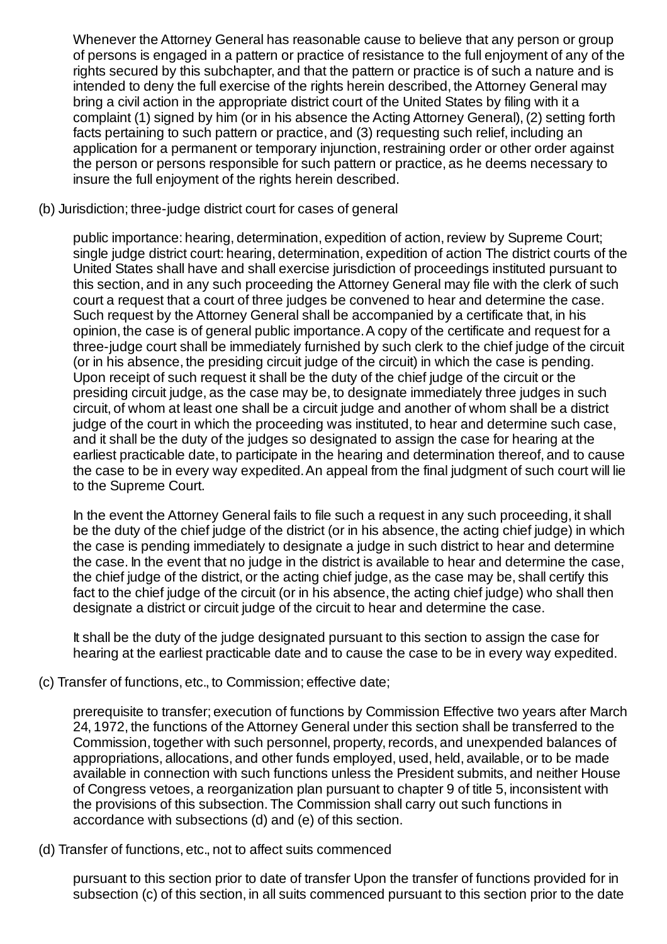Whenever the Attorney General has reasonable cause to believe that any person or group of persons is engaged in a pattern or practice of resistance to the full enjoyment of any of the rights secured by this subchapter, and that the pattern or practice is of such a nature and is intended to deny the full exercise of the rights herein described, the Attorney General may bring a civil action in the appropriate district court of the United States by filing with it a complaint (1) signed by him (or in his absence the Acting Attorney General),(2) setting forth facts pertaining to such pattern or practice, and (3) requesting such relief, including an application for a permanent or temporary injunction, restraining order or other order against the person or persons responsible for such pattern or practice, as he deems necessary to insure the full enjoyment of the rights herein described.

## (b) Jurisdiction; three-judge district court for cases of general

public importance: hearing, determination, expedition of action, review by Supreme Court; single judge district court: hearing, determination, expedition of action The district courts of the United States shall have and shall exercise jurisdiction of proceedings instituted pursuant to this section, and in any such proceeding the Attorney General may file with the clerk of such court a request that a court of three judges be convened to hear and determine the case. Such request by the Attorney General shall be accompanied by a certificate that, in his opinion, the case is of general public importance.A copy of the certificate and request for a three-judge court shall be immediately furnished by such clerk to the chief judge of the circuit (or in his absence, the presiding circuit judge of the circuit) in which the case is pending. Upon receipt of such request it shall be the duty of the chief judge of the circuit or the presiding circuit judge, as the case may be, to designate immediately three judges in such circuit, of whom at least one shall be a circuit judge and another of whom shall be a district judge of the court in which the proceeding was instituted, to hear and determine such case, and it shall be the duty of the judges so designated to assign the case for hearing at the earliest practicable date, to participate in the hearing and determination thereof, and to cause the case to be in every way expedited.An appeal from the final judgment of such court will lie to the Supreme Court.

In the event the Attorney General fails to file such a request in any such proceeding, it shall be the duty of the chief judge of the district (or in his absence, the acting chief judge) in which the case is pending immediately to designate a judge in such district to hear and determine the case. In the event that no judge in the district is available to hear and determine the case, the chief judge of the district, or the acting chief judge, as the case may be, shall certify this fact to the chief judge of the circuit (or in his absence, the acting chief judge) who shall then designate a district or circuit judge of the circuit to hear and determine the case.

It shall be the duty of the judge designated pursuant to this section to assign the case for hearing at the earliest practicable date and to cause the case to be in every way expedited.

(c) Transfer of functions, etc., to Commission; effective date;

prerequisite to transfer; execution of functions by Commission Effective two years after March 24, 1972, the functions of the Attorney General under this section shall be transferred to the Commission, together with such personnel, property, records, and unexpended balances of appropriations, allocations, and other funds employed, used, held, available, or to be made available in connection with such functions unless the President submits, and neither House of Congress vetoes, a reorganization plan pursuant to chapter 9 of title 5, inconsistent with the provisions of this subsection. The Commission shall carry out such functions in accordance with subsections (d) and (e) of this section.

(d) Transfer of functions, etc., not to affect suits commenced

pursuant to this section prior to date of transfer Upon the transfer of functions provided for in subsection (c) of this section, in all suits commenced pursuant to this section prior to the date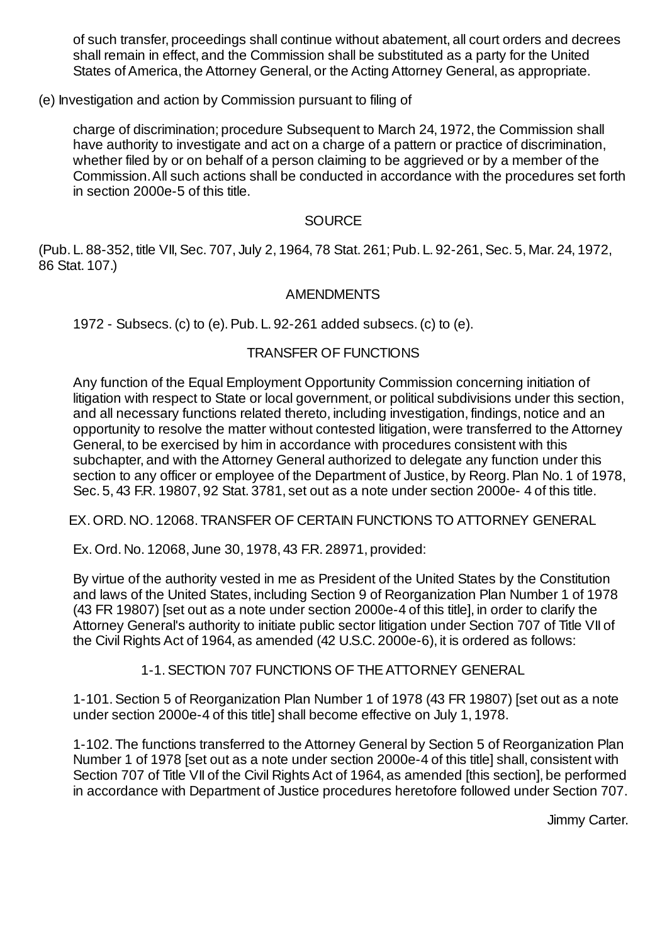of such transfer, proceedings shall continue without abatement, all court orders and decrees shall remain in effect, and the Commission shall be substituted as a party for the United States of America, the Attorney General, or the Acting Attorney General, as appropriate.

(e) Investigation and action by Commission pursuant to filing of

charge of discrimination; procedure Subsequent to March 24, 1972, the Commission shall have authority to investigate and act on a charge of a pattern or practice of discrimination, whether filed by or on behalf of a person claiming to be aggrieved or by a member of the Commission.All such actions shall be conducted in accordance with the procedures set forth in section 2000e-5 of this title.

## **SOURCE**

(Pub. L. 88-352, title VII, Sec. 707, July 2, 1964, 78 Stat. 261; Pub. L. 92-261, Sec. 5, Mar. 24, 1972, 86 Stat. 107.)

## AMENDMENTS

1972 - Subsecs.(c) to (e).Pub. L. 92-261 added subsecs.(c) to (e).

## TRANSFER OF FUNCTIONS

Any function of the Equal Employment Opportunity Commission concerning initiation of litigation with respect to State or local government, or political subdivisions under this section, and all necessary functions related thereto, including investigation, findings, notice and an opportunity to resolve the matter without contested litigation, were transferred to the Attorney General, to be exercised by him in accordance with procedures consistent with this subchapter, and with the Attorney General authorized to delegate any function under this section to any officer or employee of the Department of Justice, by Reorg. Plan No. 1 of 1978, Sec. 5, 43 F.R. 19807, 92 Stat. 3781, set out as a note under section 2000e- 4 of this title.

EX. ORD. NO. 12068. TRANSFER OF CERTAIN FUNCTIONS TO ATTORNEY GENERAL

Ex. Ord. No. 12068, June 30, 1978, 43 F.R. 28971, provided:

By virtue of the authority vested in me as President of the United States by the Constitution and laws of the United States, including Section 9 of Reorganization Plan Number 1 of 1978 (43 FR 19807) [set out as a note under section 2000e-4 of this title], in order to clarify the Attorney General's authority to initiate public sector litigation under Section 707 of Title VII of the Civil Rights Act of 1964, as amended (42 U.S.C. 2000e-6), it is ordered as follows:

1-1.SECTION 707 FUNCTIONS OF THEATTORNEY GENERAL

1-101.Section 5 of Reorganization Plan Number 1 of 1978 (43 FR 19807) [set out as a note under section 2000e-4 of this title] shall become effective on July 1, 1978.

1-102. The functions transferred to the Attorney General by Section 5 of Reorganization Plan Number 1 of 1978 [set out as a note under section 2000e-4 of this title] shall, consistent with Section 707 of Title VII of the Civil Rights Act of 1964, as amended [this section], be performed in accordance with Department of Justice procedures heretofore followed under Section 707.

Jimmy Carter.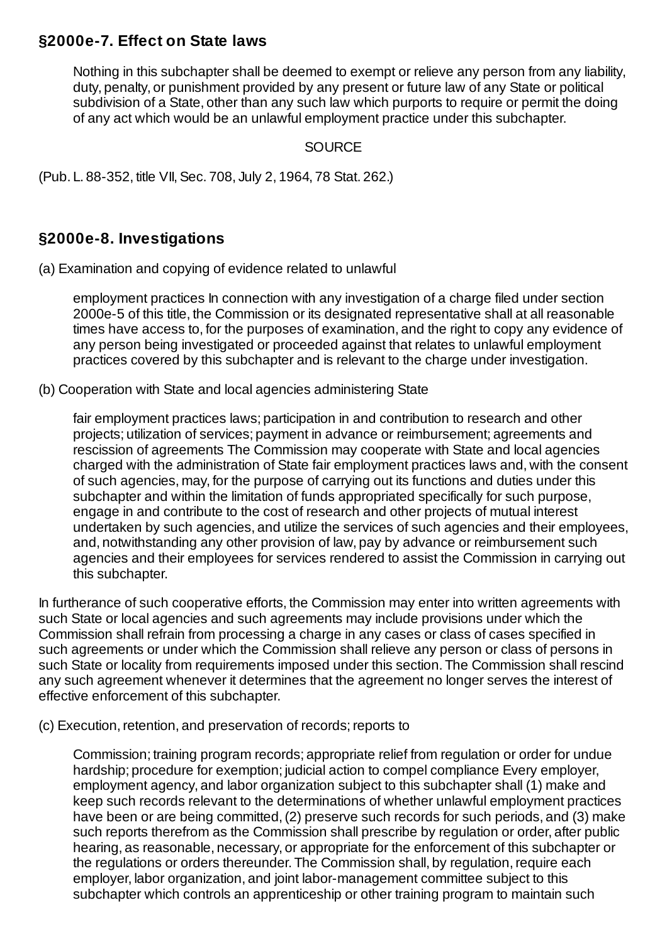## **§2000e-7. Effect on State laws**

Nothing in this subchapter shall be deemed to exempt or relieve any person from any liability, duty, penalty, or punishment provided by any present or future law of any State or political subdivision of a State, other than any such law which purports to require or permit the doing of any act which would be an unlawful employment practice under this subchapter.

## **SOURCE**

(Pub. L. 88-352, title VII, Sec. 708, July 2, 1964, 78 Stat. 262.)

## **§2000e-8. Investigations**

(a) Examination and copying of evidence related to unlawful

employment practices In connection with any investigation of a charge filed under section 2000e-5 of this title, the Commission or its designated representative shall at all reasonable times have access to, for the purposes of examination, and the right to copy any evidence of any person being investigated or proceeded against that relates to unlawful employment practices covered by this subchapter and is relevant to the charge under investigation.

(b) Cooperation with State and local agencies administering State

fair employment practices laws; participation in and contribution to research and other projects; utilization of services; payment in advance or reimbursement; agreements and rescission of agreements The Commission may cooperate with State and local agencies charged with the administration of State fair employment practices laws and, with the consent of such agencies, may, for the purpose of carrying out its functions and duties under this subchapter and within the limitation of funds appropriated specifically for such purpose, engage in and contribute to the cost of research and other projects of mutual interest undertaken by such agencies, and utilize the services of such agencies and their employees, and, notwithstanding any other provision of law, pay by advance or reimbursement such agencies and their employees for services rendered to assist the Commission in carrying out this subchapter.

In furtherance of such cooperative efforts, the Commission may enter into written agreements with such State or local agencies and such agreements may include provisions under which the Commission shall refrain from processing a charge in any cases or class of cases specified in such agreements or under which the Commission shall relieve any person or class of persons in such State or locality from requirements imposed under this section. The Commission shall rescind any such agreement whenever it determines that the agreement no longer serves the interest of effective enforcement of this subchapter.

## (c) Execution, retention, and preservation of records; reports to

Commission; training program records; appropriate relief from regulation or order for undue hardship; procedure for exemption; judicial action to compel compliance Every employer, employment agency, and labor organization subject to this subchapter shall (1) make and keep such records relevant to the determinations of whether unlawful employment practices have been or are being committed,(2) preserve such records for such periods, and (3) make such reports therefrom as the Commission shall prescribe by regulation or order, after public hearing, as reasonable, necessary, or appropriate for the enforcement of this subchapter or the regulations or orders thereunder. The Commission shall, by regulation, require each employer, labor organization, and joint labor-management committee subject to this subchapter which controls an apprenticeship or other training program to maintain such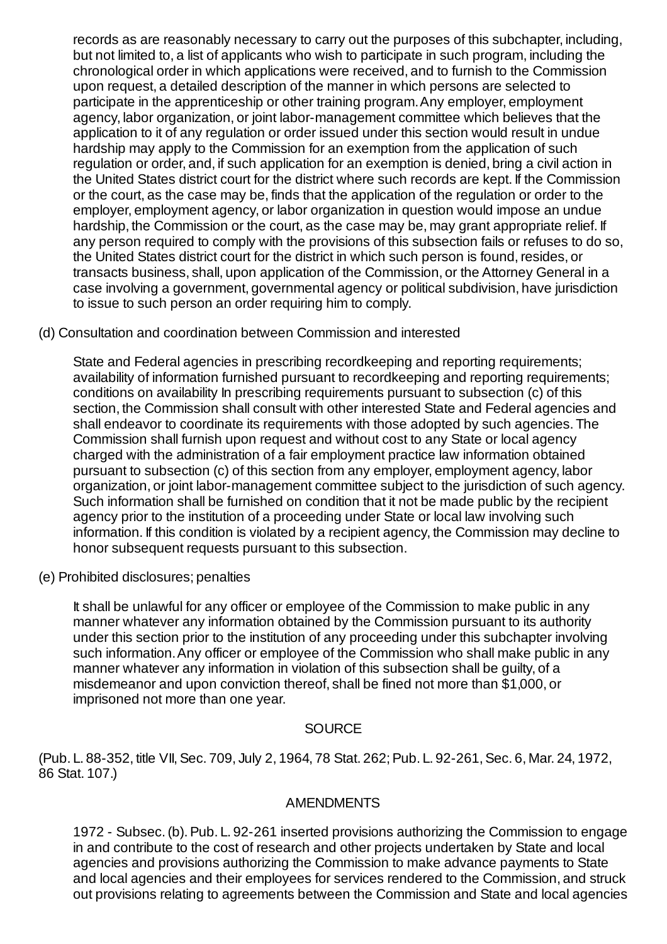records as are reasonably necessary to carry out the purposes of this subchapter, including, but not limited to, a list of applicants who wish to participate in such program, including the chronological order in which applications were received, and to furnish to the Commission upon request, a detailed description of the manner in which persons are selected to participate in the apprenticeship or other training program.Any employer, employment agency, labor organization, or joint labor-management committee which believes that the application to it of any regulation or order issued under this section would result in undue hardship may apply to the Commission for an exemption from the application of such regulation or order, and, if such application for an exemption is denied, bring a civil action in the United States district court for the district where such records are kept. If the Commission or the court, as the case may be, finds that the application of the regulation or order to the employer, employment agency, or labor organization in question would impose an undue hardship, the Commission or the court, as the case may be, may grant appropriate relief. If any person required to comply with the provisions of this subsection fails or refuses to do so, the United States district court for the district in which such person is found, resides, or transacts business, shall, upon application of the Commission, or the Attorney General in a case involving a government, governmental agency or political subdivision, have jurisdiction to issue to such person an order requiring him to comply.

(d) Consultation and coordination between Commission and interested

State and Federal agencies in prescribing recordkeeping and reporting requirements; availability of information furnished pursuant to recordkeeping and reporting requirements; conditions on availability In prescribing requirements pursuant to subsection (c) of this section, the Commission shall consult with other interested State and Federal agencies and shall endeavor to coordinate its requirements with those adopted by such agencies. The Commission shall furnish upon request and without cost to any State or local agency charged with the administration of a fair employment practice law information obtained pursuant to subsection (c) of this section from any employer, employment agency, labor organization, or joint labor-management committee subject to the jurisdiction of such agency. Such information shall be furnished on condition that it not be made public by the recipient agency prior to the institution of a proceeding under State or local law involving such information. If this condition is violated by a recipient agency, the Commission may decline to honor subsequent requests pursuant to this subsection.

(e) Prohibited disclosures; penalties

It shall be unlawful for any officer or employee of the Commission to make public in any manner whatever any information obtained by the Commission pursuant to its authority under this section prior to the institution of any proceeding under this subchapter involving such information.Any officer or employee of the Commission who shall make public in any manner whatever any information in violation of this subsection shall be guilty, of a misdemeanor and upon conviction thereof, shall be fined not more than \$1,000, or imprisoned not more than one year.

## **SOURCE**

(Pub. L. 88-352, title VII, Sec. 709, July 2, 1964, 78 Stat. 262; Pub. L. 92-261, Sec. 6, Mar. 24, 1972, 86 Stat. 107.)

## AMENDMENTS

1972 - Subsec.(b).Pub. L. 92-261 inserted provisions authorizing the Commission to engage in and contribute to the cost of research and other projects undertaken by State and local agencies and provisions authorizing the Commission to make advance payments to State and local agencies and their employees for services rendered to the Commission, and struck out provisions relating to agreements between the Commission and State and local agencies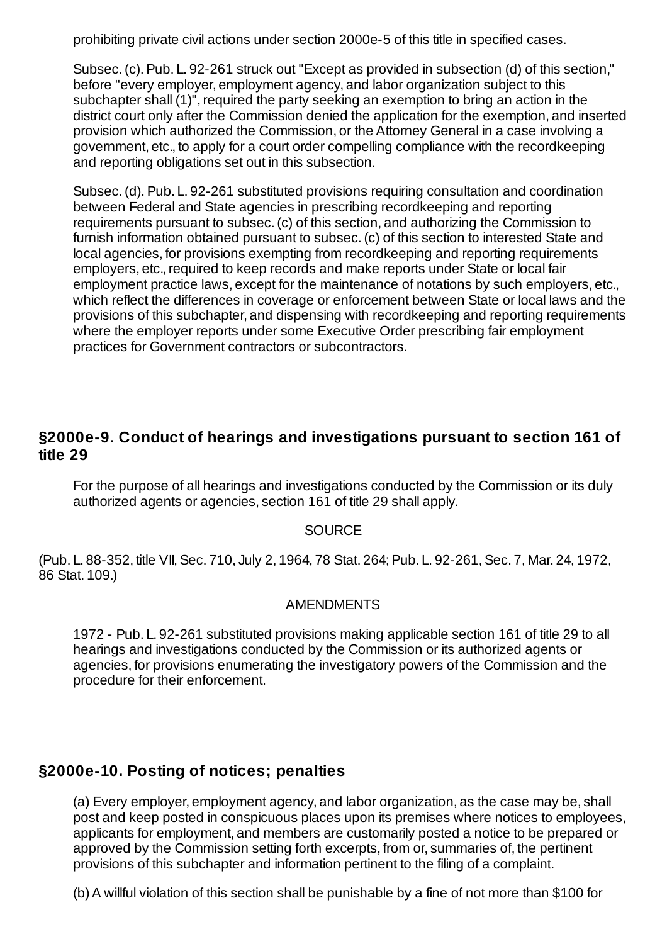prohibiting private civil actions under section 2000e-5 of this title in specified cases.

Subsec. (c). Pub. L. 92-261 struck out "Except as provided in subsection (d) of this section," before "every employer, employment agency, and labor organization subject to this subchapter shall (1)", required the party seeking an exemption to bring an action in the district court only after the Commission denied the application for the exemption, and inserted provision which authorized the Commission, or the Attorney General in a case involving a government, etc., to apply for a court order compelling compliance with the recordkeeping and reporting obligations set out in this subsection.

Subsec. (d). Pub. L. 92-261 substituted provisions requiring consultation and coordination between Federal and State agencies in prescribing recordkeeping and reporting requirements pursuant to subsec.(c) of this section, and authorizing the Commission to furnish information obtained pursuant to subsec.(c) of this section to interested State and local agencies, for provisions exempting from recordkeeping and reporting requirements employers, etc., required to keep records and make reports under State or local fair employment practice laws, except for the maintenance of notations by such employers, etc., which reflect the differences in coverage or enforcement between State or local laws and the provisions of this subchapter, and dispensing with recordkeeping and reporting requirements where the employer reports under some Executive Order prescribing fair employment practices for Government contractors or subcontractors.

# **§2000e-9. Conduct of hearings and investigations pursuant to section 161 of title 29**

For the purpose of all hearings and investigations conducted by the Commission or its duly authorized agents or agencies, section 161 of title 29 shall apply.

## **SOURCE**

(Pub. L. 88-352, title VII, Sec. 710, July 2, 1964, 78 Stat. 264; Pub. L. 92-261, Sec. 7, Mar. 24, 1972, 86 Stat. 109.)

## AMENDMENTS

1972 - Pub. L. 92-261 substituted provisions making applicable section 161 of title 29 to all hearings and investigations conducted by the Commission or its authorized agents or agencies, for provisions enumerating the investigatory powers of the Commission and the procedure for their enforcement.

# **§2000e-10. Posting of notices; penalties**

(a) Every employer, employment agency, and labor organization, as the case may be, shall post and keep posted in conspicuous places upon its premises where notices to employees, applicants for employment, and members are customarily posted a notice to be prepared or approved by the Commission setting forth excerpts, from or, summaries of, the pertinent provisions of this subchapter and information pertinent to the filing of a complaint.

(b) A willful violation of this section shall be punishable by a fine of not more than \$100 for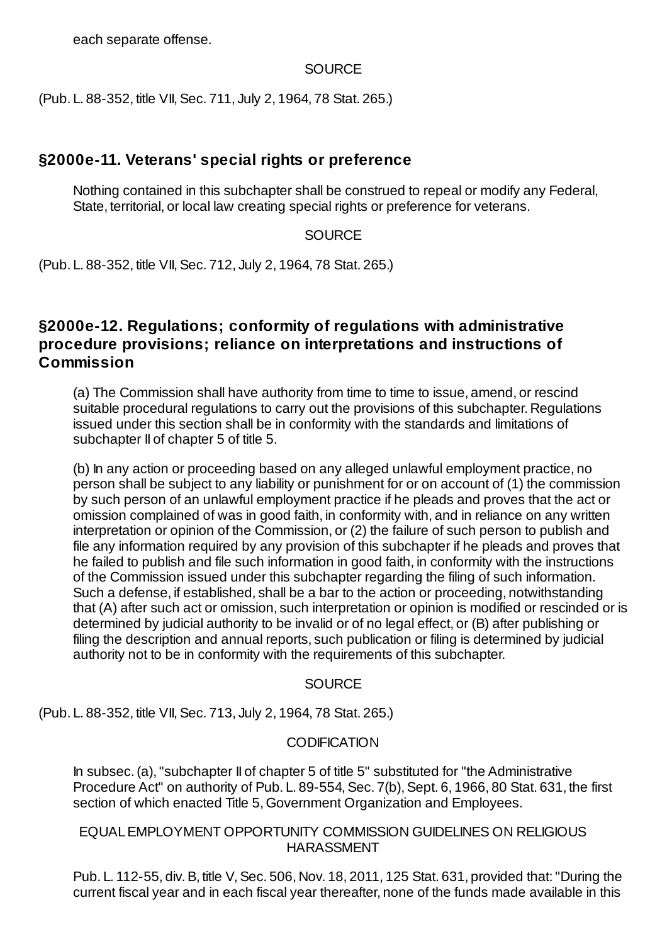each separate offense.

#### **SOURCE**

(Pub. L. 88-352, title VII, Sec. 711, July 2, 1964, 78 Stat. 265.)

## **§2000e-11. Veterans' special rights or preference**

Nothing contained in this subchapter shall be construed to repeal or modify any Federal, State, territorial, or local law creating special rights or preference for veterans.

#### **SOURCE**

(Pub. L. 88-352, title VII,Sec. 712, July 2, 1964, 78 Stat. 265.)

# **§2000e-12. Regulations; conformity of regulations with administrative procedure provisions; reliance on interpretations and instructions of Commission**

(a) The Commission shall have authority from time to time to issue, amend, or rescind suitable procedural regulations to carry out the provisions of this subchapter. Regulations issued under this section shall be in conformity with the standards and limitations of subchapter II of chapter 5 of title 5.

(b) In any action or proceeding based on any alleged unlawful employment practice, no person shall be subject to any liability or punishment for or on account of (1) the commission by such person of an unlawful employment practice if he pleads and proves that the act or omission complained of was in good faith, in conformity with, and in reliance on any written interpretation or opinion of the Commission, or (2) the failure of such person to publish and file any information required by any provision of this subchapter if he pleads and proves that he failed to publish and file such information in good faith, in conformity with the instructions of the Commission issued under this subchapter regarding the filing of such information. Such a defense, if established, shall be a bar to the action or proceeding, notwithstanding that (A) after such act or omission, such interpretation or opinion is modified or rescinded or is determined by judicial authority to be invalid or of no legal effect, or (B) after publishing or filing the description and annual reports, such publication or filing is determined by judicial authority not to be in conformity with the requirements of this subchapter.

## SOURCE

(Pub. L. 88-352, title VII, Sec. 713, July 2, 1964, 78 Stat. 265.)

## **CODIFICATION**

In subsec.(a),"subchapter II of chapter 5 of title 5" substituted for "the Administrative Procedure Act" on authority of Pub. L. 89-554, Sec. 7(b), Sept. 6, 1966, 80 Stat. 631, the first section of which enacted Title 5, Government Organization and Employees.

## EQUALEMPLOYMENT OPPORTUNITY COMMISSION GUIDELINES ON RELIGIOUS HARASSMENT

Pub. L. 112-55, div. B, title V, Sec. 506, Nov. 18, 2011, 125 Stat. 631, provided that: "During the current fiscal year and in each fiscal year thereafter, none of the funds made available in this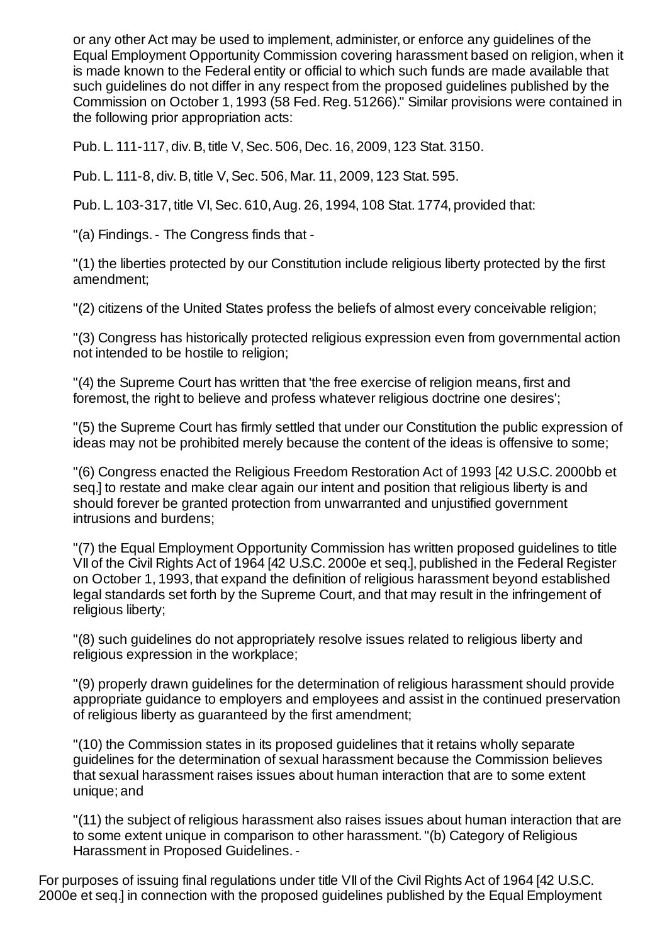or any other Act may be used to implement, administer, or enforce any guidelines of the Equal Employment Opportunity Commission covering harassment based on religion, when it is made known to the Federal entity or official to which such funds are made available that such guidelines do not differ in any respect from the proposed guidelines published by the Commission on October 1, 1993 (58 Fed. Reg. 51266)." Similar provisions were contained in the following prior appropriation acts:

Pub. L. 111-117, div. B, title V, Sec. 506, Dec. 16, 2009, 123 Stat. 3150.

Pub. L. 111-8, div. B, title V, Sec. 506, Mar. 11, 2009, 123 Stat. 595.

Pub. L. 103-317, title VI, Sec. 610, Aug. 26, 1994, 108 Stat. 1774, provided that:

"(a) Findings.- The Congress finds that -

"(1) the liberties protected by our Constitution include religious liberty protected by the first amendment;

"(2) citizens of the United States profess the beliefs of almost every conceivable religion;

"(3) Congress has historically protected religious expression even from governmental action not intended to be hostile to religion;

"(4) the Supreme Court has written that 'the free exercise of religion means, first and foremost, the right to believe and profess whatever religious doctrine one desires';

"(5) the Supreme Court has firmly settled that under our Constitution the public expression of ideas may not be prohibited merely because the content of the ideas is offensive to some;

"(6) Congress enacted the Religious Freedom Restoration Act of 1993 [42 U.S.C. 2000bb et seq.] to restate and make clear again our intent and position that religious liberty is and should forever be granted protection from unwarranted and unjustified government intrusions and burdens;

"(7) the Equal Employment Opportunity Commission has written proposed guidelines to title VII of the Civil Rights Act of 1964 [42 U.S.C. 2000e et seq.], published in the Federal Register on October 1, 1993, that expand the definition of religious harassment beyond established legal standards set forth by the Supreme Court, and that may result in the infringement of religious liberty;

"(8) such guidelines do not appropriately resolve issues related to religious liberty and religious expression in the workplace;

"(9) properly drawn guidelines for the determination of religious harassment should provide appropriate guidance to employers and employees and assist in the continued preservation of religious liberty as guaranteed by the first amendment;

"(10) the Commission states in its proposed guidelines that it retains wholly separate guidelines for the determination of sexual harassment because the Commission believes that sexual harassment raises issues about human interaction that are to some extent unique; and

"(11) the subject of religious harassment also raises issues about human interaction that are to some extent unique in comparison to other harassment."(b) Category of Religious Harassment in Proposed Guidelines.-

For purposes of issuing final regulations under title VII of the Civil Rights Act of 1964 [42 U.S.C. 2000e et seq.] in connection with the proposed guidelines published by the Equal Employment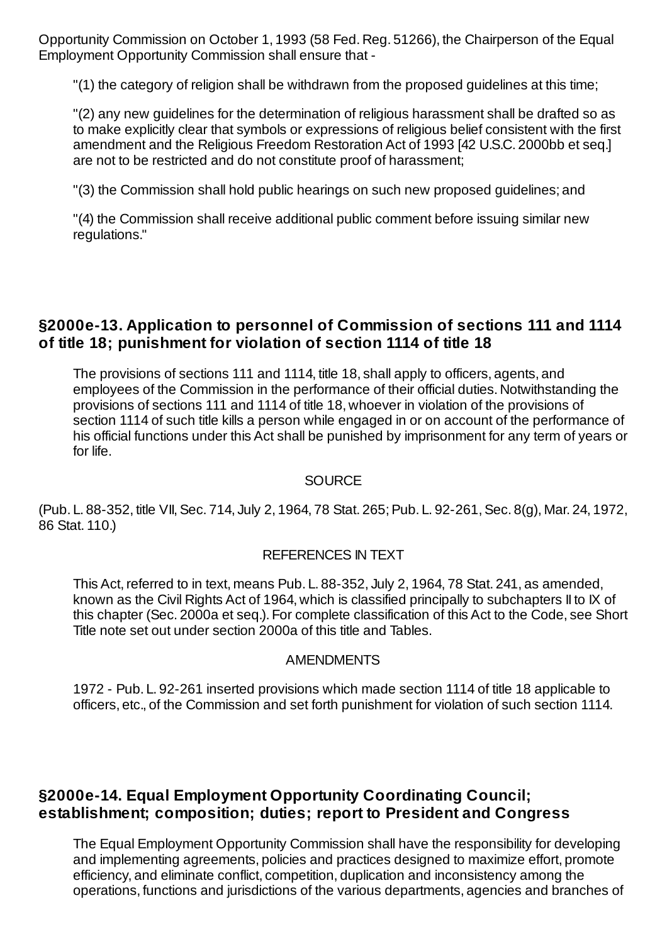Opportunity Commission on October 1, 1993 (58 Fed. Reg. 51266), the Chairperson of the Equal Employment Opportunity Commission shall ensure that -

"(1) the category of religion shall be withdrawn from the proposed guidelines at this time;

"(2) any new guidelines for the determination of religious harassment shall be drafted so as to make explicitly clear that symbols or expressions of religious belief consistent with the first amendment and the Religious Freedom Restoration Act of 1993 [42 U.S.C. 2000bb et seq.] are not to be restricted and do not constitute proof of harassment;

"(3) the Commission shall hold public hearings on such new proposed guidelines; and

"(4) the Commission shall receive additional public comment before issuing similar new regulations."

# **§2000e-13. Application to personnel of Commission of sections 111 and 1114 of title 18; punishment for violation of section 1114 of title 18**

The provisions of sections 111 and 1114, title 18, shall apply to officers, agents, and employees of the Commission in the performance of their official duties. Notwithstanding the provisions of sections 111 and 1114 of title 18, whoever in violation of the provisions of section 1114 of such title kills a person while engaged in or on account of the performance of his official functions under this Act shall be punished by imprisonment for any term of years or for life.

## **SOURCE**

(Pub. L. 88-352, title VII,Sec. 714, July 2, 1964, 78 Stat. 265;Pub. L. 92-261,Sec. 8(g), Mar. 24, 1972, 86 Stat. 110.)

## REFERENCES IN TEXT

This Act, referred to in text, means Pub. L. 88-352, July 2, 1964, 78 Stat. 241, as amended, known as the Civil Rights Act of 1964, which is classified principally to subchapters II to IX of this chapter (Sec. 2000a et seq.). For complete classification of this Act to the Code, see Short Title note set out under section 2000a of this title and Tables.

#### **AMENDMENTS**

1972 - Pub. L. 92-261 inserted provisions which made section 1114 of title 18 applicable to officers, etc., of the Commission and set forth punishment for violation of such section 1114.

# **§2000e-14. Equal Employment Opportunity Coordinating Council; establishment; composition; duties; report to President and Congress**

The Equal Employment Opportunity Commission shall have the responsibility for developing and implementing agreements, policies and practices designed to maximize effort, promote efficiency, and eliminate conflict, competition, duplication and inconsistency among the operations, functions and jurisdictions of the various departments, agencies and branches of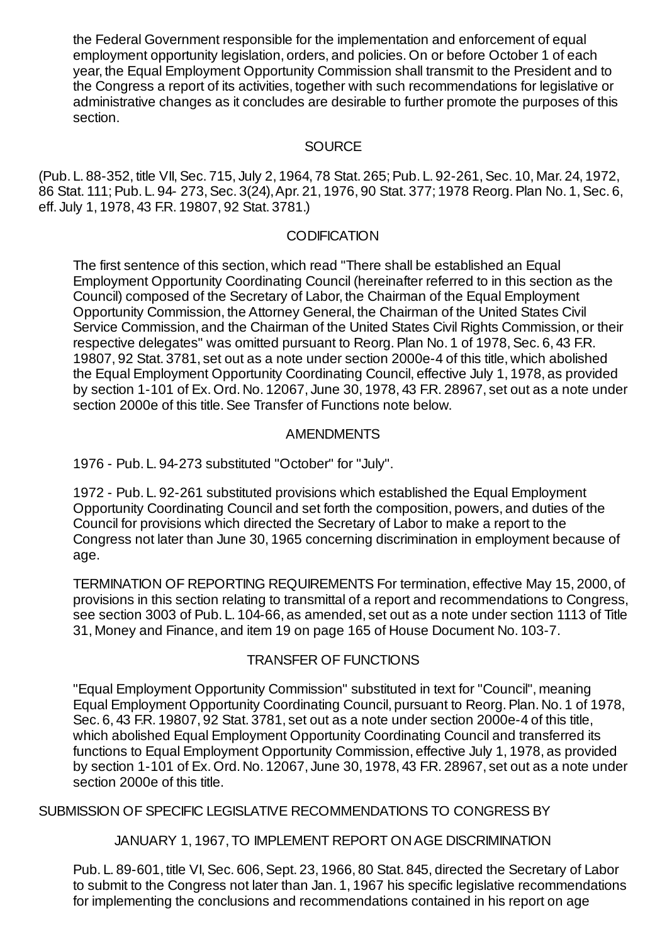the Federal Government responsible for the implementation and enforcement of equal employment opportunity legislation, orders, and policies. On or before October 1 of each year, the Equal Employment Opportunity Commission shall transmit to the President and to the Congress a report of its activities, together with such recommendations for legislative or administrative changes as it concludes are desirable to further promote the purposes of this section.

## **SOURCE**

(Pub. L. 88-352, title VII, Sec. 715, July 2, 1964, 78 Stat. 265; Pub. L. 92-261, Sec. 10, Mar. 24, 1972, 86 Stat. 111; Pub. L. 94- 273, Sec. 3(24), Apr. 21, 1976, 90 Stat. 377; 1978 Reorg. Plan No. 1, Sec. 6, eff. July 1, 1978, 43 F.R. 19807, 92 Stat. 3781.)

#### **CODIFICATION**

The first sentence of this section, which read "There shall be established an Equal Employment Opportunity Coordinating Council (hereinafter referred to in this section as the Council) composed of the Secretary of Labor, the Chairman of the Equal Employment Opportunity Commission, the Attorney General, the Chairman of the United States Civil Service Commission, and the Chairman of the United States Civil Rights Commission, or their respective delegates" was omitted pursuant to Reorg. Plan No. 1 of 1978, Sec. 6, 43 F.R. 19807, 92 Stat. 3781, set out as a note under section 2000e-4 of this title, which abolished the Equal Employment Opportunity Coordinating Council, effective July 1, 1978, as provided by section 1-101 of Ex. Ord. No. 12067, June 30, 1978, 43 F.R. 28967, set out as a note under section 2000e of this title. See Transfer of Functions note below.

## **AMENDMENTS**

1976 - Pub. L. 94-273 substituted "October" for "July".

1972 - Pub. L. 92-261 substituted provisions which established the Equal Employment Opportunity Coordinating Council and set forth the composition, powers, and duties of the Council for provisions which directed the Secretary of Labor to make a report to the Congress not later than June 30, 1965 concerning discrimination in employment because of age.

TERMINATION OF REPORTING REQUIREMENTS For termination, effective May 15, 2000, of provisions in this section relating to transmittal of a report and recommendations to Congress, see section 3003 of Pub. L. 104-66, as amended, set out as a note under section 1113 of Title 31, Money and Finance, and item 19 on page 165 of House Document No. 103-7.

## TRANSFER OF FUNCTIONS

"Equal Employment Opportunity Commission" substituted in text for "Council", meaning Equal Employment Opportunity Coordinating Council, pursuant to Reorg.Plan. No. 1 of 1978, Sec. 6, 43 F.R. 19807, 92 Stat. 3781, set out as a note under section 2000e-4 of this title, which abolished Equal Employment Opportunity Coordinating Council and transferred its functions to Equal Employment Opportunity Commission, effective July 1, 1978, as provided by section 1-101 of Ex. Ord. No. 12067, June 30, 1978, 43 F.R. 28967, set out as a note under section 2000e of this title.

## SUBMISSION OF SPECIFIC LEGISLATIVE RECOMMENDATIONS TO CONGRESS BY

## JANUARY 1, 1967, TO IMPLEMENT REPORT ON AGE DISCRIMINATION

Pub. L. 89-601, title VI, Sec. 606, Sept. 23, 1966, 80 Stat. 845, directed the Secretary of Labor to submit to the Congress not later than Jan. 1, 1967 his specific legislative recommendations for implementing the conclusions and recommendations contained in his report on age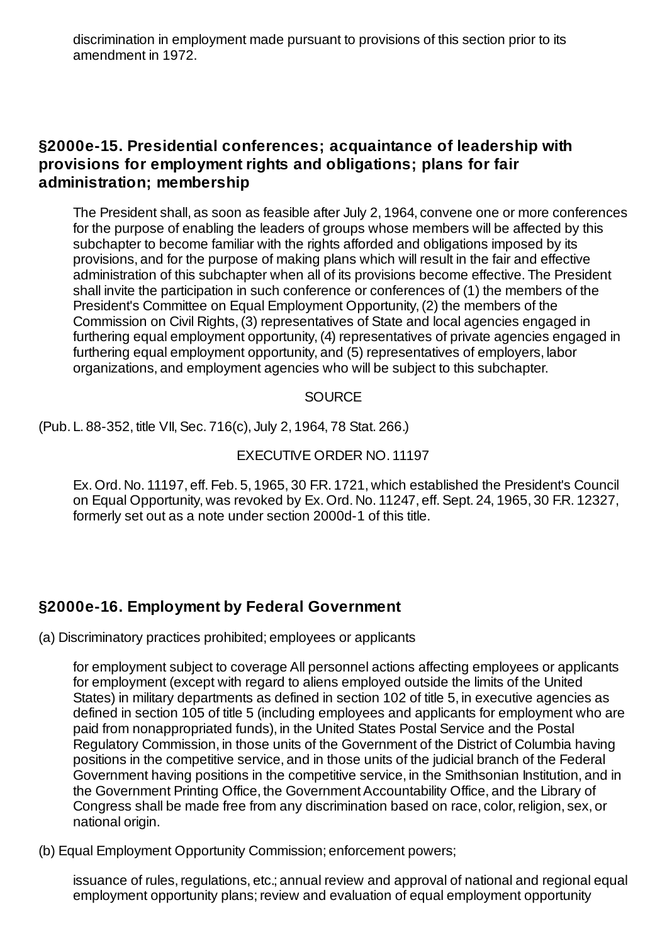# **§2000e-15. Presidential conferences; acquaintance of leadership with provisions for employment rights and obligations; plans for fair administration; membership**

The President shall, as soon as feasible after July 2, 1964, convene one or more conferences for the purpose of enabling the leaders of groups whose members will be affected by this subchapter to become familiar with the rights afforded and obligations imposed by its provisions, and for the purpose of making plans which will result in the fair and effective administration of this subchapter when all of its provisions become effective. The President shall invite the participation in such conference or conferences of (1) the members of the President's Committee on Equal Employment Opportunity,(2) the members of the Commission on Civil Rights,(3) representatives of State and local agencies engaged in furthering equal employment opportunity,(4) representatives of private agencies engaged in furthering equal employment opportunity, and (5) representatives of employers, labor organizations, and employment agencies who will be subject to this subchapter.

## **SOURCE**

(Pub. L. 88-352, title VII,Sec. 716(c), July 2, 1964, 78 Stat. 266.)

## EXECUTIVE ORDER NO. 11197

Ex. Ord. No. 11197, eff. Feb. 5, 1965, 30 F.R. 1721, which established the President's Council on Equal Opportunity, was revoked by Ex. Ord. No. 11247, eff.Sept. 24, 1965, 30 F.R. 12327, formerly set out as a note under section 2000d-1 of this title.

# **§2000e-16. Employment by Federal Government**

(a) Discriminatory practices prohibited; employees or applicants

for employment subject to coverage All personnel actions affecting employees or applicants for employment (except with regard to aliens employed outside the limits of the United States) in military departments as defined in section 102 of title 5, in executive agencies as defined in section 105 of title 5 (including employees and applicants for employment who are paid from nonappropriated funds), in the United States Postal Service and the Postal Regulatory Commission, in those units of the Government of the District of Columbia having positions in the competitive service, and in those units of the judicial branch of the Federal Government having positions in the competitive service, in the Smithsonian Institution, and in the Government Printing Office, the Government Accountability Office, and the Library of Congress shall be made free from any discrimination based on race, color, religion, sex, or national origin.

(b) Equal Employment Opportunity Commission; enforcement powers;

issuance of rules, regulations, etc.; annual review and approval of national and regional equal employment opportunity plans; review and evaluation of equal employment opportunity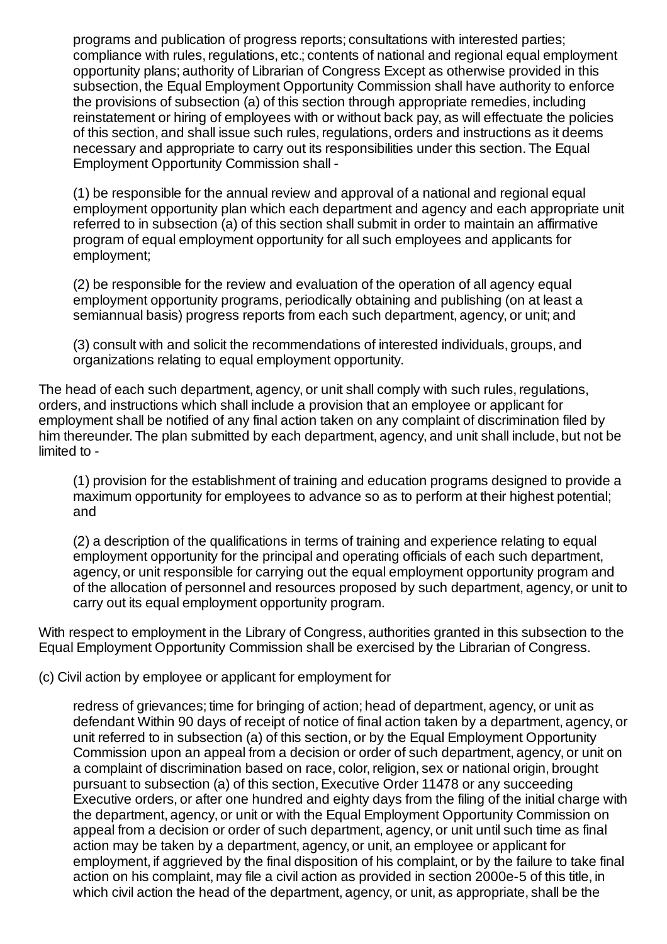programs and publication of progress reports; consultations with interested parties; compliance with rules, regulations, etc.; contents of national and regional equal employment opportunity plans; authority of Librarian of Congress Except as otherwise provided in this subsection, the Equal Employment Opportunity Commission shall have authority to enforce the provisions of subsection (a) of this section through appropriate remedies, including reinstatement or hiring of employees with or without back pay, as will effectuate the policies of this section, and shall issue such rules,regulations, orders and instructions as it deems necessary and appropriate to carry out its responsibilities under this section. The Equal Employment Opportunity Commission shall -

(1) be responsible for the annual review and approval of a national and regional equal employment opportunity plan which each department and agency and each appropriate unit referred to in subsection (a) of this section shall submit in order to maintain an affirmative program of equal employment opportunity for all such employees and applicants for employment;

(2) be responsible for the review and evaluation of the operation of all agency equal employment opportunity programs, periodically obtaining and publishing (on at least a semiannual basis) progress reports from each such department, agency, or unit; and

(3) consult with and solicit the recommendations of interested individuals, groups, and organizations relating to equal employment opportunity.

The head of each such department, agency, or unit shall comply with such rules, regulations, orders, and instructions which shall include a provision that an employee or applicant for employment shall be notified of any final action taken on any complaint of discrimination filed by him thereunder. The plan submitted by each department, agency, and unit shall include, but not be limited to -

(1) provision for the establishment of training and education programs designed to provide a maximum opportunity for employees to advance so as to perform at their highest potential; and

(2) a description of the qualifications in terms of training and experience relating to equal employment opportunity for the principal and operating officials of each such department, agency, or unit responsible for carrying out the equal employment opportunity program and of the allocation of personnel and resources proposed by such department, agency, or unit to carry out its equal employment opportunity program.

With respect to employment in the Library of Congress, authorities granted in this subsection to the Equal Employment Opportunity Commission shall be exercised by the Librarian of Congress.

(c) Civil action by employee or applicant for employment for

redress of grievances; time for bringing of action; head of department, agency, or unit as defendant Within 90 days of receipt of notice of final action taken by a department, agency, or unit referred to in subsection (a) of this section, or by the Equal Employment Opportunity Commission upon an appeal from a decision or order of such department, agency, or unit on a complaint of discrimination based on race, color, religion, sex or national origin, brought pursuant to subsection (a) of this section, Executive Order 11478 or any succeeding Executive orders, or after one hundred and eighty days from the filing of the initial charge with the department, agency, or unit or with the Equal Employment Opportunity Commission on appeal from a decision or order of such department, agency, or unit until such time as final action may be taken by a department, agency, or unit, an employee or applicant for employment, if aggrieved by the final disposition of his complaint, or by the failure to take final action on his complaint, may file a civil action as provided in section 2000e-5 of this title, in which civil action the head of the department, agency, or unit, as appropriate, shall be the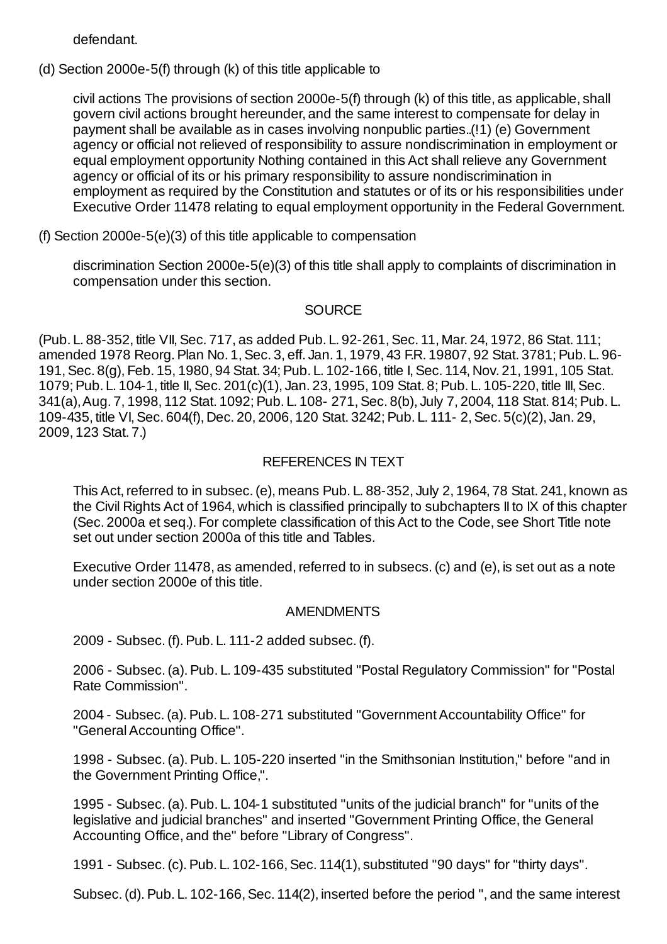defendant.

## (d) Section 2000e-5(f) through (k) of this title applicable to

civil actions The provisions of section 2000e-5(f) through (k) of this title, as applicable, shall govern civil actions brought hereunder, and the same interest to compensate for delay in payment shall be available as in cases involving nonpublic parties..(!1) (e) Government agency or official not relieved of responsibility to assure nondiscrimination in employment or equal employment opportunity Nothing contained in this Act shall relieve any Government agency or official of its or his primary responsibility to assure nondiscrimination in employment as required by the Constitution and statutes or of its or his responsibilities under Executive Order 11478 relating to equal employment opportunity in the Federal Government.

(f) Section 2000e-5(e)(3) of this title applicable to compensation

discrimination Section 2000e-5(e)(3) of this title shall apply to complaints of discrimination in compensation under this section.

## **SOURCE**

(Pub. L. 88-352, title VII, Sec. 717, as added Pub. L. 92-261, Sec. 11, Mar. 24, 1972, 86 Stat. 111; amended 1978 Reorg. Plan No. 1, Sec. 3, eff. Jan. 1, 1979, 43 F.R. 19807, 92 Stat. 3781; Pub. L. 96-191, Sec. 8(g), Feb. 15, 1980, 94 Stat. 34; Pub. L. 102-166, title I, Sec. 114, Nov. 21, 1991, 105 Stat. 1079; Pub. L. 104-1, title II, Sec. 201(c)(1), Jan. 23, 1995, 109 Stat. 8; Pub. L. 105-220, title III, Sec. 341(a), Aug. 7, 1998, 112 Stat. 1092; Pub. L. 108- 271, Sec. 8(b), July 7, 2004, 118 Stat. 814; Pub. L. 109-435, title VI,Sec. 604(f), Dec. 20, 2006, 120 Stat. 3242;Pub. L. 111- 2,Sec. 5(c)(2), Jan. 29, 2009, 123 Stat. 7.)

## REFERENCES IN TEXT

This Act, referred to in subsec. (e), means Pub. L. 88-352, July 2, 1964, 78 Stat. 241, known as the Civil Rights Act of 1964, which is classified principally to subchapters II to IX of this chapter (Sec. 2000a et seq.). For complete classification of this Act to the Code, see Short Title note set out under section 2000a of this title and Tables.

Executive Order 11478, as amended, referred to in subsecs. (c) and (e), is set out as a note under section 2000e of this title.

## **AMENDMENTS**

2009 - Subsec. (f). Pub. L. 111-2 added subsec. (f).

2006 - Subsec.(a).Pub. L. 109-435 substituted "Postal Regulatory Commission" for "Postal Rate Commission".

2004 - Subsec. (a). Pub. L. 108-271 substituted "Government Accountability Office" for "General Accounting Office".

1998 - Subsec.(a).Pub. L. 105-220 inserted "in the Smithsonian Institution," before "and in the Government Printing Office,".

1995 - Subsec. (a). Pub. L. 104-1 substituted "units of the judicial branch" for "units of the legislative and judicial branches" and inserted "Government Printing Office, the General Accounting Office, and the" before "Library of Congress".

1991 - Subsec. (c). Pub. L. 102-166, Sec. 114(1), substituted "90 days" for "thirty days".

Subsec. (d). Pub. L. 102-166, Sec. 114(2), inserted before the period ", and the same interest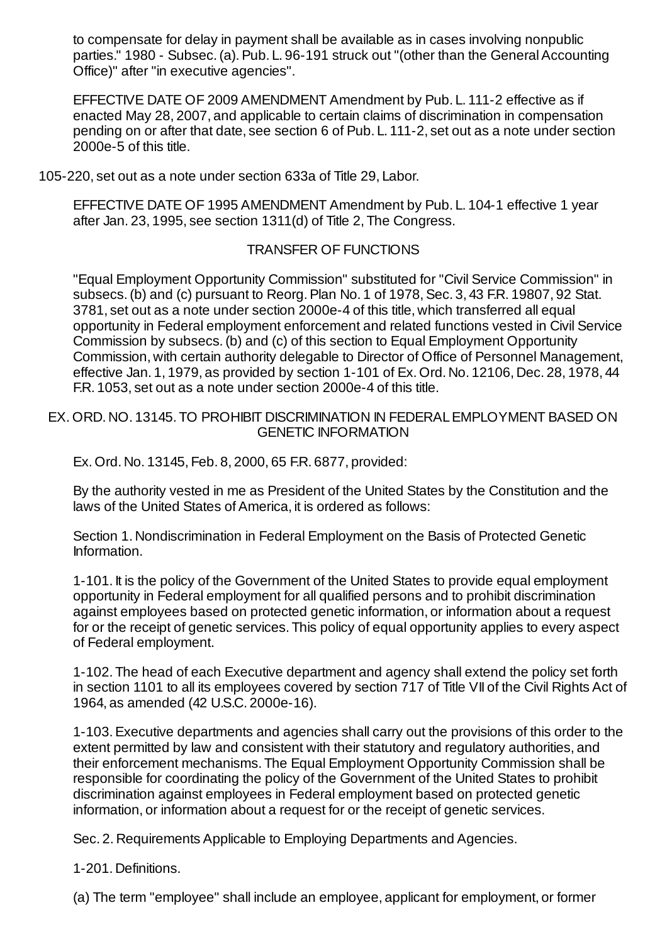to compensate for delay in payment shall be available as in cases involving nonpublic parties." 1980 - Subsec. (a). Pub. L. 96-191 struck out "(other than the General Accounting Office)" after "in executive agencies".

EFFECTIVE DATE OF 2009 AMENDMENT Amendment by Pub. L. 111-2 effective as if enacted May 28, 2007, and applicable to certain claims of discrimination in compensation pending on or after that date, see section 6 of Pub. L. 111-2, set out as a note under section 2000e-5 of this title.

105-220, set out as a note under section 633a of Title 29, Labor.

EFFECTIVE DATE OF 1995 AMENDMENT Amendment by Pub. L. 104-1 effective 1 year after Jan. 23, 1995, see section 1311(d) of Title 2, The Congress.

## TRANSFER OF FUNCTIONS

"Equal Employment Opportunity Commission" substituted for "Civil Service Commission" in subsecs. (b) and (c) pursuant to Reorg. Plan No. 1 of 1978, Sec. 3, 43 F.R. 19807, 92 Stat. 3781, set out as a note under section 2000e-4 of this title, which transferred all equal opportunity in Federal employment enforcement and related functions vested in Civil Service Commission by subsecs.(b) and (c) of this section to Equal Employment Opportunity Commission, with certain authority delegable to Director of Office of Personnel Management, effective Jan. 1, 1979, as provided by section 1-101 of Ex. Ord. No. 12106, Dec. 28, 1978, 44 F.R. 1053, set out as a note under section 2000e-4 of this title.

EX. ORD. NO. 13145. TO PROHIBIT DISCRIMINATION IN FEDERALEMPLOYMENT BASED ON GENETIC INFORMATION

Ex. Ord. No. 13145, Feb. 8, 2000, 65 F.R. 6877, provided:

By the authority vested in me as President of the United States by the Constitution and the laws of the United States of America, it is ordered as follows:

Section 1. Nondiscrimination in Federal Employment on the Basis of Protected Genetic Information.

1-101. It is the policy of the Government of the United States to provide equal employment opportunity in Federal employment for all qualified persons and to prohibit discrimination against employees based on protected genetic information, or information about a request for or the receipt of genetic services. This policy of equal opportunity applies to every aspect of Federal employment.

1-102. The head of each Executive department and agency shall extend the policy set forth in section 1101 to all its employees covered by section 717 of Title VII of the Civil Rights Act of 1964, as amended (42 U.S.C. 2000e-16).

1-103.Executive departments and agencies shall carry out the provisions of this order to the extent permitted by law and consistent with their statutory and regulatory authorities, and their enforcement mechanisms. The Equal Employment Opportunity Commission shall be responsible for coordinating the policy of the Government of the United States to prohibit discrimination against employees in Federal employment based on protected genetic information, or information about a request for or the receipt of genetic services.

Sec. 2. Requirements Applicable to Employing Departments and Agencies.

1-201. Definitions.

(a) The term "employee" shall include an employee, applicant for employment, or former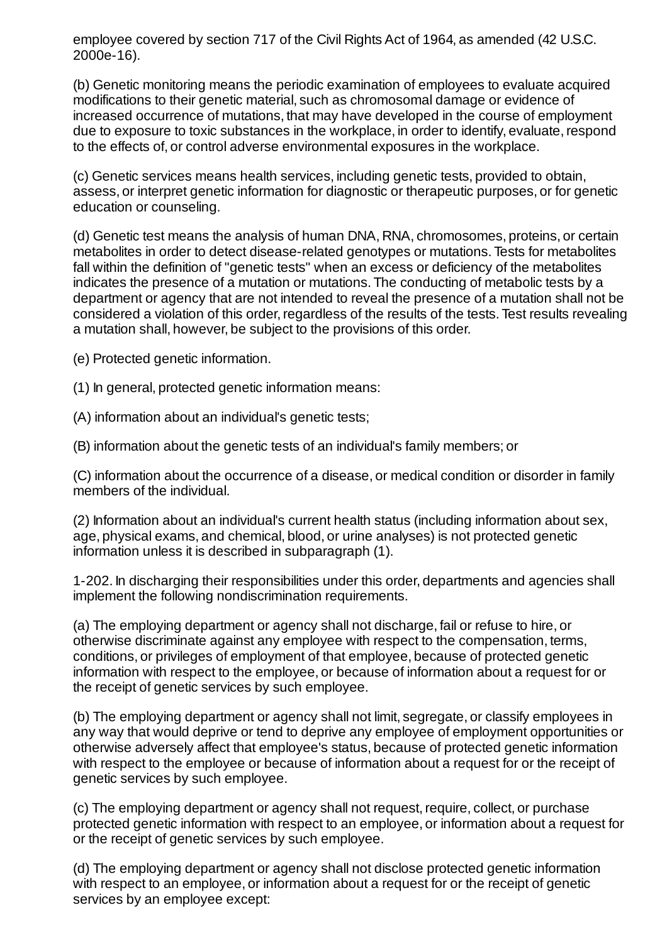employee covered by section 717 of the Civil Rights Act of 1964, as amended (42 U.S.C. 2000e-16).

(b) Genetic monitoring means the periodic examination of employees to evaluate acquired modifications to their genetic material, such as chromosomal damage or evidence of increased occurrence of mutations, that may have developed in the course of employment due to exposure to toxic substances in the workplace, in order to identify, evaluate, respond to the effects of, or control adverse environmental exposures in the workplace.

(c) Genetic services means health services, including genetic tests, provided to obtain, assess, or interpret genetic information for diagnostic or therapeutic purposes, or for genetic education or counseling.

(d) Genetic test means the analysis of human DNA, RNA, chromosomes, proteins, or certain metabolites in order to detect disease-related genotypes or mutations. Tests for metabolites fall within the definition of "genetic tests" when an excess or deficiency of the metabolites indicates the presence of a mutation or mutations. The conducting of metabolic tests by a department or agency that are not intended to reveal the presence of a mutation shall not be considered a violation of this order, regardless of the results of the tests. Test results revealing a mutation shall, however, be subject to the provisions of this order.

(e) Protected genetic information.

(1) In general, protected genetic information means:

(A) information about an individual's genetic tests;

(B) information about the genetic tests of an individual's family members; or

(C) information about the occurrence of a disease, or medical condition or disorder in family members of the individual.

(2) Information about an individual's current health status (including information about sex, age, physical exams, and chemical, blood, or urine analyses) is not protected genetic information unless it is described in subparagraph (1).

1-202. In discharging their responsibilities under this order, departments and agencies shall implement the following nondiscrimination requirements.

(a) The employing department or agency shall not discharge, fail or refuse to hire, or otherwise discriminate against any employee with respect to the compensation, terms, conditions, or privileges of employment of that employee, because of protected genetic information with respect to the employee, or because of information about a request for or the receipt of genetic services by such employee.

(b) The employing department or agency shall not limit, segregate, or classify employees in any way that would deprive or tend to deprive any employee of employment opportunities or otherwise adversely affect that employee's status, because of protected genetic information with respect to the employee or because of information about a request for or the receipt of genetic services by such employee.

(c) The employing department or agency shall not request,require, collect, or purchase protected genetic information with respect to an employee, or information about a request for or the receipt of genetic services by such employee.

(d) The employing department or agency shall not disclose protected genetic information with respect to an employee, or information about a request for or the receipt of genetic services by an employee except: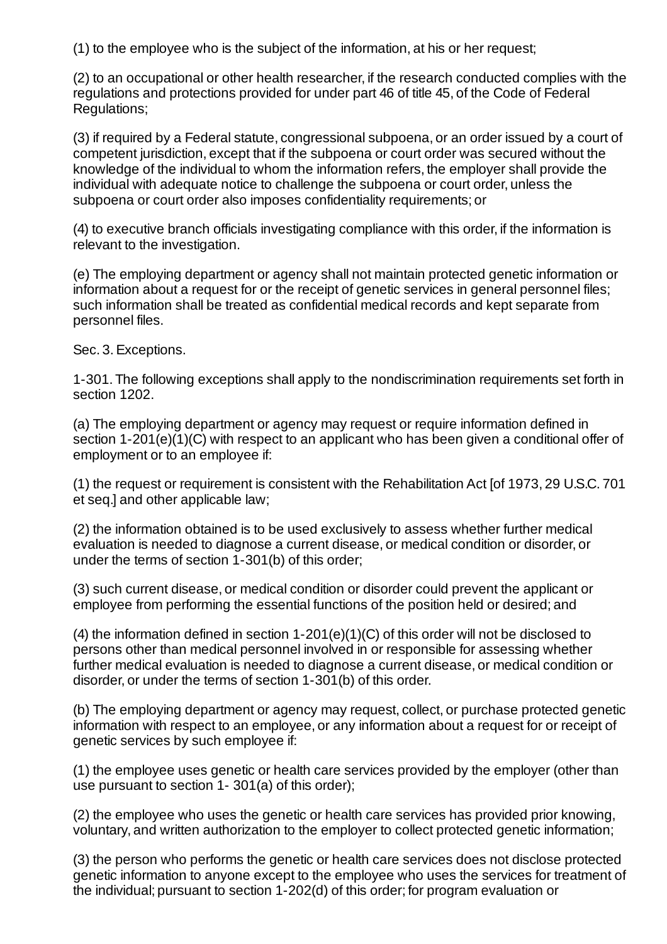(1) to the employee who is the subject of the information, at his or her request;

(2) to an occupational or other health researcher, if the research conducted complies with the regulations and protections provided for under part 46 of title 45, of the Code of Federal Regulations;

(3) if required by a Federal statute, congressional subpoena, or an order issued by a court of competent jurisdiction, except that if the subpoena or court order was secured without the knowledge of the individual to whom the information refers, the employer shall provide the individual with adequate notice to challenge the subpoena or court order, unless the subpoena or court order also imposes confidentiality requirements; or

(4) to executive branch officials investigating compliance with this order, if the information is relevant to the investigation.

(e) The employing department or agency shall not maintain protected genetic information or information about a request for or the receipt of genetic services in general personnel files; such information shall be treated as confidential medical records and kept separate from personnel files.

Sec. 3.Exceptions.

1-301. The following exceptions shall apply to the nondiscrimination requirements set forth in section 1202.

(a) The employing department or agency may request or require information defined in section 1-201(e)(1)(C) with respect to an applicant who has been given a conditional offer of employment or to an employee if:

(1) the request or requirement is consistent with the Rehabilitation Act [of 1973, 29 U.S.C. 701 et seq.] and other applicable law;

(2) the information obtained is to be used exclusively to assess whether further medical evaluation is needed to diagnose a current disease, or medical condition or disorder, or under the terms of section  $1-301(b)$  of this order:

(3) such current disease, or medical condition or disorder could prevent the applicant or employee from performing the essential functions of the position held or desired; and

(4) the information defined in section  $1-201(e)(1)(C)$  of this order will not be disclosed to persons other than medical personnel involved in or responsible for assessing whether further medical evaluation is needed to diagnose a current disease, or medical condition or disorder, or under the terms of section 1-301(b) of this order.

(b) The employing department or agency may request, collect, or purchase protected genetic information with respect to an employee, or any information about a request for or receipt of genetic services by such employee if:

(1) the employee uses genetic or health care services provided by the employer (other than use pursuant to section 1- 301(a) of this order);

(2) the employee who uses the genetic or health care services has provided prior knowing, voluntary, and written authorization to the employer to collect protected genetic information;

(3) the person who performs the genetic or health care services does not disclose protected genetic information to anyone except to the employee who uses the services for treatment of the individual; pursuant to section 1-202(d) of this order; for program evaluation or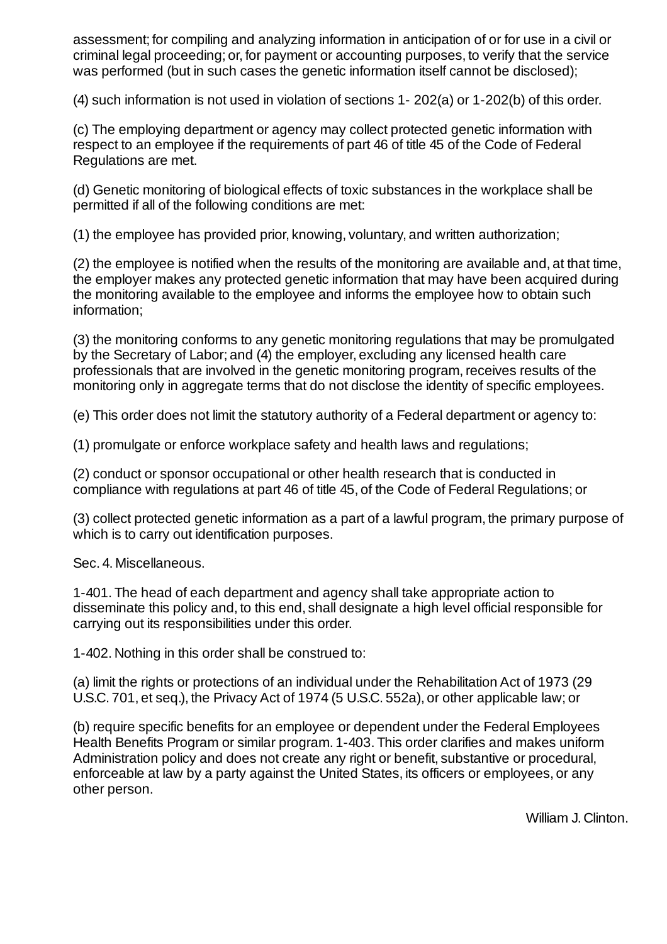assessment; for compiling and analyzing information in anticipation of or for use in a civil or criminal legal proceeding; or, for payment or accounting purposes, to verify that the service was performed (but in such cases the genetic information itself cannot be disclosed);

(4) such information is not used in violation of sections 1- 202(a) or 1-202(b) of this order.

(c) The employing department or agency may collect protected genetic information with respect to an employee if the requirements of part 46 of title 45 of the Code of Federal Regulations are met.

(d) Genetic monitoring of biological effects of toxic substances in the workplace shall be permitted if all of the following conditions are met:

(1) the employee has provided prior, knowing, voluntary, and written authorization;

(2) the employee is notified when the results of the monitoring are available and, at that time, the employer makes any protected genetic information that may have been acquired during the monitoring available to the employee and informs the employee how to obtain such information;

(3) the monitoring conforms to any genetic monitoring regulations that may be promulgated by the Secretary of Labor; and (4) the employer, excluding any licensed health care professionals that are involved in the genetic monitoring program, receives results of the monitoring only in aggregate terms that do not disclose the identity of specific employees.

(e) This order does not limit the statutory authority of a Federal department or agency to:

(1) promulgate or enforce workplace safety and health laws and regulations;

(2) conduct or sponsor occupational or other health research that is conducted in compliance with regulations at part 46 of title 45, of the Code of Federal Regulations; or

(3) collect protected genetic information as a part of a lawful program, the primary purpose of which is to carry out identification purposes.

Sec. 4. Miscellaneous.

1-401. The head of each department and agency shall take appropriate action to disseminate this policy and, to this end, shall designate a high level official responsible for carrying out its responsibilities under this order.

1-402. Nothing in this order shall be construed to:

(a) limit the rights or protections of an individual under the Rehabilitation Act of 1973 (29 U.S.C. 701, et seq.), the Privacy Act of 1974 (5 U.S.C. 552a), or other applicable law; or

(b) require specific benefits for an employee or dependent under the Federal Employees Health Benefits Program or similar program. 1-403. This order clarifies and makes uniform Administration policy and does not create any right or benefit, substantive or procedural, enforceable at law by a party against the United States, its officers or employees, or any other person.

William J. Clinton.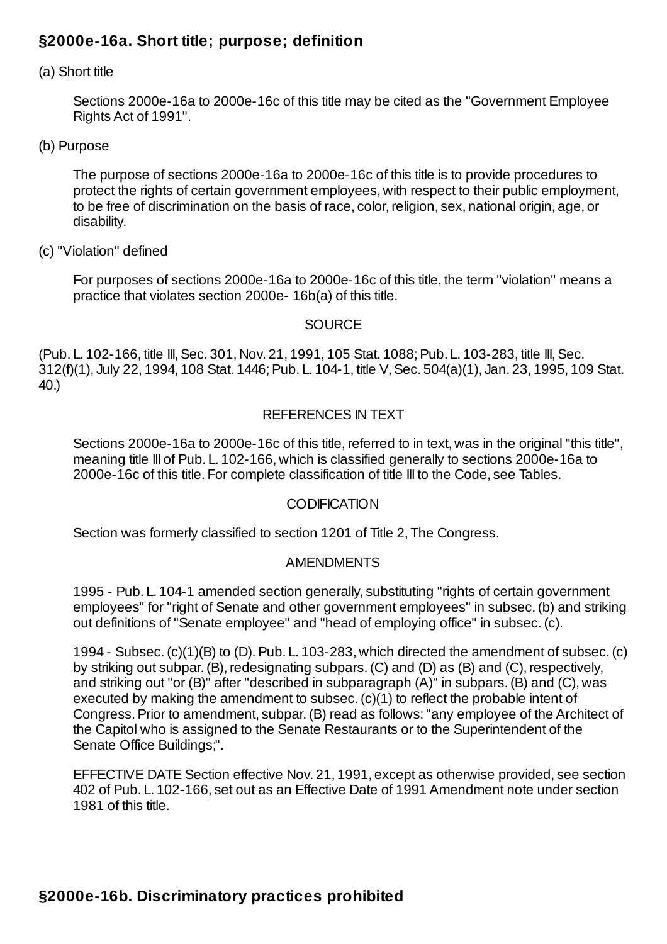# **§2000e-16a. Short title; purpose; definition**

## (a) Short title

Sections 2000e-16a to 2000e-16c of this title may be cited as the "Government Employee Rights Act of 1991".

## (b) Purpose

The purpose of sections 2000e-16a to 2000e-16c of this title is to provide procedures to protect the rights of certain government employees, with respect to their public employment, to be free of discrimination on the basis of race, color, religion, sex, national origin, age, or disability.

## (c) "Violation" defined

For purposes of sections 2000e-16a to 2000e-16c of this title, the term "violation" means a practice that violates section 2000e- 16b(a) of this title.

#### **SOURCE**

(Pub. L. 102-166, title III, Sec. 301, Nov. 21, 1991, 105 Stat. 1088; Pub. L. 103-283, title III, Sec. 312(f)(1), July 22, 1994, 108 Stat. 1446; Pub. L. 104-1, title V, Sec. 504(a)(1), Jan. 23, 1995, 109 Stat. 40.)

## REFERENCES IN TEXT

Sections 2000e-16a to 2000e-16c of this title, referred to in text, was in the original "this title", meaning title III of Pub. L. 102-166, which is classified generally to sections 2000e-16a to 2000e-16c of this title. For complete classification of title III to the Code, see Tables.

## **CODIFICATION**

Section was formerly classified to section 1201 of Title 2, The Congress.

## **AMENDMENTS**

1995 - Pub. L. 104-1 amended section generally, substituting "rights of certain government employees" for "right of Senate and other government employees" in subsec.(b) and striking out definitions of "Senate employee" and "head of employing office" in subsec.(c).

1994 - Subsec.  $(c)(1)(B)$  to  $(D)$ . Pub. L. 103-283, which directed the amendment of subsec.  $(c)$ by striking out subpar. (B), redesignating subpars. (C) and (D) as (B) and (C), respectively, and striking out "or (B)" after "described in subparagraph (A)" in subpars.(B) and (C), was executed by making the amendment to subsec.(c)(1) to reflect the probable intent of Congress.Prior to amendment, subpar.(B) read as follows:"any employee of the Architect of the Capitol who is assigned to the Senate Restaurants or to the Superintendent of the Senate Office Buildings;".

EFFECTIVE DATE Section effective Nov. 21, 1991, except as otherwise provided, see section 402 of Pub. L. 102-166, set out as an Effective Date of 1991 Amendment note under section 1981 of this title.

## **§2000e-16b. Discriminatory practices prohibited**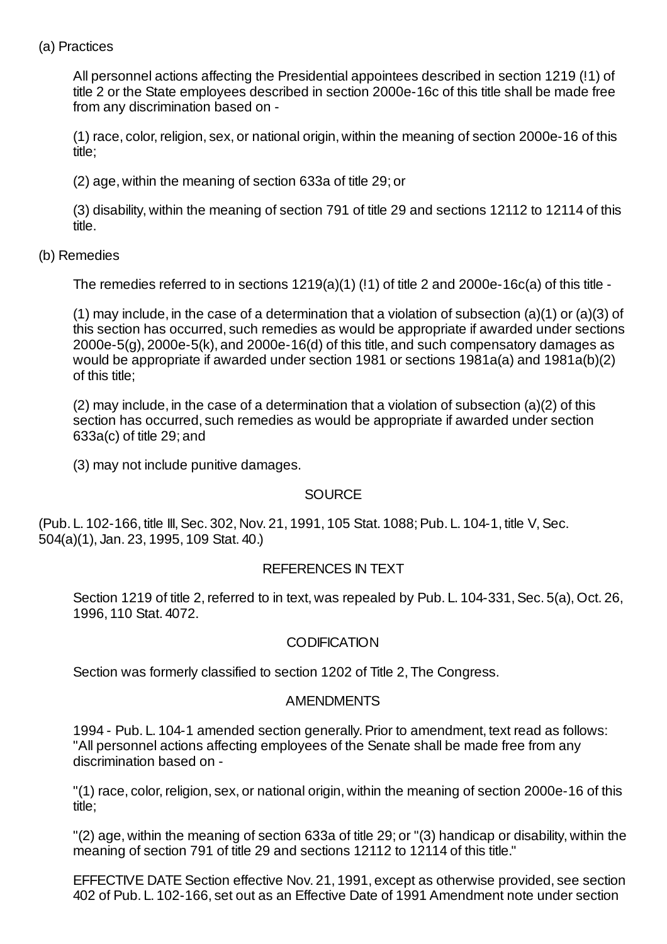#### (a) Practices

All personnel actions affecting the Presidential appointees described in section 1219 (!1) of title 2 or the State employees described in section 2000e-16c of this title shall be made free from any discrimination based on -

(1) race, color, religion, sex, or national origin, within the meaning of section 2000e-16 of this title;

(2) age, within the meaning of section 633a of title 29; or

(3) disability, within the meaning of section 791 of title 29 and sections 12112 to 12114 of this title.

#### (b) Remedies

The remedies referred to in sections  $1219(a)(1)$  (!1) of title 2 and 2000e-16c(a) of this title -

(1) may include, in the case of a determination that a violation of subsection (a)(1) or (a)(3) of this section has occurred, such remedies as would be appropriate if awarded under sections 2000e-5(g), 2000e-5(k), and 2000e-16(d) of this title, and such compensatory damages as would be appropriate if awarded under section 1981 or sections 1981a(a) and 1981a(b)(2) of this title;

(2) may include, in the case of a determination that a violation of subsection (a)(2) of this section has occurred, such remedies as would be appropriate if awarded under section 633a(c) of title 29; and

(3) may not include punitive damages.

#### **SOURCE**

(Pub. L. 102-166, title III, Sec. 302, Nov. 21, 1991, 105 Stat. 1088; Pub. L. 104-1, title V, Sec. 504(a)(1), Jan. 23, 1995, 109 Stat. 40.)

#### REFERENCES IN TEXT

Section 1219 of title 2, referred to in text, was repealed by Pub. L. 104-331, Sec. 5(a), Oct. 26, 1996, 110 Stat. 4072.

#### **CODIFICATION**

Section was formerly classified to section 1202 of Title 2, The Congress.

#### **AMENDMENTS**

1994 - Pub. L. 104-1 amended section generally. Prior to amendment, text read as follows: "All personnel actions affecting employees of the Senate shall be made free from any discrimination based on -

"(1) race, color, religion, sex, or national origin, within the meaning of section 2000e-16 of this title;

"(2) age, within the meaning of section 633a of title 29; or "(3) handicap or disability, within the meaning of section 791 of title 29 and sections 12112 to 12114 of this title."

EFFECTIVE DATE Section effective Nov. 21, 1991, except as otherwise provided, see section 402 of Pub. L. 102-166, set out as an Effective Date of 1991 Amendment note under section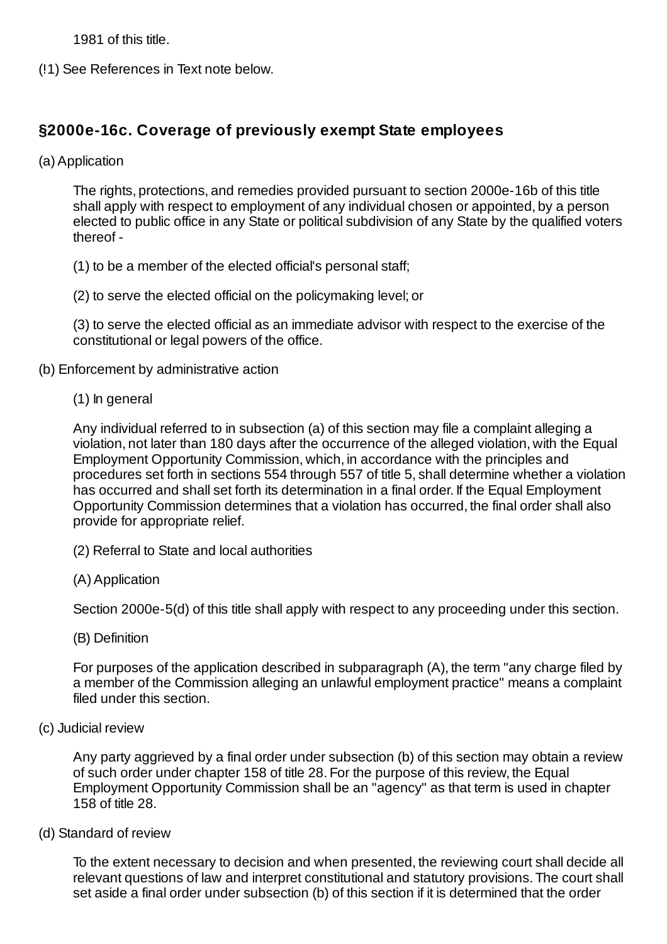1981 of this title.

(!1) See References in Text note below.

# **§2000e-16c. Coverage of previously exempt State employees**

(a) Application

The rights, protections, and remedies provided pursuant to section 2000e-16b of this title shall apply with respect to employment of any individual chosen or appointed, by a person elected to public office in any State or political subdivision of any State by the qualified voters thereof -

- (1) to be a member of the elected official's personal staff;
- (2) to serve the elected official on the policymaking level; or

(3) to serve the elected official as an immediate advisor with respect to the exercise of the constitutional or legal powers of the office.

- (b) Enforcement by administrative action
	- (1) In general

Any individual referred to in subsection (a) of this section may file a complaint alleging a violation, not later than 180 days after the occurrence of the alleged violation, with the Equal Employment Opportunity Commission, which, in accordance with the principles and procedures set forth in sections 554 through 557 of title 5, shall determine whether a violation has occurred and shall set forth its determination in a final order. If the Equal Employment Opportunity Commission determines that a violation has occurred, the final order shall also provide for appropriate relief.

- (2) Referral to State and local authorities
- (A) Application

Section 2000e-5(d) of this title shall apply with respect to any proceeding under this section.

(B) Definition

For purposes of the application described in subparagraph (A), the term "any charge filed by a member of the Commission alleging an unlawful employment practice" means a complaint filed under this section.

(c) Judicial review

Any party aggrieved by a final order under subsection (b) of this section may obtain a review of such order under chapter 158 of title 28. For the purpose of this review, the Equal Employment Opportunity Commission shall be an "agency" as that term is used in chapter 158 of title 28.

(d) Standard of review

To the extent necessary to decision and when presented, the reviewing court shall decide all relevant questions of law and interpret constitutional and statutory provisions. The court shall set aside a final order under subsection (b) of this section if it is determined that the order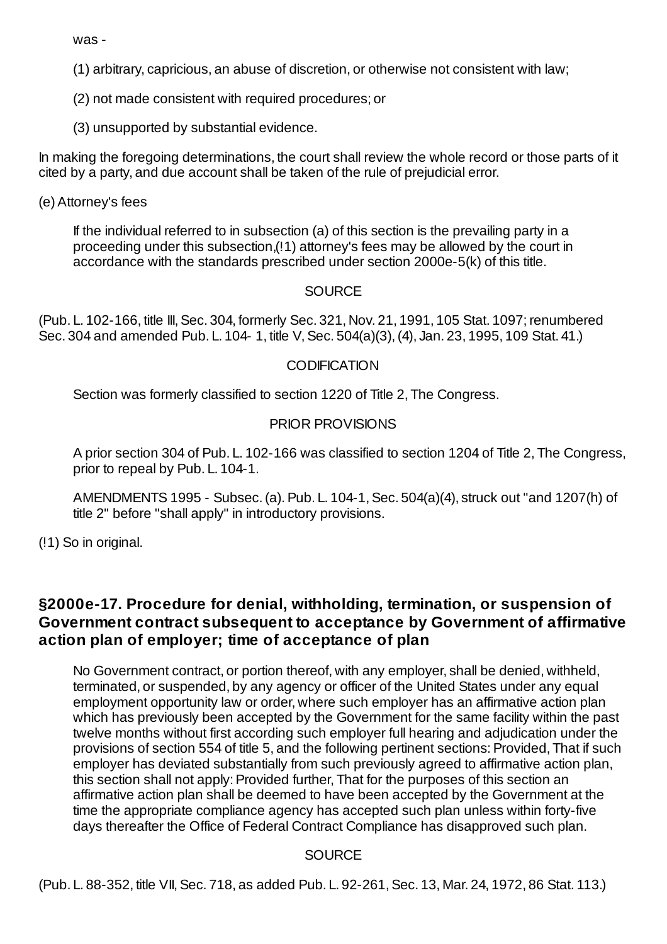was -

(1) arbitrary, capricious, an abuse of discretion, or otherwise not consistent with law;

(2) not made consistent with required procedures; or

(3) unsupported by substantial evidence.

In making the foregoing determinations, the court shall review the whole record or those parts of it cited by a party, and due account shall be taken of the rule of prejudicial error.

(e) Attorney's fees

If the individual referred to in subsection (a) of this section is the prevailing party in a proceeding under this subsection,(!1) attorney's fees may be allowed by the court in accordance with the standards prescribed under section 2000e-5(k) of this title.

## **SOURCE**

(Pub. L. 102-166, title III, Sec. 304, formerly Sec. 321, Nov. 21, 1991, 105 Stat. 1097; renumbered Sec. 304 and amended Pub. L. 104- 1, title V, Sec. 504(a)(3), (4), Jan. 23, 1995, 109 Stat. 41.)

## CODIFICATION

Section was formerly classified to section 1220 of Title 2, The Congress.

## PRIOR PROVISIONS

A prior section 304 of Pub. L. 102-166 was classified to section 1204 of Title 2, The Congress, prior to repeal by Pub. L. 104-1.

AMENDMENTS 1995 - Subsec. (a). Pub. L. 104-1, Sec. 504(a)(4), struck out "and 1207(h) of title 2" before "shall apply" in introductory provisions.

(!1) So in original.

# **§2000e-17. Procedure for denial, withholding, termination, or suspension of Government contract subsequent to acceptance by Government of affirmative action plan of employer; time of acceptance of plan**

No Government contract, or portion thereof, with any employer, shall be denied, withheld, terminated, or suspended, by any agency or officer of the United States under any equal employment opportunity law or order, where such employer has an affirmative action plan which has previously been accepted by the Government for the same facility within the past twelve months without first according such employer full hearing and adjudication under the provisions of section 554 of title 5, and the following pertinent sections: Provided, That if such employer has deviated substantially from such previously agreed to affirmative action plan, this section shall not apply: Provided further, That for the purposes of this section an affirmative action plan shall be deemed to have been accepted by the Government at the time the appropriate compliance agency has accepted such plan unless within forty-five days thereafter the Office of Federal Contract Compliance has disapproved such plan.

## **SOURCE**

(Pub. L. 88-352, title VII, Sec. 718, as added Pub. L. 92-261, Sec. 13, Mar. 24, 1972, 86 Stat. 113.)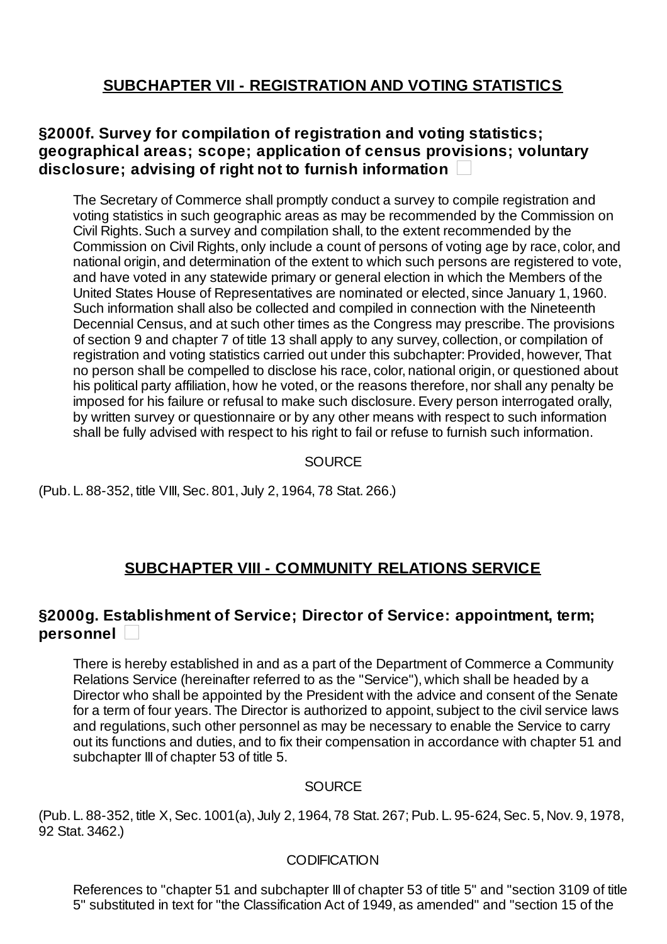# **SUBCHAPTER VII - REGISTRATION AND VOTING STATISTICS**

# **§2000f. Survey for compilation of registration and voting statistics; geographical areas; scope; application of census provisions; voluntary disclosure; advising of right not to furnish information**

The Secretary of Commerce shall promptly conduct a survey to compile registration and voting statistics in such geographic areas as may be recommended by the Commission on Civil Rights.Such a survey and compilation shall, to the extent recommended by the Commission on Civil Rights, only include a count of persons of voting age by race, color, and national origin, and determination of the extent to which such persons are registered to vote, and have voted in any statewide primary or general election in which the Members of the United States House of Representatives are nominated or elected, since January 1, 1960. Such information shall also be collected and compiled in connection with the Nineteenth Decennial Census, and at such other times as the Congress may prescribe. The provisions of section 9 and chapter 7 of title 13 shall apply to any survey, collection, or compilation of registration and voting statistics carried out under this subchapter: Provided, however, That no person shall be compelled to disclose his race, color, national origin, or questioned about his political party affiliation, how he voted, or the reasons therefore, nor shall any penalty be imposed for his failure or refusal to make such disclosure. Every person interrogated orally, by written survey or questionnaire or by any other means with respect to such information shall be fully advised with respect to his right to fail or refuse to furnish such information.

## **SOURCE**

(Pub. L. 88-352, title VIII, Sec. 801, July 2, 1964, 78 Stat. 266.)

# **SUBCHAPTER VIII - COMMUNITY RELATIONS SERVICE**

# **§2000g. Es[ta](#page-0-0)blishment of Service; Director of Service: appointment, term; personnel**

There is hereby established in and as a part of the Department of Commerce a Community Relations Service (hereinafter referred to as the "Service"), which shall be headed by a Director who shall be appointed by the President with the advice and consent of the Senate for a term of four years. The Director is authorized to appoint, subject to the civil service laws and regulations, such other personnel as may be necessary to enable the Service to carry out its functions and duties, and to fix their compensation in accordance with chapter 51 and subchapter III of chapter 53 of title 5.

## **SOURCE**

(Pub. L. 88-352, title X, Sec. 1001(a), July 2, 1964, 78 Stat. 267; Pub. L. 95-624, Sec. 5, Nov. 9, 1978, 92 Stat. 3462.)

## **CODIFICATION**

References to "chapter 51 and subchapter III of chapter 53 of title 5" and "section 3109 of title 5" substituted in text for "the Classification Act of 1949, as amended" and "section 15 of the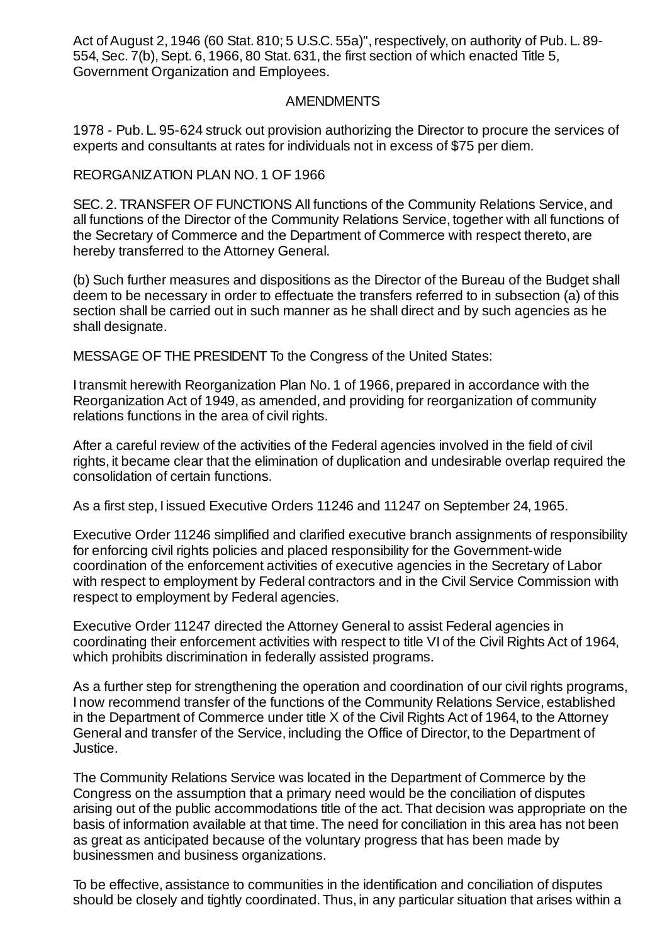$5$  substituted in text for  $\mathcal{A}$  the  $\mathcal{A}$  -the  $C$  the  $\mathcal{A}$  of  $\mathcal{A}$  and  $\mathcal{A}$  of the  $\mathcal{A}$ Act of August 2, 1946 (60 Stat. 810; 5 U.S.C. 55a)", respectively, on authority of Pub. L. 89-554, Sec. 7(b), Sept. 6, 1966, 80 Stat. 631, the first section of which enacted Title 5. Government Organization and Employees.

## **AMENDMENTS**

1978 - Pub. L. 95-624 struck out provision authorizing the Director to procure the services of experts and consultants at rates for individuals not in excess of \$75 per diem.

## REORGANIZATION PLAN NO. 1 OF 1966

SEC. 2. TRANSFER OF FUNCTIONS All functions of the Community Relations Service, and all functions of the Director of the Community Relations Service, together with all functions of the Secretary of Commerce and the Department of Commerce with respect thereto, are hereby transferred to the Attorney General.

(b) Such further measures and dispositions as the Director of the Bureau of the Budget shall deem to be necessary in order to effectuate the transfers referred to in subsection (a) of this section shall be carried out in such manner as he shall direct and by such agencies as he shall designate.

MESSAGE OF THE PRESIDENT To the Congress of the United States:

I transmit herewith Reorganization Plan No. 1 of 1966, prepared in accordance with the Reorganization Act of 1949, as amended, and providing for reorganization of community relations functions in the area of civil rights.

After a careful review of the activities of the Federal agencies involved in the field of civil rights, it became clear that the elimination of duplication and undesirable overlap required the consolidation of certain functions.

As a first step, I issued Executive Orders 11246 and 11247 on September 24, 1965.

Executive Order 11246 simplified and clarified executive branch assignments of responsibility for enforcing civil rights policies and placed responsibility for the Government-wide coordination of the enforcement activities of executive agencies in the Secretary of Labor with respect to employment by Federal contractors and in the Civil Service Commission with respect to employment by Federal agencies.

Executive Order 11247 directed the Attorney General to assist Federal agencies in coordinating their enforcement activities with respect to title VI of the Civil Rights Act of 1964, which prohibits discrimination in federally assisted programs.

As a further step for strengthening the operation and coordination of our civil rights programs, I now recommend transfer of the functions of the Community Relations Service, established in the Department of Commerce under title X of the Civil Rights Act of 1964, to the Attorney General and transfer of the Service, including the Office of Director, to the Department of Justice.

The Community Relations Service was located in the Department of Commerce by the Congress on the assumption that a primary need would be the conciliation of disputes arising out of the public accommodations title of the act. That decision was appropriate on the basis of information available at that time. The need for conciliation in this area has not been as great as anticipated because of the voluntary progress that has been made by businessmen and business organizations.

To be effective, assistance to communities in the identification and conciliation of disputes should be closely and tightly coordinated. Thus, in any particular situation that arises within a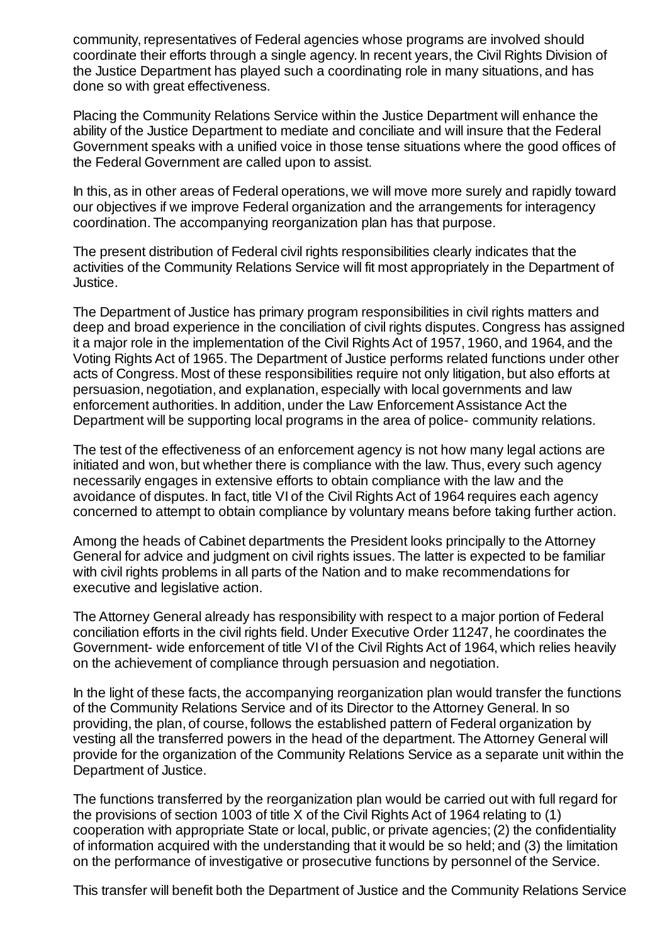community, representatives of Federal agencies whose programs are involved should coordinate their efforts through a single agency. In recent years, the Civil Rights Division of the Justice Department has played such a coordinating role in many situations, and has done so with great effectiveness.

Placing the Community Relations Service within the Justice Department will enhance the ability of the Justice Department to mediate and conciliate and will insure that the Federal Government speaks with a unified voice in those tense situations where the good offices of the Federal Government are called upon to assist.

In this, as in other areas of Federal operations, we will move more surely and rapidly toward our objectives if we improve Federal organization and the arrangements for interagency coordination. The accompanying reorganization plan has that purpose.

The present distribution of Federal civil rights responsibilities clearly indicates that the activities of the Community Relations Service will fit most appropriately in the Department of Justice.

The Department of Justice has primary program responsibilities in civil rights matters and deep and broad experience in the conciliation of civil rights disputes. Congress has assigned it a major role in the implementation of the Civil Rights Act of 1957, 1960, and 1964, and the Voting Rights Act of 1965. The Department of Justice performs related functions under other acts of Congress. Most of these responsibilities require not only litigation, but also efforts at persuasion, negotiation, and explanation, especially with local governments and law enforcement authorities. In addition, under the Law Enforcement Assistance Act the Department will be supporting local programs in the area of police- community relations.

The test of the effectiveness of an enforcement agency is not how many legal actions are initiated and won, but whether there is compliance with the law. Thus, every such agency necessarily engages in extensive efforts to obtain compliance with the law and the avoidance of disputes. In fact, title VI of the Civil Rights Act of 1964 requires each agency concerned to attempt to obtain compliance by voluntary means before taking further action.

Among the heads of Cabinet departments the President looks principally to the Attorney General for advice and judgment on civil rights issues. The latter is expected to be familiar with civil rights problems in all parts of the Nation and to make recommendations for executive and legislative action.

The Attorney General already has responsibility with respect to a major portion of Federal conciliation efforts in the civil rights field. Under Executive Order 11247, he coordinates the Government- wide enforcement of title VI of the Civil Rights Act of 1964, which relies heavily on the achievement of compliance through persuasion and negotiation.

In the light of these facts, the accompanying reorganization plan would transfer the functions of the Community Relations Service and of its Director to the Attorney General. In so providing, the plan, of course, follows the established pattern of Federal organization by vesting all the transferred powers in the head of the department. The Attorney General will provide for the organization of the Community Relations Service as a separate unit within the Department of Justice.

The functions transferred by the reorganization plan would be carried out with full regard for the provisions of section 1003 of title X of the Civil Rights Act of 1964 relating to (1) cooperation with appropriate State or local, public, or private agencies;(2) the confidentiality of information acquired with the understanding that it would be so held; and (3) the limitation on the performance of investigative or prosecutive functions by personnel of the Service.

This transfer will benefit both the Department of Justice and the Community Relations Service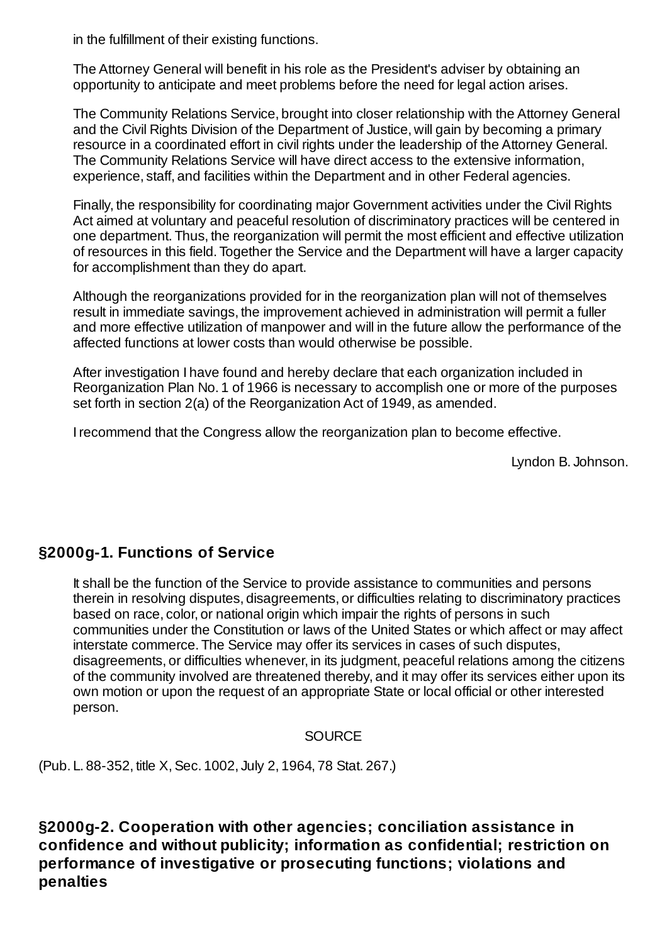in the fulfillment of their existing functions.

The Attorney General will benefit in his role as the President's adviser by obtaining an opportunity to anticipate and meet problems before the need for legal action arises.

The Community Relations Service, brought into closer relationship with the Attorney General and the Civil Rights Division of the Department of Justice, will gain by becoming a primary resource in a coordinated effort in civil rights under the leadership of the Attorney General. The Community Relations Service will have direct access to the extensive information, experience, staff, and facilities within the Department and in other Federal agencies.

Finally, the responsibility for coordinating major Government activities under the Civil Rights Act aimed at voluntary and peaceful resolution of discriminatory practices will be centered in one department. Thus, the reorganization will permit the most efficient and effective utilization of resources in this field. Together the Service and the Department will have a larger capacity for accomplishment than they do apart.

Although the reorganizations provided for in the reorganization plan will not of themselves result in immediate savings, the improvement achieved in administration will permit a fuller and more effective utilization of manpower and will in the future allow the performance of the affected functions at lower costs than would otherwise be possible.

After investigation I have found and hereby declare that each organization included in Reorganization Plan No. 1 of 1966 is necessary to accomplish one or more of the purposes set forth in section 2(a) of the Reorganization Act of 1949, as amended.

Irecommend that the Congress allow the reorganization plan to become effective.

Lyndon B. Johnson.

# **§2000g-1. Functions of Service**

It shall be the function of the Service to provide assistance to communities and persons therein in resolving disputes, disagreements, or difficulties relating to discriminatory practices based on race, color, or national origin which impair the rights of persons in such communities under the Constitution or laws of the United States or which affect or may affect interstate commerce. The Service may offer its services in cases of such disputes, disagreements, or difficulties whenever, in its judgment, peaceful relations among the citizens of the community involved are threatened thereby, and it may offer its services either upon its own motion or upon the request of an appropriate State or local official or other interested person.

## **SOURCE**

(Pub. L. 88-352, title X, Sec. 1002, July 2, 1964, 78 Stat. 267.)

**§2000g-2. Cooperation with other agencies; conciliation assistance in confidence and without publicity; information as confidential; restriction on performance of investigative or prosecuting functions; violations and penalties**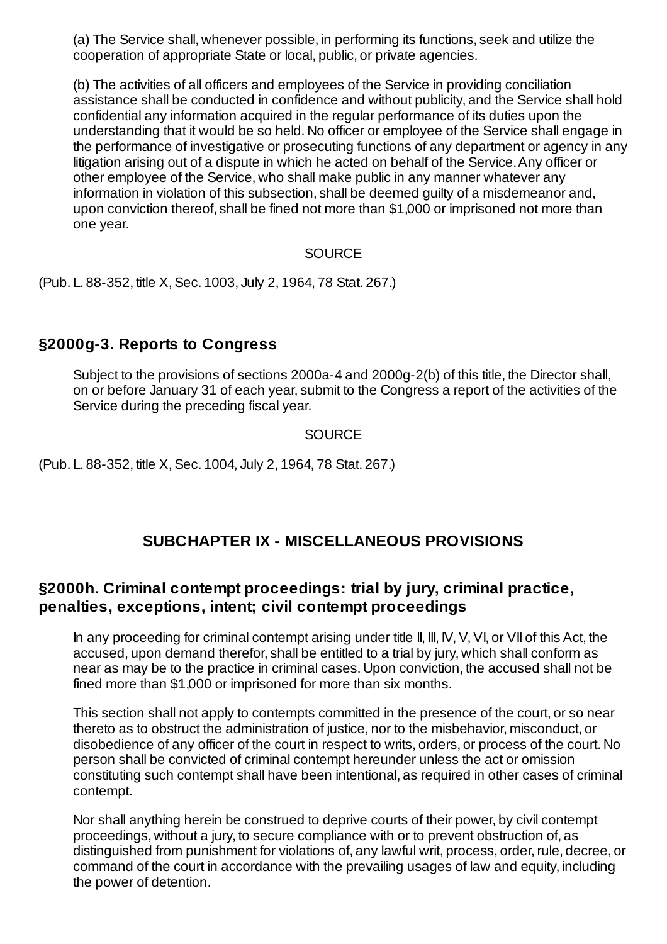(a) The Service shall, whenever possible, in performing its functions, seek and utilize the cooperation of appropriate State or local, public, or private agencies.

(b) The activities of all officers and employees of the Service in providing conciliation assistance shall be conducted in confidence and without publicity, and the Service shall hold confidential any information acquired in the regular performance of its duties upon the understanding that it would be so held. No officer or employee of the Service shall engage in the performance of investigative or prosecuting functions of any department or agency in any litigation arising out of a dispute in which he acted on behalf of the Service.Any officer or other employee of the Service, who shall make public in any manner whatever any information in violation of this subsection, shall be deemed guilty of a misdemeanor and, upon conviction thereof, shall be fined not more than \$1,000 or imprisoned not more than one year.

## **SOURCE**

(Pub. L. 88-352, title X, Sec. 1003, July 2, 1964, 78 Stat. 267.)

## **§2000g-3. Reports to Congress**

Subject to the provisions of sections 2000a-4 and 2000g-2(b) of this title, the Director shall, on or before January 31 of each year, submit to the Congress a report of the activities of the Service during the preceding fiscal year.

## **SOURCE**

(Pub. L. 88-352, title X, Sec. 1004, July 2, 1964, 78 Stat. 267.)

## **SUBCHAPTER IX - MISCELLANEOUS PROVISIONS**

## **§2000h. Criminal contempt proceedings: trial by jury, cri[min](#page-0-0)al practice, penalties, exceptions, intent; civil contempt proceedings**

In any proceeding for criminal contempt arising under title II, III, IV, V, VI, or VII of this Act, the accused, upon demand therefor, shall be entitled to a trial by jury, which shall conform as near as may be to the practice in criminal cases. Upon conviction, the accused shall not be fined more than \$1,000 or imprisoned for more than six months.

This section shall not apply to contempts committed in the presence of the court, or so near thereto as to obstruct the administration of justice, nor to the misbehavior, misconduct, or disobedience of any officer of the court in respect to writs, orders, or process of the court. No person shall be convicted of criminal contempt hereunder unless the act or omission constituting such contempt shall have been intentional, as required in other cases of criminal contempt.

Nor shall anything herein be construed to deprive courts of their power, by civil contempt proceedings, without a jury, to secure compliance with or to prevent obstruction of, as distinguished from punishment for violations of, any lawful writ, process, order, rule, decree, or command of the court in accordance with the prevailing usages of law and equity, including the power of detention.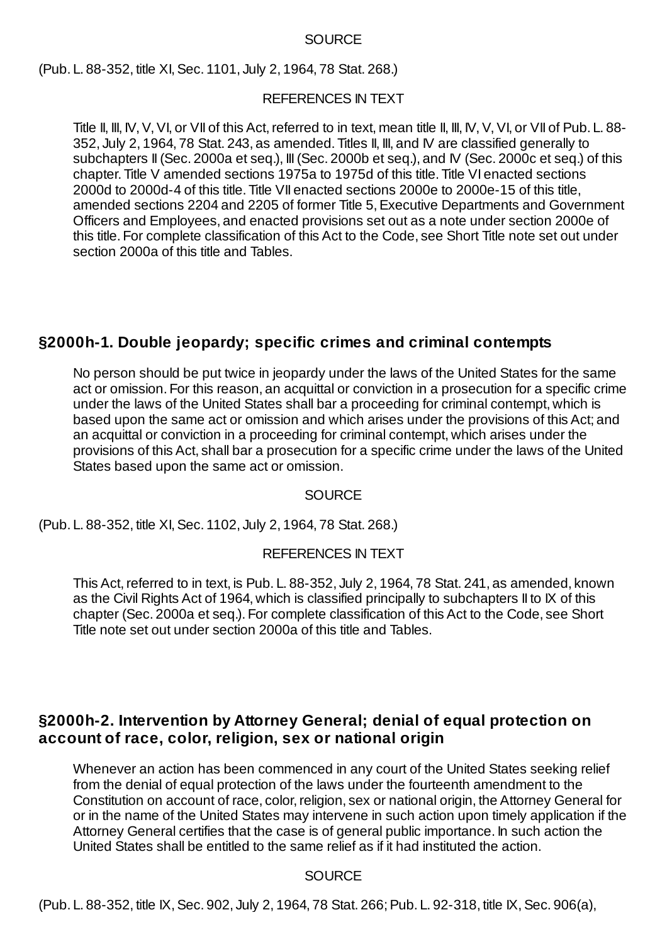#### **SOURCE**

(Pub. L. 88-352, title XI, Sec. 1101, July 2, 1964, 78 Stat. 268.)

#### REFERENCES IN TEXT

Title II, III, IV, V, VI, or VII of this Act, referred to in text, mean title II, III, IV, V, VI, or VII of Pub. L. 88-352, July 2, 1964, 78 Stat. 243, as amended. Titles II, III, and IV are classified generally to subchapters II (Sec. 2000a et seq.), III (Sec. 2000b et seq.), and IV (Sec. 2000c et seq.) of this chapter. Title V amended sections 1975a to 1975d of this title. Title VI enacted sections 2000d to 2000d-4 of this title. Title VII enacted sections 2000e to 2000e-15 of this title, amended sections 2204 and 2205 of former Title 5,Executive Departments and Government Officers and Employees, and enacted provisions set out as a note under section 2000e of this title. For complete classification of this Act to the Code, see Short Title note set out under section 2000a of this title and Tables.

# **§2000h-1. Double jeopardy; specific crimes and criminal contempts**

No person should be put twice in jeopardy under the laws of the United States for the same act or omission. For this reason, an acquittal or conviction in a prosecution for a specific crime under the laws of the United States shall bar a proceeding for criminal contempt, which is based upon the same act or omission and which arises under the provisions of this Act; and an acquittal or conviction in a proceeding for criminal contempt, which arises under the provisions of this Act, shall bar a prosecution for a specific crime under the laws of the United States based upon the same act or omission.

## **SOURCE**

(Pub. L. 88-352, title XI, Sec. 1102, July 2, 1964, 78 Stat. 268.)

## REFERENCES IN TEXT

This Act, referred to in text, is Pub. L, 88-352, July 2, 1964, 78 Stat, 241, as amended, known as the Civil Rights Act of 1964, which is classified principally to subchapters II to IX of this chapter (Sec. 2000a et seq.). For complete classification of this Act to the Code, see Short Title note set out under section 2000a of this title and Tables.

# **§2000h-2. Intervention by Attorney General; denial of equal protection on account of race, color, religion, sex or national origin**

Whenever an action has been commenced in any court of the United States seeking relief from the denial of equal protection of the laws under the fourteenth amendment to the Constitution on account of race, color, religion, sex or national origin, the Attorney General for or in the name of the United States may intervene in such action upon timely application if the Attorney General certifies that the case is of general public importance. In such action the United States shall be entitled to the same relief as if it had instituted the action.

## **SOURCE**

(Pub. L. 88-352, title IX, Sec. 902, July 2, 1964, 78 Stat. 266; Pub. L. 92-318, title IX, Sec. 906(a),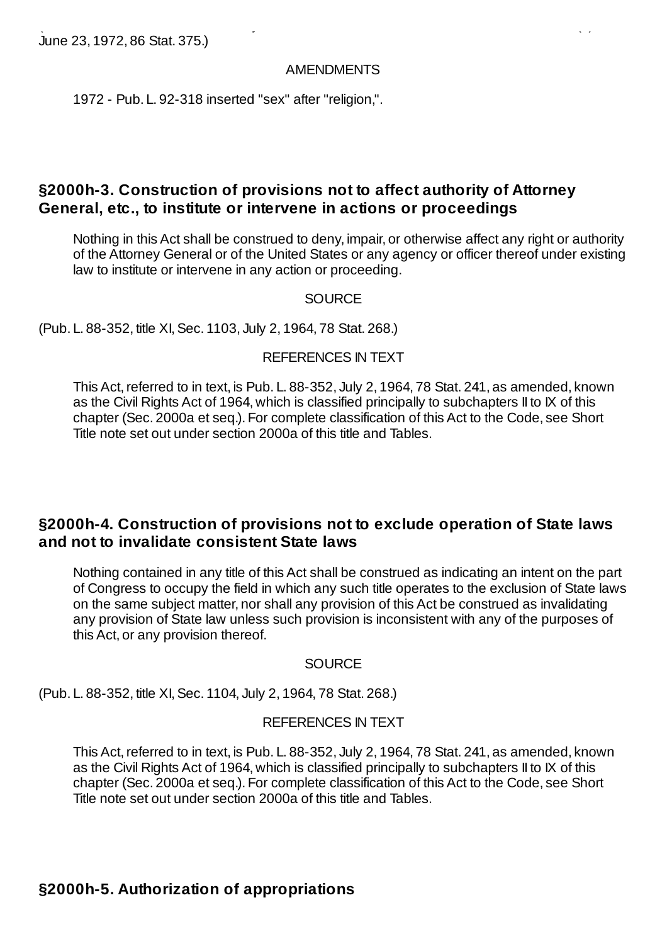(Pub. L. 88-352, title IX,Sec. 902, July 2, 1964, 78 Stat. 266;Pub. L. 92-318, title IX,Sec. 906(a), June 23, 1972, 86 Stat. 375.)

## **AMENDMENTS**

1972 - Pub. L. 92-318 inserted "sex" after "religion,".

# **§2000h-3. Construction of provisions not to affect authority of Attorney General, etc., to institute or intervene in actions or proceedings**

Nothing in this Act shall be construed to deny, impair, or otherwise affect any right or authority of the Attorney General or of the United States or any agency or officer thereof under existing law to institute or intervene in any action or proceeding.

#### **SOURCE**

(Pub. L. 88-352, title XI, Sec. 1103, July 2, 1964, 78 Stat. 268.)

## REFERENCES IN TEXT

This Act, referred to in text, is Pub. L. 88-352, July 2, 1964, 78 Stat. 241, as amended, known as the Civil Rights Act of 1964, which is classified principally to subchapters II to IX of this chapter (Sec. 2000a et seq.). For complete classification of this Act to the Code, see Short Title note set out under section 2000a of this title and Tables.

## **§2000h-4. Construction of provisions not to exclude operation of State laws and not to invalidate consistent State laws**

Nothing contained in any title of this Act shall be construed as indicating an intent on the part of Congress to occupy the field in which any such title operates to the exclusion of State laws on the same subject matter, nor shall any provision of this Act be construed as invalidating any provision of State law unless such provision is inconsistent with any of the purposes of this Act, or any provision thereof.

#### **SOURCE**

(Pub. L. 88-352, title XI, Sec. 1104, July 2, 1964, 78 Stat. 268.)

#### REFERENCES IN TEXT

This Act, referred to in text, is Pub. L. 88-352, July 2, 1964, 78 Stat. 241, as amended, known as the Civil Rights Act of 1964, which is classified principally to subchapters II to IX of this chapter (Sec. 2000a et seq.). For complete classification of this Act to the Code, see Short Title note set out under section 2000a of this title and Tables.

## **§2000h-5. Authorization of appropriations**